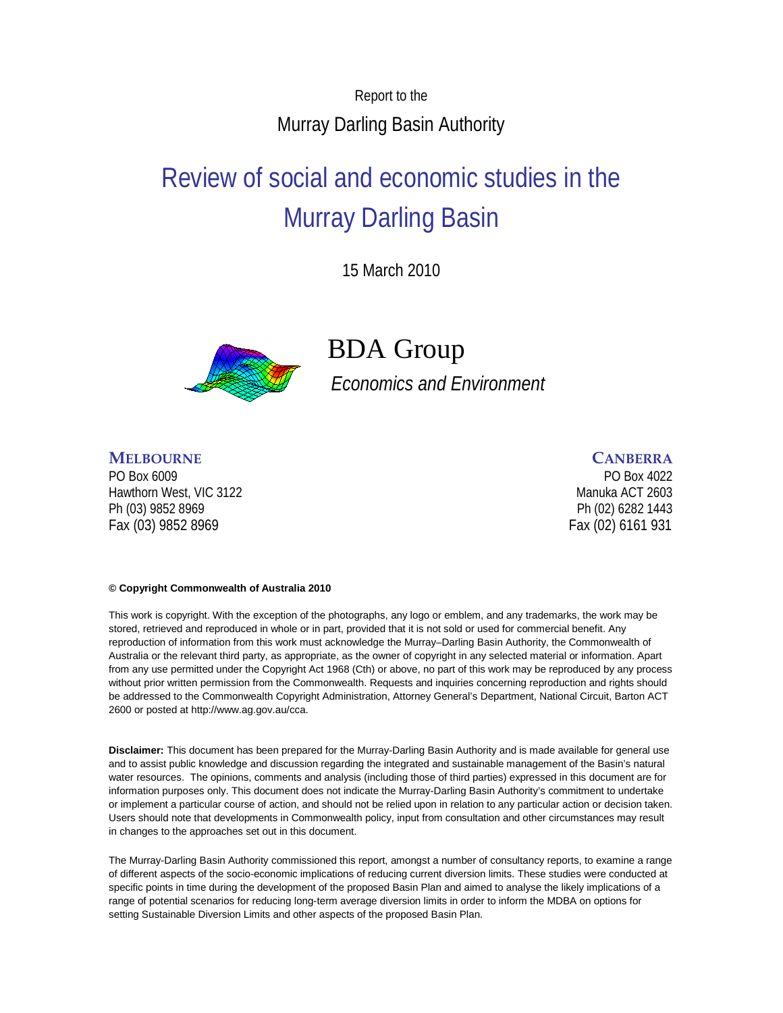Report to the Murray Darling Basin Authority

# Review of social and economic studies in the Murray Darling Basin

15 March 2010



## BDA Group

*Economics and Environment*

#### **MELBOURNE CANBERRA**

PO Box 6009 PO Box 4022 Hawthorn West, VIC 3122 Manuka ACT 2603 Ph (03) 9852 8969 Ph (02) 6282 1443 Fax (03) 9852 8969 Fax (02) 6161 931

#### **© Copyright Commonwealth of Australia 2010**

This work is copyright. With the exception of the photographs, any logo or emblem, and any trademarks, the work may be stored, retrieved and reproduced in whole or in part, provided that it is not sold or used for commercial benefit. Any reproduction of information from this work must acknowledge the Murray–Darling Basin Authority, the Commonwealth of Australia or the relevant third party, as appropriate, as the owner of copyright in any selected material or information. Apart from any use permitted under the Copyright Act 1968 (Cth) or above, no part of this work may be reproduced by any process without prior written permission from the Commonwealth. Requests and inquiries concerning reproduction and rights should be addressed to the Commonwealth Copyright Administration, Attorney General's Department, National Circuit, Barton ACT 2600 or posted at http://www.ag.gov.au/cca.

**Disclaimer:** This document has been prepared for the Murray-Darling Basin Authority and is made available for general use and to assist public knowledge and discussion regarding the integrated and sustainable management of the Basin's natural water resources. The opinions, comments and analysis (including those of third parties) expressed in this document are for information purposes only. This document does not indicate the Murray-Darling Basin Authority's commitment to undertake or implement a particular course of action, and should not be relied upon in relation to any particular action or decision taken. Users should note that developments in Commonwealth policy, input from consultation and other circumstances may result in changes to the approaches set out in this document.

The Murray-Darling Basin Authority commissioned this report, amongst a number of consultancy reports, to examine a range of different aspects of the socio-economic implications of reducing current diversion limits. These studies were conducted at specific points in time during the development of the proposed Basin Plan and aimed to analyse the likely implications of a range of potential scenarios for reducing long-term average diversion limits in order to inform the MDBA on options for setting Sustainable Diversion Limits and other aspects of the proposed Basin Plan.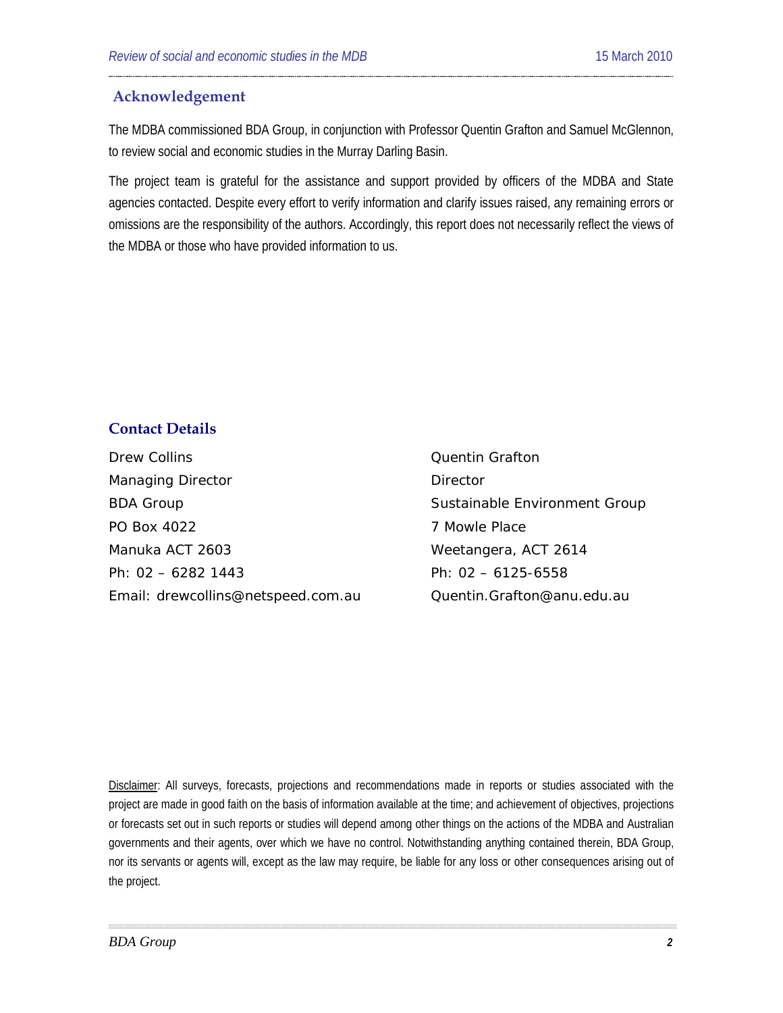#### **Acknowledgement**

The MDBA commissioned BDA Group, in conjunction with Professor Quentin Grafton and Samuel McGlennon, to review social and economic studies in the Murray Darling Basin.

The project team is grateful for the assistance and support provided by officers of the MDBA and State agencies contacted. Despite every effort to verify information and clarify issues raised, any remaining errors or omissions are the responsibility of the authors. Accordingly, this report does not necessarily reflect the views of the MDBA or those who have provided information to us.

#### **Contact Details**

Drew Collins **Drew Colling** Cuentin Grafton Managing Director **Director** Director BDA Group **Sustainable Environment Group** Sustainable Environment Group PO Box 4022 2002 2003 7 Mowle Place Manuka ACT 2603 Weetangera, ACT 2614 Ph: 02 – 6282 1443 Ph: 02 – 6125-6558 Email: [drewcollins@netspeed.com.au](mailto:drewcollins@netspeed.com.au) Quentin.Grafton@anu.edu.au

Disclaimer: All surveys, forecasts, projections and recommendations made in reports or studies associated with the project are made in good faith on the basis of information available at the time; and achievement of objectives, projections or forecasts set out in such reports or studies will depend among other things on the actions of the MDBA and Australian governments and their agents, over which we have no control. Notwithstanding anything contained therein, BDA Group, nor its servants or agents will, except as the law may require, be liable for any loss or other consequences arising out of the project.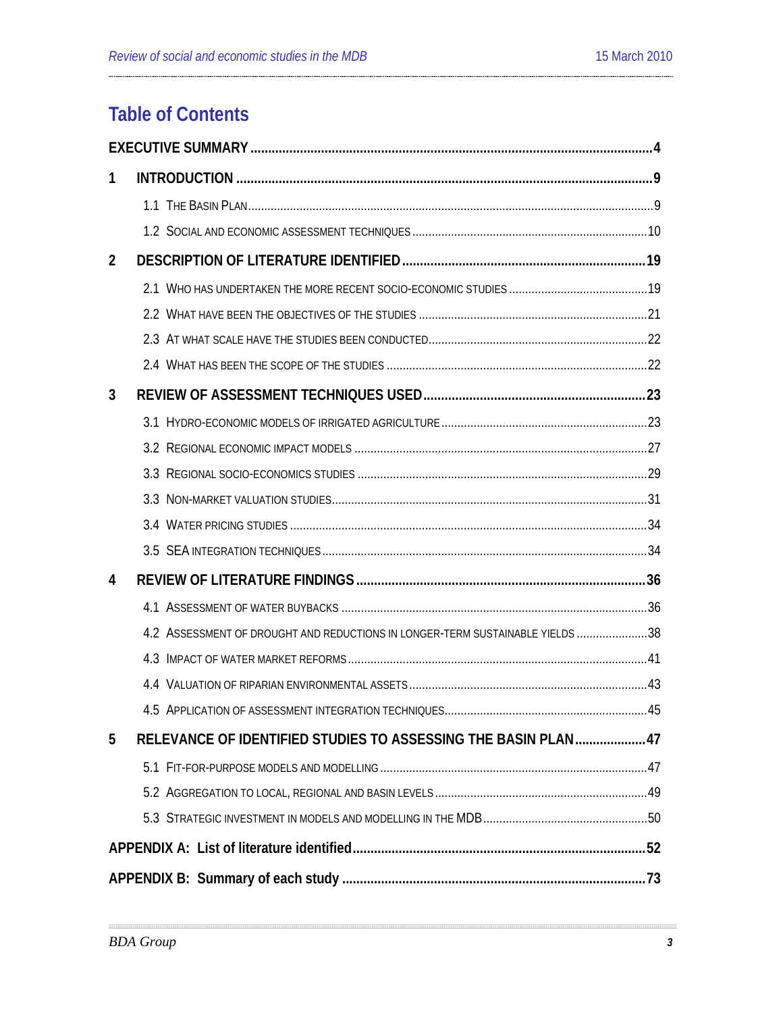## **Table of Contents**

| 1              |                                                                               |  |  |  |  |
|----------------|-------------------------------------------------------------------------------|--|--|--|--|
|                |                                                                               |  |  |  |  |
|                |                                                                               |  |  |  |  |
| $\overline{2}$ |                                                                               |  |  |  |  |
|                |                                                                               |  |  |  |  |
|                |                                                                               |  |  |  |  |
|                |                                                                               |  |  |  |  |
|                |                                                                               |  |  |  |  |
| 3              |                                                                               |  |  |  |  |
|                |                                                                               |  |  |  |  |
|                |                                                                               |  |  |  |  |
|                |                                                                               |  |  |  |  |
|                |                                                                               |  |  |  |  |
|                |                                                                               |  |  |  |  |
|                |                                                                               |  |  |  |  |
| 4              |                                                                               |  |  |  |  |
|                |                                                                               |  |  |  |  |
|                | 4.2 ASSESSMENT OF DROUGHT AND REDUCTIONS IN LONGER-TERM SUSTAINABLE YIELDS 38 |  |  |  |  |
|                |                                                                               |  |  |  |  |
|                |                                                                               |  |  |  |  |
|                |                                                                               |  |  |  |  |
| 5              | RELEVANCE OF IDENTIFIED STUDIES TO ASSESSING THE BASIN PLAN47                 |  |  |  |  |
|                |                                                                               |  |  |  |  |
|                |                                                                               |  |  |  |  |
|                |                                                                               |  |  |  |  |
|                |                                                                               |  |  |  |  |
|                |                                                                               |  |  |  |  |

 $\frac{1}{2}$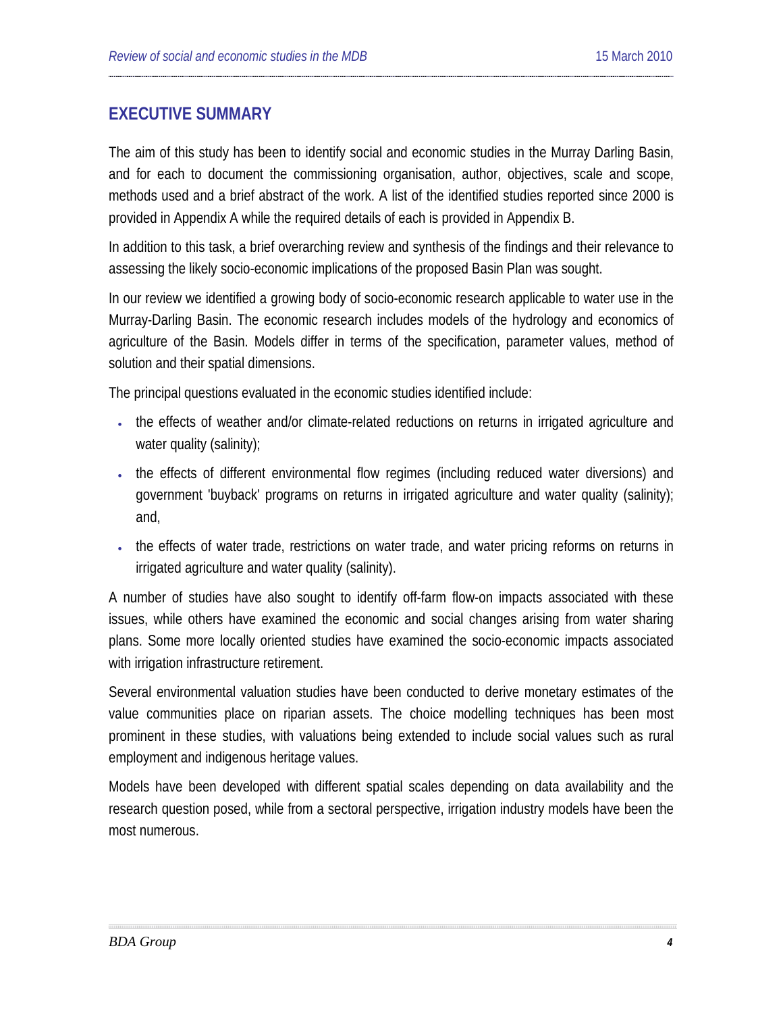## <span id="page-3-0"></span>**EXECUTIVE SUMMARY**

The aim of this study has been to identify social and economic studies in the Murray Darling Basin, and for each to document the commissioning organisation, author, objectives, scale and scope, methods used and a brief abstract of the work. A list of the identified studies reported since 2000 is provided in Appendix A while the required details of each is provided in Appendix B.

In addition to this task, a brief overarching review and synthesis of the findings and their relevance to assessing the likely socio-economic implications of the proposed Basin Plan was sought.

In our review we identified a growing body of socio-economic research applicable to water use in the Murray-Darling Basin. The economic research includes models of the hydrology and economics of agriculture of the Basin. Models differ in terms of the specification, parameter values, method of solution and their spatial dimensions.

The principal questions evaluated in the economic studies identified include:

- the effects of weather and/or climate-related reductions on returns in irrigated agriculture and water quality (salinity);
- the effects of different environmental flow regimes (including reduced water diversions) and government 'buyback' programs on returns in irrigated agriculture and water quality (salinity); and,
- the effects of water trade, restrictions on water trade, and water pricing reforms on returns in irrigated agriculture and water quality (salinity).

A number of studies have also sought to identify off-farm flow-on impacts associated with these issues, while others have examined the economic and social changes arising from water sharing plans. Some more locally oriented studies have examined the socio-economic impacts associated with irrigation infrastructure retirement.

Several environmental valuation studies have been conducted to derive monetary estimates of the value communities place on riparian assets. The choice modelling techniques has been most prominent in these studies, with valuations being extended to include social values such as rural employment and indigenous heritage values.

Models have been developed with different spatial scales depending on data availability and the research question posed, while from a sectoral perspective, irrigation industry models have been the most numerous.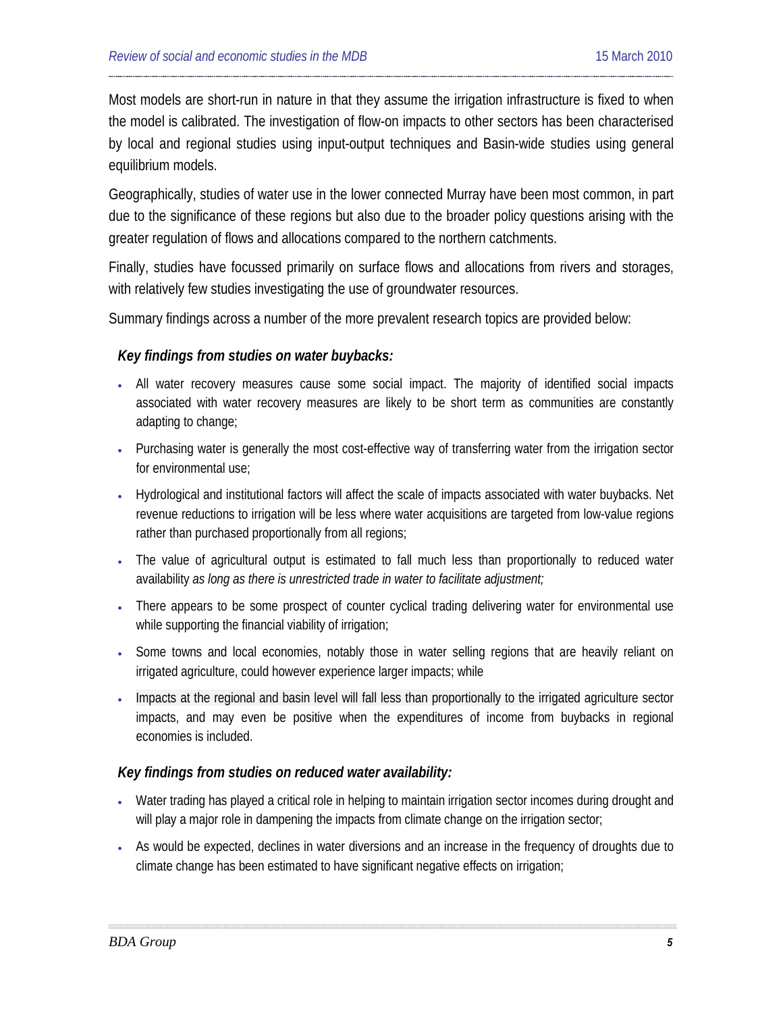Most models are short-run in nature in that they assume the irrigation infrastructure is fixed to when the model is calibrated. The investigation of flow-on impacts to other sectors has been characterised by local and regional studies using input-output techniques and Basin-wide studies using general equilibrium models.

Geographically, studies of water use in the lower connected Murray have been most common, in part due to the significance of these regions but also due to the broader policy questions arising with the greater regulation of flows and allocations compared to the northern catchments.

Finally, studies have focussed primarily on surface flows and allocations from rivers and storages, with relatively few studies investigating the use of groundwater resources.

Summary findings across a number of the more prevalent research topics are provided below:

#### *Key findings from studies on water buybacks:*

- All water recovery measures cause some social impact. The majority of identified social impacts associated with water recovery measures are likely to be short term as communities are constantly adapting to change;
- Purchasing water is generally the most cost-effective way of transferring water from the irrigation sector for environmental use;
- Hydrological and institutional factors will affect the scale of impacts associated with water buybacks. Net revenue reductions to irrigation will be less where water acquisitions are targeted from low-value regions rather than purchased proportionally from all regions;
- The value of agricultural output is estimated to fall much less than proportionally to reduced water availability *as long as there is unrestricted trade in water to facilitate adjustment;*
- There appears to be some prospect of counter cyclical trading delivering water for environmental use while supporting the financial viability of irrigation;
- Some towns and local economies, notably those in water selling regions that are heavily reliant on irrigated agriculture, could however experience larger impacts; while
- Impacts at the regional and basin level will fall less than proportionally to the irrigated agriculture sector impacts, and may even be positive when the expenditures of income from buybacks in regional economies is included.

#### *Key findings from studies on reduced water availability:*

- Water trading has played a critical role in helping to maintain irrigation sector incomes during drought and will play a major role in dampening the impacts from climate change on the irrigation sector;
- As would be expected, declines in water diversions and an increase in the frequency of droughts due to climate change has been estimated to have significant negative effects on irrigation;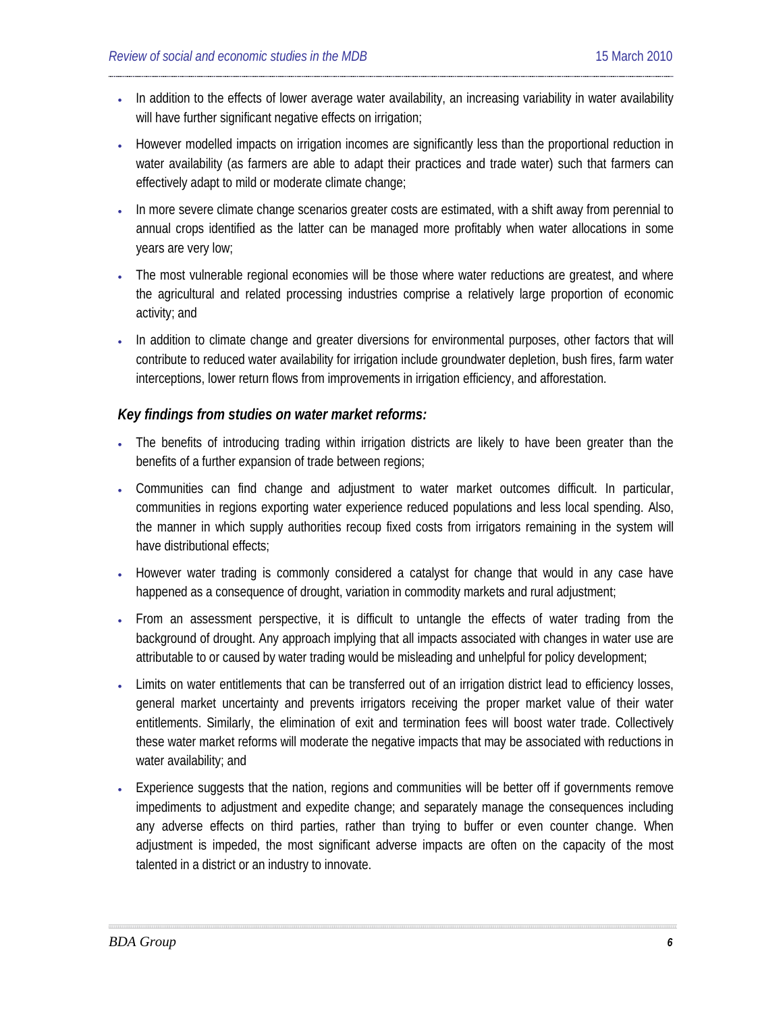- In addition to the effects of lower average water availability, an increasing variability in water availability will have further significant negative effects on irrigation;
- However modelled impacts on irrigation incomes are significantly less than the proportional reduction in water availability (as farmers are able to adapt their practices and trade water) such that farmers can effectively adapt to mild or moderate climate change;
- In more severe climate change scenarios greater costs are estimated, with a shift away from perennial to annual crops identified as the latter can be managed more profitably when water allocations in some years are very low;
- The most vulnerable regional economies will be those where water reductions are greatest, and where the agricultural and related processing industries comprise a relatively large proportion of economic activity; and
- In addition to climate change and greater diversions for environmental purposes, other factors that will contribute to reduced water availability for irrigation include groundwater depletion, bush fires, farm water interceptions, lower return flows from improvements in irrigation efficiency, and afforestation.

#### *Key findings from studies on water market reforms:*

- The benefits of introducing trading within irrigation districts are likely to have been greater than the benefits of a further expansion of trade between regions;
- Communities can find change and adjustment to water market outcomes difficult. In particular, communities in regions exporting water experience reduced populations and less local spending. Also, the manner in which supply authorities recoup fixed costs from irrigators remaining in the system will have distributional effects;
- However water trading is commonly considered a catalyst for change that would in any case have happened as a consequence of drought, variation in commodity markets and rural adjustment;
- From an assessment perspective, it is difficult to untangle the effects of water trading from the background of drought. Any approach implying that all impacts associated with changes in water use are attributable to or caused by water trading would be misleading and unhelpful for policy development;
- Limits on water entitlements that can be transferred out of an irrigation district lead to efficiency losses, general market uncertainty and prevents irrigators receiving the proper market value of their water entitlements. Similarly, the elimination of exit and termination fees will boost water trade. Collectively these water market reforms will moderate the negative impacts that may be associated with reductions in water availability; and
- Experience suggests that the nation, regions and communities will be better off if governments remove impediments to adjustment and expedite change; and separately manage the consequences including any adverse effects on third parties, rather than trying to buffer or even counter change. When adjustment is impeded, the most significant adverse impacts are often on the capacity of the most talented in a district or an industry to innovate.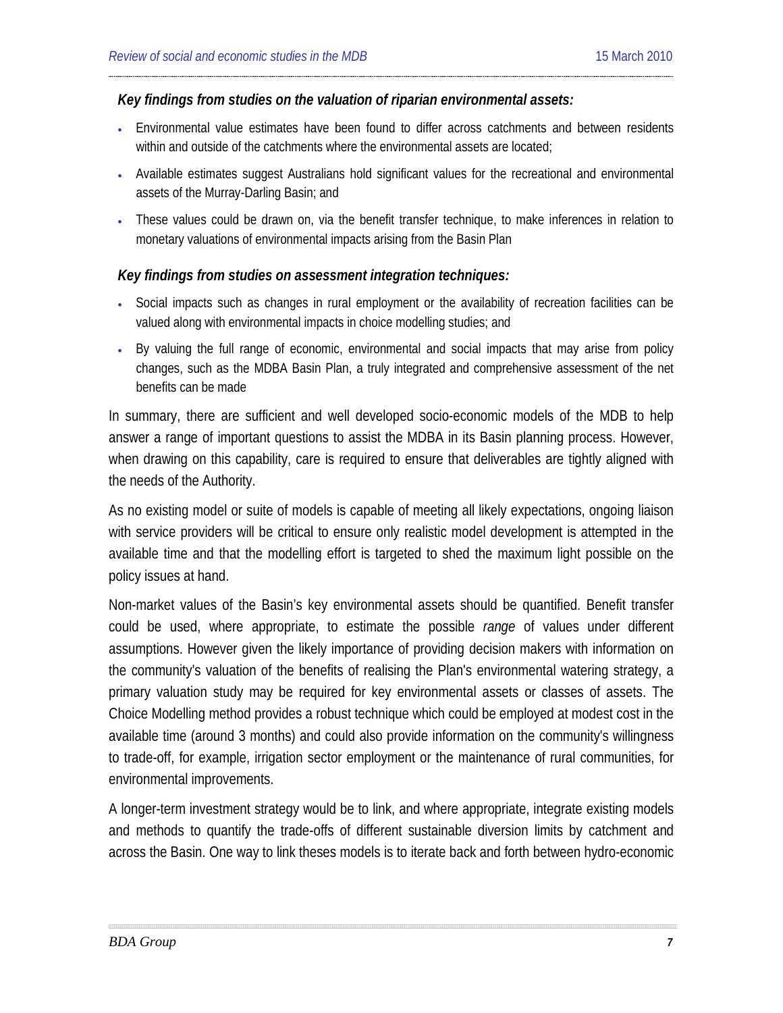#### *Key findings from studies on the valuation of riparian environmental assets:*

- Environmental value estimates have been found to differ across catchments and between residents within and outside of the catchments where the environmental assets are located;
- Available estimates suggest Australians hold significant values for the recreational and environmental assets of the Murray-Darling Basin; and
- These values could be drawn on, via the benefit transfer technique, to make inferences in relation to monetary valuations of environmental impacts arising from the Basin Plan

#### *Key findings from studies on assessment integration techniques:*

- Social impacts such as changes in rural employment or the availability of recreation facilities can be valued along with environmental impacts in choice modelling studies; and
- By valuing the full range of economic, environmental and social impacts that may arise from policy changes, such as the MDBA Basin Plan, a truly integrated and comprehensive assessment of the net benefits can be made

In summary, there are sufficient and well developed socio-economic models of the MDB to help answer a range of important questions to assist the MDBA in its Basin planning process. However, when drawing on this capability, care is required to ensure that deliverables are tightly aligned with the needs of the Authority.

As no existing model or suite of models is capable of meeting all likely expectations, ongoing liaison with service providers will be critical to ensure only realistic model development is attempted in the available time and that the modelling effort is targeted to shed the maximum light possible on the policy issues at hand.

Non-market values of the Basin's key environmental assets should be quantified. Benefit transfer could be used, where appropriate, to estimate the possible *range* of values under different assumptions. However given the likely importance of providing decision makers with information on the community's valuation of the benefits of realising the Plan's environmental watering strategy, a primary valuation study may be required for key environmental assets or classes of assets. The Choice Modelling method provides a robust technique which could be employed at modest cost in the available time (around 3 months) and could also provide information on the community's willingness to trade-off, for example, irrigation sector employment or the maintenance of rural communities, for environmental improvements.

A longer-term investment strategy would be to link, and where appropriate, integrate existing models and methods to quantify the trade-offs of different sustainable diversion limits by catchment and across the Basin. One way to link theses models is to iterate back and forth between hydro-economic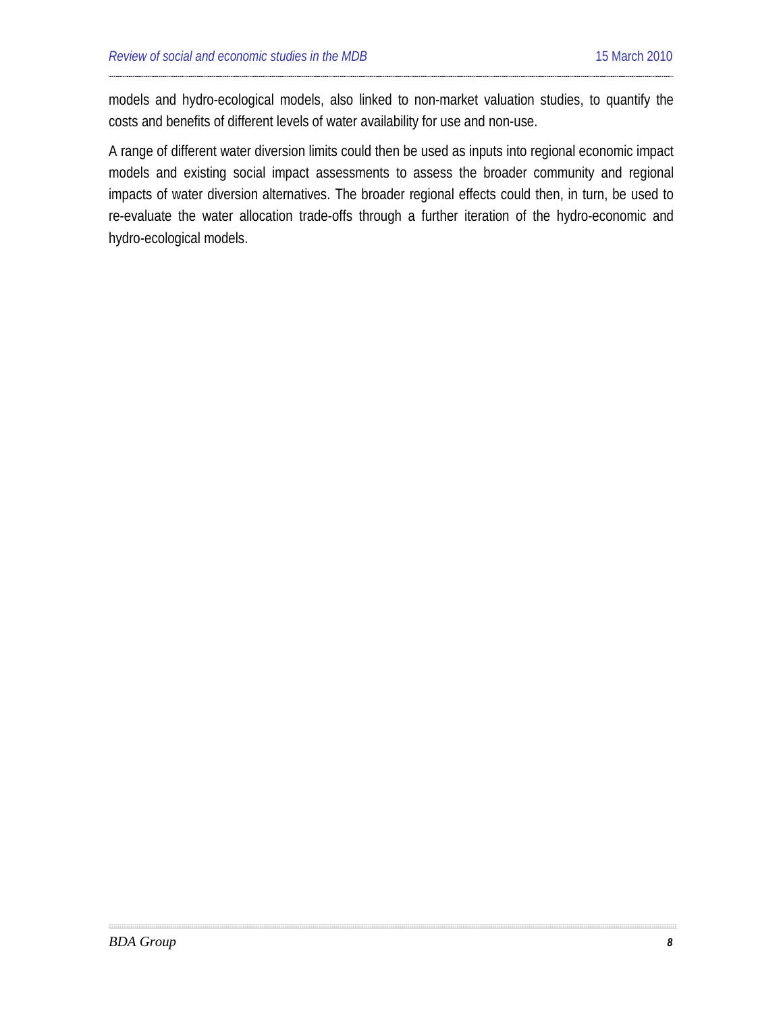models and hydro-ecological models, also linked to non-market valuation studies, to quantify the costs and benefits of different levels of water availability for use and non-use.

A range of different water diversion limits could then be used as inputs into regional economic impact models and existing social impact assessments to assess the broader community and regional impacts of water diversion alternatives. The broader regional effects could then, in turn, be used to re-evaluate the water allocation trade-offs through a further iteration of the hydro-economic and hydro-ecological models.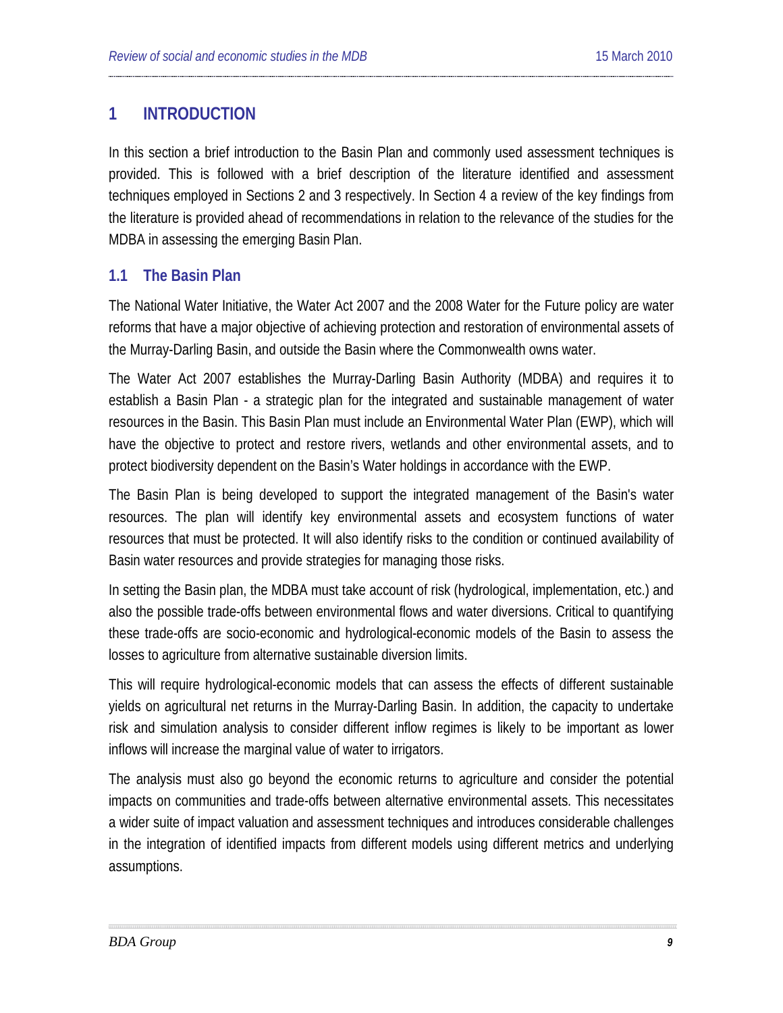## <span id="page-8-0"></span>**1 INTRODUCTION**

In this section a brief introduction to the Basin Plan and commonly used assessment techniques is provided. This is followed with a brief description of the literature identified and assessment techniques employed in Sections 2 and 3 respectively. In Section 4 a review of the key findings from the literature is provided ahead of recommendations in relation to the relevance of the studies for the MDBA in assessing the emerging Basin Plan.

### <span id="page-8-1"></span>**1.1 The Basin Plan**

The National Water Initiative, the Water Act 2007 and the 2008 Water for the Future policy are water reforms that have a major objective of achieving protection and restoration of environmental assets of the Murray-Darling Basin, and outside the Basin where the Commonwealth owns water.

The Water Act 2007 establishes the Murray-Darling Basin Authority (MDBA) and requires it to establish a Basin Plan - a strategic plan for the integrated and sustainable management of water resources in the Basin. This Basin Plan must include an Environmental Water Plan (EWP), which will have the objective to protect and restore rivers, wetlands and other environmental assets, and to protect biodiversity dependent on the Basin's Water holdings in accordance with the EWP.

The Basin Plan is being developed to support the integrated management of the Basin's water resources. The plan will identify key environmental assets and ecosystem functions of water resources that must be protected. It will also identify risks to the condition or continued availability of Basin water resources and provide strategies for managing those risks.

In setting the Basin plan, the MDBA must take account of risk (hydrological, implementation, etc.) and also the possible trade-offs between environmental flows and water diversions. Critical to quantifying these trade-offs are socio-economic and hydrological-economic models of the Basin to assess the losses to agriculture from alternative sustainable diversion limits.

This will require hydrological-economic models that can assess the effects of different sustainable yields on agricultural net returns in the Murray-Darling Basin. In addition, the capacity to undertake risk and simulation analysis to consider different inflow regimes is likely to be important as lower inflows will increase the marginal value of water to irrigators.

The analysis must also go beyond the economic returns to agriculture and consider the potential impacts on communities and trade-offs between alternative environmental assets. This necessitates a wider suite of impact valuation and assessment techniques and introduces considerable challenges in the integration of identified impacts from different models using different metrics and underlying assumptions.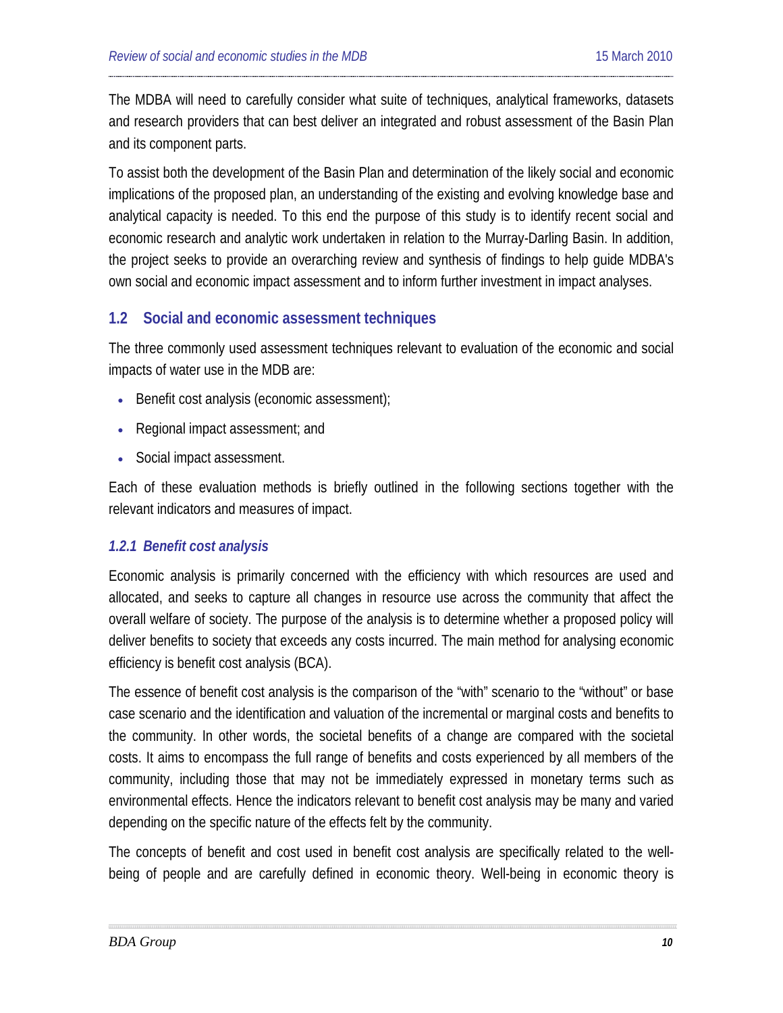The MDBA will need to carefully consider what suite of techniques, analytical frameworks, datasets and research providers that can best deliver an integrated and robust assessment of the Basin Plan and its component parts.

To assist both the development of the Basin Plan and determination of the likely social and economic implications of the proposed plan, an understanding of the existing and evolving knowledge base and analytical capacity is needed. To this end the purpose of this study is to identify recent social and economic research and analytic work undertaken in relation to the Murray-Darling Basin. In addition, the project seeks to provide an overarching review and synthesis of findings to help guide MDBA's own social and economic impact assessment and to inform further investment in impact analyses.

### <span id="page-9-0"></span>**1.2 Social and economic assessment techniques**

The three commonly used assessment techniques relevant to evaluation of the economic and social impacts of water use in the MDB are:

- Benefit cost analysis (economic assessment);
- Regional impact assessment; and
- Social impact assessment.

Each of these evaluation methods is briefly outlined in the following sections together with the relevant indicators and measures of impact.

### *1.2.1 Benefit cost analysis*

Economic analysis is primarily concerned with the efficiency with which resources are used and allocated, and seeks to capture all changes in resource use across the community that affect the overall welfare of society. The purpose of the analysis is to determine whether a proposed policy will deliver benefits to society that exceeds any costs incurred. The main method for analysing economic efficiency is benefit cost analysis (BCA).

The essence of benefit cost analysis is the comparison of the "with" scenario to the "without" or base case scenario and the identification and valuation of the incremental or marginal costs and benefits to the community. In other words, the societal benefits of a change are compared with the societal costs. It aims to encompass the full range of benefits and costs experienced by all members of the community, including those that may not be immediately expressed in monetary terms such as environmental effects. Hence the indicators relevant to benefit cost analysis may be many and varied depending on the specific nature of the effects felt by the community.

The concepts of benefit and cost used in benefit cost analysis are specifically related to the wellbeing of people and are carefully defined in economic theory. Well-being in economic theory is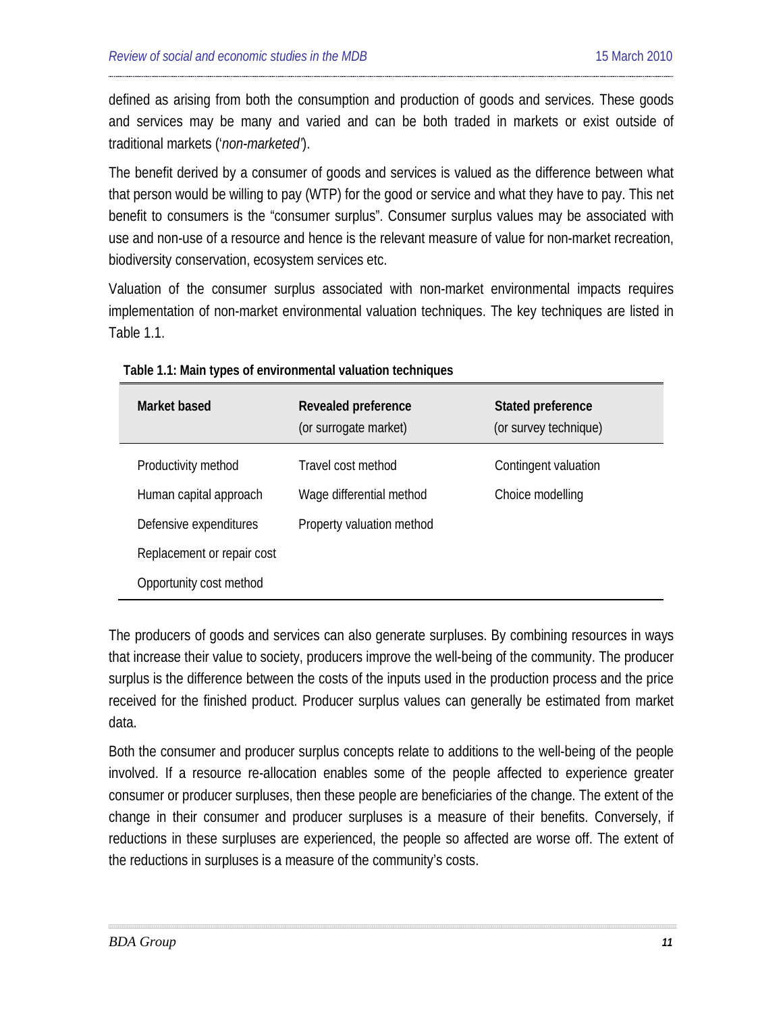defined as arising from both the consumption and production of goods and services. These goods and services may be many and varied and can be both traded in markets or exist outside of traditional markets ('*non-marketed'*).

The benefit derived by a consumer of goods and services is valued as the difference between what that person would be willing to pay (WTP) for the good or service and what they have to pay. This net benefit to consumers is the "consumer surplus". Consumer surplus values may be associated with use and non-use of a resource and hence is the relevant measure of value for non-market recreation, biodiversity conservation, ecosystem services etc.

Valuation of the consumer surplus associated with non-market environmental impacts requires implementation of non-market environmental valuation techniques. The key techniques are listed in Table 1.1.

| Market based               | Revealed preference<br>(or surrogate market) | Stated preference<br>(or survey technique) |
|----------------------------|----------------------------------------------|--------------------------------------------|
| Productivity method        | Travel cost method                           | Contingent valuation                       |
| Human capital approach     | Wage differential method                     | Choice modelling                           |
| Defensive expenditures     | Property valuation method                    |                                            |
| Replacement or repair cost |                                              |                                            |
| Opportunity cost method    |                                              |                                            |

**Table 1.1: Main types of environmental valuation techniques**

The producers of goods and services can also generate surpluses. By combining resources in ways that increase their value to society, producers improve the well-being of the community. The producer surplus is the difference between the costs of the inputs used in the production process and the price received for the finished product. Producer surplus values can generally be estimated from market data.

Both the consumer and producer surplus concepts relate to additions to the well-being of the people involved. If a resource re-allocation enables some of the people affected to experience greater consumer or producer surpluses, then these people are beneficiaries of the change. The extent of the change in their consumer and producer surpluses is a measure of their benefits. Conversely, if reductions in these surpluses are experienced, the people so affected are worse off. The extent of the reductions in surpluses is a measure of the community's costs.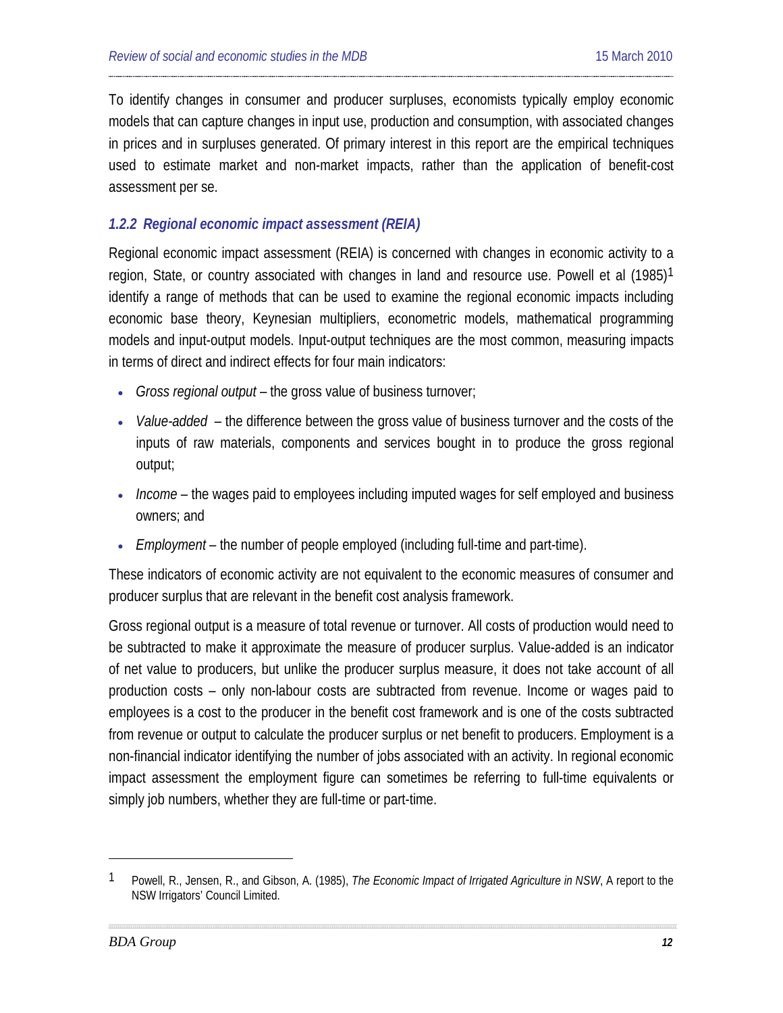To identify changes in consumer and producer surpluses, economists typically employ economic models that can capture changes in input use, production and consumption, with associated changes in prices and in surpluses generated. Of primary interest in this report are the empirical techniques used to estimate market and non-market impacts, rather than the application of benefit-cost assessment per se.

#### *1.2.2 Regional economic impact assessment (REIA)*

Regional economic impact assessment (REIA) is concerned with changes in economic activity to a region, State, or country associated with changes in land and resource use. Powell et al (1985)<sup>1</sup> identify a range of methods that can be used to examine the regional economic impacts including economic base theory, Keynesian multipliers, econometric models, mathematical programming models and input-output models. Input-output techniques are the most common, measuring impacts in terms of direct and indirect effects for four main indicators:

- *Gross regional output* the gross value of business turnover;
- *Value-added* the difference between the gross value of business turnover and the costs of the inputs of raw materials, components and services bought in to produce the gross regional output;
- *Income* the wages paid to employees including imputed wages for self employed and business owners; and
- *Employment* the number of people employed (including full-time and part-time).

These indicators of economic activity are not equivalent to the economic measures of consumer and producer surplus that are relevant in the benefit cost analysis framework.

Gross regional output is a measure of total revenue or turnover. All costs of production would need to be subtracted to make it approximate the measure of producer surplus. Value-added is an indicator of net value to producers, but unlike the producer surplus measure, it does not take account of all production costs – only non-labour costs are subtracted from revenue. Income or wages paid to employees is a cost to the producer in the benefit cost framework and is one of the costs subtracted from revenue or output to calculate the producer surplus or net benefit to producers. Employment is a non-financial indicator identifying the number of jobs associated with an activity. In regional economic impact assessment the employment figure can sometimes be referring to full-time equivalents or simply job numbers, whether they are full-time or part-time.

<span id="page-11-0"></span><sup>1</sup> Powell, R., Jensen, R., and Gibson, A. (1985), *The Economic Impact of Irrigated Agriculture in NSW*, A report to the NSW Irrigators' Council Limited.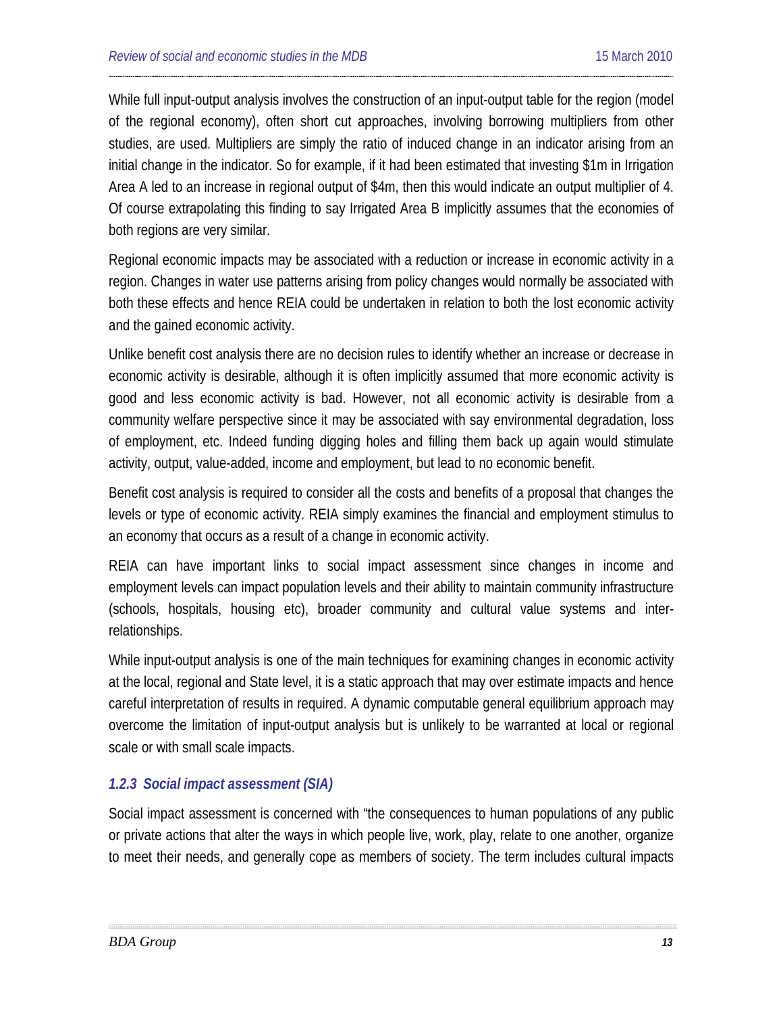While full input-output analysis involves the construction of an input-output table for the region (model of the regional economy), often short cut approaches, involving borrowing multipliers from other studies, are used. Multipliers are simply the ratio of induced change in an indicator arising from an initial change in the indicator. So for example, if it had been estimated that investing \$1m in Irrigation Area A led to an increase in regional output of \$4m, then this would indicate an output multiplier of 4. Of course extrapolating this finding to say Irrigated Area B implicitly assumes that the economies of both regions are very similar.

Regional economic impacts may be associated with a reduction or increase in economic activity in a region. Changes in water use patterns arising from policy changes would normally be associated with both these effects and hence REIA could be undertaken in relation to both the lost economic activity and the gained economic activity.

Unlike benefit cost analysis there are no decision rules to identify whether an increase or decrease in economic activity is desirable, although it is often implicitly assumed that more economic activity is good and less economic activity is bad. However, not all economic activity is desirable from a community welfare perspective since it may be associated with say environmental degradation, loss of employment, etc. Indeed funding digging holes and filling them back up again would stimulate activity, output, value-added, income and employment, but lead to no economic benefit.

Benefit cost analysis is required to consider all the costs and benefits of a proposal that changes the levels or type of economic activity. REIA simply examines the financial and employment stimulus to an economy that occurs as a result of a change in economic activity.

REIA can have important links to social impact assessment since changes in income and employment levels can impact population levels and their ability to maintain community infrastructure (schools, hospitals, housing etc), broader community and cultural value systems and interrelationships.

While input-output analysis is one of the main techniques for examining changes in economic activity at the local, regional and State level, it is a static approach that may over estimate impacts and hence careful interpretation of results in required. A dynamic computable general equilibrium approach may overcome the limitation of input-output analysis but is unlikely to be warranted at local or regional scale or with small scale impacts.

### *1.2.3 Social impact assessment (SIA)*

Social impact assessment is concerned with "the consequences to human populations of any public or private actions that alter the ways in which people live, work, play, relate to one another, organize to meet their needs, and generally cope as members of society. The term includes cultural impacts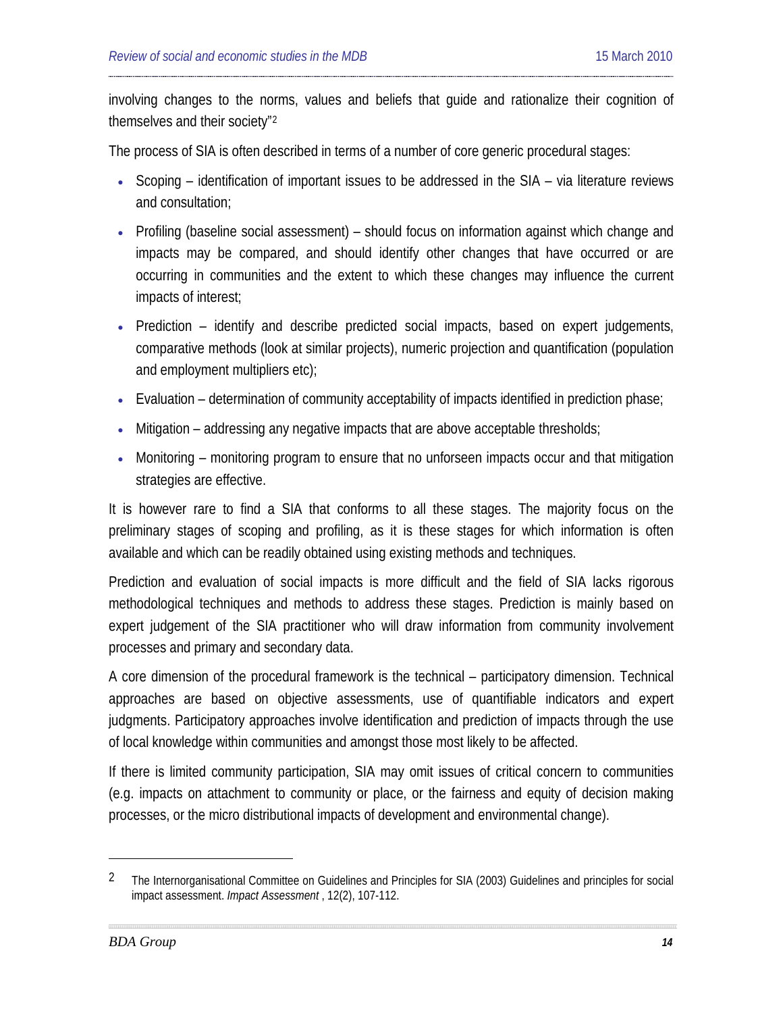involving changes to the norms, values and beliefs that guide and rationalize their cognition of themselves and their society"[2](#page-13-0)

The process of SIA is often described in terms of a number of core generic procedural stages:

- Scoping identification of important issues to be addressed in the SIA via literature reviews and consultation;
- Profiling (baseline social assessment) should focus on information against which change and impacts may be compared, and should identify other changes that have occurred or are occurring in communities and the extent to which these changes may influence the current impacts of interest;
- Prediction identify and describe predicted social impacts, based on expert judgements, comparative methods (look at similar projects), numeric projection and quantification (population and employment multipliers etc);
- Evaluation determination of community acceptability of impacts identified in prediction phase;
- Mitigation addressing any negative impacts that are above acceptable thresholds;
- Monitoring monitoring program to ensure that no unforseen impacts occur and that mitigation strategies are effective.

It is however rare to find a SIA that conforms to all these stages. The majority focus on the preliminary stages of scoping and profiling, as it is these stages for which information is often available and which can be readily obtained using existing methods and techniques.

Prediction and evaluation of social impacts is more difficult and the field of SIA lacks rigorous methodological techniques and methods to address these stages. Prediction is mainly based on expert judgement of the SIA practitioner who will draw information from community involvement processes and primary and secondary data.

A core dimension of the procedural framework is the technical – participatory dimension. Technical approaches are based on objective assessments, use of quantifiable indicators and expert judgments. Participatory approaches involve identification and prediction of impacts through the use of local knowledge within communities and amongst those most likely to be affected.

If there is limited community participation, SIA may omit issues of critical concern to communities (e.g. impacts on attachment to community or place, or the fairness and equity of decision making processes, or the micro distributional impacts of development and environmental change).

<span id="page-13-0"></span><sup>&</sup>lt;sup>2</sup> The Internorganisational Committee on Guidelines and Principles for SIA (2003) Guidelines and principles for social impact assessment. *Impact Assessment* , 12(2), 107-112.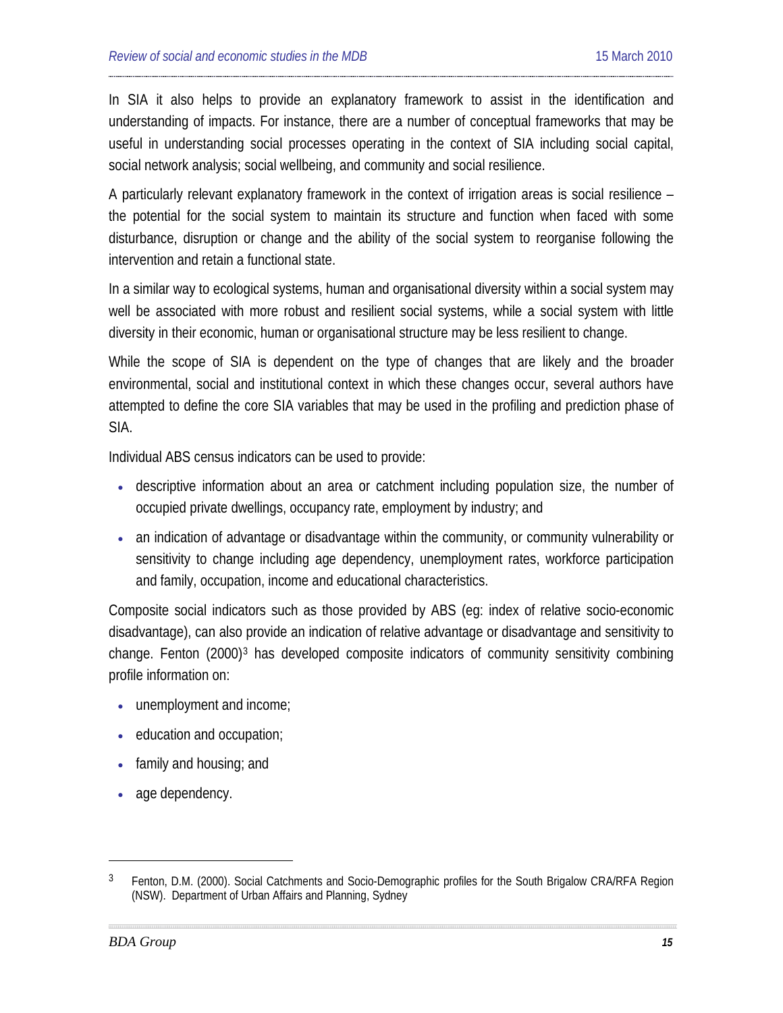In SIA it also helps to provide an explanatory framework to assist in the identification and understanding of impacts. For instance, there are a number of conceptual frameworks that may be useful in understanding social processes operating in the context of SIA including social capital, social network analysis; social wellbeing, and community and social resilience.

A particularly relevant explanatory framework in the context of irrigation areas is social resilience – the potential for the social system to maintain its structure and function when faced with some disturbance, disruption or change and the ability of the social system to reorganise following the intervention and retain a functional state.

In a similar way to ecological systems, human and organisational diversity within a social system may well be associated with more robust and resilient social systems, while a social system with little diversity in their economic, human or organisational structure may be less resilient to change.

While the scope of SIA is dependent on the type of changes that are likely and the broader environmental, social and institutional context in which these changes occur, several authors have attempted to define the core SIA variables that may be used in the profiling and prediction phase of SIA.

Individual ABS census indicators can be used to provide:

- descriptive information about an area or catchment including population size, the number of occupied private dwellings, occupancy rate, employment by industry; and
- an indication of advantage or disadvantage within the community, or community vulnerability or sensitivity to change including age dependency, unemployment rates, workforce participation and family, occupation, income and educational characteristics.

Composite social indicators such as those provided by ABS (eg: index of relative socio-economic disadvantage), can also provide an indication of relative advantage or disadvantage and sensitivity to change. Fenton (2000)<sup>[3](#page-14-0)</sup> has developed composite indicators of community sensitivity combining profile information on:

- unemployment and income;
- education and occupation;
- family and housing; and
- age dependency.

<span id="page-14-0"></span><sup>&</sup>lt;sup>3</sup> Fenton, D.M. (2000). Social Catchments and Socio-Demographic profiles for the South Brigalow CRA/RFA Region (NSW). Department of Urban Affairs and Planning, Sydney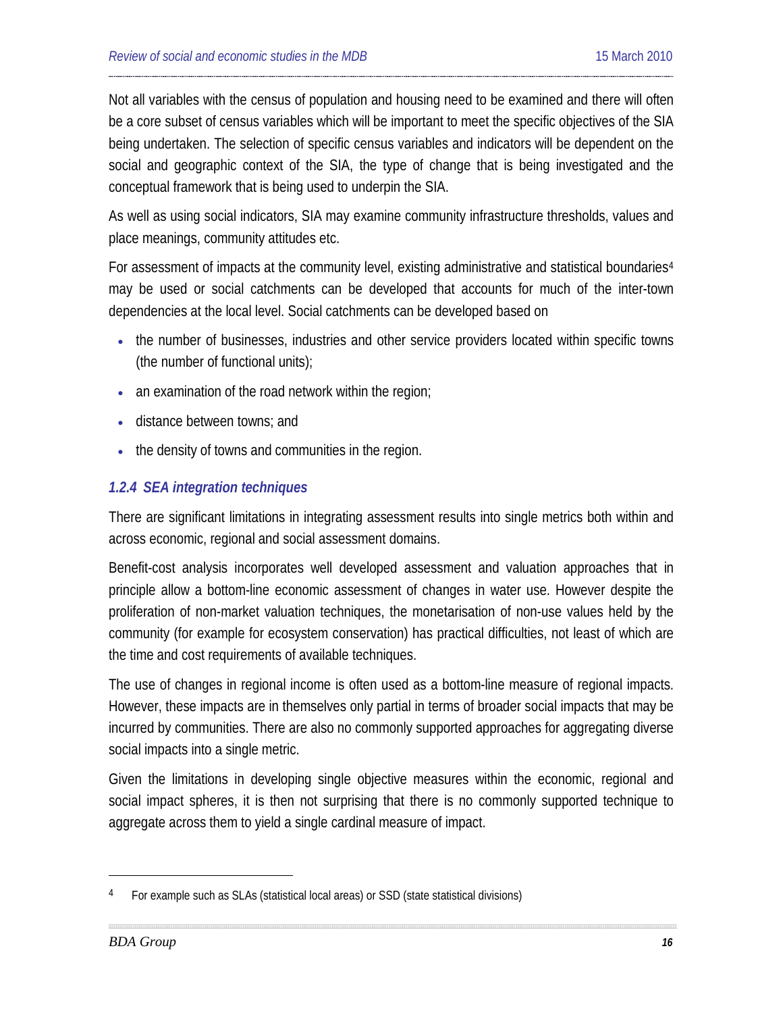Not all variables with the census of population and housing need to be examined and there will often be a core subset of census variables which will be important to meet the specific objectives of the SIA being undertaken. The selection of specific census variables and indicators will be dependent on the social and geographic context of the SIA, the type of change that is being investigated and the conceptual framework that is being used to underpin the SIA.

As well as using social indicators, SIA may examine community infrastructure thresholds, values and place meanings, community attitudes etc.

For assessment of impacts at the community level, existing administrative and statistical boundaries<sup>[4](#page-15-0)</sup> may be used or social catchments can be developed that accounts for much of the inter-town dependencies at the local level. Social catchments can be developed based on

- the number of businesses, industries and other service providers located within specific towns (the number of functional units);
- an examination of the road network within the region;
- distance between towns; and
- the density of towns and communities in the region.

### *1.2.4 SEA integration techniques*

There are significant limitations in integrating assessment results into single metrics both within and across economic, regional and social assessment domains.

Benefit-cost analysis incorporates well developed assessment and valuation approaches that in principle allow a bottom-line economic assessment of changes in water use. However despite the proliferation of non-market valuation techniques, the monetarisation of non-use values held by the community (for example for ecosystem conservation) has practical difficulties, not least of which are the time and cost requirements of available techniques.

The use of changes in regional income is often used as a bottom-line measure of regional impacts. However, these impacts are in themselves only partial in terms of broader social impacts that may be incurred by communities. There are also no commonly supported approaches for aggregating diverse social impacts into a single metric.

Given the limitations in developing single objective measures within the economic, regional and social impact spheres, it is then not surprising that there is no commonly supported technique to aggregate across them to yield a single cardinal measure of impact.

<span id="page-15-0"></span><sup>&</sup>lt;sup>4</sup> For example such as SLAs (statistical local areas) or SSD (state statistical divisions)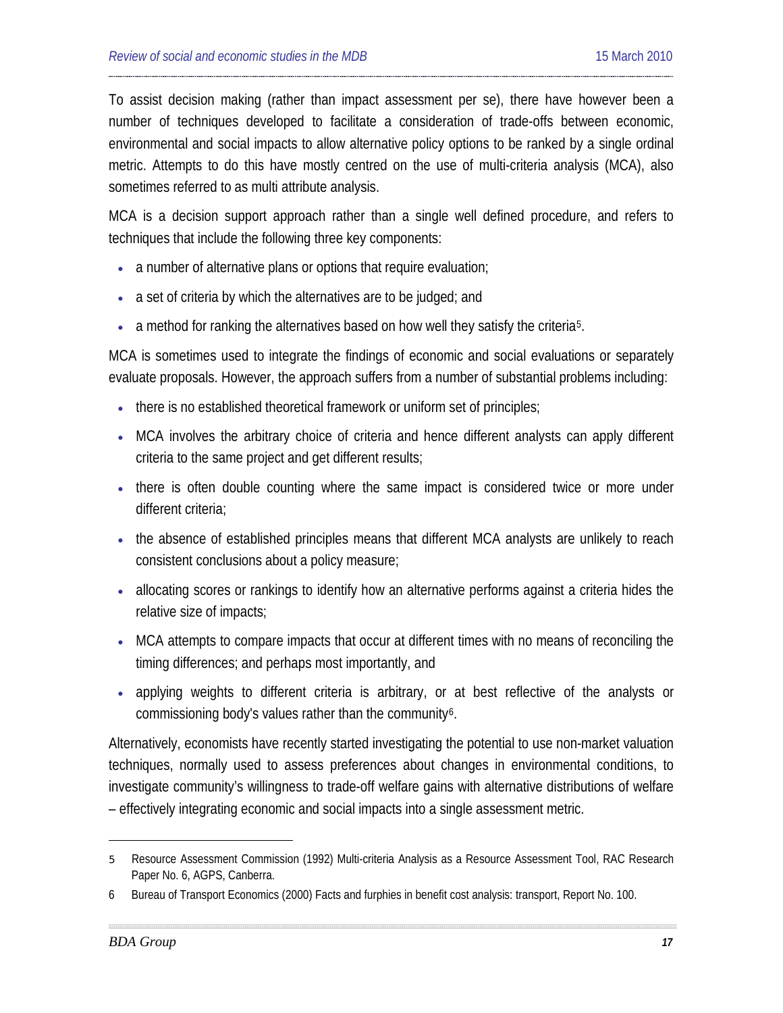To assist decision making (rather than impact assessment per se), there have however been a number of techniques developed to facilitate a consideration of trade-offs between economic, environmental and social impacts to allow alternative policy options to be ranked by a single ordinal metric. Attempts to do this have mostly centred on the use of multi-criteria analysis (MCA), also sometimes referred to as multi attribute analysis.

MCA is a decision support approach rather than a single well defined procedure, and refers to techniques that include the following three key components:

- a number of alternative plans or options that require evaluation;
- a set of criteria by which the alternatives are to be judged; and
- a method for ranking the alternatives based on how well they satisfy the criteria<sup>[5](#page-16-0)</sup>.

MCA is sometimes used to integrate the findings of economic and social evaluations or separately evaluate proposals. However, the approach suffers from a number of substantial problems including:

- there is no established theoretical framework or uniform set of principles;
- MCA involves the arbitrary choice of criteria and hence different analysts can apply different criteria to the same project and get different results;
- there is often double counting where the same impact is considered twice or more under different criteria;
- the absence of established principles means that different MCA analysts are unlikely to reach consistent conclusions about a policy measure;
- allocating scores or rankings to identify how an alternative performs against a criteria hides the relative size of impacts;
- MCA attempts to compare impacts that occur at different times with no means of reconciling the timing differences; and perhaps most importantly, and
- applying weights to different criteria is arbitrary, or at best reflective of the analysts or commissioning body's values rather than the community<sup>[6](#page-16-1)</sup>.

Alternatively, economists have recently started investigating the potential to use non-market valuation techniques, normally used to assess preferences about changes in environmental conditions, to investigate community's willingness to trade-off welfare gains with alternative distributions of welfare – effectively integrating economic and social impacts into a single assessment metric.

<span id="page-16-0"></span><sup>5</sup> Resource Assessment Commission (1992) Multi-criteria Analysis as a Resource Assessment Tool, RAC Research Paper No. 6, AGPS, Canberra.

<span id="page-16-1"></span><sup>6</sup> Bureau of Transport Economics (2000) Facts and furphies in benefit cost analysis: transport, Report No. 100.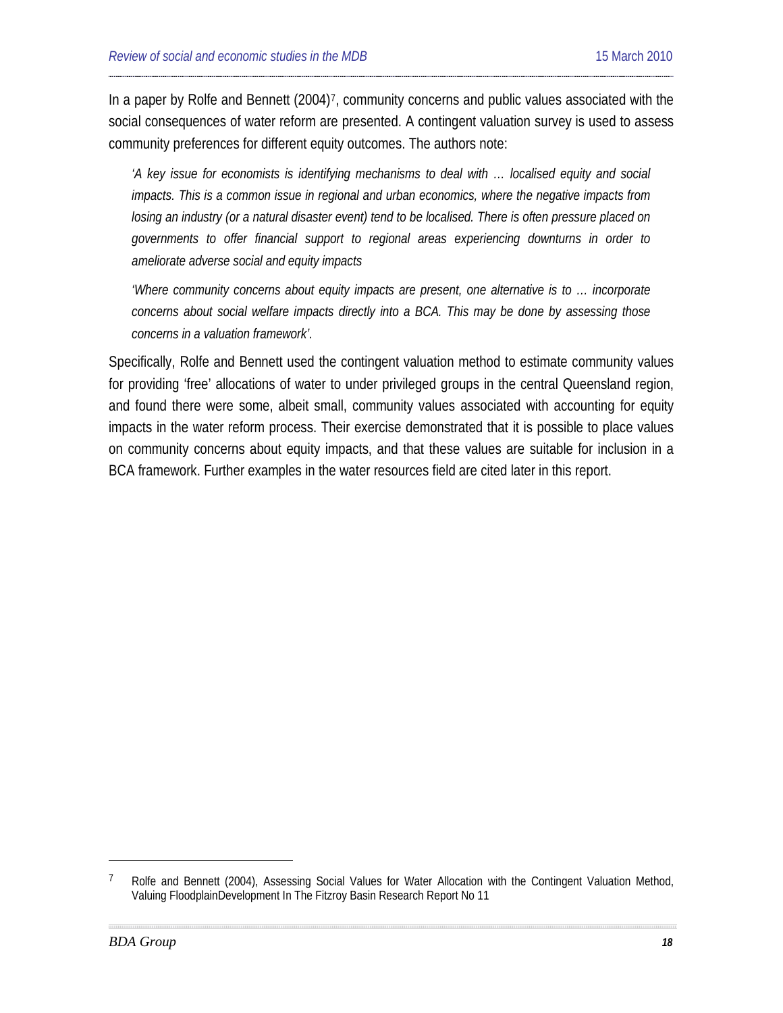In a paper by Rolfe and Bennett (2004)<sup>[7](#page-17-0)</sup>, community concerns and public values associated with the social consequences of water reform are presented. A contingent valuation survey is used to assess community preferences for different equity outcomes. The authors note:

*'A key issue for economists is identifying mechanisms to deal with … localised equity and social impacts. This is a common issue in regional and urban economics, where the negative impacts from losing an industry (or a natural disaster event) tend to be localised. There is often pressure placed on governments to offer financial support to regional areas experiencing downturns in order to ameliorate adverse social and equity impacts*

*'Where community concerns about equity impacts are present, one alternative is to … incorporate concerns about social welfare impacts directly into a BCA. This may be done by assessing those concerns in a valuation framework'.*

Specifically, Rolfe and Bennett used the contingent valuation method to estimate community values for providing 'free' allocations of water to under privileged groups in the central Queensland region, and found there were some, albeit small, community values associated with accounting for equity impacts in the water reform process. Their exercise demonstrated that it is possible to place values on community concerns about equity impacts, and that these values are suitable for inclusion in a BCA framework. Further examples in the water resources field are cited later in this report.

<span id="page-17-0"></span><sup>7</sup> Rolfe and Bennett (2004), Assessing Social Values for Water Allocation with the Contingent Valuation Method, Valuing FloodplainDevelopment In The Fitzroy Basin Research Report No 11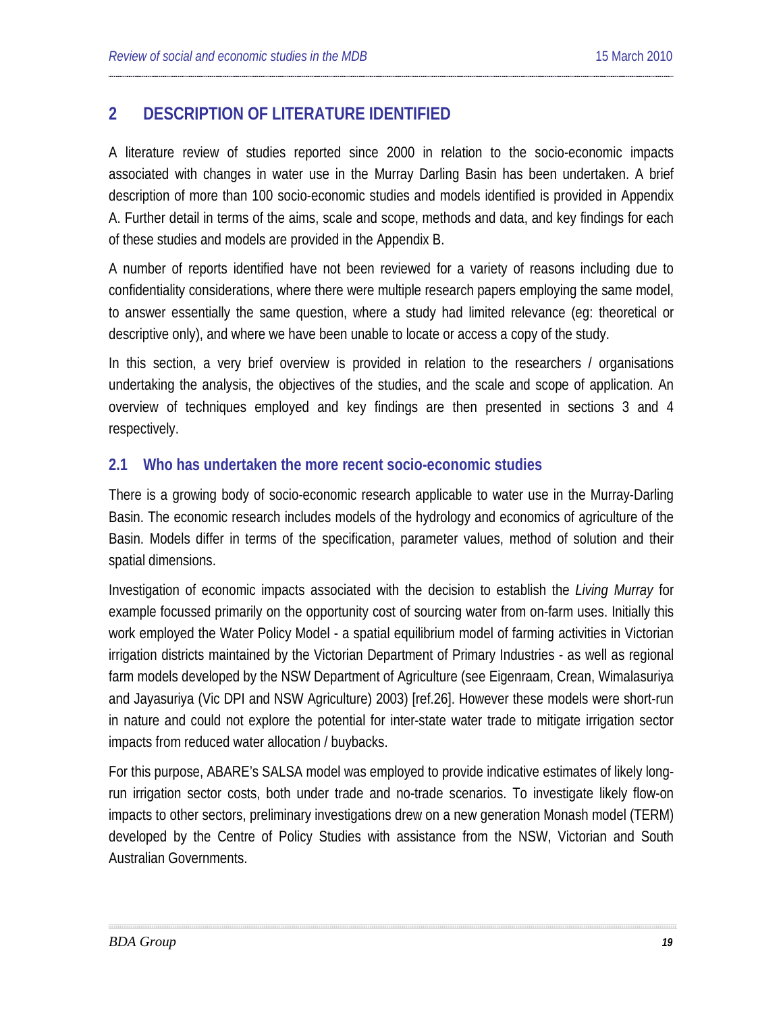## <span id="page-18-0"></span>**2 DESCRIPTION OF LITERATURE IDENTIFIED**

A literature review of studies reported since 2000 in relation to the socio-economic impacts associated with changes in water use in the Murray Darling Basin has been undertaken. A brief description of more than 100 socio-economic studies and models identified is provided in Appendix A. Further detail in terms of the aims, scale and scope, methods and data, and key findings for each of these studies and models are provided in the Appendix B.

A number of reports identified have not been reviewed for a variety of reasons including due to confidentiality considerations, where there were multiple research papers employing the same model, to answer essentially the same question, where a study had limited relevance (eg: theoretical or descriptive only), and where we have been unable to locate or access a copy of the study.

In this section, a very brief overview is provided in relation to the researchers / organisations undertaking the analysis, the objectives of the studies, and the scale and scope of application. An overview of techniques employed and key findings are then presented in sections 3 and 4 respectively.

#### <span id="page-18-1"></span>**2.1 Who has undertaken the more recent socio-economic studies**

There is a growing body of socio-economic research applicable to water use in the Murray-Darling Basin. The economic research includes models of the hydrology and economics of agriculture of the Basin. Models differ in terms of the specification, parameter values, method of solution and their spatial dimensions.

Investigation of economic impacts associated with the decision to establish the *Living Murray* for example focussed primarily on the opportunity cost of sourcing water from on-farm uses. Initially this work employed the Water Policy Model - a spatial equilibrium model of farming activities in Victorian irrigation districts maintained by the Victorian Department of Primary Industries - as well as regional farm models developed by the NSW Department of Agriculture (see Eigenraam, Crean, Wimalasuriya and Jayasuriya (Vic DPI and NSW Agriculture) 2003) [ref[.26\]](#page-84-0). However these models were short-run in nature and could not explore the potential for inter-state water trade to mitigate irrigation sector impacts from reduced water allocation / buybacks.

For this purpose, ABARE's SALSA model was employed to provide indicative estimates of likely longrun irrigation sector costs, both under trade and no-trade scenarios. To investigate likely flow-on impacts to other sectors, preliminary investigations drew on a new generation Monash model (TERM) developed by the Centre of Policy Studies with assistance from the NSW, Victorian and South Australian Governments.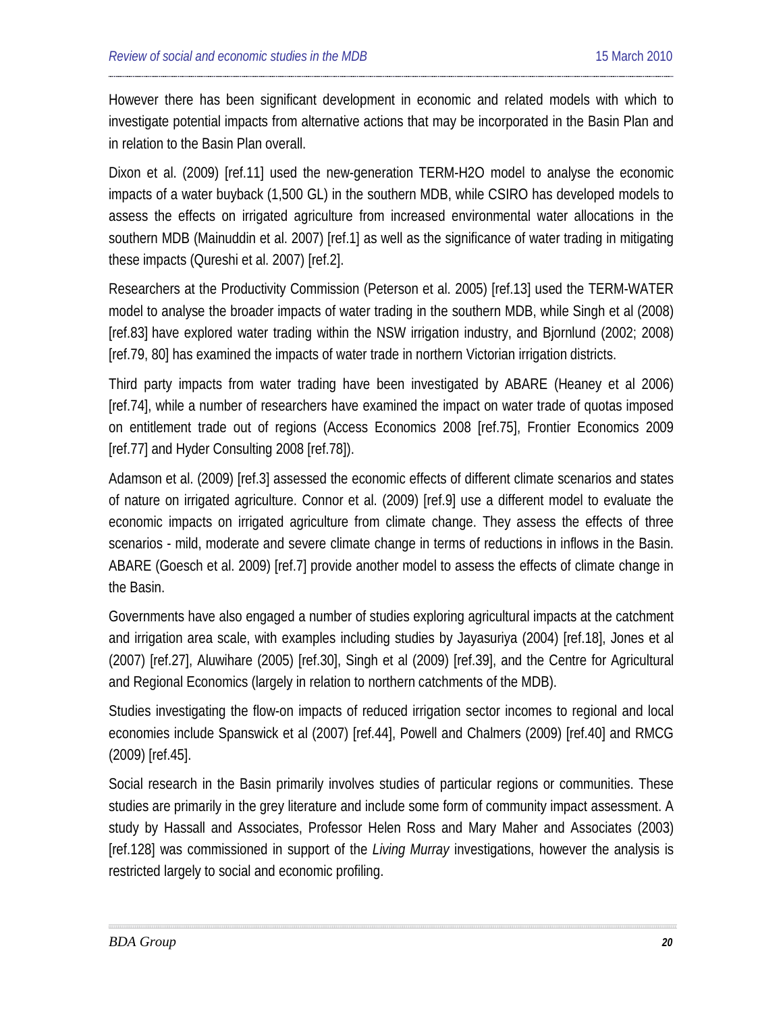However there has been significant development in economic and related models with which to investigate potential impacts from alternative actions that may be incorporated in the Basin Plan and in relation to the Basin Plan overall.

Dixon et al. (2009) [re[f.11\]](#page-76-0) used the new-generation TERM-H2O model to analyse the economic impacts of a water buyback (1,500 GL) in the southern MDB, while CSIRO has developed models to assess the effects on irrigated agriculture from increased environmental water allocations in the southern MDB (Mainuddin et al. 2007) [ref[.1\]](#page-72-1) as well as the significance of water trading in mitigating these impacts (Qureshi et al. 2007) [ref[.2\]](#page-72-2).

Researchers at the Productivity Commission (Peterson et al. 2005) [ref[.13\]](#page-77-0) used the TERM-WATER model to analyse the broader impacts of water trading in the southern MDB, while Singh et al (2008) [ref[.83\]](#page-108-0) have explored water trading within the NSW irrigation industry, and Bjornlund (2002; 2008) [ref[.79,](#page-106-0) [80\]](#page-107-0) has examined the impacts of water trade in northern Victorian irrigation districts.

Third party impacts from water trading have been investigated by ABARE (Heaney et al 2006) [ref[.74\]](#page-104-0), while a number of researchers have examined the impact on water trade of quotas imposed on entitlement trade out of regions (Access Economics 2008 [re[f.75\]](#page-104-1), Frontier Economics 2009 [ref[.77\]](#page-105-0) and Hyder Consulting 2008 [ref[.78\]](#page-106-1)).

Adamson et al. (2009) [re[f.3\]](#page-73-0) assessed the economic effects of different climate scenarios and states of nature on irrigated agriculture. Connor et al. (2009) [ref[.9\]](#page-75-0) use a different model to evaluate the economic impacts on irrigated agriculture from climate change. They assess the effects of three scenarios - mild, moderate and severe climate change in terms of reductions in inflows in the Basin. ABARE (Goesch et al. 2009) [re[f.7\]](#page-75-1) provide another model to assess the effects of climate change in the Basin.

Governments have also engaged a number of studies exploring agricultural impacts at the catchment and irrigation area scale, with examples including studies by Jayasuriya (2004) [ref.18], Jones et al (2007) [ref[.27\]](#page-84-1), Aluwihare (2005) [ref[.30\]](#page-86-0), Singh et al (2009) [re[f.39\]](#page-89-0), and the Centre for Agricultural and Regional Economics (largely in relation to northern catchments of the MDB).

Studies investigating the flow-on impacts of reduced irrigation sector incomes to regional and local economies include Spanswick et al (2007) [ref[.44\]](#page-92-0), Powell and Chalmers (2009) [ref[.40\]](#page-90-0) and RMCG (2009) [ref[.45\]](#page-92-1).

Social research in the Basin primarily involves studies of particular regions or communities. These studies are primarily in the grey literature and include some form of community impact assessment. A study by Hassall and Associates, Professor Helen Ross and Mary Maher and Associates (2003) [ref[.128\]](#page-127-0) was commissioned in support of the *Living Murray* investigations, however the analysis is restricted largely to social and economic profiling.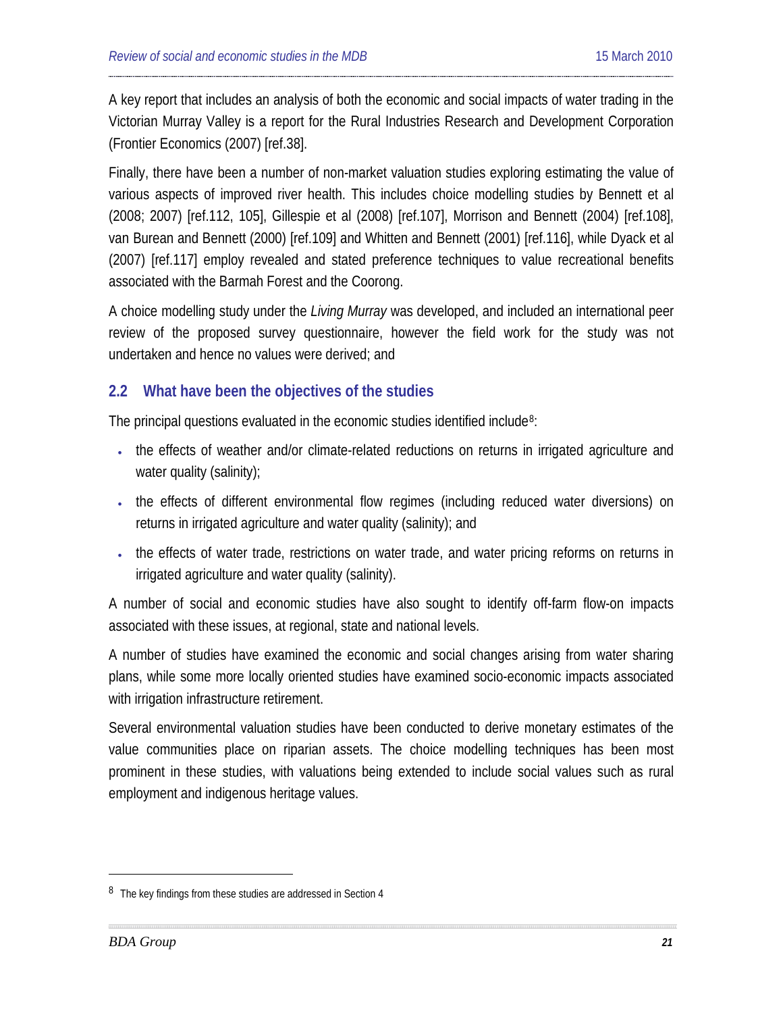A key report that includes an analysis of both the economic and social impacts of water trading in the Victorian Murray Valley is a report for the Rural Industries Research and Development Corporation (Frontier Economics (2007) [ref[.38\]](#page-89-1).

Finally, there have been a number of non-market valuation studies exploring estimating the value of various aspects of improved river health. This includes choice modelling studies by Bennett et al (2008; 2007) [ref[.112,](#page-121-0) [105\]](#page-118-0), Gillespie et al (2008) [ref[.107\]](#page-119-0), Morrison and Bennett (2004) [ref[.108\]](#page-120-0), van Burean and Bennett (2000) [ref[.109\]](#page-120-1) and Whitten and Bennett (2001) [ref[.116\]](#page-123-0), while Dyack et al (2007) [ref[.117\]](#page-123-1) employ revealed and stated preference techniques to value recreational benefits associated with the Barmah Forest and the Coorong.

A choice modelling study under the *Living Murray* was developed, and included an international peer review of the proposed survey questionnaire, however the field work for the study was not undertaken and hence no values were derived; and

## <span id="page-20-0"></span>**2.2 What have been the objectives of the studies**

The principal questions evaluated in the economic studies identified include<sup>[8](#page-20-1)</sup>:

- the effects of weather and/or climate-related reductions on returns in irrigated agriculture and water quality (salinity);
- the effects of different environmental flow regimes (including reduced water diversions) on returns in irrigated agriculture and water quality (salinity); and
- the effects of water trade, restrictions on water trade, and water pricing reforms on returns in irrigated agriculture and water quality (salinity).

A number of social and economic studies have also sought to identify off-farm flow-on impacts associated with these issues, at regional, state and national levels.

A number of studies have examined the economic and social changes arising from water sharing plans, while some more locally oriented studies have examined socio-economic impacts associated with irrigation infrastructure retirement.

Several environmental valuation studies have been conducted to derive monetary estimates of the value communities place on riparian assets. The choice modelling techniques has been most prominent in these studies, with valuations being extended to include social values such as rural employment and indigenous heritage values.

<span id="page-20-1"></span><sup>&</sup>lt;sup>8</sup> The key findings from these studies are addressed in Section 4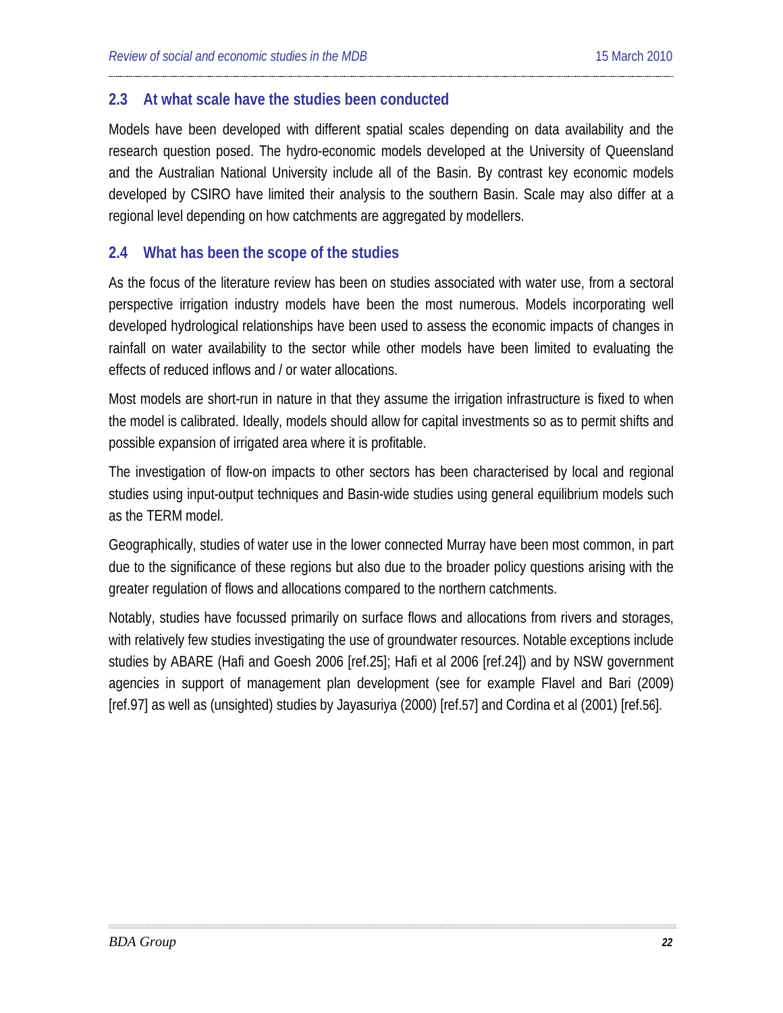#### <span id="page-21-0"></span>**2.3 At what scale have the studies been conducted**

Models have been developed with different spatial scales depending on data availability and the research question posed. The hydro-economic models developed at the University of Queensland and the Australian National University include all of the Basin. By contrast key economic models developed by CSIRO have limited their analysis to the southern Basin. Scale may also differ at a regional level depending on how catchments are aggregated by modellers.

#### <span id="page-21-1"></span>**2.4 What has been the scope of the studies**

As the focus of the literature review has been on studies associated with water use, from a sectoral perspective irrigation industry models have been the most numerous. Models incorporating well developed hydrological relationships have been used to assess the economic impacts of changes in rainfall on water availability to the sector while other models have been limited to evaluating the effects of reduced inflows and / or water allocations.

Most models are short-run in nature in that they assume the irrigation infrastructure is fixed to when the model is calibrated. Ideally, models should allow for capital investments so as to permit shifts and possible expansion of irrigated area where it is profitable.

The investigation of flow-on impacts to other sectors has been characterised by local and regional studies using input-output techniques and Basin-wide studies using general equilibrium models such as the TERM model.

Geographically, studies of water use in the lower connected Murray have been most common, in part due to the significance of these regions but also due to the broader policy questions arising with the greater regulation of flows and allocations compared to the northern catchments.

Notably, studies have focussed primarily on surface flows and allocations from rivers and storages, with relatively few studies investigating the use of groundwater resources. Notable exceptions include studies by ABARE (Hafi and Goesh 2006 [ref[.25\]](#page-83-0); Hafi et al 2006 [re[f.24\]](#page-83-1)) and by NSW government agencies in support of management plan development (see for example Flavel and Bari (2009) [ref[.97\]](#page-115-0) as well as (unsighted) studies by Jayasuriya (2000) [ref[.57\]](#page-96-0) and Cordina et al (2001) [ref[.56\]](#page-96-1).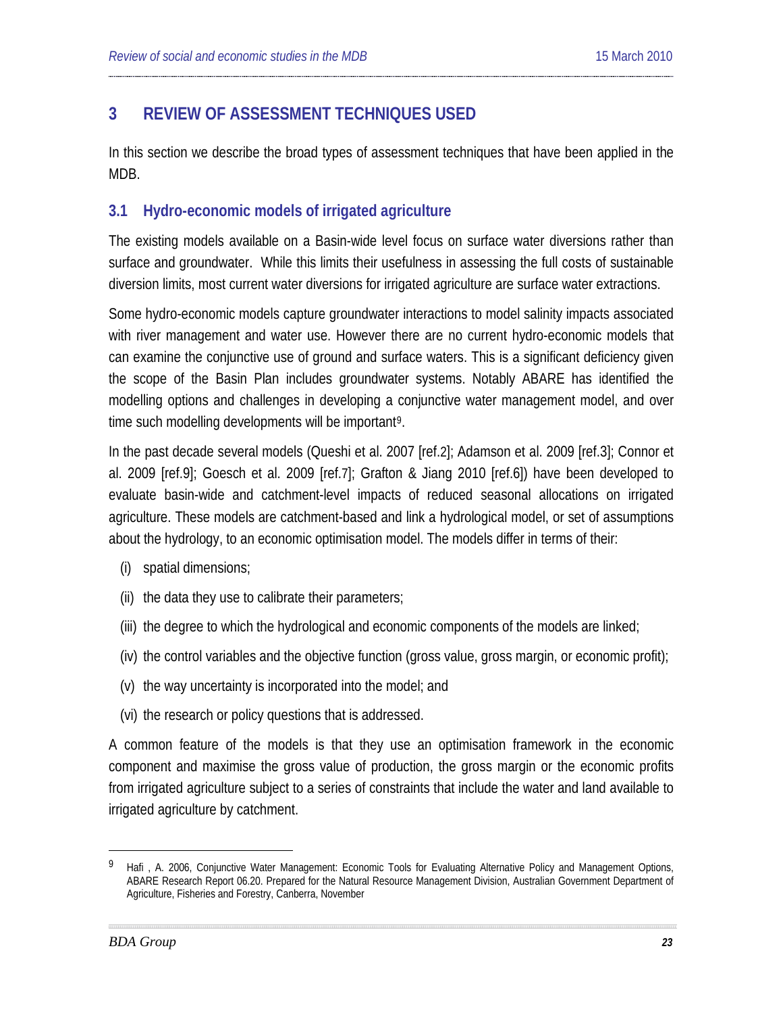## <span id="page-22-0"></span>**3 REVIEW OF ASSESSMENT TECHNIQUES USED**

In this section we describe the broad types of assessment techniques that have been applied in the MDB.

### <span id="page-22-1"></span>**3.1 Hydro-economic models of irrigated agriculture**

The existing models available on a Basin-wide level focus on surface water diversions rather than surface and groundwater. While this limits their usefulness in assessing the full costs of sustainable diversion limits, most current water diversions for irrigated agriculture are surface water extractions.

Some hydro-economic models capture groundwater interactions to model salinity impacts associated with river management and water use. However there are no current hydro-economic models that can examine the conjunctive use of ground and surface waters. This is a significant deficiency given the scope of the Basin Plan includes groundwater systems. Notably ABARE has identified the modelling options and challenges in developing a conjunctive water management model, and over time such modelling developments will be important<sup>[9](#page-22-2)</sup>.

In the past decade several models (Queshi et al. 2007 [ref. [2\]](#page-72-2); Adamson et al. 2009 [ref[.3\]](#page-73-0); Connor et al. 2009 [ref[.9\]](#page-75-0); Goesch et al. 2009 [ref[.7\]](#page-75-1); Grafton & Jiang 2010 [ref[.6\]](#page-74-0)) have been developed to evaluate basin-wide and catchment-level impacts of reduced seasonal allocations on irrigated agriculture. These models are catchment-based and link a hydrological model, or set of assumptions about the hydrology, to an economic optimisation model. The models differ in terms of their:

- (i) spatial dimensions;
- (ii) the data they use to calibrate their parameters;
- (iii) the degree to which the hydrological and economic components of the models are linked;
- (iv) the control variables and the objective function (gross value, gross margin, or economic profit);
- (v) the way uncertainty is incorporated into the model; and
- (vi) the research or policy questions that is addressed.

A common feature of the models is that they use an optimisation framework in the economic component and maximise the gross value of production, the gross margin or the economic profits from irrigated agriculture subject to a series of constraints that include the water and land available to irrigated agriculture by catchment.

<span id="page-22-2"></span><sup>9</sup> Hafi, A. 2006, Conjunctive Water Management: Economic Tools for Evaluating Alternative Policy and Management Options, ABARE Research Report 06.20. Prepared for the Natural Resource Management Division, Australian Government Department of Agriculture, Fisheries and Forestry, Canberra, November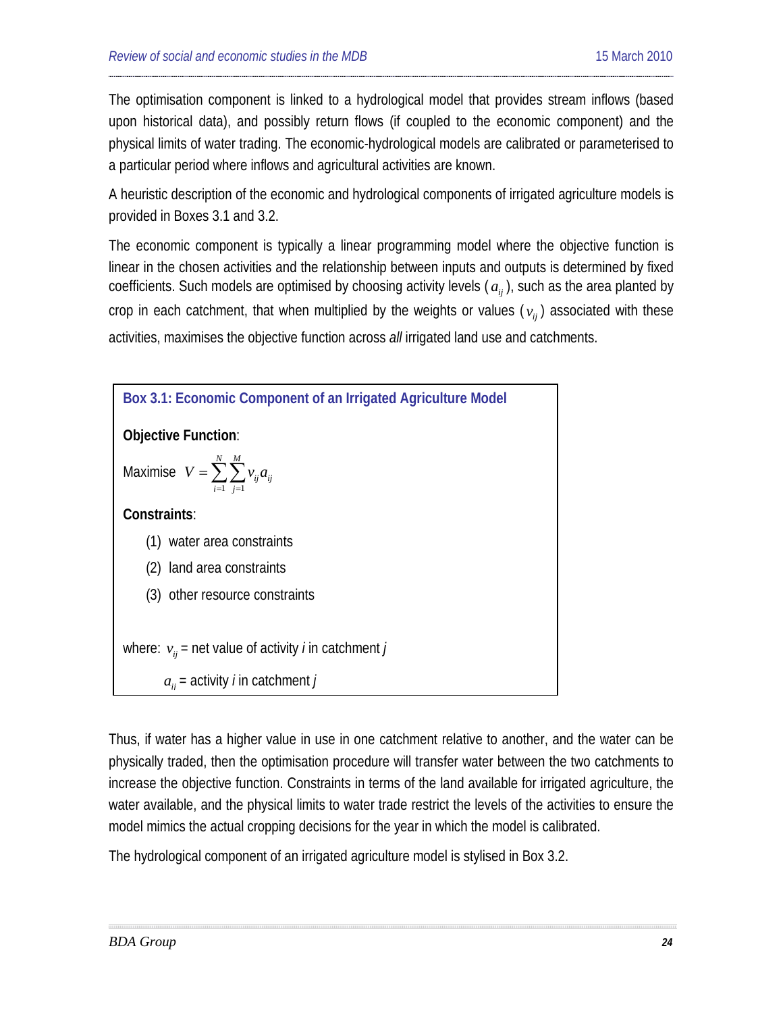The optimisation component is linked to a hydrological model that provides stream inflows (based upon historical data), and possibly return flows (if coupled to the economic component) and the physical limits of water trading. The economic-hydrological models are calibrated or parameterised to a particular period where inflows and agricultural activities are known.

A heuristic description of the economic and hydrological components of irrigated agriculture models is provided in Boxes 3.1 and 3.2.

The economic component is typically a linear programming model where the objective function is linear in the chosen activities and the relationship between inputs and outputs is determined by fixed coefficients. Such models are optimised by choosing activity levels  $(a_{ij})$ , such as the area planted by crop in each catchment, that when multiplied by the weights or values ( $v_i$ ) associated with these activities, maximises the objective function across *all* irrigated land use and catchments.



Thus, if water has a higher value in use in one catchment relative to another, and the water can be physically traded, then the optimisation procedure will transfer water between the two catchments to increase the objective function. Constraints in terms of the land available for irrigated agriculture, the water available, and the physical limits to water trade restrict the levels of the activities to ensure the model mimics the actual cropping decisions for the year in which the model is calibrated.

The hydrological component of an irrigated agriculture model is stylised in Box 3.2.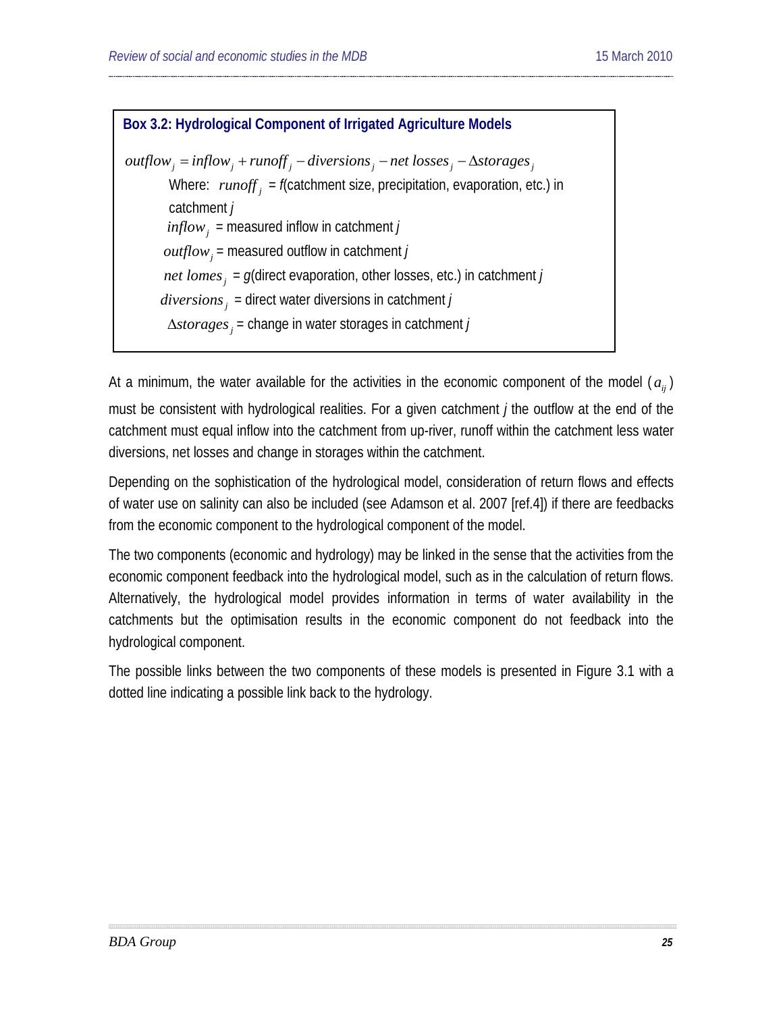**Box 3.2: Hydrological Component of Irrigated Agriculture Models**  $outflow_i = inflow_j + runoff_j - diversos_j - net losses_j - \Delta storages_j$ Where:  $runoff_i = f$ (catchment size, precipitation, evaporation, etc.) in catchment *j*  $\int$ *inflow* = measured inflow in catchment *j*  $outflow_i$  = measured outflow in catchment *j net lomes*<sub>*i*</sub> =  $g$ (direct evaporation, other losses, etc.) in catchment *j*  $diversions<sub>j</sub>$  = direct water diversions in catchment *j <sup>j</sup>* ∆*storages* = change in water storages in catchment *j*

At a minimum, the water available for the activities in the economic component of the model  $(a_{ii})$ must be consistent with hydrological realities. For a given catchment *j* the outflow at the end of the catchment must equal inflow into the catchment from up-river, runoff within the catchment less water diversions, net losses and change in storages within the catchment.

Depending on the sophistication of the hydrological model, consideration of return flows and effects of water use on salinity can also be included (see Adamson et al. 2007 [ref[.4\]](#page-73-1)) if there are feedbacks from the economic component to the hydrological component of the model.

The two components (economic and hydrology) may be linked in the sense that the activities from the economic component feedback into the hydrological model, such as in the calculation of return flows. Alternatively, the hydrological model provides information in terms of water availability in the catchments but the optimisation results in the economic component do not feedback into the hydrological component.

The possible links between the two components of these models is presented in Figure 3.1 with a dotted line indicating a possible link back to the hydrology.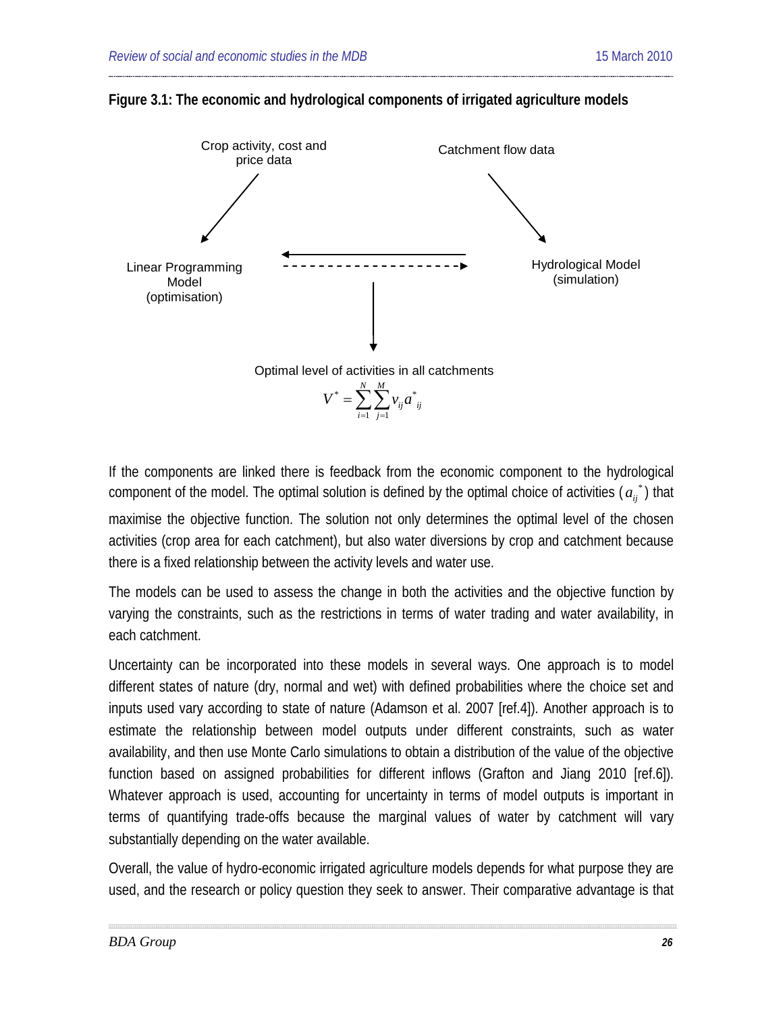



If the components are linked there is feedback from the economic component to the hydrological component of the model. The optimal solution is defined by the optimal choice of activities ( $a_{ij}^*$ ) that

maximise the objective function. The solution not only determines the optimal level of the chosen activities (crop area for each catchment), but also water diversions by crop and catchment because there is a fixed relationship between the activity levels and water use.

The models can be used to assess the change in both the activities and the objective function by varying the constraints, such as the restrictions in terms of water trading and water availability, in each catchment.

Uncertainty can be incorporated into these models in several ways. One approach is to model different states of nature (dry, normal and wet) with defined probabilities where the choice set and inputs used vary according to state of nature (Adamson et al. 2007 [ref[.4\]](#page-73-1)). Another approach is to estimate the relationship between model outputs under different constraints, such as water availability, and then use Monte Carlo simulations to obtain a distribution of the value of the objective function based on assigned probabilities for different inflows (Grafton and Jiang 2010 [re[f.6\]](#page-74-0)). Whatever approach is used, accounting for uncertainty in terms of model outputs is important in terms of quantifying trade-offs because the marginal values of water by catchment will vary substantially depending on the water available.

Overall, the value of hydro-economic irrigated agriculture models depends for what purpose they are used, and the research or policy question they seek to answer. Their comparative advantage is that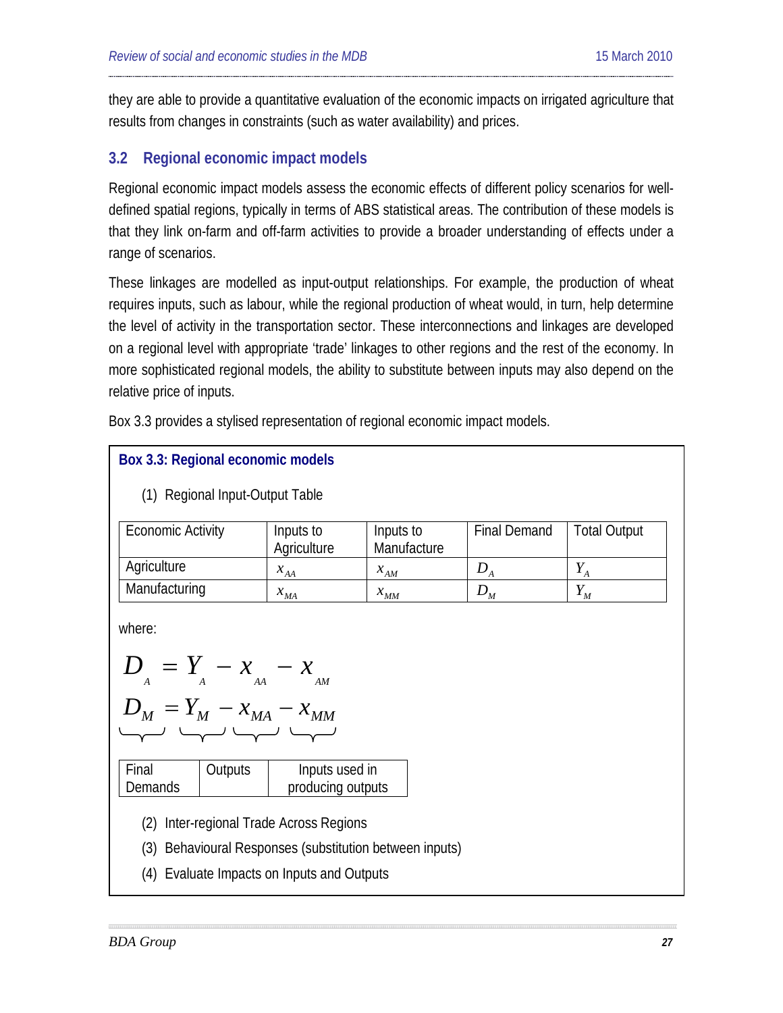they are able to provide a quantitative evaluation of the economic impacts on irrigated agriculture that results from changes in constraints (such as water availability) and prices.

### <span id="page-26-0"></span>**3.2 Regional economic impact models**

Regional economic impact models assess the economic effects of different policy scenarios for welldefined spatial regions, typically in terms of ABS statistical areas. The contribution of these models is that they link on-farm and off-farm activities to provide a broader understanding of effects under a range of scenarios.

These linkages are modelled as input-output relationships. For example, the production of wheat requires inputs, such as labour, while the regional production of wheat would, in turn, help determine the level of activity in the transportation sector. These interconnections and linkages are developed on a regional level with appropriate 'trade' linkages to other regions and the rest of the economy. In more sophisticated regional models, the ability to substitute between inputs may also depend on the relative price of inputs.

Box 3.3 provides a stylised representation of regional economic impact models.

| Box 3.3: Regional economic models          |                          |                          |                     |                     |  |  |  |  |
|--------------------------------------------|--------------------------|--------------------------|---------------------|---------------------|--|--|--|--|
| (1) Regional Input-Output Table            |                          |                          |                     |                     |  |  |  |  |
| <b>Economic Activity</b>                   | Inputs to<br>Agriculture | Inputs to<br>Manufacture | <b>Final Demand</b> | <b>Total Output</b> |  |  |  |  |
| Agriculture                                | $x_{AA}$                 | $x$ <sub>AM</sub>        | $D_{A}$             | $Y_A$               |  |  |  |  |
| Manufacturing                              | $x_{MA}$                 | $x$ <sub>MM</sub>        | $D_M$               | $Y_M$               |  |  |  |  |
| where:<br>$D_{A} = Y_{A} - x_{A} - x_{AM}$ |                          |                          |                     |                     |  |  |  |  |
| $D_M = Y_M - x_{MA} - x_{MM}$              |                          |                          |                     |                     |  |  |  |  |

| Final   | Outputs | Inputs used in    |
|---------|---------|-------------------|
| Demands |         | producing outputs |
|         |         |                   |

- (2) Inter-regional Trade Across Regions
- (3) Behavioural Responses (substitution between inputs)
- (4) Evaluate Impacts on Inputs and Outputs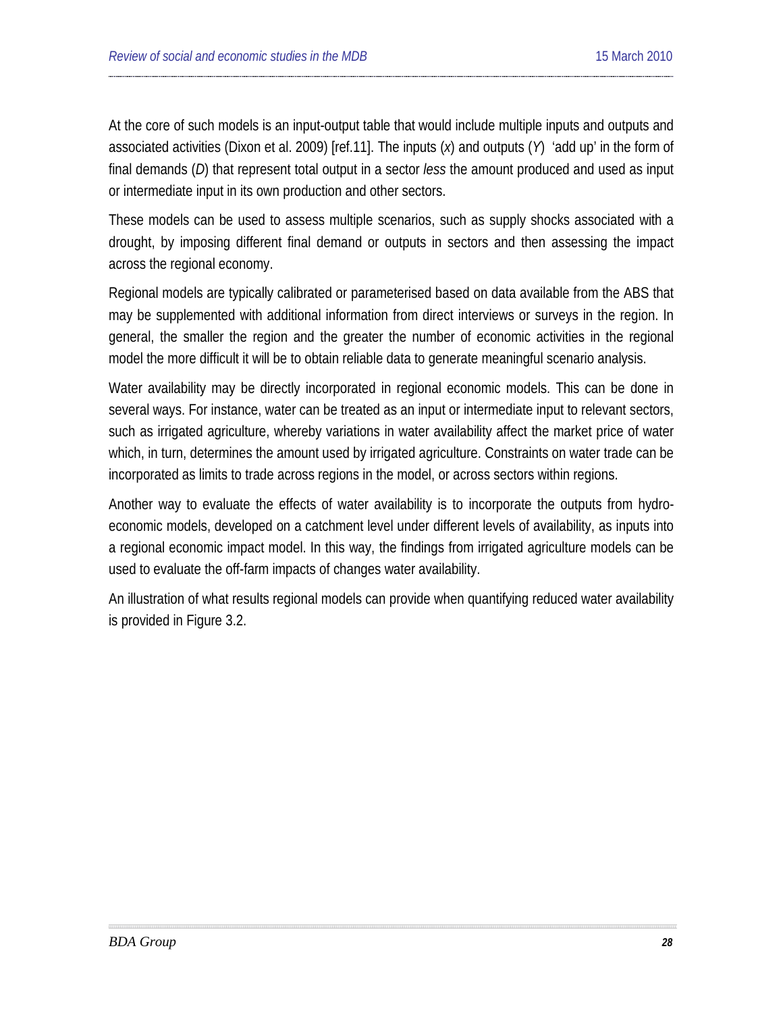At the core of such models is an input-output table that would include multiple inputs and outputs and associated activities (Dixon et al. 2009) [ref[.11\]](#page-76-0). The inputs (*x*) and outputs (*Y*) 'add up' in the form of final demands (*D*) that represent total output in a sector *less* the amount produced and used as input or intermediate input in its own production and other sectors.

These models can be used to assess multiple scenarios, such as supply shocks associated with a drought, by imposing different final demand or outputs in sectors and then assessing the impact across the regional economy.

Regional models are typically calibrated or parameterised based on data available from the ABS that may be supplemented with additional information from direct interviews or surveys in the region. In general, the smaller the region and the greater the number of economic activities in the regional model the more difficult it will be to obtain reliable data to generate meaningful scenario analysis.

Water availability may be directly incorporated in regional economic models. This can be done in several ways. For instance, water can be treated as an input or intermediate input to relevant sectors, such as irrigated agriculture, whereby variations in water availability affect the market price of water which, in turn, determines the amount used by irrigated agriculture. Constraints on water trade can be incorporated as limits to trade across regions in the model, or across sectors within regions.

Another way to evaluate the effects of water availability is to incorporate the outputs from hydroeconomic models, developed on a catchment level under different levels of availability, as inputs into a regional economic impact model. In this way, the findings from irrigated agriculture models can be used to evaluate the off-farm impacts of changes water availability.

An illustration of what results regional models can provide when quantifying reduced water availability is provided in Figure 3.2.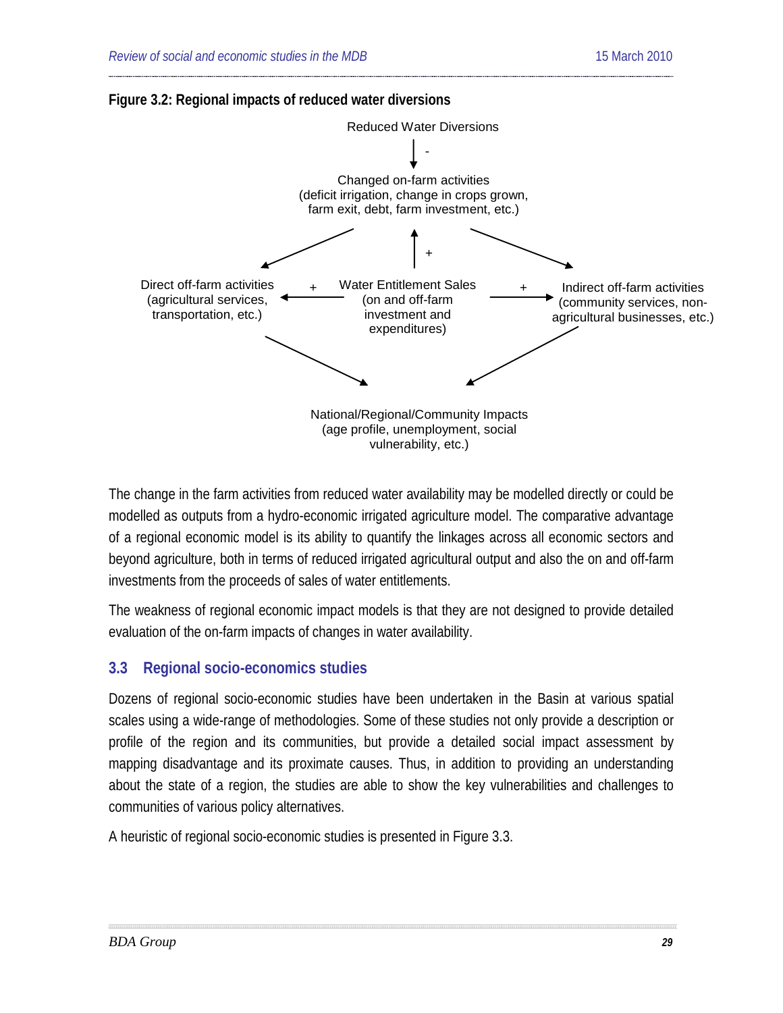



The change in the farm activities from reduced water availability may be modelled directly or could be modelled as outputs from a hydro-economic irrigated agriculture model. The comparative advantage of a regional economic model is its ability to quantify the linkages across all economic sectors and beyond agriculture, both in terms of reduced irrigated agricultural output and also the on and off-farm investments from the proceeds of sales of water entitlements.

The weakness of regional economic impact models is that they are not designed to provide detailed evaluation of the on-farm impacts of changes in water availability.

## <span id="page-28-0"></span>**3.3 Regional socio-economics studies**

Dozens of regional socio-economic studies have been undertaken in the Basin at various spatial scales using a wide-range of methodologies. Some of these studies not only provide a description or profile of the region and its communities, but provide a detailed social impact assessment by mapping disadvantage and its proximate causes. Thus, in addition to providing an understanding about the state of a region, the studies are able to show the key vulnerabilities and challenges to communities of various policy alternatives.

A heuristic of regional socio-economic studies is presented in Figure 3.3.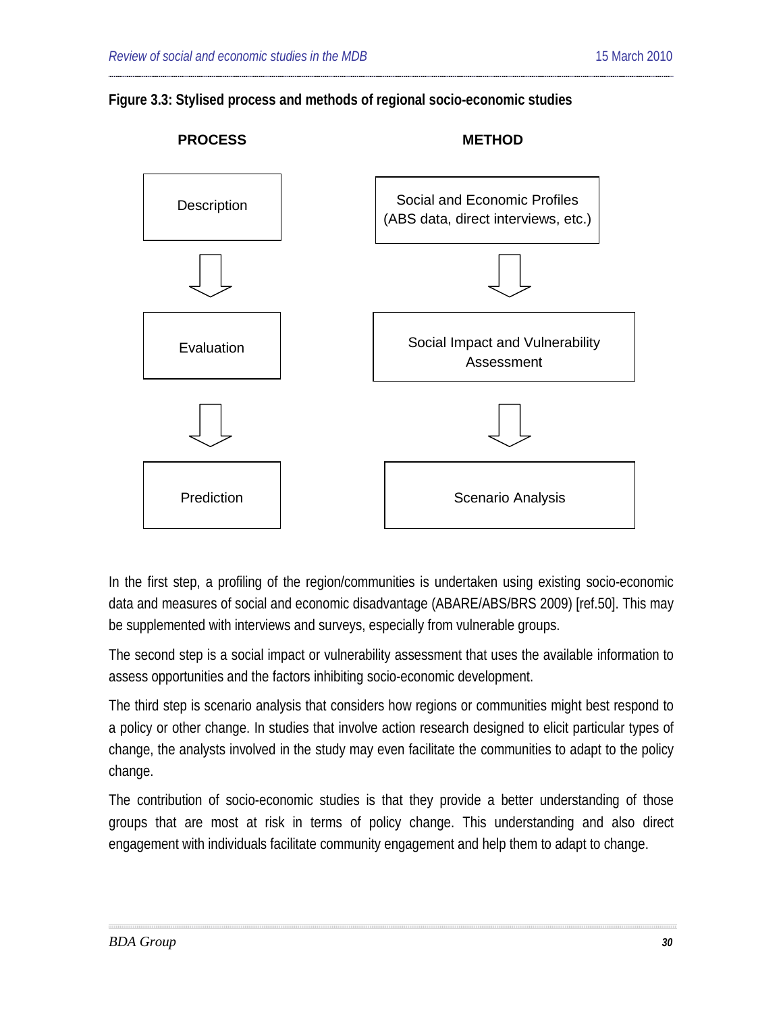



In the first step, a profiling of the region/communities is undertaken using existing socio-economic data and measures of social and economic disadvantage (ABARE/ABS/BRS 2009) [ref[.50\]](#page-95-0). This may be supplemented with interviews and surveys, especially from vulnerable groups.

The second step is a social impact or vulnerability assessment that uses the available information to assess opportunities and the factors inhibiting socio-economic development.

The third step is scenario analysis that considers how regions or communities might best respond to a policy or other change. In studies that involve action research designed to elicit particular types of change, the analysts involved in the study may even facilitate the communities to adapt to the policy change.

The contribution of socio-economic studies is that they provide a better understanding of those groups that are most at risk in terms of policy change. This understanding and also direct engagement with individuals facilitate community engagement and help them to adapt to change.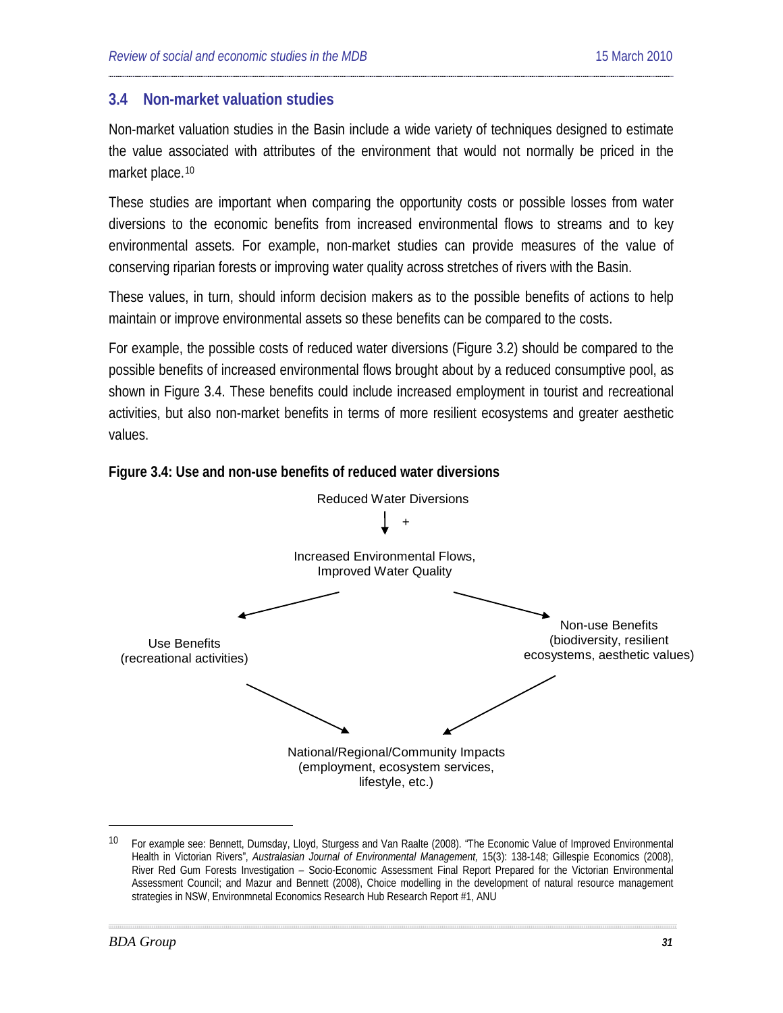#### <span id="page-30-0"></span>**3.4 Non-market valuation studies**

Non-market valuation studies in the Basin include a wide variety of techniques designed to estimate the value associated with attributes of the environment that would not normally be priced in the market place.<sup>[10](#page-30-1)</sup>

These studies are important when comparing the opportunity costs or possible losses from water diversions to the economic benefits from increased environmental flows to streams and to key environmental assets. For example, non-market studies can provide measures of the value of conserving riparian forests or improving water quality across stretches of rivers with the Basin.

These values, in turn, should inform decision makers as to the possible benefits of actions to help maintain or improve environmental assets so these benefits can be compared to the costs.

For example, the possible costs of reduced water diversions (Figure 3.2) should be compared to the possible benefits of increased environmental flows brought about by a reduced consumptive pool, as shown in Figure 3.4. These benefits could include increased employment in tourist and recreational activities, but also non-market benefits in terms of more resilient ecosystems and greater aesthetic values.



#### **Figure 3.4: Use and non-use benefits of reduced water diversions**

<span id="page-30-1"></span><sup>&</sup>lt;sup>10</sup> For example see: Bennett, Dumsday, Lloyd, Sturgess and Van Raalte (2008). "The Economic Value of Improved Environmental Health in Victorian Rivers", *Australasian Journal of Environmental Management,* 15(3): 138-148; Gillespie Economics (2008), River Red Gum Forests Investigation – Socio-Economic Assessment Final Report Prepared for the Victorian Environmental Assessment Council; and Mazur and Bennett (2008), Choice modelling in the development of natural resource management strategies in NSW, Environmnetal Economics Research Hub Research Report #1, ANU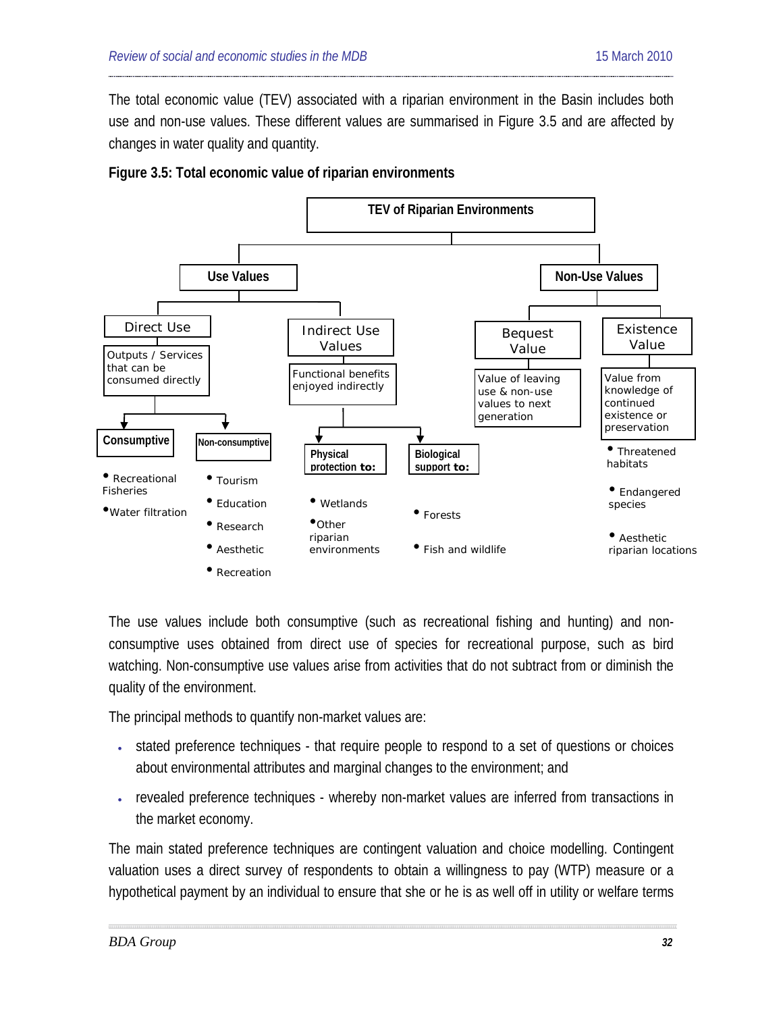The total economic value (TEV) associated with a riparian environment in the Basin includes both use and non-use values. These different values are summarised in Figure 3.5 and are affected by changes in water quality and quantity.





The use values include both consumptive (such as recreational fishing and hunting) and nonconsumptive uses obtained from direct use of species for recreational purpose, such as bird watching. Non-consumptive use values arise from activities that do not subtract from or diminish the quality of the environment.

The principal methods to quantify non-market values are:

- stated preference techniques that require people to respond to a set of questions or choices about environmental attributes and marginal changes to the environment; and
- revealed preference techniques whereby non-market values are inferred from transactions in the market economy.

The main stated preference techniques are contingent valuation and choice modelling. Contingent valuation uses a direct survey of respondents to obtain a willingness to pay (WTP) measure or a hypothetical payment by an individual to ensure that she or he is as well off in utility or welfare terms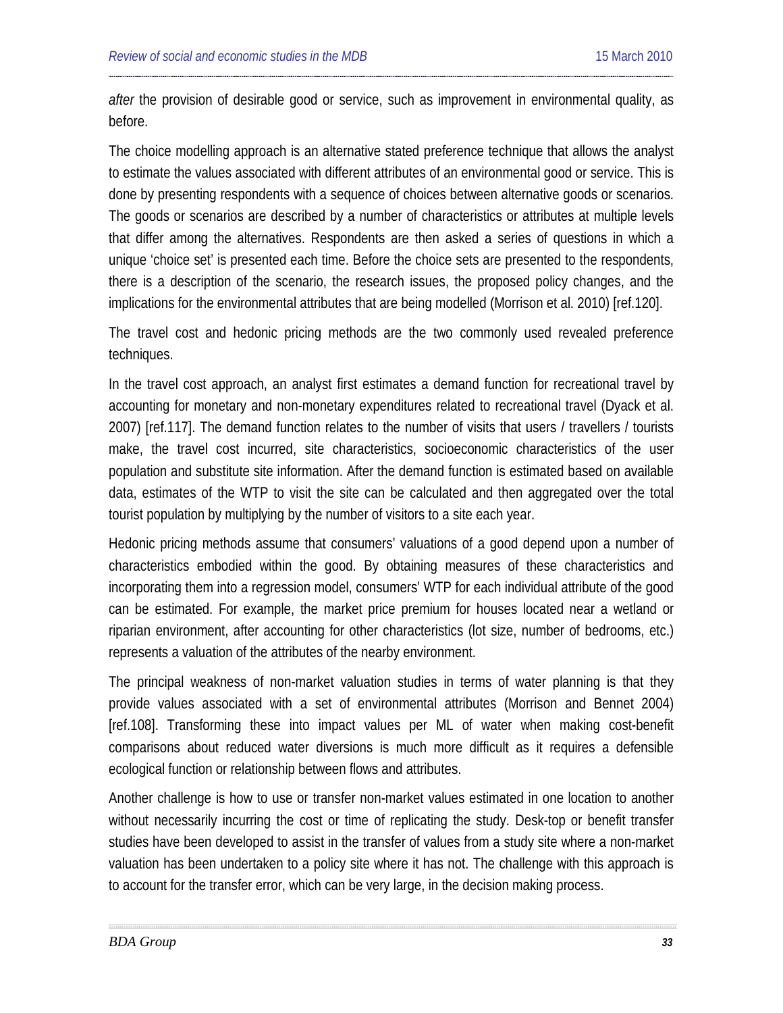*after* the provision of desirable good or service, such as improvement in environmental quality, as before.

The choice modelling approach is an alternative stated preference technique that allows the analyst to estimate the values associated with different attributes of an environmental good or service. This is done by presenting respondents with a sequence of choices between alternative goods or scenarios. The goods or scenarios are described by a number of characteristics or attributes at multiple levels that differ among the alternatives. Respondents are then asked a series of questions in which a unique 'choice set' is presented each time. Before the choice sets are presented to the respondents, there is a description of the scenario, the research issues, the proposed policy changes, and the implications for the environmental attributes that are being modelled (Morrison et al. 2010) [ref[.120\]](#page-125-0).

The travel cost and hedonic pricing methods are the two commonly used revealed preference techniques.

In the travel cost approach, an analyst first estimates a demand function for recreational travel by accounting for monetary and non-monetary expenditures related to recreational travel (Dyack et al. 2007) [ref[.117\]](#page-123-1). The demand function relates to the number of visits that users / travellers / tourists make, the travel cost incurred, site characteristics, socioeconomic characteristics of the user population and substitute site information. After the demand function is estimated based on available data, estimates of the WTP to visit the site can be calculated and then aggregated over the total tourist population by multiplying by the number of visitors to a site each year.

Hedonic pricing methods assume that consumers' valuations of a good depend upon a number of characteristics embodied within the good. By obtaining measures of these characteristics and incorporating them into a regression model, consumers' WTP for each individual attribute of the good can be estimated. For example, the market price premium for houses located near a wetland or riparian environment, after accounting for other characteristics (lot size, number of bedrooms, etc.) represents a valuation of the attributes of the nearby environment.

The principal weakness of non-market valuation studies in terms of water planning is that they provide values associated with a set of environmental attributes (Morrison and Bennet 2004) [ref[.108\]](#page-120-0). Transforming these into impact values per ML of water when making cost-benefit comparisons about reduced water diversions is much more difficult as it requires a defensible ecological function or relationship between flows and attributes.

Another challenge is how to use or transfer non-market values estimated in one location to another without necessarily incurring the cost or time of replicating the study. Desk-top or benefit transfer studies have been developed to assist in the transfer of values from a study site where a non-market valuation has been undertaken to a policy site where it has not. The challenge with this approach is to account for the transfer error, which can be very large, in the decision making process.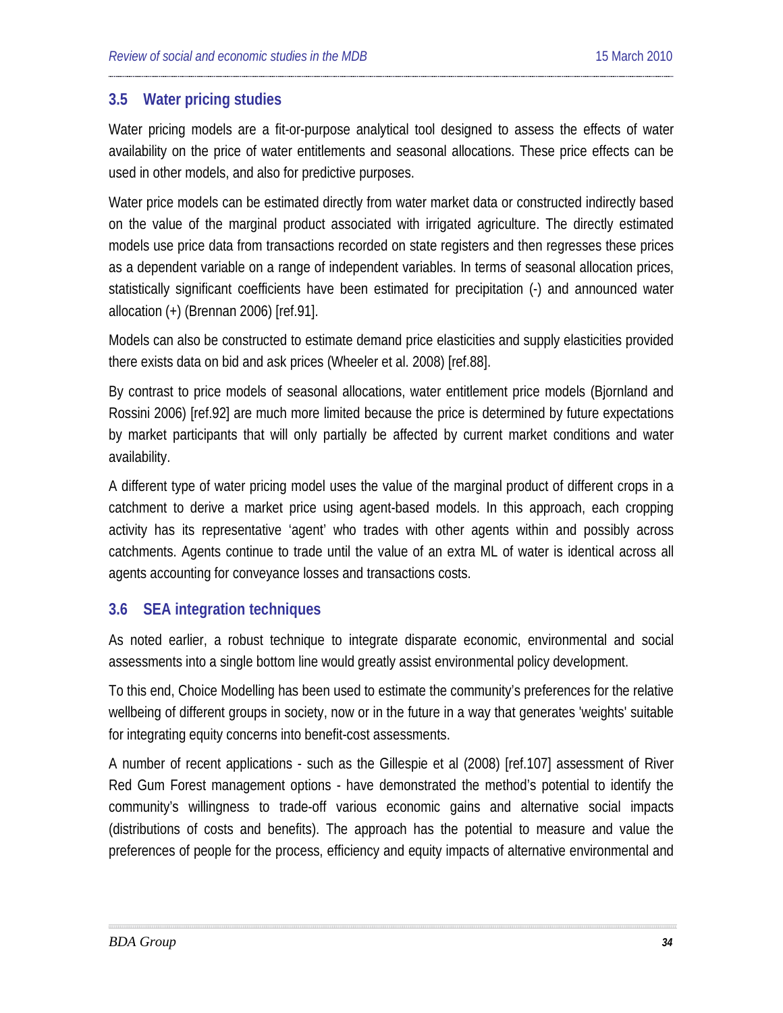#### <span id="page-33-0"></span>**3.5 Water pricing studies**

Water pricing models are a fit-or-purpose analytical tool designed to assess the effects of water availability on the price of water entitlements and seasonal allocations. These price effects can be used in other models, and also for predictive purposes.

Water price models can be estimated directly from water market data or constructed indirectly based on the value of the marginal product associated with irrigated agriculture. The directly estimated models use price data from transactions recorded on state registers and then regresses these prices as a dependent variable on a range of independent variables. In terms of seasonal allocation prices, statistically significant coefficients have been estimated for precipitation (-) and announced water allocation (+) (Brennan 2006) [ref[.91\]](#page-112-0).

Models can also be constructed to estimate demand price elasticities and supply elasticities provided there exists data on bid and ask prices (Wheeler et al. 2008) [ref[.88\]](#page-111-0).

By contrast to price models of seasonal allocations, water entitlement price models (Bjornland and Rossini 2006) [ref[.92\]](#page-112-1) are much more limited because the price is determined by future expectations by market participants that will only partially be affected by current market conditions and water availability.

A different type of water pricing model uses the value of the marginal product of different crops in a catchment to derive a market price using agent-based models. In this approach, each cropping activity has its representative 'agent' who trades with other agents within and possibly across catchments. Agents continue to trade until the value of an extra ML of water is identical across all agents accounting for conveyance losses and transactions costs.

### <span id="page-33-1"></span>**3.6 SEA integration techniques**

As noted earlier, a robust technique to integrate disparate economic, environmental and social assessments into a single bottom line would greatly assist environmental policy development.

To this end, Choice Modelling has been used to estimate the community's preferences for the relative wellbeing of different groups in society, now or in the future in a way that generates 'weights' suitable for integrating equity concerns into benefit-cost assessments.

A number of recent applications - such as the Gillespie et al (2008) [ref[.107\]](#page-119-0) assessment of River Red Gum Forest management options - have demonstrated the method's potential to identify the community's willingness to trade-off various economic gains and alternative social impacts (distributions of costs and benefits). The approach has the potential to measure and value the preferences of people for the process, efficiency and equity impacts of alternative environmental and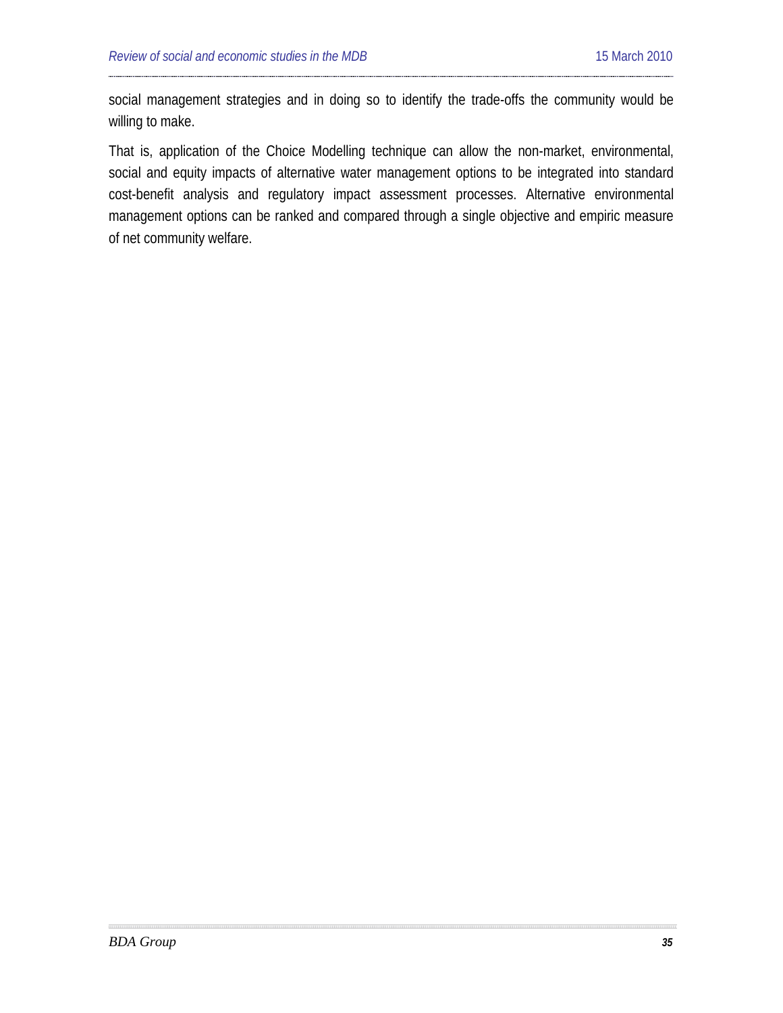social management strategies and in doing so to identify the trade-offs the community would be willing to make.

That is, application of the Choice Modelling technique can allow the non-market, environmental, social and equity impacts of alternative water management options to be integrated into standard cost-benefit analysis and regulatory impact assessment processes. Alternative environmental management options can be ranked and compared through a single objective and empiric measure of net community welfare.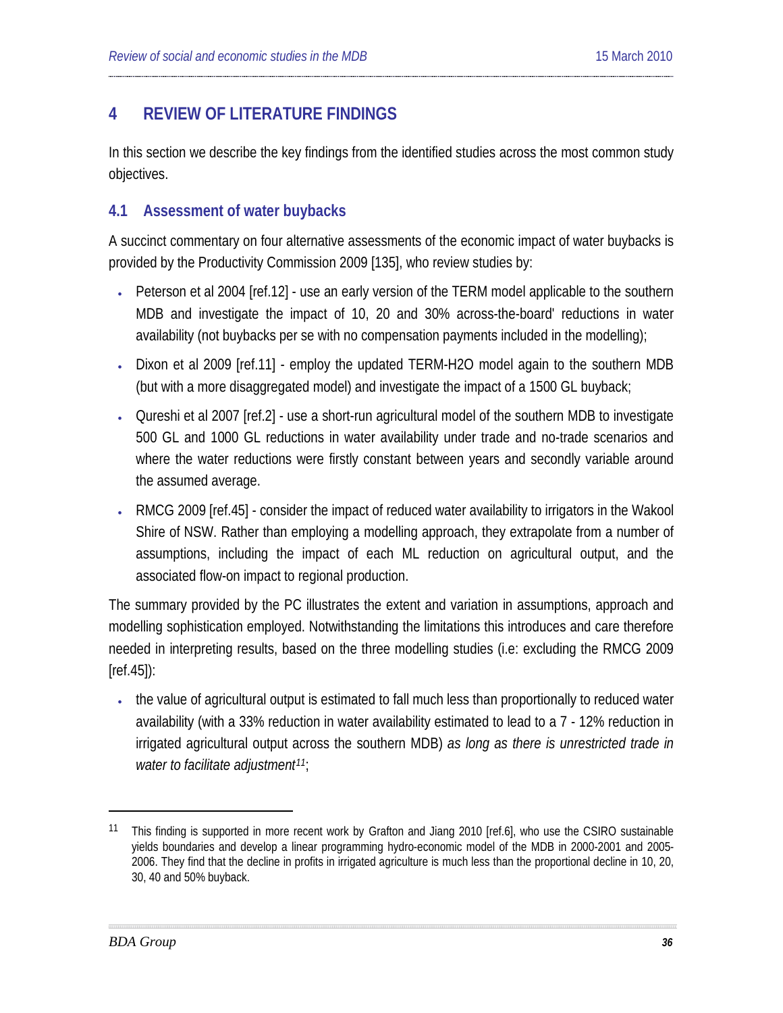## <span id="page-35-0"></span>**4 REVIEW OF LITERATURE FINDINGS**

In this section we describe the key findings from the identified studies across the most common study objectives.

### <span id="page-35-1"></span>**4.1 Assessment of water buybacks**

A succinct commentary on four alternative assessments of the economic impact of water buybacks is provided by the Productivity Commission 2009 [135], who review studies by:

- Peterson et al 2004 [ref[.12\]](#page-77-1) use an early version of the TERM model applicable to the southern MDB and investigate the impact of 10, 20 and 30% across-the-board' reductions in water availability (not buybacks per se with no compensation payments included in the modelling);
- Dixon et al 2009 [ref[.11\]](#page-76-0) employ the updated TERM-H2O model again to the southern MDB (but with a more disaggregated model) and investigate the impact of a 1500 GL buyback;
- Qureshi et al 2007 [ref[.2\]](#page-72-2) use a short-run agricultural model of the southern MDB to investigate 500 GL and 1000 GL reductions in water availability under trade and no-trade scenarios and where the water reductions were firstly constant between years and secondly variable around the assumed average.
- RMCG 2009 [re[f.45\]](#page-92-1) consider the impact of reduced water availability to irrigators in the Wakool Shire of NSW. Rather than employing a modelling approach, they extrapolate from a number of assumptions, including the impact of each ML reduction on agricultural output, and the associated flow-on impact to regional production.

The summary provided by the PC illustrates the extent and variation in assumptions, approach and modelling sophistication employed. Notwithstanding the limitations this introduces and care therefore needed in interpreting results, based on the three modelling studies (i.e: excluding the RMCG 2009 [ref[.45\]](#page-92-1)):

• the value of agricultural output is estimated to fall much less than proportionally to reduced water availability (with a 33% reduction in water availability estimated to lead to a 7 - 12% reduction in irrigated agricultural output across the southern MDB) *as long as there is unrestricted trade in water to facilitate adjustment[11](#page-35-2)* ;

<span id="page-35-2"></span><sup>&</sup>lt;sup>11</sup> This finding is supported in more recent work by Grafton and Jiang 2010 [ref.[6\]](#page-74-0), who use the CSIRO sustainable yields boundaries and develop a linear programming hydro-economic model of the MDB in 2000-2001 and 2005- 2006. They find that the decline in profits in irrigated agriculture is much less than the proportional decline in 10, 20, 30, 40 and 50% buyback.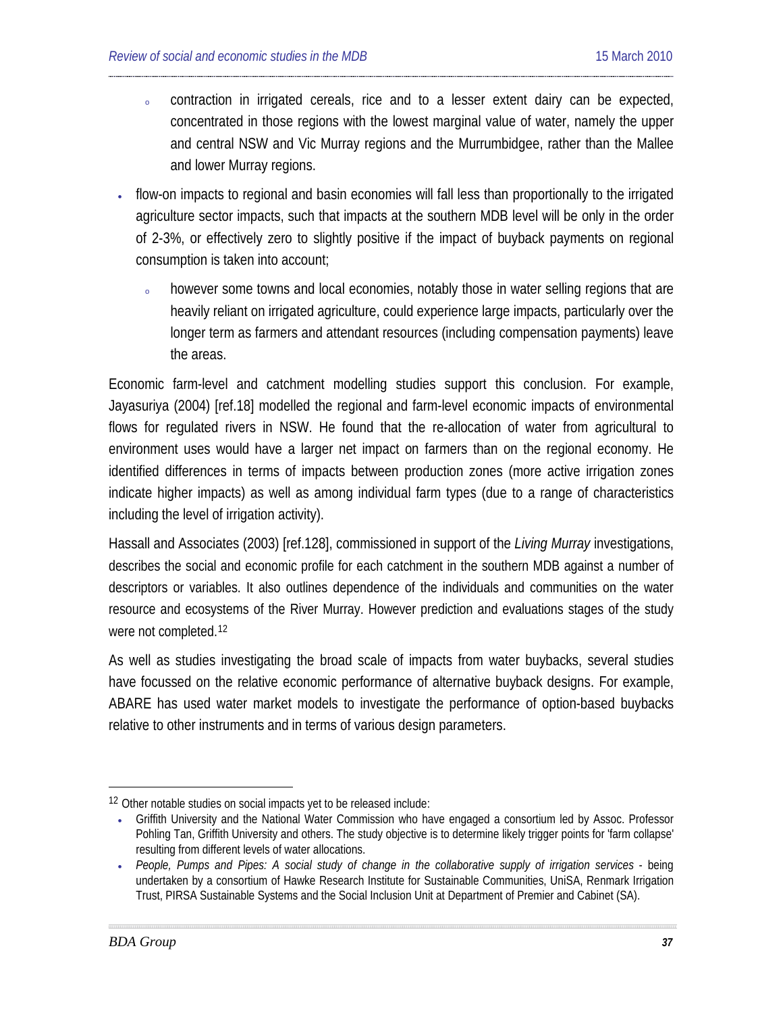- o contraction in irrigated cereals, rice and to a lesser extent dairy can be expected, concentrated in those regions with the lowest marginal value of water, namely the upper and central NSW and Vic Murray regions and the Murrumbidgee, rather than the Mallee and lower Murray regions.
- flow-on impacts to regional and basin economies will fall less than proportionally to the irrigated agriculture sector impacts, such that impacts at the southern MDB level will be only in the order of 2-3%, or effectively zero to slightly positive if the impact of buyback payments on regional consumption is taken into account;
	- however some towns and local economies, notably those in water selling regions that are heavily reliant on irrigated agriculture, could experience large impacts, particularly over the longer term as farmers and attendant resources (including compensation payments) leave the areas.

Economic farm-level and catchment modelling studies support this conclusion. For example, Jayasuriya (2004) [ref[.18\]](#page-80-0) modelled the regional and farm-level economic impacts of environmental flows for regulated rivers in NSW. He found that the re-allocation of water from agricultural to environment uses would have a larger net impact on farmers than on the regional economy. He identified differences in terms of impacts between production zones (more active irrigation zones indicate higher impacts) as well as among individual farm types (due to a range of characteristics including the level of irrigation activity).

Hassall and Associates (2003) [ref[.128\]](#page-127-0), commissioned in support of the *Living Murray* investigations, describes the social and economic profile for each catchment in the southern MDB against a number of descriptors or variables. It also outlines dependence of the individuals and communities on the water resource and ecosystems of the River Murray. However prediction and evaluations stages of the study were not completed.<sup>[12](#page-36-0)</sup>

As well as studies investigating the broad scale of impacts from water buybacks, several studies have focussed on the relative economic performance of alternative buyback designs. For example, ABARE has used water market models to investigate the performance of option-based buybacks relative to other instruments and in terms of various design parameters.

<span id="page-36-0"></span><sup>-</sup>12 Other notable studies on social impacts yet to be released include:

<sup>•</sup> Griffith University and the National Water Commission who have engaged a consortium led by Assoc. Professor Pohling Tan, Griffith University and others. The study objective is to determine likely trigger points for 'farm collapse' resulting from different levels of water allocations.

<sup>•</sup> *People, Pumps and Pipes: A social study of change in the collaborative supply of irrigation services* - being undertaken by a consortium of Hawke Research Institute for Sustainable Communities, UniSA, Renmark Irrigation Trust, PIRSA Sustainable Systems and the Social Inclusion Unit at Department of Premier and Cabinet (SA).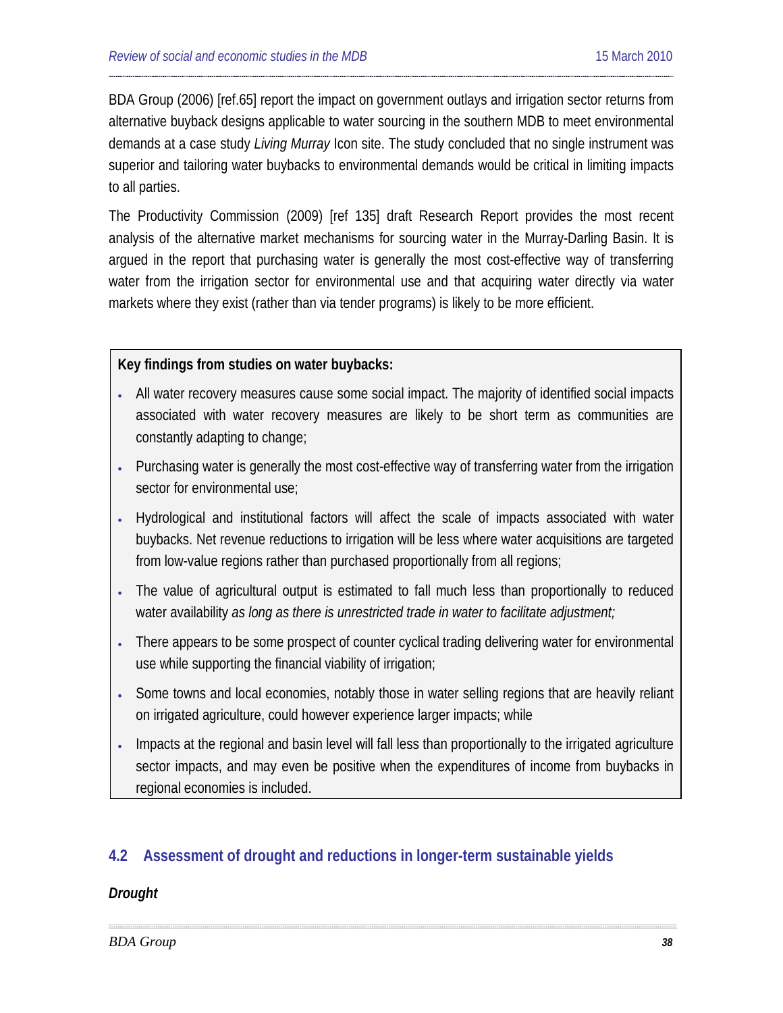BDA Group (2006) [ref[.65\]](#page-99-0) report the impact on government outlays and irrigation sector returns from alternative buyback designs applicable to water sourcing in the southern MDB to meet environmental demands at a case study *Living Murray* Icon site. The study concluded that no single instrument was superior and tailoring water buybacks to environmental demands would be critical in limiting impacts to all parties.

The Productivity Commission (2009) [ref 135] draft Research Report provides the most recent analysis of the alternative market mechanisms for sourcing water in the Murray-Darling Basin. It is argued in the report that purchasing water is generally the most cost-effective way of transferring water from the irrigation sector for environmental use and that acquiring water directly via water markets where they exist (rather than via tender programs) is likely to be more efficient.

### **Key findings from studies on water buybacks:**

- All water recovery measures cause some social impact. The majority of identified social impacts associated with water recovery measures are likely to be short term as communities are constantly adapting to change;
- Purchasing water is generally the most cost-effective way of transferring water from the irrigation sector for environmental use;
- Hydrological and institutional factors will affect the scale of impacts associated with water buybacks. Net revenue reductions to irrigation will be less where water acquisitions are targeted from low-value regions rather than purchased proportionally from all regions;
- The value of agricultural output is estimated to fall much less than proportionally to reduced water availability *as long as there is unrestricted trade in water to facilitate adjustment;*
- There appears to be some prospect of counter cyclical trading delivering water for environmental use while supporting the financial viability of irrigation;
- Some towns and local economies, notably those in water selling regions that are heavily reliant on irrigated agriculture, could however experience larger impacts; while
- Impacts at the regional and basin level will fall less than proportionally to the irrigated agriculture sector impacts, and may even be positive when the expenditures of income from buybacks in regional economies is included.

# **4.2 Assessment of drought and reductions in longer-term sustainable yields**

### *Drought*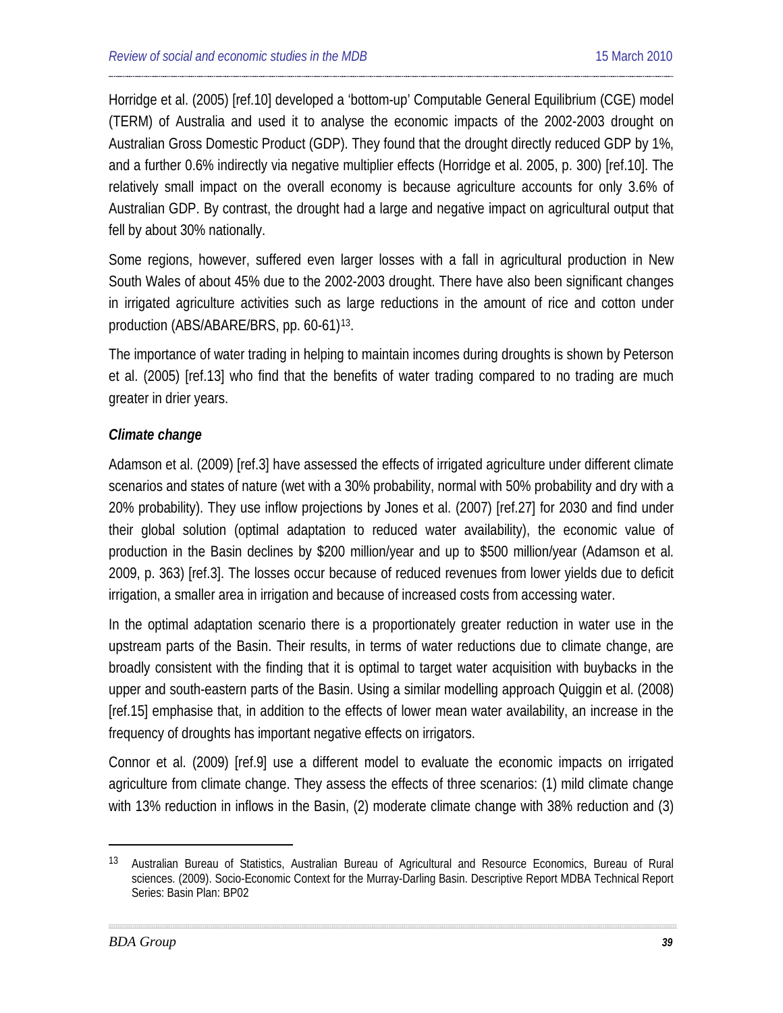Horridge et al. (2005) [re[f.10\]](#page-76-0) developed a 'bottom-up' Computable General Equilibrium (CGE) model (TERM) of Australia and used it to analyse the economic impacts of the 2002-2003 drought on Australian Gross Domestic Product (GDP). They found that the drought directly reduced GDP by 1%, and a further 0.6% indirectly via negative multiplier effects (Horridge et al. 2005, p. 300) [re[f.10\]](#page-76-0). The relatively small impact on the overall economy is because agriculture accounts for only 3.6% of Australian GDP. By contrast, the drought had a large and negative impact on agricultural output that fell by about 30% nationally.

Some regions, however, suffered even larger losses with a fall in agricultural production in New South Wales of about 45% due to the 2002-2003 drought. There have also been significant changes in irrigated agriculture activities such as large reductions in the amount of rice and cotton under production (ABS/ABARE/BRS, pp. 60-61)<sup>[13](#page-38-0)</sup>.

The importance of water trading in helping to maintain incomes during droughts is shown by Peterson et al. (2005) [ref. [13\]](#page-77-0) who find that the benefits of water trading compared to no trading are much greater in drier years.

# *Climate change*

Adamson et al. (2009) [ref[.3\]](#page-73-0) have assessed the effects of irrigated agriculture under different climate scenarios and states of nature (wet with a 30% probability, normal with 50% probability and dry with a 20% probability). They use inflow projections by Jones et al. (2007) [ref[.27\]](#page-84-0) for 2030 and find under their global solution (optimal adaptation to reduced water availability), the economic value of production in the Basin declines by \$200 million/year and up to \$500 million/year (Adamson et al. 2009, p. 363) [ref[.3\]](#page-73-0). The losses occur because of reduced revenues from lower yields due to deficit irrigation, a smaller area in irrigation and because of increased costs from accessing water.

In the optimal adaptation scenario there is a proportionately greater reduction in water use in the upstream parts of the Basin. Their results, in terms of water reductions due to climate change, are broadly consistent with the finding that it is optimal to target water acquisition with buybacks in the upper and south-eastern parts of the Basin. Using a similar modelling approach Quiggin et al. (2008) [ref[.15\]](#page-78-0) emphasise that, in addition to the effects of lower mean water availability, an increase in the frequency of droughts has important negative effects on irrigators.

Connor et al. (2009) [ref[.9\]](#page-75-0) use a different model to evaluate the economic impacts on irrigated agriculture from climate change. They assess the effects of three scenarios: (1) mild climate change with 13% reduction in inflows in the Basin, (2) moderate climate change with 38% reduction and (3)

-

<span id="page-38-0"></span><sup>13</sup> Australian Bureau of Statistics, Australian Bureau of Agricultural and Resource Economics, Bureau of Rural sciences. (2009). Socio-Economic Context for the Murray-Darling Basin. Descriptive Report MDBA Technical Report Series: Basin Plan: BP02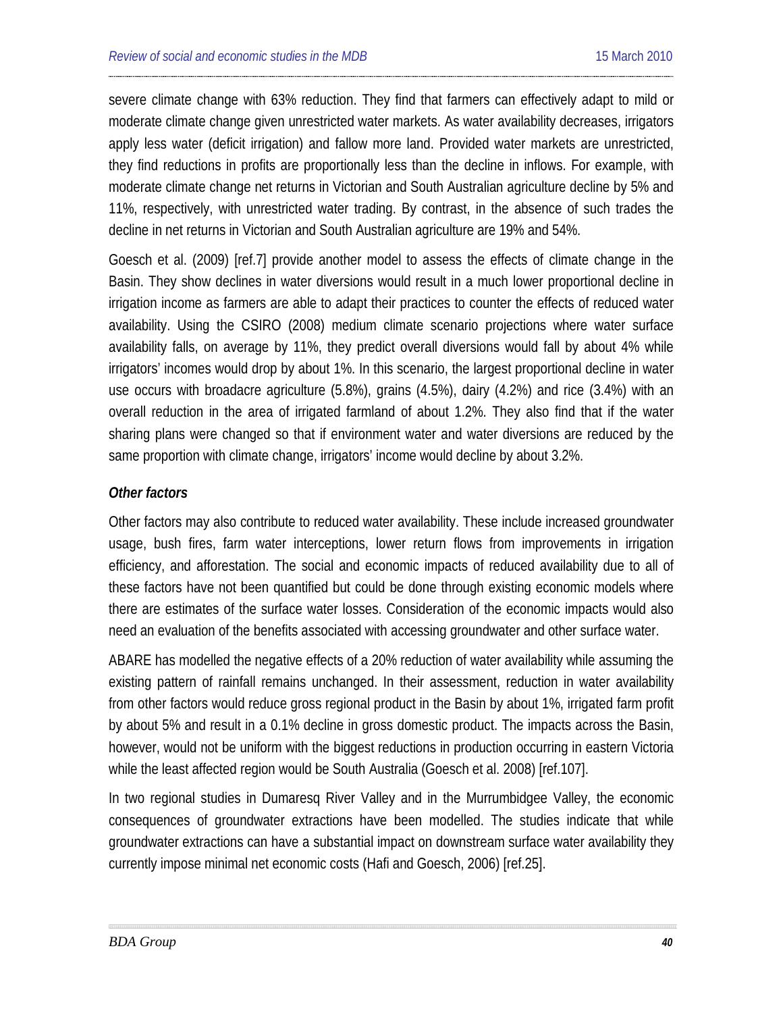severe climate change with 63% reduction. They find that farmers can effectively adapt to mild or moderate climate change given unrestricted water markets. As water availability decreases, irrigators apply less water (deficit irrigation) and fallow more land. Provided water markets are unrestricted, they find reductions in profits are proportionally less than the decline in inflows. For example, with moderate climate change net returns in Victorian and South Australian agriculture decline by 5% and 11%, respectively, with unrestricted water trading. By contrast, in the absence of such trades the decline in net returns in Victorian and South Australian agriculture are 19% and 54%.

Goesch et al. (2009) [ref[.7\]](#page-75-1) provide another model to assess the effects of climate change in the Basin. They show declines in water diversions would result in a much lower proportional decline in irrigation income as farmers are able to adapt their practices to counter the effects of reduced water availability. Using the CSIRO (2008) medium climate scenario projections where water surface availability falls, on average by 11%, they predict overall diversions would fall by about 4% while irrigators' incomes would drop by about 1%. In this scenario, the largest proportional decline in water use occurs with broadacre agriculture (5.8%), grains (4.5%), dairy (4.2%) and rice (3.4%) with an overall reduction in the area of irrigated farmland of about 1.2%. They also find that if the water sharing plans were changed so that if environment water and water diversions are reduced by the same proportion with climate change, irrigators' income would decline by about 3.2%.

### *Other factors*

Other factors may also contribute to reduced water availability. These include increased groundwater usage, bush fires, farm water interceptions, lower return flows from improvements in irrigation efficiency, and afforestation. The social and economic impacts of reduced availability due to all of these factors have not been quantified but could be done through existing economic models where there are estimates of the surface water losses. Consideration of the economic impacts would also need an evaluation of the benefits associated with accessing groundwater and other surface water.

ABARE has modelled the negative effects of a 20% reduction of water availability while assuming the existing pattern of rainfall remains unchanged. In their assessment, reduction in water availability from other factors would reduce gross regional product in the Basin by about 1%, irrigated farm profit by about 5% and result in a 0.1% decline in gross domestic product. The impacts across the Basin, however, would not be uniform with the biggest reductions in production occurring in eastern Victoria while the least affected region would be South Australia (Goesch et al. 2008) [ref[.107\]](#page-119-0).

In two regional studies in Dumaresq River Valley and in the Murrumbidgee Valley, the economic consequences of groundwater extractions have been modelled. The studies indicate that while groundwater extractions can have a substantial impact on downstream surface water availability they currently impose minimal net economic costs (Hafi and Goesch, 2006) [ref[.25\]](#page-83-0).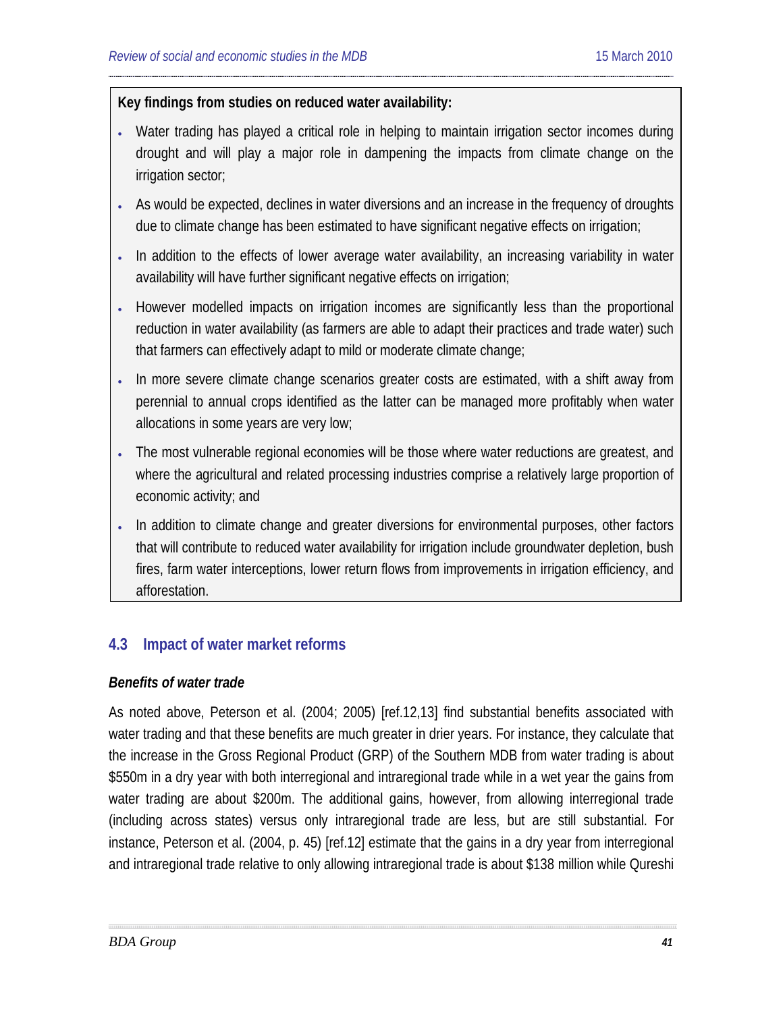# **Key findings from studies on reduced water availability:**

- Water trading has played a critical role in helping to maintain irrigation sector incomes during drought and will play a major role in dampening the impacts from climate change on the irrigation sector;
- As would be expected, declines in water diversions and an increase in the frequency of droughts due to climate change has been estimated to have significant negative effects on irrigation;
- In addition to the effects of lower average water availability, an increasing variability in water availability will have further significant negative effects on irrigation;
- However modelled impacts on irrigation incomes are significantly less than the proportional reduction in water availability (as farmers are able to adapt their practices and trade water) such that farmers can effectively adapt to mild or moderate climate change;
- In more severe climate change scenarios greater costs are estimated, with a shift away from perennial to annual crops identified as the latter can be managed more profitably when water allocations in some years are very low;
- The most vulnerable regional economies will be those where water reductions are greatest, and where the agricultural and related processing industries comprise a relatively large proportion of economic activity; and
- In addition to climate change and greater diversions for environmental purposes, other factors that will contribute to reduced water availability for irrigation include groundwater depletion, bush fires, farm water interceptions, lower return flows from improvements in irrigation efficiency, and afforestation.

# **4.3 Impact of water market reforms**

### *Benefits of water trade*

As noted above, Peterson et al. (2004; 2005) [ref[.12](#page-77-1)[,13\]](#page-77-0) find substantial benefits associated with water trading and that these benefits are much greater in drier years. For instance, they calculate that the increase in the Gross Regional Product (GRP) of the Southern MDB from water trading is about \$550m in a dry year with both interregional and intraregional trade while in a wet year the gains from water trading are about \$200m. The additional gains, however, from allowing interregional trade (including across states) versus only intraregional trade are less, but are still substantial. For instance, Peterson et al. (2004, p. 45) [ref[.12\]](#page-77-1) estimate that the gains in a dry year from interregional and intraregional trade relative to only allowing intraregional trade is about \$138 million while Qureshi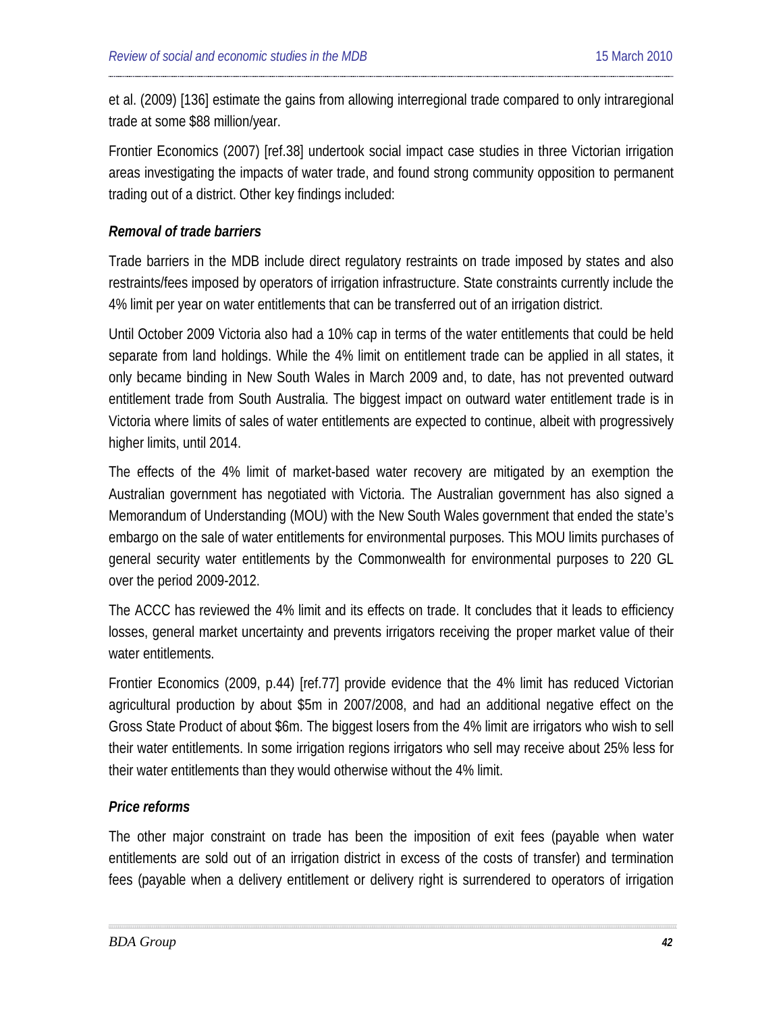et al. (2009) [136] estimate the gains from allowing interregional trade compared to only intraregional trade at some \$88 million/year.

Frontier Economics (2007) [re[f.38\]](#page-89-0) undertook social impact case studies in three Victorian irrigation areas investigating the impacts of water trade, and found strong community opposition to permanent trading out of a district. Other key findings included:

### *Removal of trade barriers*

Trade barriers in the MDB include direct regulatory restraints on trade imposed by states and also restraints/fees imposed by operators of irrigation infrastructure. State constraints currently include the 4% limit per year on water entitlements that can be transferred out of an irrigation district.

Until October 2009 Victoria also had a 10% cap in terms of the water entitlements that could be held separate from land holdings. While the 4% limit on entitlement trade can be applied in all states, it only became binding in New South Wales in March 2009 and, to date, has not prevented outward entitlement trade from South Australia. The biggest impact on outward water entitlement trade is in Victoria where limits of sales of water entitlements are expected to continue, albeit with progressively higher limits, until 2014.

The effects of the 4% limit of market-based water recovery are mitigated by an exemption the Australian government has negotiated with Victoria. The Australian government has also signed a Memorandum of Understanding (MOU) with the New South Wales government that ended the state's embargo on the sale of water entitlements for environmental purposes. This MOU limits purchases of general security water entitlements by the Commonwealth for environmental purposes to 220 GL over the period 2009-2012.

The ACCC has reviewed the 4% limit and its effects on trade. It concludes that it leads to efficiency losses, general market uncertainty and prevents irrigators receiving the proper market value of their water entitlements.

Frontier Economics (2009, p.44) [ref[.77\]](#page-105-0) provide evidence that the 4% limit has reduced Victorian agricultural production by about \$5m in 2007/2008, and had an additional negative effect on the Gross State Product of about \$6m. The biggest losers from the 4% limit are irrigators who wish to sell their water entitlements. In some irrigation regions irrigators who sell may receive about 25% less for their water entitlements than they would otherwise without the 4% limit.

### *Price reforms*

The other major constraint on trade has been the imposition of exit fees (payable when water entitlements are sold out of an irrigation district in excess of the costs of transfer) and termination fees (payable when a delivery entitlement or delivery right is surrendered to operators of irrigation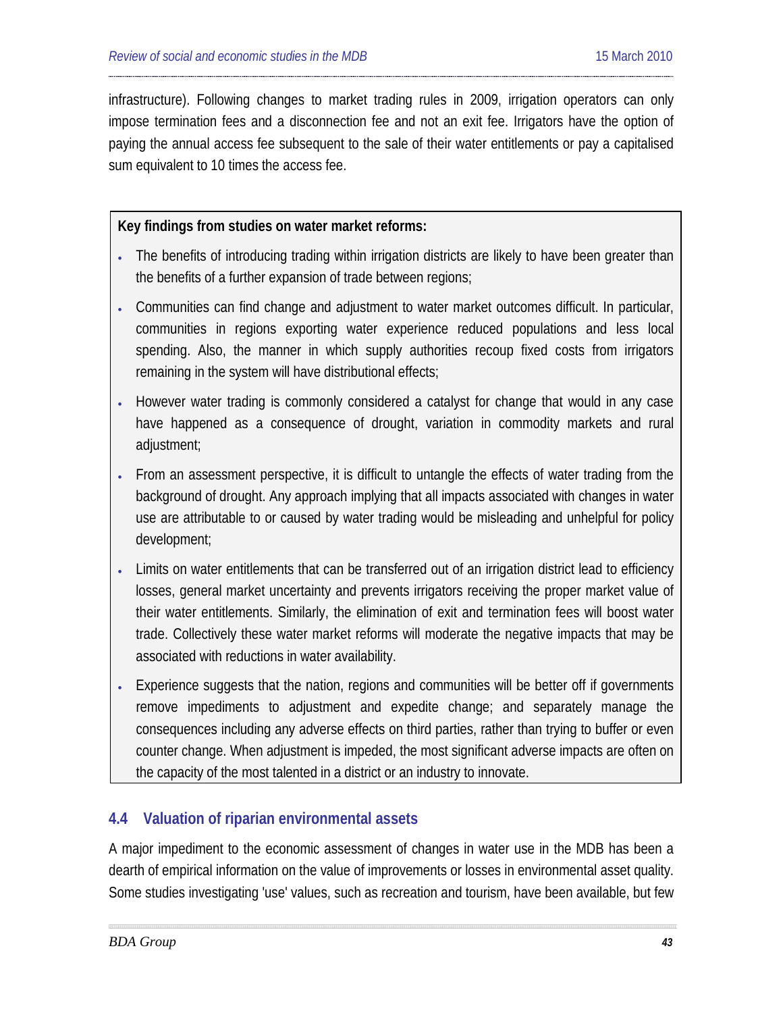infrastructure). Following changes to market trading rules in 2009, irrigation operators can only impose termination fees and a disconnection fee and not an exit fee. Irrigators have the option of paying the annual access fee subsequent to the sale of their water entitlements or pay a capitalised sum equivalent to 10 times the access fee.

# **Key findings from studies on water market reforms:**

- The benefits of introducing trading within irrigation districts are likely to have been greater than the benefits of a further expansion of trade between regions;
- Communities can find change and adjustment to water market outcomes difficult. In particular, communities in regions exporting water experience reduced populations and less local spending. Also, the manner in which supply authorities recoup fixed costs from irrigators remaining in the system will have distributional effects;
- However water trading is commonly considered a catalyst for change that would in any case have happened as a consequence of drought, variation in commodity markets and rural adjustment;
- From an assessment perspective, it is difficult to untangle the effects of water trading from the background of drought. Any approach implying that all impacts associated with changes in water use are attributable to or caused by water trading would be misleading and unhelpful for policy development;
- Limits on water entitlements that can be transferred out of an irrigation district lead to efficiency losses, general market uncertainty and prevents irrigators receiving the proper market value of their water entitlements. Similarly, the elimination of exit and termination fees will boost water trade. Collectively these water market reforms will moderate the negative impacts that may be associated with reductions in water availability.
- Experience suggests that the nation, regions and communities will be better off if governments remove impediments to adjustment and expedite change; and separately manage the consequences including any adverse effects on third parties, rather than trying to buffer or even counter change. When adjustment is impeded, the most significant adverse impacts are often on the capacity of the most talented in a district or an industry to innovate.

# **4.4 Valuation of riparian environmental assets**

A major impediment to the economic assessment of changes in water use in the MDB has been a dearth of empirical information on the value of improvements or losses in environmental asset quality. Some studies investigating 'use' values, such as recreation and tourism, have been available, but few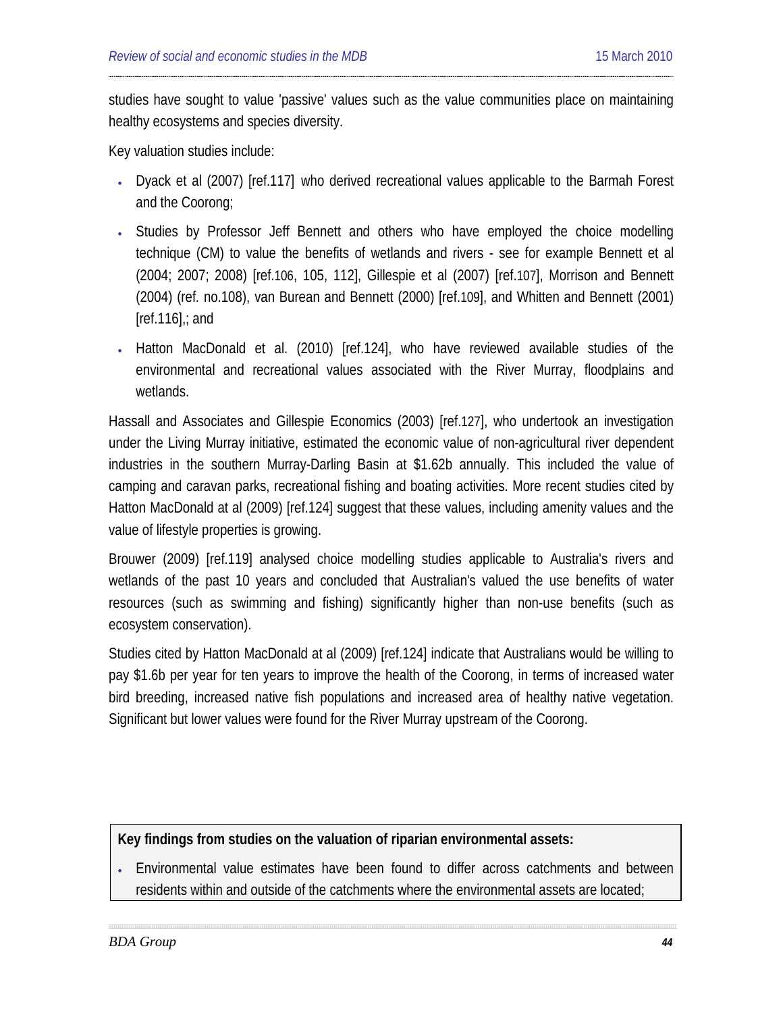studies have sought to value 'passive' values such as the value communities place on maintaining healthy ecosystems and species diversity.

Key valuation studies include:

- Dyack et al (2007) [ref[.117\]](#page-123-0) who derived recreational values applicable to the Barmah Forest and the Coorong;
- Studies by Professor Jeff Bennett and others who have employed the choice modelling technique (CM) to value the benefits of wetlands and rivers - see for example Bennett et al (2004; 2007; 2008) [re[f.106,](#page-119-1) [105,](#page-118-0) [112\]](#page-121-0), Gillespie et al (2007) [ref[.107\]](#page-119-0), Morrison and Bennett (2004) (ref. no[.108\)](#page-120-0), van Burean and Bennett (2000) [ref[.109\]](#page-120-1), and Whitten and Bennett (2001)  $[ref.116]$  $[ref.116]$ ; and
- Hatton MacDonald et al. (2010) [ref[.124\]](#page-125-0), who have reviewed available studies of the environmental and recreational values associated with the River Murray, floodplains and wetlands.

Hassall and Associates and Gillespie Economics (2003) [ref[.127\]](#page-127-1), who undertook an investigation under the Living Murray initiative, estimated the economic value of non-agricultural river dependent industries in the southern Murray-Darling Basin at \$1.62b annually. This included the value of camping and caravan parks, recreational fishing and boating activities. More recent studies cited by Hatton MacDonald at al (2009) [ref[.124\]](#page-125-0) suggest that these values, including amenity values and the value of lifestyle properties is growing.

Brouwer (2009) [ref[.119\]](#page-124-0) analysed choice modelling studies applicable to Australia's rivers and wetlands of the past 10 years and concluded that Australian's valued the use benefits of water resources (such as swimming and fishing) significantly higher than non-use benefits (such as ecosystem conservation).

Studies cited by Hatton MacDonald at al (2009) [re[f.124\]](#page-125-0) indicate that Australians would be willing to pay \$1.6b per year for ten years to improve the health of the Coorong, in terms of increased water bird breeding, increased native fish populations and increased area of healthy native vegetation. Significant but lower values were found for the River Murray upstream of the Coorong.

### **Key findings from studies on the valuation of riparian environmental assets:**

• Environmental value estimates have been found to differ across catchments and between residents within and outside of the catchments where the environmental assets are located;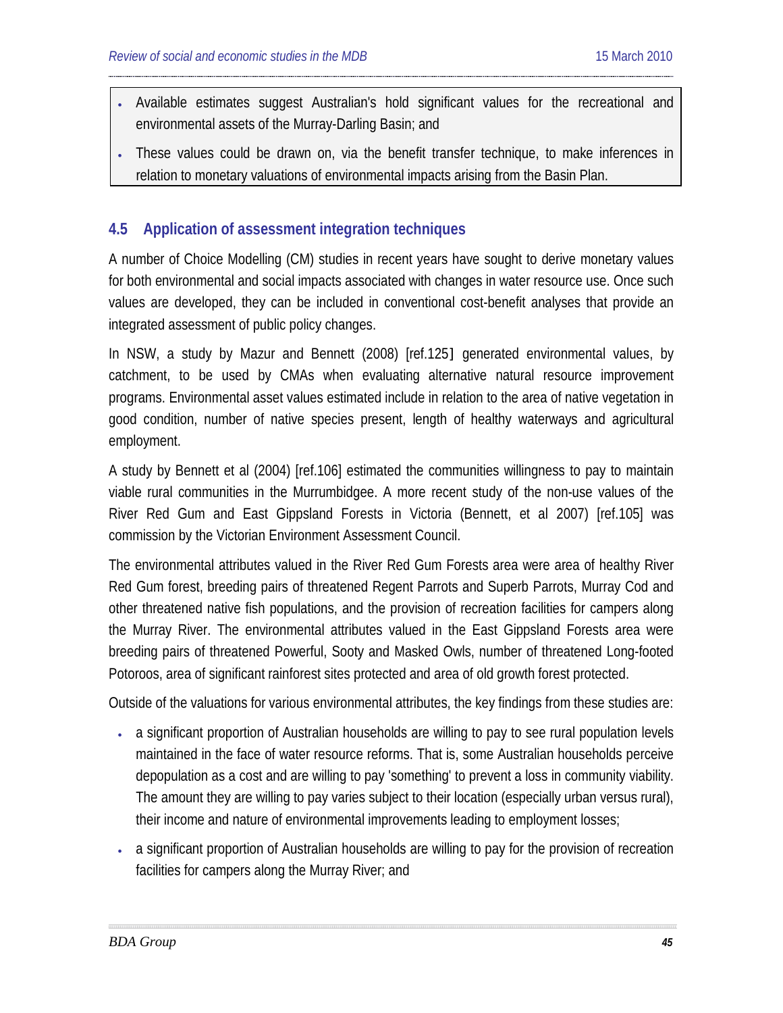- Available estimates suggest Australian's hold significant values for the recreational and environmental assets of the Murray-Darling Basin; and
- These values could be drawn on, via the benefit transfer technique, to make inferences in relation to monetary valuations of environmental impacts arising from the Basin Plan.

# **4.5 Application of assessment integration techniques**

A number of Choice Modelling (CM) studies in recent years have sought to derive monetary values for both environmental and social impacts associated with changes in water resource use. Once such values are developed, they can be included in conventional cost-benefit analyses that provide an integrated assessment of public policy changes.

In NSW, a study by Mazur and Bennett (2008) [ref[.125](#page-126-0)] generated environmental values, by catchment, to be used by CMAs when evaluating alternative natural resource improvement programs. Environmental asset values estimated include in relation to the area of native vegetation in good condition, number of native species present, length of healthy waterways and agricultural employment.

A study by Bennett et al (2004) [ref[.106\]](#page-119-1) estimated the communities willingness to pay to maintain viable rural communities in the Murrumbidgee. A more recent study of the non-use values of the River Red Gum and East Gippsland Forests in Victoria (Bennett, et al 2007) [ref[.105\]](#page-118-0) was commission by the Victorian Environment Assessment Council.

The environmental attributes valued in the River Red Gum Forests area were area of healthy River Red Gum forest, breeding pairs of threatened Regent Parrots and Superb Parrots, Murray Cod and other threatened native fish populations, and the provision of recreation facilities for campers along the Murray River. The environmental attributes valued in the East Gippsland Forests area were breeding pairs of threatened Powerful, Sooty and Masked Owls, number of threatened Long-footed Potoroos, area of significant rainforest sites protected and area of old growth forest protected.

Outside of the valuations for various environmental attributes, the key findings from these studies are:

- a significant proportion of Australian households are willing to pay to see rural population levels maintained in the face of water resource reforms. That is, some Australian households perceive depopulation as a cost and are willing to pay 'something' to prevent a loss in community viability. The amount they are willing to pay varies subject to their location (especially urban versus rural), their income and nature of environmental improvements leading to employment losses;
- a significant proportion of Australian households are willing to pay for the provision of recreation facilities for campers along the Murray River; and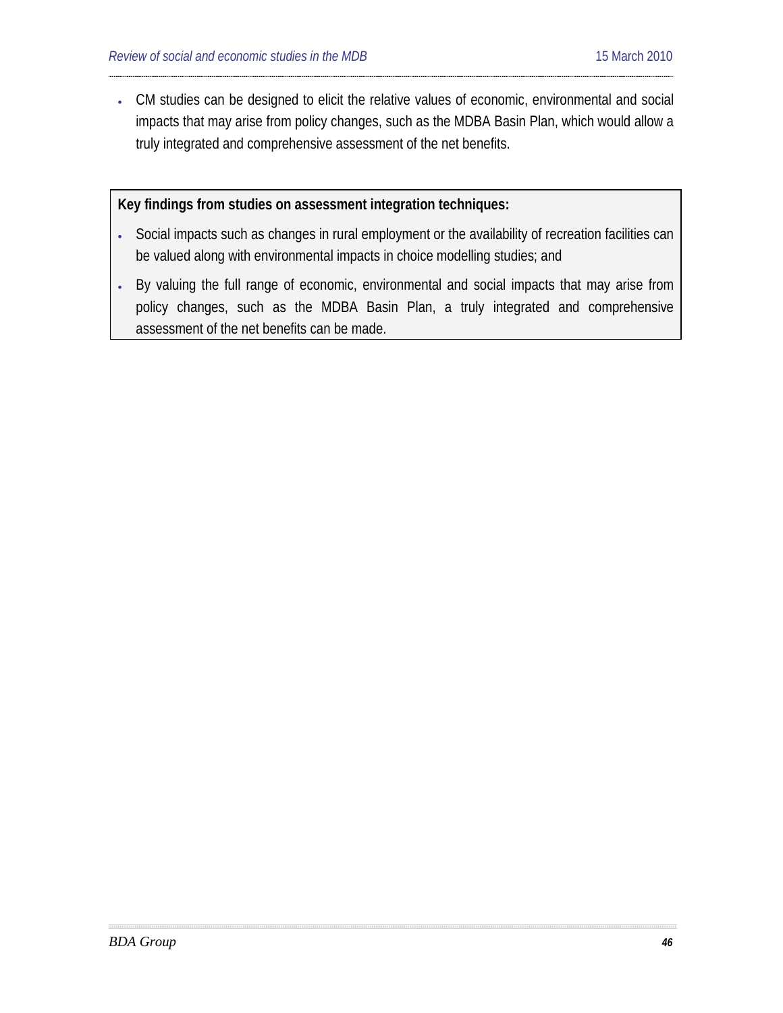• CM studies can be designed to elicit the relative values of economic, environmental and social impacts that may arise from policy changes, such as the MDBA Basin Plan, which would allow a truly integrated and comprehensive assessment of the net benefits.

### **Key findings from studies on assessment integration techniques:**

- Social impacts such as changes in rural employment or the availability of recreation facilities can be valued along with environmental impacts in choice modelling studies; and
- By valuing the full range of economic, environmental and social impacts that may arise from policy changes, such as the MDBA Basin Plan, a truly integrated and comprehensive assessment of the net benefits can be made.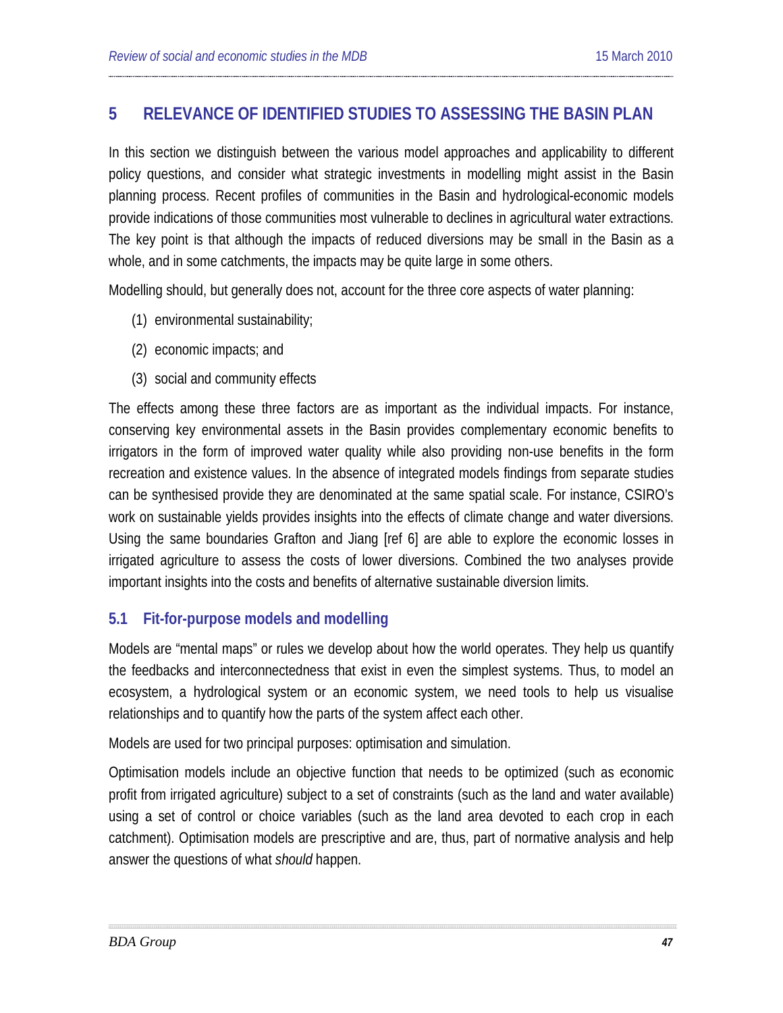# **5 RELEVANCE OF IDENTIFIED STUDIES TO ASSESSING THE BASIN PLAN**

In this section we distinguish between the various model approaches and applicability to different policy questions, and consider what strategic investments in modelling might assist in the Basin planning process. Recent profiles of communities in the Basin and hydrological-economic models provide indications of those communities most vulnerable to declines in agricultural water extractions. The key point is that although the impacts of reduced diversions may be small in the Basin as a whole, and in some catchments, the impacts may be quite large in some others.

Modelling should, but generally does not, account for the three core aspects of water planning:

- (1) environmental sustainability;
- (2) economic impacts; and
- (3) social and community effects

The effects among these three factors are as important as the individual impacts. For instance, conserving key environmental assets in the Basin provides complementary economic benefits to irrigators in the form of improved water quality while also providing non-use benefits in the form recreation and existence values. In the absence of integrated models findings from separate studies can be synthesised provide they are denominated at the same spatial scale. For instance, CSIRO's work on sustainable yields provides insights into the effects of climate change and water diversions. Using the same boundaries Grafton and Jiang [ref 6] are able to explore the economic losses in irrigated agriculture to assess the costs of lower diversions. Combined the two analyses provide important insights into the costs and benefits of alternative sustainable diversion limits.

# **5.1 Fit-for-purpose models and modelling**

Models are "mental maps" or rules we develop about how the world operates. They help us quantify the feedbacks and interconnectedness that exist in even the simplest systems. Thus, to model an ecosystem, a hydrological system or an economic system, we need tools to help us visualise relationships and to quantify how the parts of the system affect each other.

Models are used for two principal purposes: optimisation and simulation.

Optimisation models include an objective function that needs to be optimized (such as economic profit from irrigated agriculture) subject to a set of constraints (such as the land and water available) using a set of control or choice variables (such as the land area devoted to each crop in each catchment). Optimisation models are prescriptive and are, thus, part of normative analysis and help answer the questions of what *should* happen.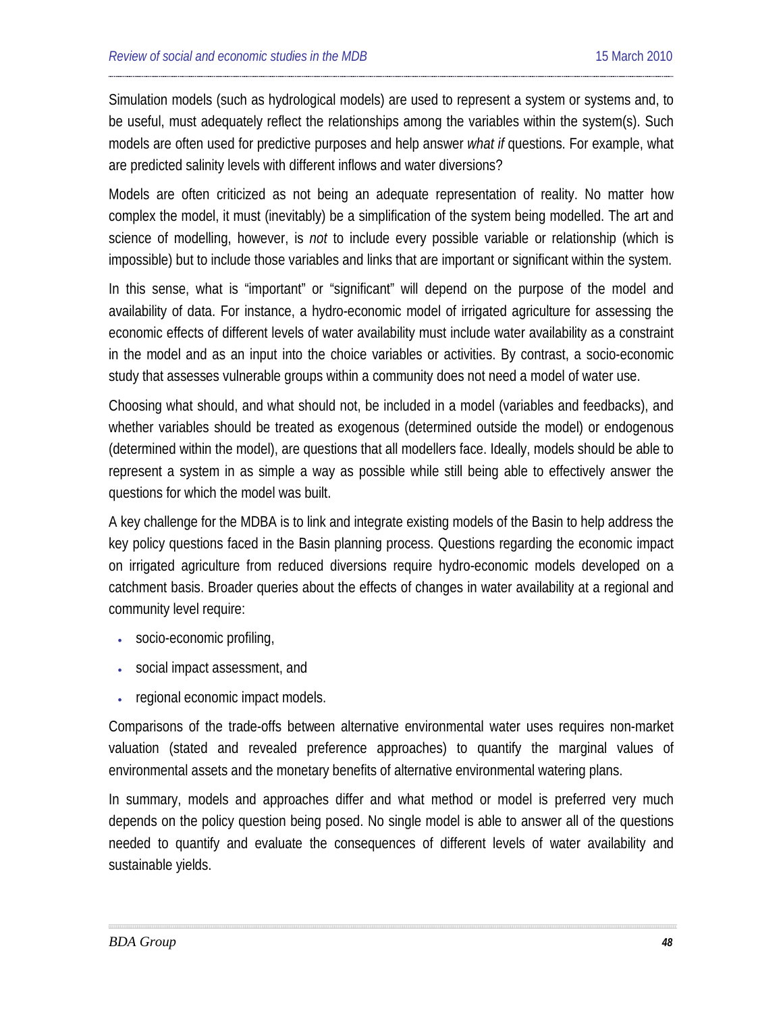Simulation models (such as hydrological models) are used to represent a system or systems and, to be useful, must adequately reflect the relationships among the variables within the system(s). Such models are often used for predictive purposes and help answer *what if* questions. For example, what are predicted salinity levels with different inflows and water diversions?

Models are often criticized as not being an adequate representation of reality. No matter how complex the model, it must (inevitably) be a simplification of the system being modelled. The art and science of modelling, however, is *not* to include every possible variable or relationship (which is impossible) but to include those variables and links that are important or significant within the system.

In this sense, what is "important" or "significant" will depend on the purpose of the model and availability of data. For instance, a hydro-economic model of irrigated agriculture for assessing the economic effects of different levels of water availability must include water availability as a constraint in the model and as an input into the choice variables or activities. By contrast, a socio-economic study that assesses vulnerable groups within a community does not need a model of water use.

Choosing what should, and what should not, be included in a model (variables and feedbacks), and whether variables should be treated as exogenous (determined outside the model) or endogenous (determined within the model), are questions that all modellers face. Ideally, models should be able to represent a system in as simple a way as possible while still being able to effectively answer the questions for which the model was built.

A key challenge for the MDBA is to link and integrate existing models of the Basin to help address the key policy questions faced in the Basin planning process. Questions regarding the economic impact on irrigated agriculture from reduced diversions require hydro-economic models developed on a catchment basis. Broader queries about the effects of changes in water availability at a regional and community level require:

- socio-economic profiling,
- social impact assessment, and
- regional economic impact models.

Comparisons of the trade-offs between alternative environmental water uses requires non-market valuation (stated and revealed preference approaches) to quantify the marginal values of environmental assets and the monetary benefits of alternative environmental watering plans.

In summary, models and approaches differ and what method or model is preferred very much depends on the policy question being posed. No single model is able to answer all of the questions needed to quantify and evaluate the consequences of different levels of water availability and sustainable yields.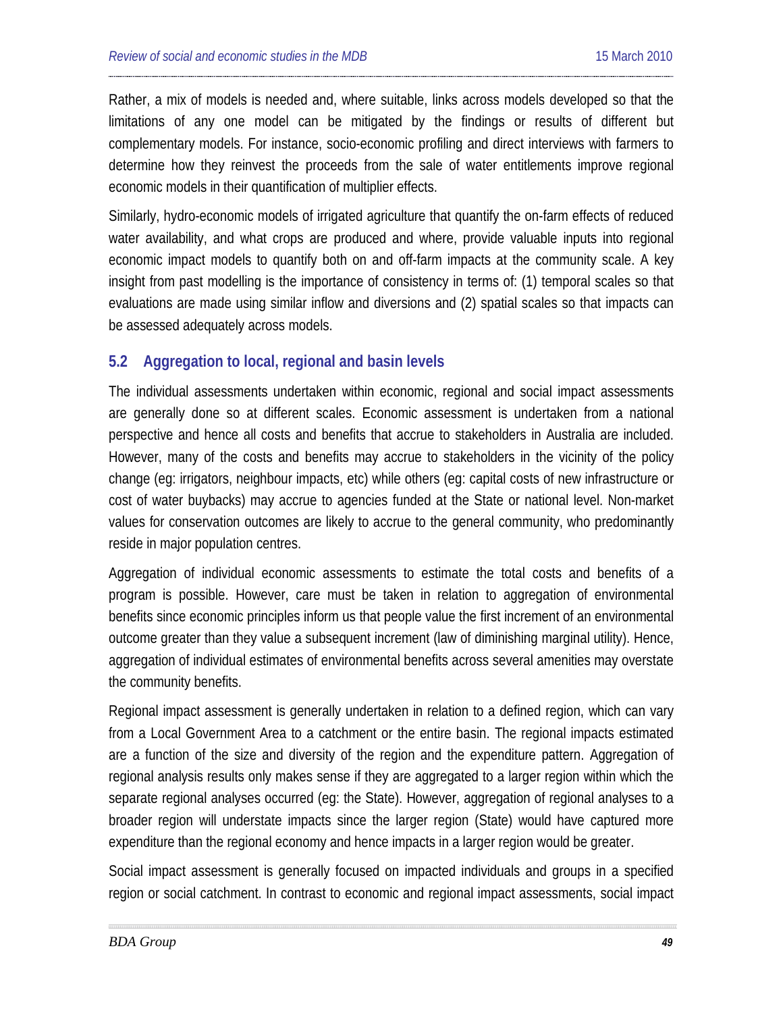Rather, a mix of models is needed and, where suitable, links across models developed so that the limitations of any one model can be mitigated by the findings or results of different but complementary models. For instance, socio-economic profiling and direct interviews with farmers to determine how they reinvest the proceeds from the sale of water entitlements improve regional economic models in their quantification of multiplier effects.

Similarly, hydro-economic models of irrigated agriculture that quantify the on-farm effects of reduced water availability, and what crops are produced and where, provide valuable inputs into regional economic impact models to quantify both on and off-farm impacts at the community scale. A key insight from past modelling is the importance of consistency in terms of: (1) temporal scales so that evaluations are made using similar inflow and diversions and (2) spatial scales so that impacts can be assessed adequately across models.

# **5.2 Aggregation to local, regional and basin levels**

The individual assessments undertaken within economic, regional and social impact assessments are generally done so at different scales. Economic assessment is undertaken from a national perspective and hence all costs and benefits that accrue to stakeholders in Australia are included. However, many of the costs and benefits may accrue to stakeholders in the vicinity of the policy change (eg: irrigators, neighbour impacts, etc) while others (eg: capital costs of new infrastructure or cost of water buybacks) may accrue to agencies funded at the State or national level. Non-market values for conservation outcomes are likely to accrue to the general community, who predominantly reside in major population centres.

Aggregation of individual economic assessments to estimate the total costs and benefits of a program is possible. However, care must be taken in relation to aggregation of environmental benefits since economic principles inform us that people value the first increment of an environmental outcome greater than they value a subsequent increment (law of diminishing marginal utility). Hence, aggregation of individual estimates of environmental benefits across several amenities may overstate the community benefits.

Regional impact assessment is generally undertaken in relation to a defined region, which can vary from a Local Government Area to a catchment or the entire basin. The regional impacts estimated are a function of the size and diversity of the region and the expenditure pattern. Aggregation of regional analysis results only makes sense if they are aggregated to a larger region within which the separate regional analyses occurred (eg: the State). However, aggregation of regional analyses to a broader region will understate impacts since the larger region (State) would have captured more expenditure than the regional economy and hence impacts in a larger region would be greater.

Social impact assessment is generally focused on impacted individuals and groups in a specified region or social catchment. In contrast to economic and regional impact assessments, social impact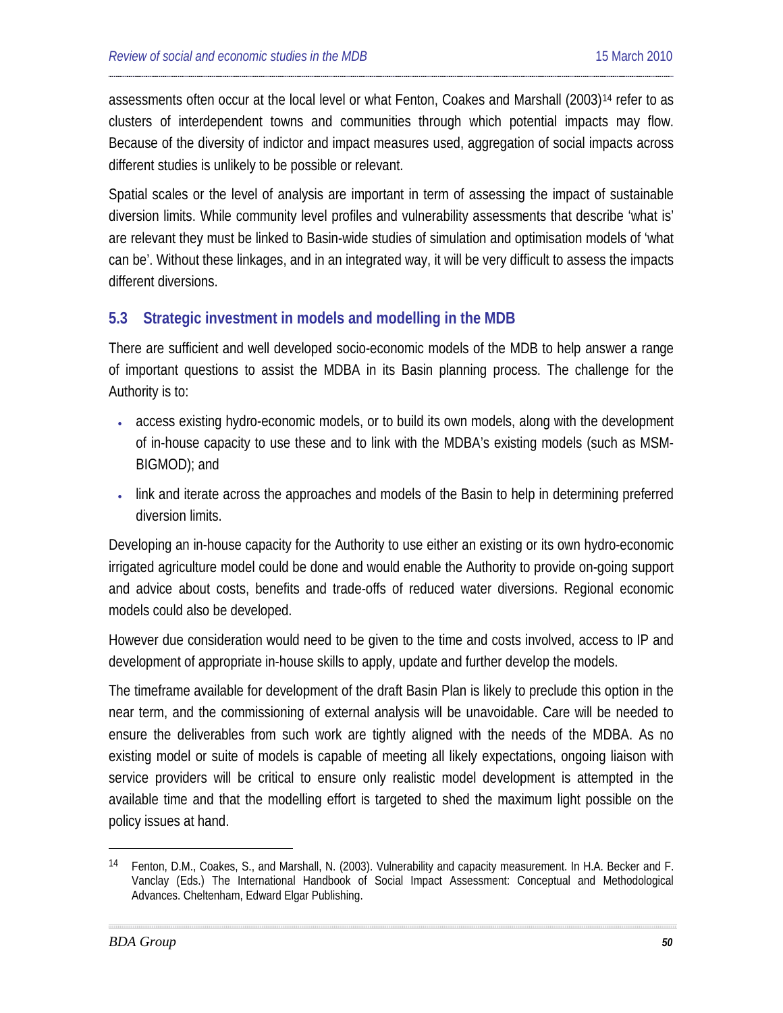assessments often occur at the local level or what Fenton, Coakes and Marshall (2003)[14](#page-49-0) refer to as clusters of interdependent towns and communities through which potential impacts may flow. Because of the diversity of indictor and impact measures used, aggregation of social impacts across different studies is unlikely to be possible or relevant.

Spatial scales or the level of analysis are important in term of assessing the impact of sustainable diversion limits. While community level profiles and vulnerability assessments that describe 'what is' are relevant they must be linked to Basin-wide studies of simulation and optimisation models of 'what can be'. Without these linkages, and in an integrated way, it will be very difficult to assess the impacts different diversions.

# **5.3 Strategic investment in models and modelling in the MDB**

There are sufficient and well developed socio-economic models of the MDB to help answer a range of important questions to assist the MDBA in its Basin planning process. The challenge for the Authority is to:

- access existing hydro-economic models, or to build its own models, along with the development of in-house capacity to use these and to link with the MDBA's existing models (such as MSM-BIGMOD); and
- link and iterate across the approaches and models of the Basin to help in determining preferred diversion limits.

Developing an in-house capacity for the Authority to use either an existing or its own hydro-economic irrigated agriculture model could be done and would enable the Authority to provide on-going support and advice about costs, benefits and trade-offs of reduced water diversions. Regional economic models could also be developed.

However due consideration would need to be given to the time and costs involved, access to IP and development of appropriate in-house skills to apply, update and further develop the models.

The timeframe available for development of the draft Basin Plan is likely to preclude this option in the near term, and the commissioning of external analysis will be unavoidable. Care will be needed to ensure the deliverables from such work are tightly aligned with the needs of the MDBA. As no existing model or suite of models is capable of meeting all likely expectations, ongoing liaison with service providers will be critical to ensure only realistic model development is attempted in the available time and that the modelling effort is targeted to shed the maximum light possible on the policy issues at hand.

-

<span id="page-49-0"></span><sup>14</sup> Fenton, D.M., Coakes, S., and Marshall, N. (2003). Vulnerability and capacity measurement. In H.A. Becker and F. Vanclay (Eds.) The International Handbook of Social Impact Assessment: Conceptual and Methodological Advances. Cheltenham, Edward Elgar Publishing.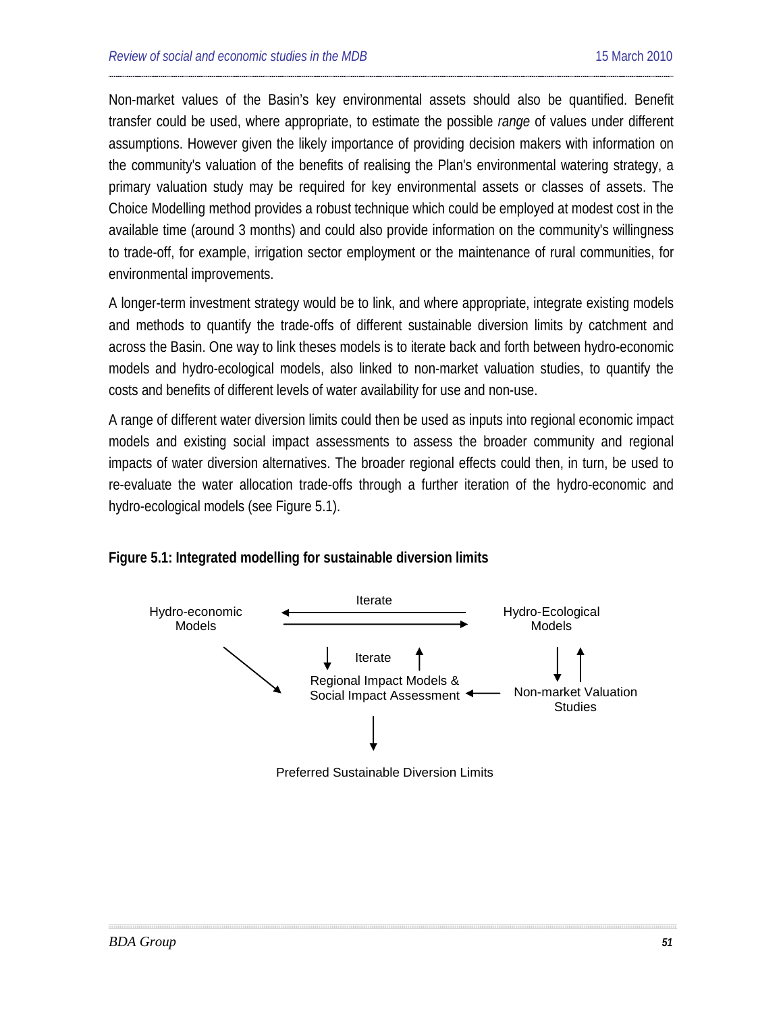Non-market values of the Basin's key environmental assets should also be quantified. Benefit transfer could be used, where appropriate, to estimate the possible *range* of values under different assumptions. However given the likely importance of providing decision makers with information on the community's valuation of the benefits of realising the Plan's environmental watering strategy, a primary valuation study may be required for key environmental assets or classes of assets. The Choice Modelling method provides a robust technique which could be employed at modest cost in the available time (around 3 months) and could also provide information on the community's willingness to trade-off, for example, irrigation sector employment or the maintenance of rural communities, for environmental improvements.

A longer-term investment strategy would be to link, and where appropriate, integrate existing models and methods to quantify the trade-offs of different sustainable diversion limits by catchment and across the Basin. One way to link theses models is to iterate back and forth between hydro-economic models and hydro-ecological models, also linked to non-market valuation studies, to quantify the costs and benefits of different levels of water availability for use and non-use.

A range of different water diversion limits could then be used as inputs into regional economic impact models and existing social impact assessments to assess the broader community and regional impacts of water diversion alternatives. The broader regional effects could then, in turn, be used to re-evaluate the water allocation trade-offs through a further iteration of the hydro-economic and hydro-ecological models (see Figure 5.1).



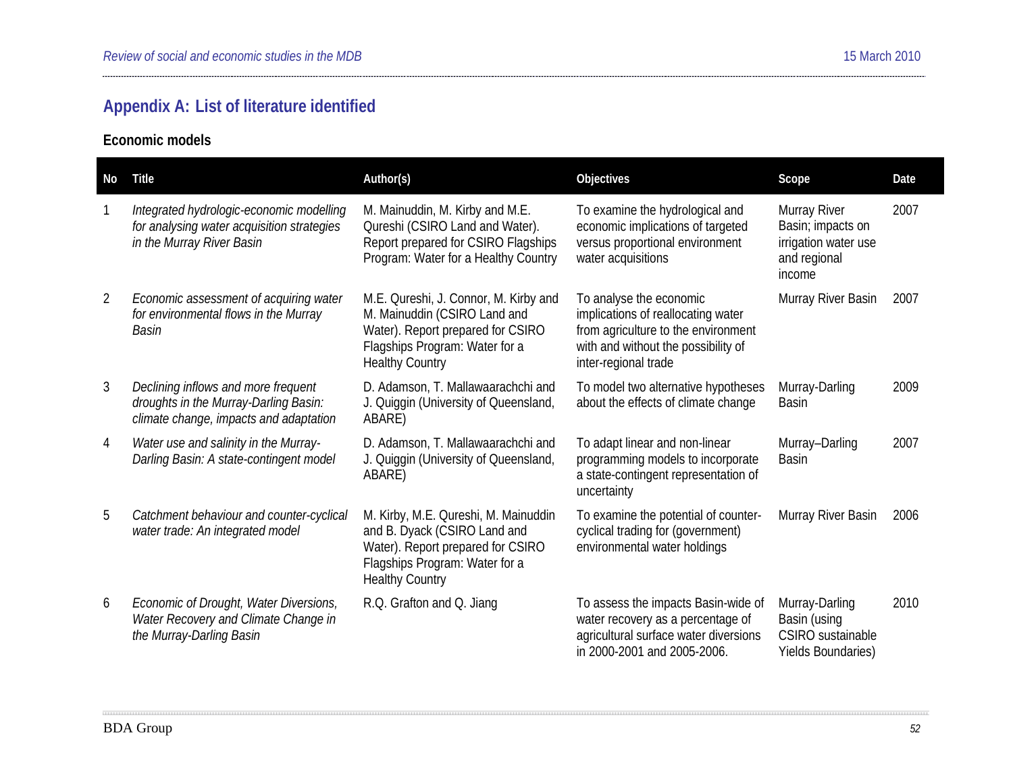# **Appendix A: List of literature identified**

**Economic models** 

| No             | Title                                                                                                                  | Author(s)                                                                                                                                                              | Objectives                                                                                                                                                          | Scope                                                                               | Date |
|----------------|------------------------------------------------------------------------------------------------------------------------|------------------------------------------------------------------------------------------------------------------------------------------------------------------------|---------------------------------------------------------------------------------------------------------------------------------------------------------------------|-------------------------------------------------------------------------------------|------|
|                | Integrated hydrologic-economic modelling<br>for analysing water acquisition strategies<br>in the Murray River Basin    | M. Mainuddin, M. Kirby and M.E.<br>Qureshi (CSIRO Land and Water).<br>Report prepared for CSIRO Flagships<br>Program: Water for a Healthy Country                      | To examine the hydrological and<br>economic implications of targeted<br>versus proportional environment<br>water acquisitions                                       | Murray River<br>Basin; impacts on<br>irrigation water use<br>and regional<br>income | 2007 |
| $\overline{2}$ | Economic assessment of acquiring water<br>for environmental flows in the Murray<br>Basin                               | M.E. Qureshi, J. Connor, M. Kirby and<br>M. Mainuddin (CSIRO Land and<br>Water). Report prepared for CSIRO<br>Flagships Program: Water for a<br><b>Healthy Country</b> | To analyse the economic<br>implications of reallocating water<br>from agriculture to the environment<br>with and without the possibility of<br>inter-regional trade | Murray River Basin                                                                  | 2007 |
| 3              | Declining inflows and more frequent<br>droughts in the Murray-Darling Basin:<br>climate change, impacts and adaptation | D. Adamson, T. Mallawaarachchi and<br>J. Quiggin (University of Queensland,<br>ABARE)                                                                                  | To model two alternative hypotheses<br>about the effects of climate change                                                                                          | Murray-Darling<br><b>Basin</b>                                                      | 2009 |
| 4              | Water use and salinity in the Murray-<br>Darling Basin: A state-contingent model                                       | D. Adamson, T. Mallawaarachchi and<br>J. Quiggin (University of Queensland,<br>ABARE)                                                                                  | To adapt linear and non-linear<br>programming models to incorporate<br>a state-contingent representation of<br>uncertainty                                          | Murray-Darling<br><b>Basin</b>                                                      | 2007 |
| 5              | Catchment behaviour and counter-cyclical<br>water trade: An integrated model                                           | M. Kirby, M.E. Qureshi, M. Mainuddin<br>and B. Dyack (CSIRO Land and<br>Water). Report prepared for CSIRO<br>Flagships Program: Water for a<br><b>Healthy Country</b>  | To examine the potential of counter-<br>cyclical trading for (government)<br>environmental water holdings                                                           | Murray River Basin                                                                  | 2006 |
| 6              | Economic of Drought, Water Diversions,<br>Water Recovery and Climate Change in<br>the Murray-Darling Basin             | R.Q. Grafton and Q. Jiang                                                                                                                                              | To assess the impacts Basin-wide of<br>water recovery as a percentage of<br>agricultural surface water diversions<br>in 2000-2001 and 2005-2006.                    | Murray-Darling<br>Basin (using<br>CSIRO sustainable<br><b>Yields Boundaries)</b>    | 2010 |

-----------------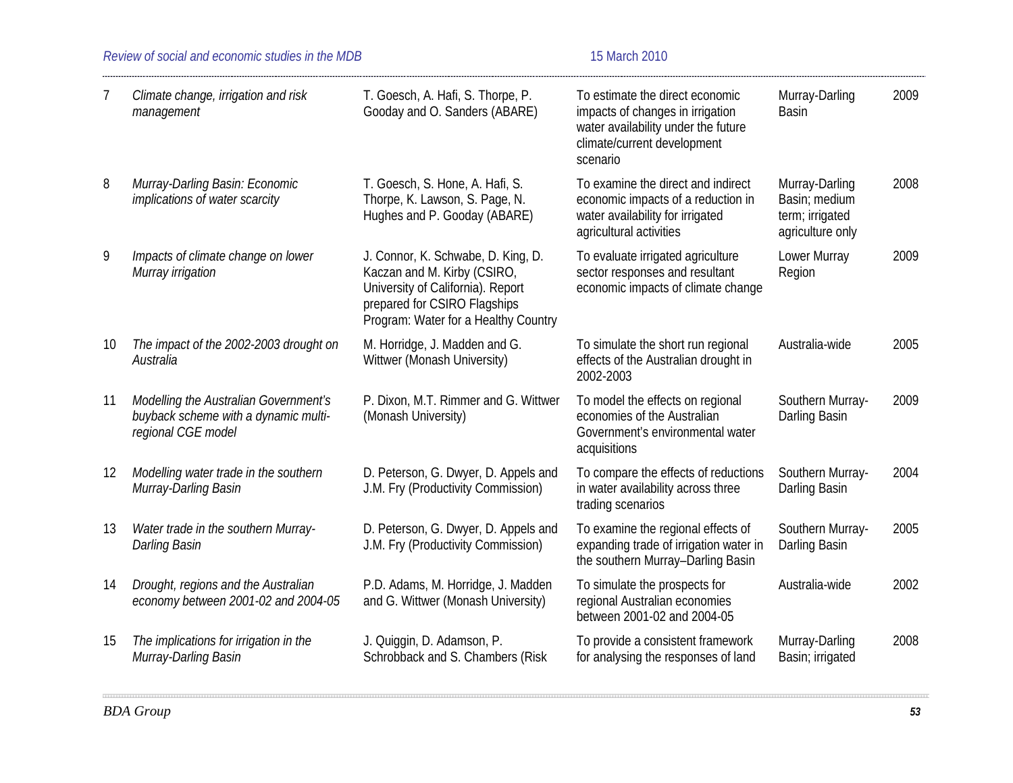### *Review of social and economic studies in the MDB* 15 March 2010

| 7  | Climate change, irrigation and risk<br>management                                                   | T. Goesch, A. Hafi, S. Thorpe, P.<br>Gooday and O. Sanders (ABARE)                                                                                                             | To estimate the direct economic<br>impacts of changes in irrigation<br>water availability under the future<br>climate/current development<br>scenario | Murray-Darling<br><b>Basin</b>                                         | 2009 |
|----|-----------------------------------------------------------------------------------------------------|--------------------------------------------------------------------------------------------------------------------------------------------------------------------------------|-------------------------------------------------------------------------------------------------------------------------------------------------------|------------------------------------------------------------------------|------|
| 8  | Murray-Darling Basin: Economic<br>implications of water scarcity                                    | T. Goesch, S. Hone, A. Hafi, S.<br>Thorpe, K. Lawson, S. Page, N.<br>Hughes and P. Gooday (ABARE)                                                                              | To examine the direct and indirect<br>economic impacts of a reduction in<br>water availability for irrigated<br>agricultural activities               | Murray-Darling<br>Basin; medium<br>term; irrigated<br>agriculture only | 2008 |
| 9  | Impacts of climate change on lower<br>Murray irrigation                                             | J. Connor, K. Schwabe, D. King, D.<br>Kaczan and M. Kirby (CSIRO,<br>University of California). Report<br>prepared for CSIRO Flagships<br>Program: Water for a Healthy Country | To evaluate irrigated agriculture<br>sector responses and resultant<br>economic impacts of climate change                                             | Lower Murray<br>Region                                                 | 2009 |
| 10 | The impact of the 2002-2003 drought on<br>Australia                                                 | M. Horridge, J. Madden and G.<br>Wittwer (Monash University)                                                                                                                   | To simulate the short run regional<br>effects of the Australian drought in<br>2002-2003                                                               | Australia-wide                                                         | 2005 |
| 11 | Modelling the Australian Government's<br>buyback scheme with a dynamic multi-<br>regional CGE model | P. Dixon, M.T. Rimmer and G. Wittwer<br>(Monash University)                                                                                                                    | To model the effects on regional<br>economies of the Australian<br>Government's environmental water<br>acquisitions                                   | Southern Murray-<br>Darling Basin                                      | 2009 |
| 12 | Modelling water trade in the southern<br>Murray-Darling Basin                                       | D. Peterson, G. Dwyer, D. Appels and<br>J.M. Fry (Productivity Commission)                                                                                                     | To compare the effects of reductions<br>in water availability across three<br>trading scenarios                                                       | Southern Murray-<br>Darling Basin                                      | 2004 |
| 13 | Water trade in the southern Murray-<br>Darling Basin                                                | D. Peterson, G. Dwyer, D. Appels and<br>J.M. Fry (Productivity Commission)                                                                                                     | To examine the regional effects of<br>expanding trade of irrigation water in<br>the southern Murray-Darling Basin                                     | Southern Murray-<br>Darling Basin                                      | 2005 |
| 14 | Drought, regions and the Australian<br>economy between 2001-02 and 2004-05                          | P.D. Adams, M. Horridge, J. Madden<br>and G. Wittwer (Monash University)                                                                                                       | To simulate the prospects for<br>regional Australian economies<br>between 2001-02 and 2004-05                                                         | Australia-wide                                                         | 2002 |
| 15 | The implications for irrigation in the<br>Murray-Darling Basin                                      | J. Quiggin, D. Adamson, P.<br>Schrobback and S. Chambers (Risk                                                                                                                 | To provide a consistent framework<br>for analysing the responses of land                                                                              | Murray-Darling<br>Basin; irrigated                                     | 2008 |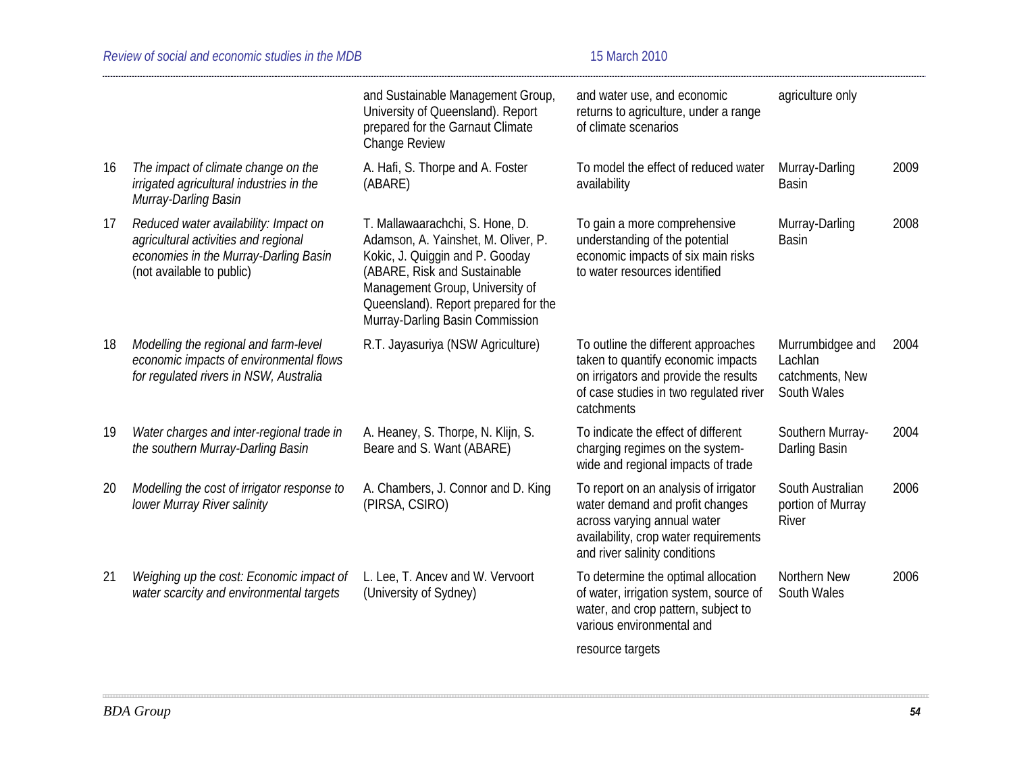|    |                                                                                                                                                     | and Sustainable Management Group,<br>University of Queensland). Report<br>prepared for the Garnaut Climate<br>Change Review                                                                                                                             | and water use, and economic<br>returns to agriculture, under a range<br>of climate scenarios                                                                                      | agriculture only                                              |      |
|----|-----------------------------------------------------------------------------------------------------------------------------------------------------|---------------------------------------------------------------------------------------------------------------------------------------------------------------------------------------------------------------------------------------------------------|-----------------------------------------------------------------------------------------------------------------------------------------------------------------------------------|---------------------------------------------------------------|------|
| 16 | The impact of climate change on the<br>irrigated agricultural industries in the<br>Murray-Darling Basin                                             | A. Hafi, S. Thorpe and A. Foster<br>(ABARE)                                                                                                                                                                                                             | To model the effect of reduced water<br>availability                                                                                                                              | Murray-Darling<br><b>Basin</b>                                | 2009 |
| 17 | Reduced water availability: Impact on<br>agricultural activities and regional<br>economies in the Murray-Darling Basin<br>(not available to public) | T. Mallawaarachchi, S. Hone, D.<br>Adamson, A. Yainshet, M. Oliver, P.<br>Kokic, J. Quiggin and P. Gooday<br>(ABARE, Risk and Sustainable<br>Management Group, University of<br>Queensland). Report prepared for the<br>Murray-Darling Basin Commission | To gain a more comprehensive<br>understanding of the potential<br>economic impacts of six main risks<br>to water resources identified                                             | Murray-Darling<br><b>Basin</b>                                | 2008 |
| 18 | Modelling the regional and farm-level<br>economic impacts of environmental flows<br>for regulated rivers in NSW, Australia                          | R.T. Jayasuriya (NSW Agriculture)                                                                                                                                                                                                                       | To outline the different approaches<br>taken to quantify economic impacts<br>on irrigators and provide the results<br>of case studies in two regulated river<br>catchments        | Murrumbidgee and<br>Lachlan<br>catchments, New<br>South Wales | 2004 |
| 19 | Water charges and inter-regional trade in<br>the southern Murray-Darling Basin                                                                      | A. Heaney, S. Thorpe, N. Klijn, S.<br>Beare and S. Want (ABARE)                                                                                                                                                                                         | To indicate the effect of different<br>charging regimes on the system-<br>wide and regional impacts of trade                                                                      | Southern Murray-<br>Darling Basin                             | 2004 |
| 20 | Modelling the cost of irrigator response to<br>lower Murray River salinity                                                                          | A. Chambers, J. Connor and D. King<br>(PIRSA, CSIRO)                                                                                                                                                                                                    | To report on an analysis of irrigator<br>water demand and profit changes<br>across varying annual water<br>availability, crop water requirements<br>and river salinity conditions | South Australian<br>portion of Murray<br>River                | 2006 |
| 21 | Weighing up the cost: Economic impact of<br>water scarcity and environmental targets                                                                | L. Lee, T. Ancev and W. Vervoort<br>(University of Sydney)                                                                                                                                                                                              | To determine the optimal allocation<br>of water, irrigation system, source of<br>water, and crop pattern, subject to<br>various environmental and                                 | Northern New<br>South Wales                                   | 2006 |
|    |                                                                                                                                                     |                                                                                                                                                                                                                                                         | resource targets                                                                                                                                                                  |                                                               |      |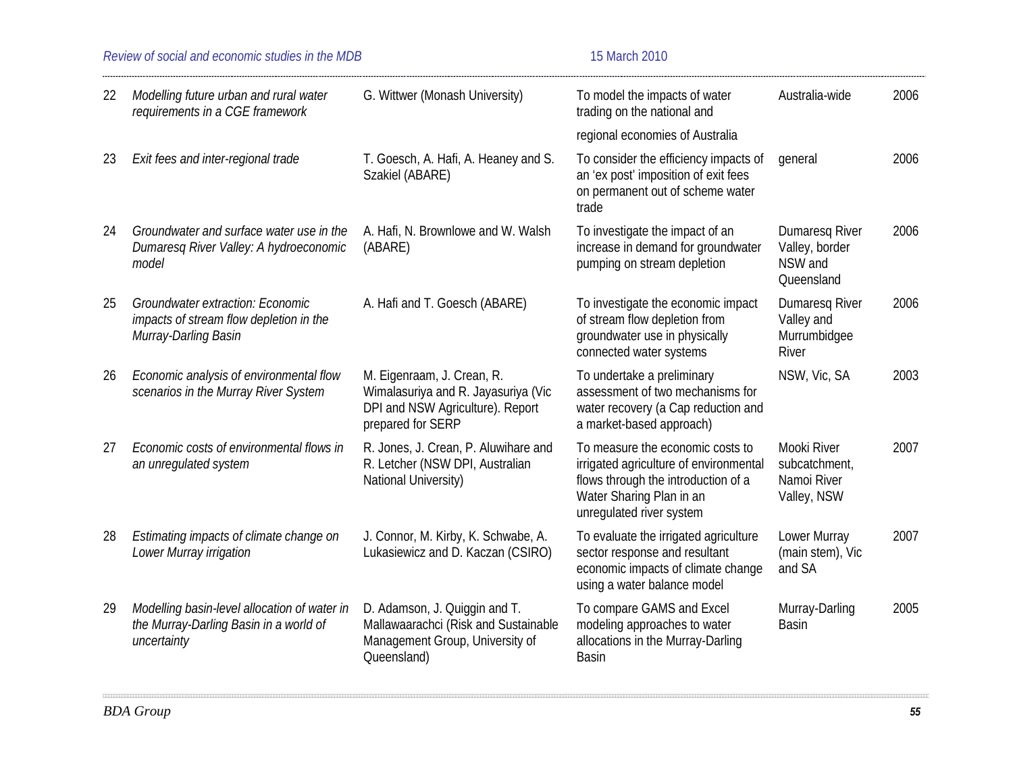|    | Review of social and economic studies in the MDB                                                           | 15 March 2010                                                                                                              |                                                                                                                                                                           |                                                            |      |
|----|------------------------------------------------------------------------------------------------------------|----------------------------------------------------------------------------------------------------------------------------|---------------------------------------------------------------------------------------------------------------------------------------------------------------------------|------------------------------------------------------------|------|
| 22 | Modelling future urban and rural water<br>requirements in a CGE framework                                  | G. Wittwer (Monash University)                                                                                             | To model the impacts of water<br>trading on the national and                                                                                                              | Australia-wide                                             | 2006 |
|    |                                                                                                            |                                                                                                                            | regional economies of Australia                                                                                                                                           |                                                            |      |
| 23 | Exit fees and inter-regional trade                                                                         | T. Goesch, A. Hafi, A. Heaney and S.<br>Szakiel (ABARE)                                                                    | To consider the efficiency impacts of<br>an 'ex post' imposition of exit fees<br>on permanent out of scheme water<br>trade                                                | general                                                    | 2006 |
| 24 | Groundwater and surface water use in the<br>Dumaresq River Valley: A hydroeconomic<br>model                | A. Hafi, N. Brownlowe and W. Walsh<br>(ABARE)                                                                              | To investigate the impact of an<br>increase in demand for groundwater<br>pumping on stream depletion                                                                      | Dumaresq River<br>Valley, border<br>NSW and<br>Queensland  | 2006 |
| 25 | <b>Groundwater extraction: Economic</b><br>impacts of stream flow depletion in the<br>Murray-Darling Basin | A. Hafi and T. Goesch (ABARE)                                                                                              | To investigate the economic impact<br>of stream flow depletion from<br>groundwater use in physically<br>connected water systems                                           | Dumaresq River<br>Valley and<br>Murrumbidgee<br>River      | 2006 |
| 26 | Economic analysis of environmental flow<br>scenarios in the Murray River System                            | M. Eigenraam, J. Crean, R.<br>Wimalasuriya and R. Jayasuriya (Vic<br>DPI and NSW Agriculture). Report<br>prepared for SERP | To undertake a preliminary<br>assessment of two mechanisms for<br>water recovery (a Cap reduction and<br>a market-based approach)                                         | NSW, Vic, SA                                               | 2003 |
| 27 | Economic costs of environmental flows in<br>an unregulated system                                          | R. Jones, J. Crean, P. Aluwihare and<br>R. Letcher (NSW DPI, Australian<br>National University)                            | To measure the economic costs to<br>irrigated agriculture of environmental<br>flows through the introduction of a<br>Water Sharing Plan in an<br>unregulated river system | Mooki River<br>subcatchment,<br>Namoi River<br>Valley, NSW | 2007 |
| 28 | Estimating impacts of climate change on<br>Lower Murray irrigation                                         | J. Connor, M. Kirby, K. Schwabe, A.<br>Lukasiewicz and D. Kaczan (CSIRO)                                                   | To evaluate the irrigated agriculture<br>sector response and resultant<br>economic impacts of climate change<br>using a water balance model                               | Lower Murray<br>(main stem), Vic<br>and SA                 | 2007 |
| 29 | Modelling basin-level allocation of water in<br>the Murray-Darling Basin in a world of<br>uncertainty      | D. Adamson, J. Quiggin and T.<br>Mallawaarachci (Risk and Sustainable<br>Management Group, University of<br>Queensland)    | To compare GAMS and Excel<br>modeling approaches to water<br>allocations in the Murray-Darling<br><b>Basin</b>                                                            | Murray-Darling<br><b>Basin</b>                             | 2005 |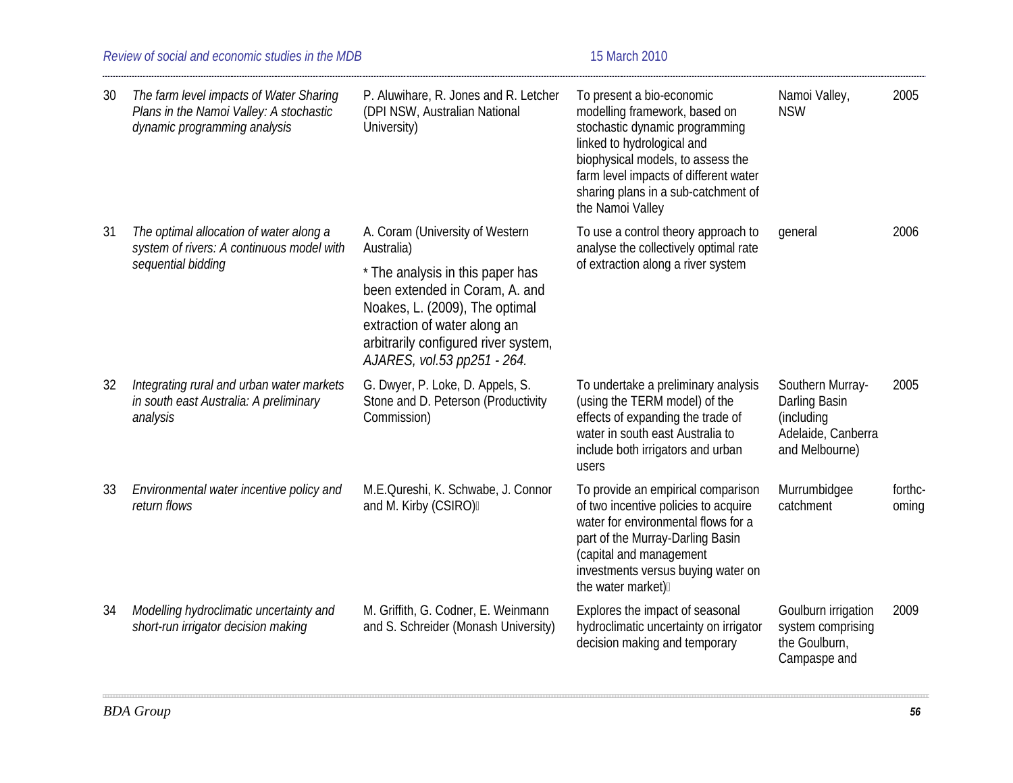| 30 | The farm level impacts of Water Sharing<br>Plans in the Namoi Valley: A stochastic<br>dynamic programming analysis | P. Aluwihare, R. Jones and R. Letcher<br>(DPI NSW, Australian National<br>University)                                                                                                                                                                        | To present a bio-economic<br>modelling framework, based on<br>stochastic dynamic programming<br>linked to hydrological and<br>biophysical models, to assess the<br>farm level impacts of different water<br>sharing plans in a sub-catchment of<br>the Namoi Valley | Namoi Valley,<br><b>NSW</b>                                                             | 2005             |
|----|--------------------------------------------------------------------------------------------------------------------|--------------------------------------------------------------------------------------------------------------------------------------------------------------------------------------------------------------------------------------------------------------|---------------------------------------------------------------------------------------------------------------------------------------------------------------------------------------------------------------------------------------------------------------------|-----------------------------------------------------------------------------------------|------------------|
| 31 | The optimal allocation of water along a<br>system of rivers: A continuous model with<br>sequential bidding         | A. Coram (University of Western<br>Australia)<br>* The analysis in this paper has<br>been extended in Coram, A. and<br>Noakes, L. (2009), The optimal<br>extraction of water along an<br>arbitrarily configured river system,<br>AJARES, vol.53 pp251 - 264. | To use a control theory approach to<br>analyse the collectively optimal rate<br>of extraction along a river system                                                                                                                                                  | general                                                                                 | 2006             |
| 32 | Integrating rural and urban water markets<br>in south east Australia: A preliminary<br>analysis                    | G. Dwyer, P. Loke, D. Appels, S.<br>Stone and D. Peterson (Productivity<br>Commission)                                                                                                                                                                       | To undertake a preliminary analysis<br>(using the TERM model) of the<br>effects of expanding the trade of<br>water in south east Australia to<br>include both irrigators and urban<br>users                                                                         | Southern Murray-<br>Darling Basin<br>(including<br>Adelaide, Canberra<br>and Melbourne) | 2005             |
| 33 | Environmental water incentive policy and<br>return flows                                                           | M.E.Qureshi, K. Schwabe, J. Connor<br>and M. Kirby (CSIRO)                                                                                                                                                                                                   | To provide an empirical comparison<br>of two incentive policies to acquire<br>water for environmental flows for a<br>part of the Murray-Darling Basin<br>(capital and management<br>investments versus buying water on<br>the water market)                         | Murrumbidgee<br>catchment                                                               | forthc-<br>oming |
| 34 | Modelling hydroclimatic uncertainty and<br>short-run irrigator decision making                                     | M. Griffith, G. Codner, E. Weinmann<br>and S. Schreider (Monash University)                                                                                                                                                                                  | Explores the impact of seasonal<br>hydroclimatic uncertainty on irrigator<br>decision making and temporary                                                                                                                                                          | Goulburn irrigation<br>system comprising<br>the Goulburn,<br>Campaspe and               | 2009             |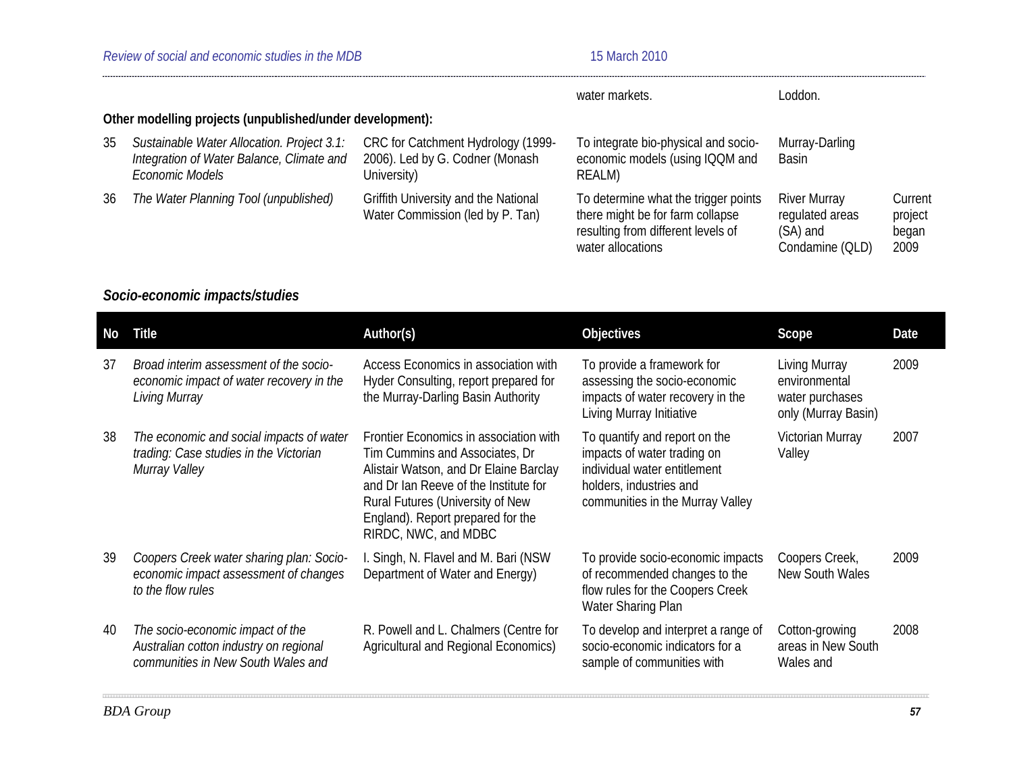|    |                                                                                                            |                                                                                      | water markets.                                                                                                                      | Loddon.                                                               |                                     |  |  |
|----|------------------------------------------------------------------------------------------------------------|--------------------------------------------------------------------------------------|-------------------------------------------------------------------------------------------------------------------------------------|-----------------------------------------------------------------------|-------------------------------------|--|--|
|    | Other modelling projects (unpublished/under development):                                                  |                                                                                      |                                                                                                                                     |                                                                       |                                     |  |  |
| 35 | Sustainable Water Allocation. Project 3.1:<br>Integration of Water Balance, Climate and<br>Economic Models | CRC for Catchment Hydrology (1999-<br>2006). Led by G. Codner (Monash<br>University) | To integrate bio-physical and socio-<br>economic models (using IQQM and<br>REALM)                                                   | Murray-Darling<br><b>Basin</b>                                        |                                     |  |  |
| 36 | The Water Planning Tool (unpublished)                                                                      | Griffith University and the National<br>Water Commission (led by P. Tan)             | To determine what the trigger points<br>there might be for farm collapse<br>resulting from different levels of<br>water allocations | <b>River Murray</b><br>regulated areas<br>(SA) and<br>Condamine (QLD) | Current<br>project<br>began<br>2009 |  |  |

# *Socio-economic impacts/studies*

| No | <b>Title</b>                                                                                                     | Author(s)                                                                                                                                                                                                                                                    | Objectives                                                                                                                                                  | Scope                                                                    | Date |
|----|------------------------------------------------------------------------------------------------------------------|--------------------------------------------------------------------------------------------------------------------------------------------------------------------------------------------------------------------------------------------------------------|-------------------------------------------------------------------------------------------------------------------------------------------------------------|--------------------------------------------------------------------------|------|
| 37 | Broad interim assessment of the socio-<br>economic impact of water recovery in the<br>Living Murray              | Access Economics in association with<br>Hyder Consulting, report prepared for<br>the Murray-Darling Basin Authority                                                                                                                                          | To provide a framework for<br>assessing the socio-economic<br>impacts of water recovery in the<br>Living Murray Initiative                                  | Living Murray<br>environmental<br>water purchases<br>only (Murray Basin) | 2009 |
| 38 | The economic and social impacts of water<br>trading: Case studies in the Victorian<br>Murray Valley              | Frontier Economics in association with<br>Tim Cummins and Associates, Dr<br>Alistair Watson, and Dr Elaine Barclay<br>and Dr Ian Reeve of the Institute for<br>Rural Futures (University of New<br>England). Report prepared for the<br>RIRDC, NWC, and MDBC | To quantify and report on the<br>impacts of water trading on<br>individual water entitlement<br>holders, industries and<br>communities in the Murray Valley | Victorian Murray<br>Valley                                               | 2007 |
| 39 | Coopers Creek water sharing plan: Socio-<br>economic impact assessment of changes<br>to the flow rules           | I. Singh, N. Flavel and M. Bari (NSW<br>Department of Water and Energy)                                                                                                                                                                                      | To provide socio-economic impacts<br>of recommended changes to the<br>flow rules for the Coopers Creek<br>Water Sharing Plan                                | Coopers Creek,<br>New South Wales                                        | 2009 |
| 40 | The socio-economic impact of the<br>Australian cotton industry on regional<br>communities in New South Wales and | R. Powell and L. Chalmers (Centre for<br>Agricultural and Regional Economics)                                                                                                                                                                                | To develop and interpret a range of<br>socio-economic indicators for a<br>sample of communities with                                                        | Cotton-growing<br>areas in New South<br>Wales and                        | 2008 |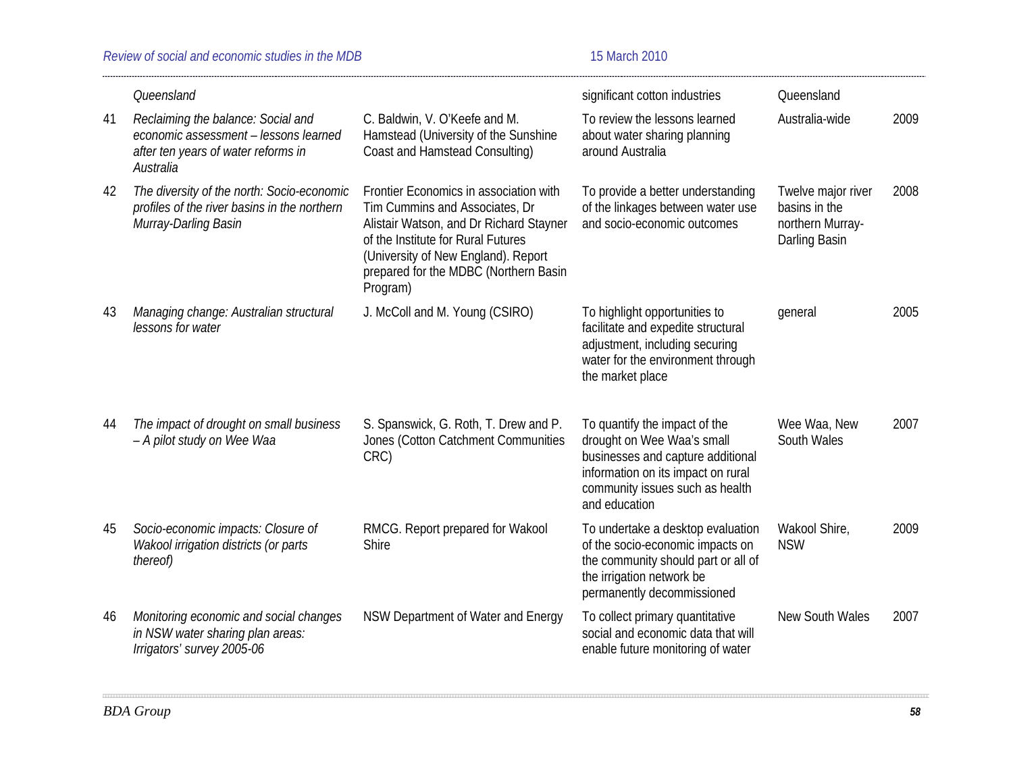|    | Queensland                                                                                                                      |                                                                                                                                                                                                                                                       | significant cotton industries                                                                                                                                                              | Queensland                                                               |      |
|----|---------------------------------------------------------------------------------------------------------------------------------|-------------------------------------------------------------------------------------------------------------------------------------------------------------------------------------------------------------------------------------------------------|--------------------------------------------------------------------------------------------------------------------------------------------------------------------------------------------|--------------------------------------------------------------------------|------|
| 41 | Reclaiming the balance: Social and<br>economic assessment - lessons learned<br>after ten years of water reforms in<br>Australia | C. Baldwin, V. O'Keefe and M.<br>Hamstead (University of the Sunshine<br>Coast and Hamstead Consulting)                                                                                                                                               | To review the lessons learned<br>about water sharing planning<br>around Australia                                                                                                          | Australia-wide                                                           | 2009 |
| 42 | The diversity of the north: Socio-economic<br>profiles of the river basins in the northern<br>Murray-Darling Basin              | Frontier Economics in association with<br>Tim Cummins and Associates, Dr<br>Alistair Watson, and Dr Richard Stayner<br>of the Institute for Rural Futures<br>(University of New England). Report<br>prepared for the MDBC (Northern Basin<br>Program) | To provide a better understanding<br>of the linkages between water use<br>and socio-economic outcomes                                                                                      | Twelve major river<br>basins in the<br>northern Murray-<br>Darling Basin | 2008 |
| 43 | Managing change: Australian structural<br>lessons for water                                                                     | J. McColl and M. Young (CSIRO)                                                                                                                                                                                                                        | To highlight opportunities to<br>facilitate and expedite structural<br>adjustment, including securing<br>water for the environment through<br>the market place                             | general                                                                  | 2005 |
| 44 | The impact of drought on small business<br>- A pilot study on Wee Waa                                                           | S. Spanswick, G. Roth, T. Drew and P.<br>Jones (Cotton Catchment Communities<br>CRC)                                                                                                                                                                  | To quantify the impact of the<br>drought on Wee Waa's small<br>businesses and capture additional<br>information on its impact on rural<br>community issues such as health<br>and education | Wee Waa, New<br>South Wales                                              | 2007 |
| 45 | Socio-economic impacts: Closure of<br>Wakool irrigation districts (or parts<br>thereof)                                         | RMCG. Report prepared for Wakool<br>Shire                                                                                                                                                                                                             | To undertake a desktop evaluation<br>of the socio-economic impacts on<br>the community should part or all of<br>the irrigation network be<br>permanently decommissioned                    | Wakool Shire,<br><b>NSW</b>                                              | 2009 |
| 46 | Monitoring economic and social changes<br>in NSW water sharing plan areas:<br>Irrigators' survey 2005-06                        | NSW Department of Water and Energy                                                                                                                                                                                                                    | To collect primary quantitative<br>social and economic data that will<br>enable future monitoring of water                                                                                 | <b>New South Wales</b>                                                   | 2007 |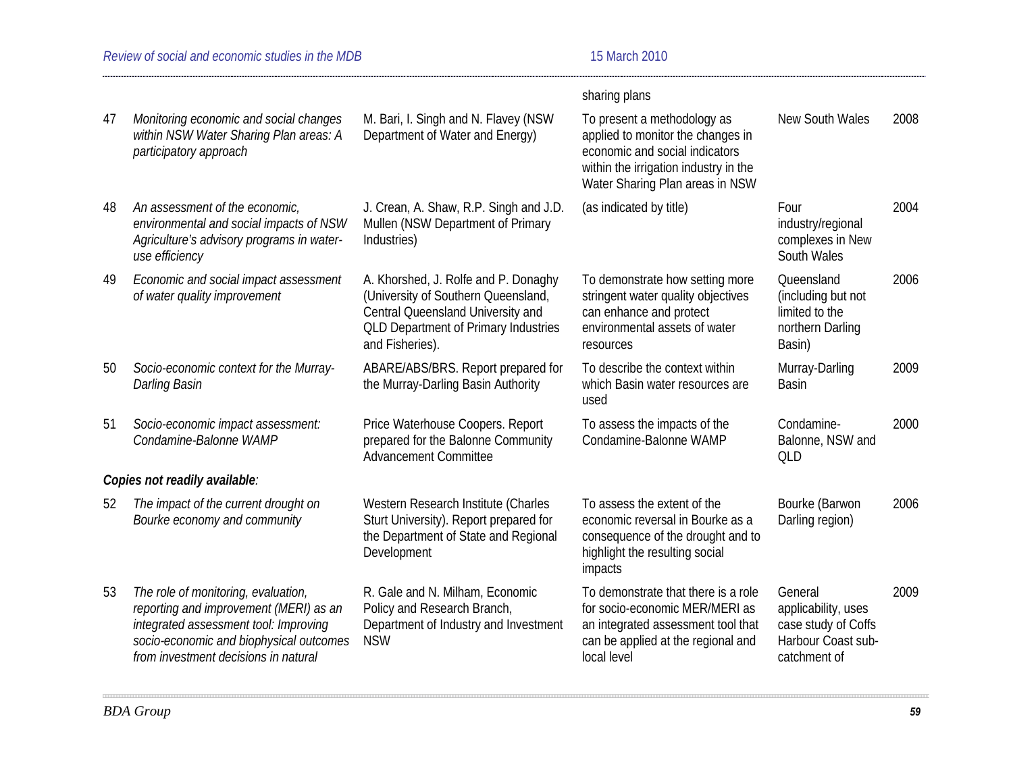|    |                                                                                                                                                                                                           |                                                                                                                                                                                    | sharing plans                                                                                                                                                                  |                                                                                             |      |
|----|-----------------------------------------------------------------------------------------------------------------------------------------------------------------------------------------------------------|------------------------------------------------------------------------------------------------------------------------------------------------------------------------------------|--------------------------------------------------------------------------------------------------------------------------------------------------------------------------------|---------------------------------------------------------------------------------------------|------|
| 47 | Monitoring economic and social changes<br>within NSW Water Sharing Plan areas: A<br>participatory approach                                                                                                | M. Bari, I. Singh and N. Flavey (NSW<br>Department of Water and Energy)                                                                                                            | To present a methodology as<br>applied to monitor the changes in<br>economic and social indicators<br>within the irrigation industry in the<br>Water Sharing Plan areas in NSW | New South Wales                                                                             | 2008 |
| 48 | An assessment of the economic,<br>environmental and social impacts of NSW<br>Agriculture's advisory programs in water-<br>use efficiency                                                                  | J. Crean, A. Shaw, R.P. Singh and J.D.<br>Mullen (NSW Department of Primary<br>Industries)                                                                                         | (as indicated by title)                                                                                                                                                        | Four<br>industry/regional<br>complexes in New<br>South Wales                                | 2004 |
| 49 | Economic and social impact assessment<br>of water quality improvement                                                                                                                                     | A. Khorshed, J. Rolfe and P. Donaghy<br>(University of Southern Queensland,<br>Central Queensland University and<br><b>QLD Department of Primary Industries</b><br>and Fisheries). | To demonstrate how setting more<br>stringent water quality objectives<br>can enhance and protect<br>environmental assets of water<br>resources                                 | Queensland<br>(including but not<br>limited to the<br>northern Darling<br>Basin)            | 2006 |
| 50 | Socio-economic context for the Murray-<br>Darling Basin                                                                                                                                                   | ABARE/ABS/BRS. Report prepared for<br>the Murray-Darling Basin Authority                                                                                                           | To describe the context within<br>which Basin water resources are<br>used                                                                                                      | Murray-Darling<br><b>Basin</b>                                                              | 2009 |
| 51 | Socio-economic impact assessment:<br>Condamine-Balonne WAMP                                                                                                                                               | Price Waterhouse Coopers. Report<br>prepared for the Balonne Community<br><b>Advancement Committee</b>                                                                             | To assess the impacts of the<br>Condamine-Balonne WAMP                                                                                                                         | Condamine-<br>Balonne, NSW and<br>QLD                                                       | 2000 |
|    | Copies not readily available:                                                                                                                                                                             |                                                                                                                                                                                    |                                                                                                                                                                                |                                                                                             |      |
| 52 | The impact of the current drought on<br>Bourke economy and community                                                                                                                                      | Western Research Institute (Charles<br>Sturt University). Report prepared for<br>the Department of State and Regional<br>Development                                               | To assess the extent of the<br>economic reversal in Bourke as a<br>consequence of the drought and to<br>highlight the resulting social<br>impacts                              | Bourke (Barwon<br>Darling region)                                                           | 2006 |
| 53 | The role of monitoring, evaluation,<br>reporting and improvement (MERI) as an<br>integrated assessment tool: Improving<br>socio-economic and biophysical outcomes<br>from investment decisions in natural | R. Gale and N. Milham, Economic<br>Policy and Research Branch,<br>Department of Industry and Investment<br><b>NSW</b>                                                              | To demonstrate that there is a role<br>for socio-economic MER/MERI as<br>an integrated assessment tool that<br>can be applied at the regional and<br>local level               | General<br>applicability, uses<br>case study of Coffs<br>Harbour Coast sub-<br>catchment of | 2009 |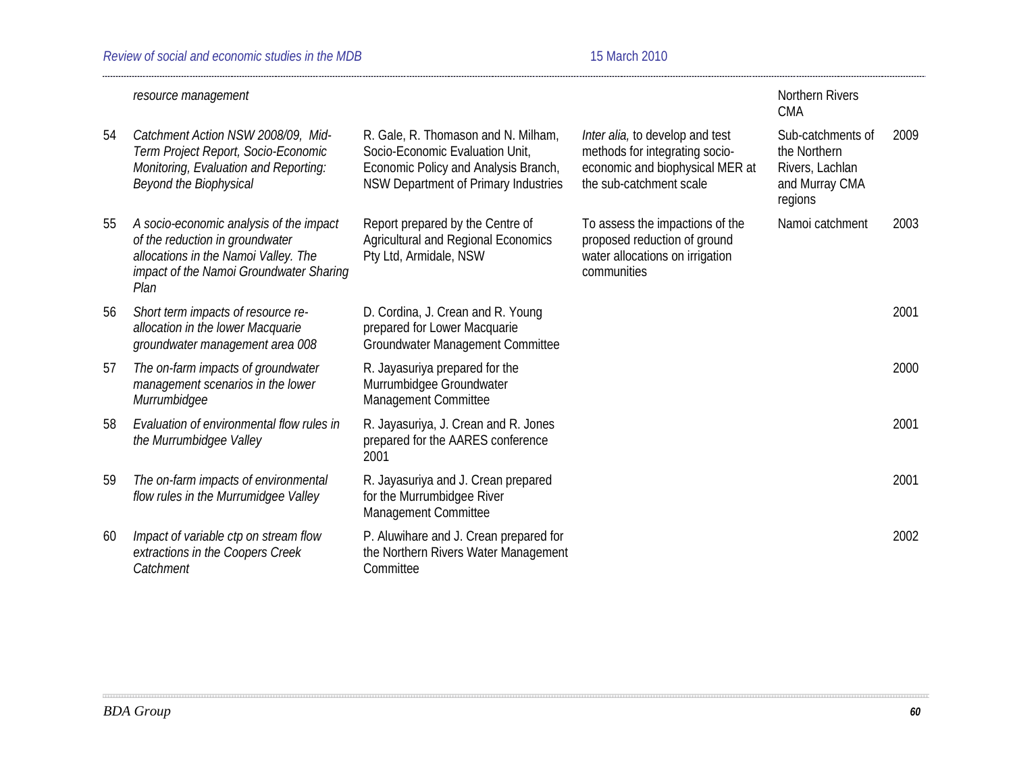|    | resource management                                                                                                                                                   |                                                                                                                                                        |                                                                                                                                 | <b>Northern Rivers</b><br><b>CMA</b>                                              |      |
|----|-----------------------------------------------------------------------------------------------------------------------------------------------------------------------|--------------------------------------------------------------------------------------------------------------------------------------------------------|---------------------------------------------------------------------------------------------------------------------------------|-----------------------------------------------------------------------------------|------|
| 54 | Catchment Action NSW 2008/09, Mid-<br>Term Project Report, Socio-Economic<br>Monitoring, Evaluation and Reporting:<br>Beyond the Biophysical                          | R. Gale, R. Thomason and N. Milham,<br>Socio-Economic Evaluation Unit,<br>Economic Policy and Analysis Branch,<br>NSW Department of Primary Industries | Inter alia, to develop and test<br>methods for integrating socio-<br>economic and biophysical MER at<br>the sub-catchment scale | Sub-catchments of<br>the Northern<br>Rivers, Lachlan<br>and Murray CMA<br>regions | 2009 |
| 55 | A socio-economic analysis of the impact<br>of the reduction in groundwater<br>allocations in the Namoi Valley. The<br>impact of the Namoi Groundwater Sharing<br>Plan | Report prepared by the Centre of<br>Agricultural and Regional Economics<br>Pty Ltd, Armidale, NSW                                                      | To assess the impactions of the<br>proposed reduction of ground<br>water allocations on irrigation<br>communities               | Namoi catchment                                                                   | 2003 |
| 56 | Short term impacts of resource re-<br>allocation in the lower Macquarie<br>groundwater management area 008                                                            | D. Cordina, J. Crean and R. Young<br>prepared for Lower Macquarie<br>Groundwater Management Committee                                                  |                                                                                                                                 |                                                                                   | 2001 |
| 57 | The on-farm impacts of groundwater<br>management scenarios in the lower<br>Murrumbidgee                                                                               | R. Jayasuriya prepared for the<br>Murrumbidgee Groundwater<br>Management Committee                                                                     |                                                                                                                                 |                                                                                   | 2000 |
| 58 | Evaluation of environmental flow rules in<br>the Murrumbidgee Valley                                                                                                  | R. Jayasuriya, J. Crean and R. Jones<br>prepared for the AARES conference<br>2001                                                                      |                                                                                                                                 |                                                                                   | 2001 |
| 59 | The on-farm impacts of environmental<br>flow rules in the Murrumidgee Valley                                                                                          | R. Jayasuriya and J. Crean prepared<br>for the Murrumbidgee River<br>Management Committee                                                              |                                                                                                                                 |                                                                                   | 2001 |
| 60 | Impact of variable ctp on stream flow<br>extractions in the Coopers Creek<br>Catchment                                                                                | P. Aluwihare and J. Crean prepared for<br>the Northern Rivers Water Management<br>Committee                                                            |                                                                                                                                 |                                                                                   | 2002 |
|    |                                                                                                                                                                       |                                                                                                                                                        |                                                                                                                                 |                                                                                   |      |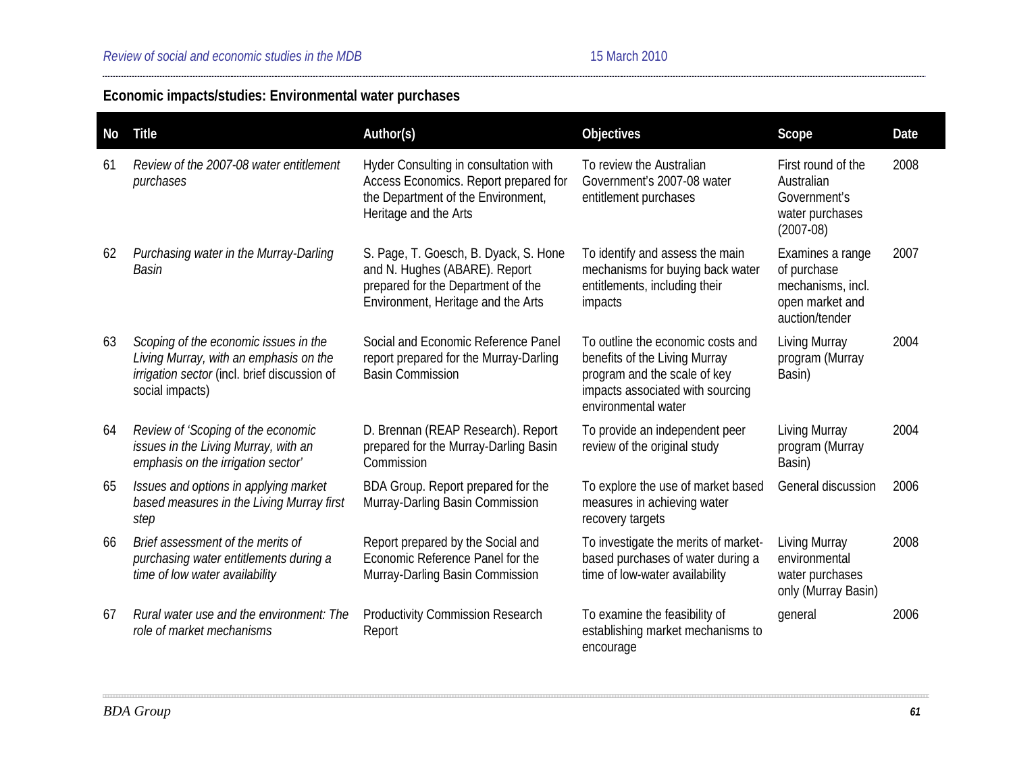# **Economic impacts/studies: Environmental water purchases**

| No | <b>Title</b>                                                                                                                                       | Author(s)                                                                                                                                          | Objectives                                                                                                                                                    | Scope                                                                                     | Date |
|----|----------------------------------------------------------------------------------------------------------------------------------------------------|----------------------------------------------------------------------------------------------------------------------------------------------------|---------------------------------------------------------------------------------------------------------------------------------------------------------------|-------------------------------------------------------------------------------------------|------|
| 61 | Review of the 2007-08 water entitlement<br>purchases                                                                                               | Hyder Consulting in consultation with<br>Access Economics. Report prepared for<br>the Department of the Environment,<br>Heritage and the Arts      | To review the Australian<br>Government's 2007-08 water<br>entitlement purchases                                                                               | First round of the<br>Australian<br>Government's<br>water purchases<br>$(2007-08)$        | 2008 |
| 62 | Purchasing water in the Murray-Darling<br><b>Basin</b>                                                                                             | S. Page, T. Goesch, B. Dyack, S. Hone<br>and N. Hughes (ABARE). Report<br>prepared for the Department of the<br>Environment, Heritage and the Arts | To identify and assess the main<br>mechanisms for buying back water<br>entitlements, including their<br>impacts                                               | Examines a range<br>of purchase<br>mechanisms, incl.<br>open market and<br>auction/tender | 2007 |
| 63 | Scoping of the economic issues in the<br>Living Murray, with an emphasis on the<br>irrigation sector (incl. brief discussion of<br>social impacts) | Social and Economic Reference Panel<br>report prepared for the Murray-Darling<br><b>Basin Commission</b>                                           | To outline the economic costs and<br>benefits of the Living Murray<br>program and the scale of key<br>impacts associated with sourcing<br>environmental water | Living Murray<br>program (Murray<br>Basin)                                                | 2004 |
| 64 | Review of 'Scoping of the economic<br>issues in the Living Murray, with an<br>emphasis on the irrigation sector'                                   | D. Brennan (REAP Research). Report<br>prepared for the Murray-Darling Basin<br>Commission                                                          | To provide an independent peer<br>review of the original study                                                                                                | Living Murray<br>program (Murray<br>Basin)                                                | 2004 |
| 65 | Issues and options in applying market<br>based measures in the Living Murray first<br>step                                                         | BDA Group. Report prepared for the<br>Murray-Darling Basin Commission                                                                              | To explore the use of market based<br>measures in achieving water<br>recovery targets                                                                         | General discussion                                                                        | 2006 |
| 66 | Brief assessment of the merits of<br>purchasing water entitlements during a<br>time of low water availability                                      | Report prepared by the Social and<br>Economic Reference Panel for the<br>Murray-Darling Basin Commission                                           | To investigate the merits of market-<br>based purchases of water during a<br>time of low-water availability                                                   | Living Murray<br>environmental<br>water purchases<br>only (Murray Basin)                  | 2008 |
| 67 | Rural water use and the environment: The<br>role of market mechanisms                                                                              | <b>Productivity Commission Research</b><br>Report                                                                                                  | To examine the feasibility of<br>establishing market mechanisms to<br>encourage                                                                               | general                                                                                   | 2006 |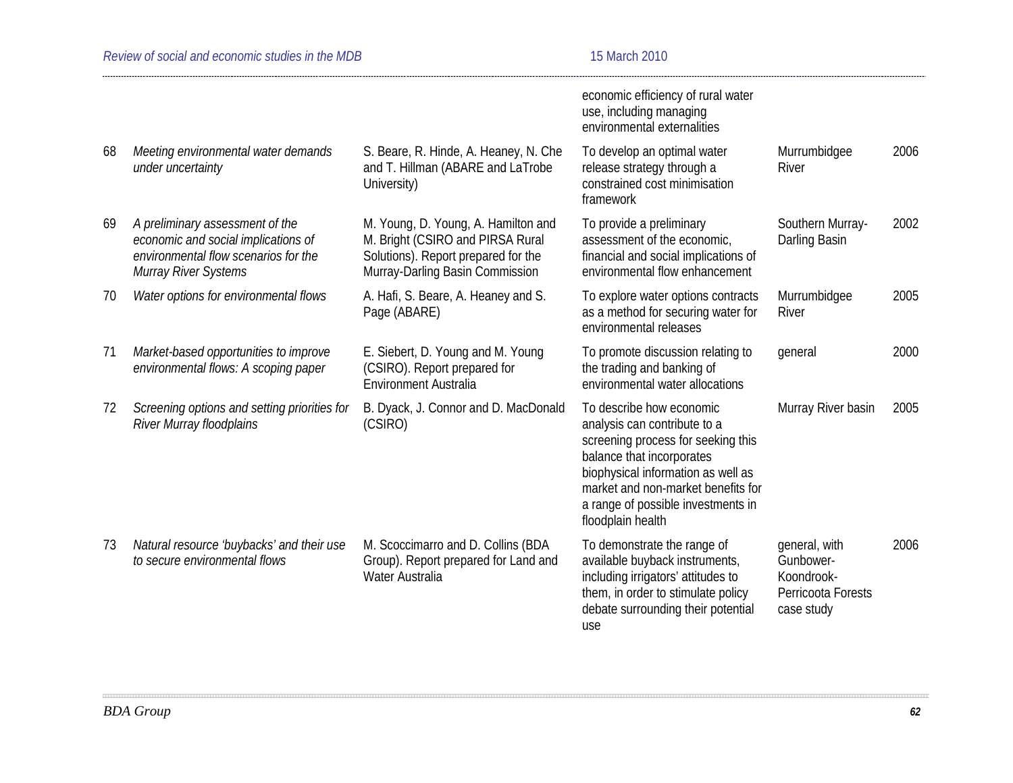|    |                                                                                                                                        |                                                                                                                                                   | economic efficiency of rural water<br>use, including managing<br>environmental externalities                                                                                                                                                                       |                                                                              |      |
|----|----------------------------------------------------------------------------------------------------------------------------------------|---------------------------------------------------------------------------------------------------------------------------------------------------|--------------------------------------------------------------------------------------------------------------------------------------------------------------------------------------------------------------------------------------------------------------------|------------------------------------------------------------------------------|------|
| 68 | Meeting environmental water demands<br>under uncertainty                                                                               | S. Beare, R. Hinde, A. Heaney, N. Che<br>and T. Hillman (ABARE and LaTrobe<br>University)                                                         | To develop an optimal water<br>release strategy through a<br>constrained cost minimisation<br>framework                                                                                                                                                            | Murrumbidgee<br>River                                                        | 2006 |
| 69 | A preliminary assessment of the<br>economic and social implications of<br>environmental flow scenarios for the<br>Murray River Systems | M. Young, D. Young, A. Hamilton and<br>M. Bright (CSIRO and PIRSA Rural<br>Solutions). Report prepared for the<br>Murray-Darling Basin Commission | To provide a preliminary<br>assessment of the economic,<br>financial and social implications of<br>environmental flow enhancement                                                                                                                                  | Southern Murray-<br>Darling Basin                                            | 2002 |
| 70 | Water options for environmental flows                                                                                                  | A. Hafi, S. Beare, A. Heaney and S.<br>Page (ABARE)                                                                                               | To explore water options contracts<br>as a method for securing water for<br>environmental releases                                                                                                                                                                 | Murrumbidgee<br>River                                                        | 2005 |
| 71 | Market-based opportunities to improve<br>environmental flows: A scoping paper                                                          | E. Siebert, D. Young and M. Young<br>(CSIRO). Report prepared for<br><b>Environment Australia</b>                                                 | To promote discussion relating to<br>the trading and banking of<br>environmental water allocations                                                                                                                                                                 | general                                                                      | 2000 |
| 72 | Screening options and setting priorities for<br><b>River Murray floodplains</b>                                                        | B. Dyack, J. Connor and D. MacDonald<br>(CSIRO)                                                                                                   | To describe how economic<br>analysis can contribute to a<br>screening process for seeking this<br>balance that incorporates<br>biophysical information as well as<br>market and non-market benefits for<br>a range of possible investments in<br>floodplain health | Murray River basin                                                           | 2005 |
| 73 | Natural resource 'buybacks' and their use<br>to secure environmental flows                                                             | M. Scoccimarro and D. Collins (BDA<br>Group). Report prepared for Land and<br>Water Australia                                                     | To demonstrate the range of<br>available buyback instruments,<br>including irrigators' attitudes to<br>them, in order to stimulate policy<br>debate surrounding their potential<br>use                                                                             | general, with<br>Gunbower-<br>Koondrook-<br>Perricoota Forests<br>case study | 2006 |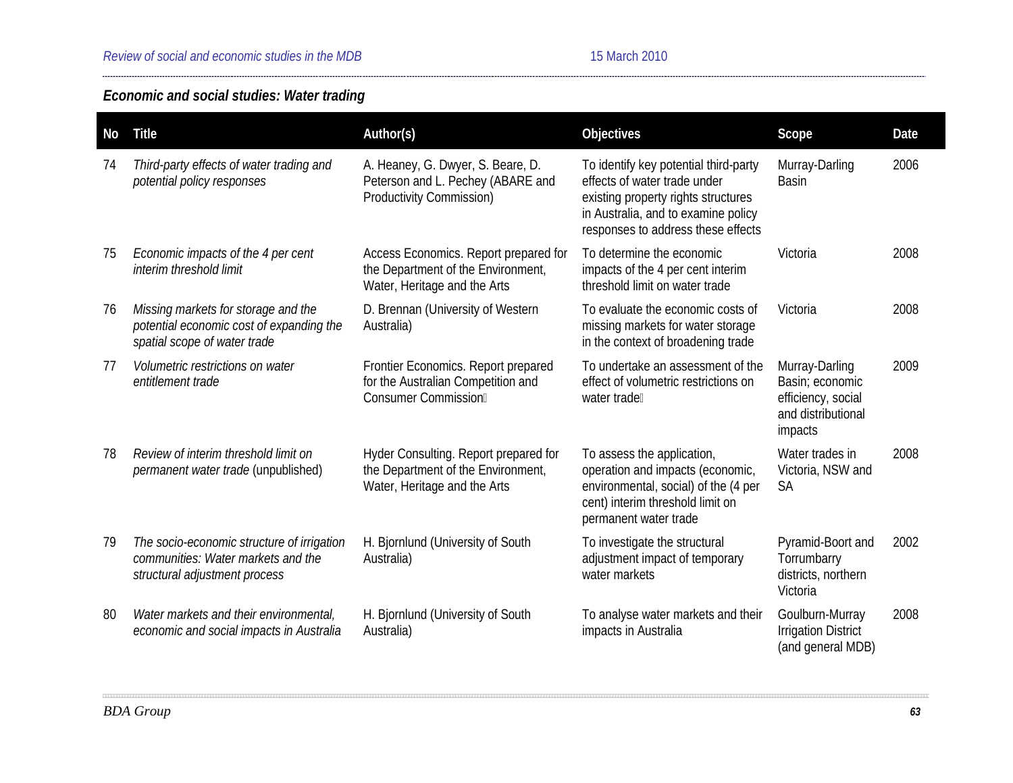# *Economic and social studies: Water trading*

| No | <b>Title</b>                                                                                                      | Author(s)                                                                                                   | Objectives                                                                                                                                                                                | Scope                                                                                    | Date |
|----|-------------------------------------------------------------------------------------------------------------------|-------------------------------------------------------------------------------------------------------------|-------------------------------------------------------------------------------------------------------------------------------------------------------------------------------------------|------------------------------------------------------------------------------------------|------|
| 74 | Third-party effects of water trading and<br>potential policy responses                                            | A. Heaney, G. Dwyer, S. Beare, D.<br>Peterson and L. Pechey (ABARE and<br><b>Productivity Commission)</b>   | To identify key potential third-party<br>effects of water trade under<br>existing property rights structures<br>in Australia, and to examine policy<br>responses to address these effects | Murray-Darling<br><b>Basin</b>                                                           | 2006 |
| 75 | Economic impacts of the 4 per cent<br>interim threshold limit                                                     | Access Economics. Report prepared for<br>the Department of the Environment,<br>Water, Heritage and the Arts | To determine the economic<br>impacts of the 4 per cent interim<br>threshold limit on water trade                                                                                          | Victoria                                                                                 | 2008 |
| 76 | Missing markets for storage and the<br>potential economic cost of expanding the<br>spatial scope of water trade   | D. Brennan (University of Western<br>Australia)                                                             | To evaluate the economic costs of<br>missing markets for water storage<br>in the context of broadening trade                                                                              | Victoria                                                                                 | 2008 |
| 77 | Volumetric restrictions on water<br>entitlement trade                                                             | Frontier Economics. Report prepared<br>for the Australian Competition and<br>Consumer Commission            | To undertake an assessment of the<br>effect of volumetric restrictions on<br>water tradell                                                                                                | Murray-Darling<br>Basin; economic<br>efficiency, social<br>and distributional<br>impacts | 2009 |
| 78 | Review of interim threshold limit on<br>permanent water trade (unpublished)                                       | Hyder Consulting. Report prepared for<br>the Department of the Environment,<br>Water, Heritage and the Arts | To assess the application,<br>operation and impacts (economic,<br>environmental, social) of the (4 per<br>cent) interim threshold limit on<br>permanent water trade                       | Water trades in<br>Victoria, NSW and<br><b>SA</b>                                        | 2008 |
| 79 | The socio-economic structure of irrigation<br>communities: Water markets and the<br>structural adjustment process | H. Bjornlund (University of South<br>Australia)                                                             | To investigate the structural<br>adjustment impact of temporary<br>water markets                                                                                                          | Pyramid-Boort and<br>Torrumbarry<br>districts, northern<br>Victoria                      | 2002 |
| 80 | Water markets and their environmental,<br>economic and social impacts in Australia                                | H. Bjornlund (University of South<br>Australia)                                                             | To analyse water markets and their<br>impacts in Australia                                                                                                                                | Goulburn-Murray<br><b>Irrigation District</b><br>(and general MDB)                       | 2008 |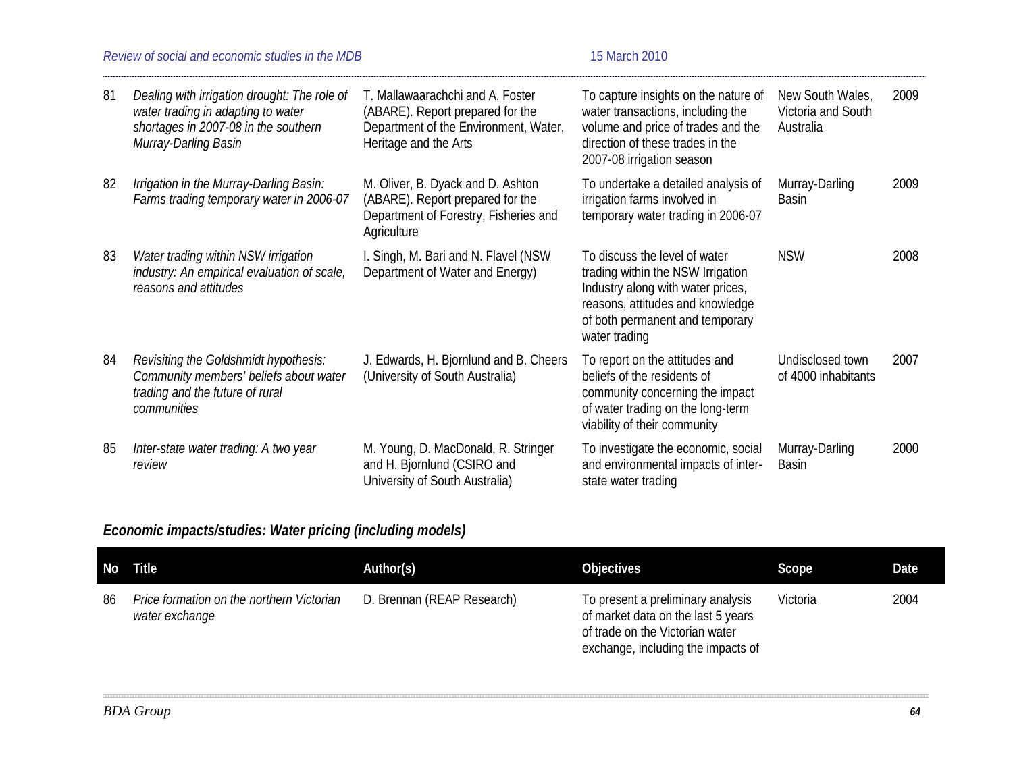### *Review of social and economic studies in the MDB* 15 March 2010

| 81 | Dealing with irrigation drought: The role of<br>water trading in adapting to water<br>shortages in 2007-08 in the southern<br>Murray-Darling Basin | T. Mallawaarachchi and A. Foster<br>(ABARE). Report prepared for the<br>Department of the Environment, Water,<br>Heritage and the Arts | To capture insights on the nature of<br>water transactions, including the<br>volume and price of trades and the<br>direction of these trades in the<br>2007-08 irrigation season                | New South Wales,<br>Victoria and South<br>Australia | 2009 |
|----|----------------------------------------------------------------------------------------------------------------------------------------------------|----------------------------------------------------------------------------------------------------------------------------------------|-------------------------------------------------------------------------------------------------------------------------------------------------------------------------------------------------|-----------------------------------------------------|------|
| 82 | Irrigation in the Murray-Darling Basin:<br>Farms trading temporary water in 2006-07                                                                | M. Oliver, B. Dyack and D. Ashton<br>(ABARE). Report prepared for the<br>Department of Forestry, Fisheries and<br>Agriculture          | To undertake a detailed analysis of<br>irrigation farms involved in<br>temporary water trading in 2006-07                                                                                       | Murray-Darling<br>Basin                             | 2009 |
| 83 | Water trading within NSW irrigation<br>industry: An empirical evaluation of scale,<br>reasons and attitudes                                        | I. Singh, M. Bari and N. Flavel (NSW<br>Department of Water and Energy)                                                                | To discuss the level of water<br>trading within the NSW Irrigation<br>Industry along with water prices,<br>reasons, attitudes and knowledge<br>of both permanent and temporary<br>water trading | <b>NSW</b>                                          | 2008 |
| 84 | Revisiting the Goldshmidt hypothesis:<br>Community members' beliefs about water<br>trading and the future of rural<br>communities                  | J. Edwards, H. Bjornlund and B. Cheers<br>(University of South Australia)                                                              | To report on the attitudes and<br>beliefs of the residents of<br>community concerning the impact<br>of water trading on the long-term<br>viability of their community                           | Undisclosed town<br>of 4000 inhabitants             | 2007 |
| 85 | Inter-state water trading: A two year<br>review                                                                                                    | M. Young, D. MacDonald, R. Stringer<br>and H. Bjornlund (CSIRO and<br>University of South Australia)                                   | To investigate the economic, social<br>and environmental impacts of inter-<br>state water trading                                                                                               | Murray-Darling<br><b>Basin</b>                      | 2000 |

# *Economic impacts/studies: Water pricing (including models)*

| No l | <b>Title</b>                                                | Author(s)                  | <b>Objectives</b>                                                                                                                                | Scope    | Date |
|------|-------------------------------------------------------------|----------------------------|--------------------------------------------------------------------------------------------------------------------------------------------------|----------|------|
| 86   | Price formation on the northern Victorian<br>water exchange | D. Brennan (REAP Research) | To present a preliminary analysis<br>of market data on the last 5 years<br>of trade on the Victorian water<br>exchange, including the impacts of | Victoria | 2004 |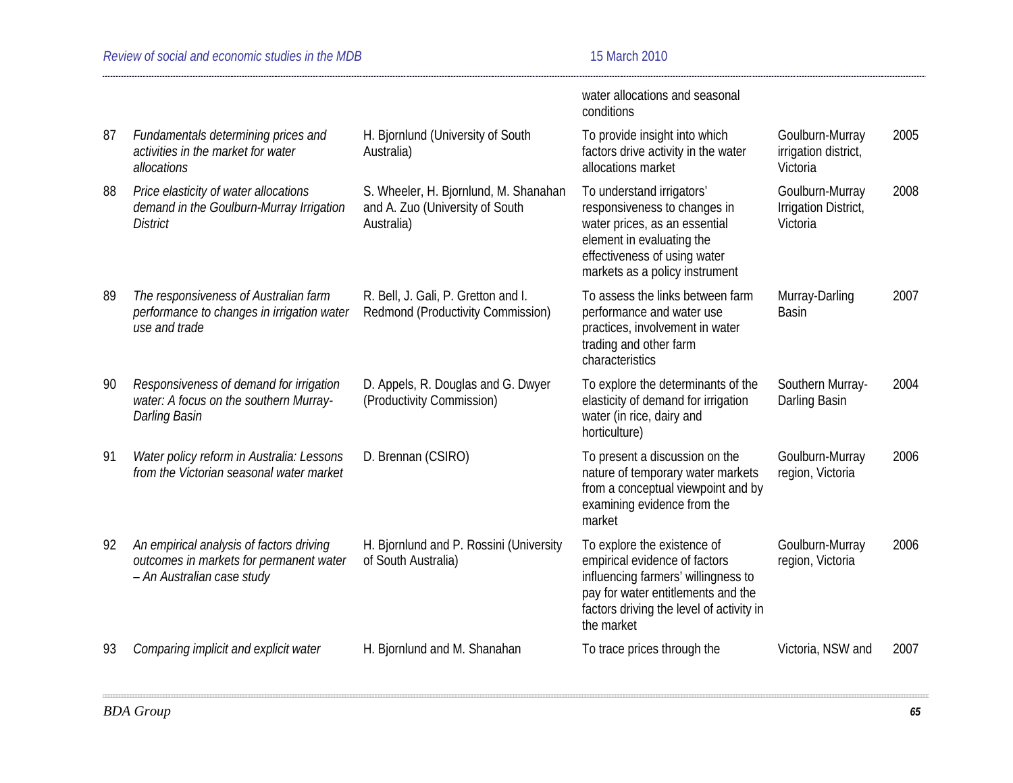|    |                                                                                                                   |                                                                                        | water allocations and seasonal<br>conditions                                                                                                                                                        |                                                     |      |
|----|-------------------------------------------------------------------------------------------------------------------|----------------------------------------------------------------------------------------|-----------------------------------------------------------------------------------------------------------------------------------------------------------------------------------------------------|-----------------------------------------------------|------|
| 87 | Fundamentals determining prices and<br>activities in the market for water<br>allocations                          | H. Bjornlund (University of South<br>Australia)                                        | To provide insight into which<br>factors drive activity in the water<br>allocations market                                                                                                          | Goulburn-Murray<br>irrigation district,<br>Victoria | 2005 |
| 88 | Price elasticity of water allocations<br>demand in the Goulburn-Murray Irrigation<br><b>District</b>              | S. Wheeler, H. Bjornlund, M. Shanahan<br>and A. Zuo (University of South<br>Australia) | To understand irrigators'<br>responsiveness to changes in<br>water prices, as an essential<br>element in evaluating the<br>effectiveness of using water<br>markets as a policy instrument           | Goulburn-Murray<br>Irrigation District,<br>Victoria | 2008 |
| 89 | The responsiveness of Australian farm<br>performance to changes in irrigation water<br>use and trade              | R. Bell, J. Gali, P. Gretton and I.<br>Redmond (Productivity Commission)               | To assess the links between farm<br>performance and water use<br>practices, involvement in water<br>trading and other farm<br>characteristics                                                       | Murray-Darling<br><b>Basin</b>                      | 2007 |
| 90 | Responsiveness of demand for irrigation<br>water: A focus on the southern Murray-<br>Darling Basin                | D. Appels, R. Douglas and G. Dwyer<br>(Productivity Commission)                        | To explore the determinants of the<br>elasticity of demand for irrigation<br>water (in rice, dairy and<br>horticulture)                                                                             | Southern Murray-<br>Darling Basin                   | 2004 |
| 91 | Water policy reform in Australia: Lessons<br>from the Victorian seasonal water market                             | D. Brennan (CSIRO)                                                                     | To present a discussion on the<br>nature of temporary water markets<br>from a conceptual viewpoint and by<br>examining evidence from the<br>market                                                  | Goulburn-Murray<br>region, Victoria                 | 2006 |
| 92 | An empirical analysis of factors driving<br>outcomes in markets for permanent water<br>- An Australian case study | H. Bjornlund and P. Rossini (University<br>of South Australia)                         | To explore the existence of<br>empirical evidence of factors<br>influencing farmers' willingness to<br>pay for water entitlements and the<br>factors driving the level of activity in<br>the market | Goulburn-Murray<br>region, Victoria                 | 2006 |
| 93 | Comparing implicit and explicit water                                                                             | H. Bjornlund and M. Shanahan                                                           | To trace prices through the                                                                                                                                                                         | Victoria, NSW and                                   | 2007 |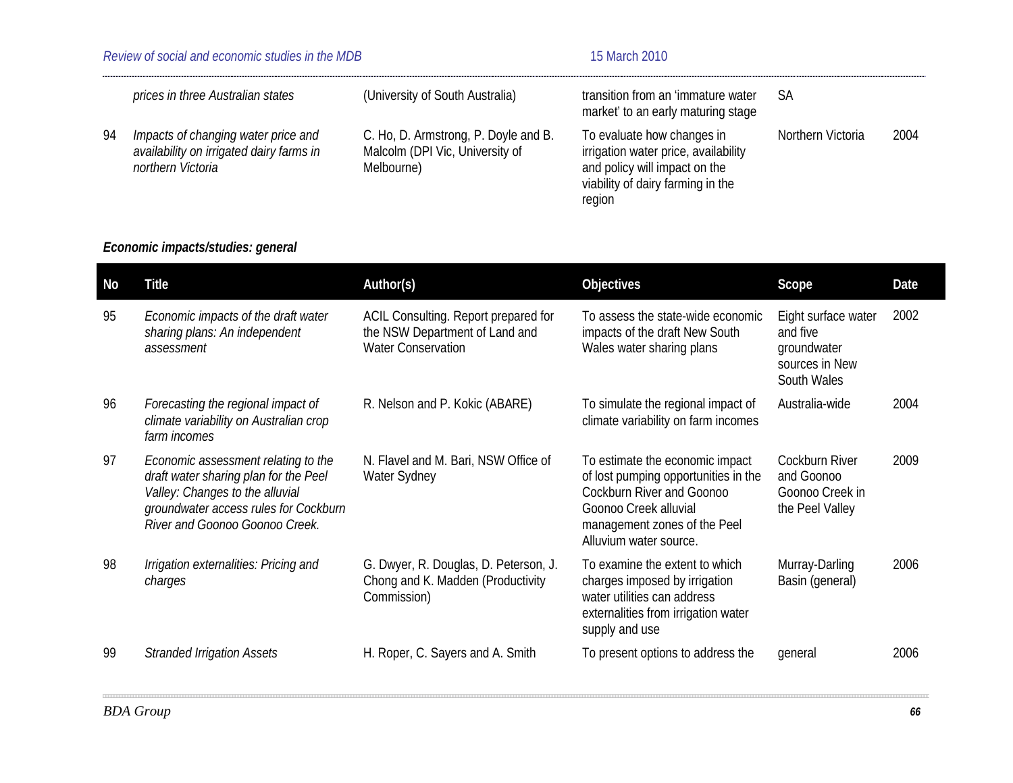| Review of social and economic studies in the MDB |                                                                                                      |                                                                                       | 15 March 2010                                                                                                                                      |                   |      |
|--------------------------------------------------|------------------------------------------------------------------------------------------------------|---------------------------------------------------------------------------------------|----------------------------------------------------------------------------------------------------------------------------------------------------|-------------------|------|
|                                                  | prices in three Australian states                                                                    | (University of South Australia)                                                       | transition from an 'immature water<br>market' to an early maturing stage                                                                           | SA                |      |
| -94                                              | Impacts of changing water price and<br>availability on irrigated dairy farms in<br>northern Victoria | C. Ho, D. Armstrong, P. Doyle and B.<br>Malcolm (DPI Vic, University of<br>Melbourne) | To evaluate how changes in<br>irrigation water price, availability<br>and policy will impact on the<br>viability of dairy farming in the<br>region | Northern Victoria | 2004 |

# *Economic impacts/studies: general*

| No | <b>Title</b>                                                                                                                                                                               | Author(s)                                                                                           | Objectives                                                                                                                                                                              | Scope                                                                           | Date |
|----|--------------------------------------------------------------------------------------------------------------------------------------------------------------------------------------------|-----------------------------------------------------------------------------------------------------|-----------------------------------------------------------------------------------------------------------------------------------------------------------------------------------------|---------------------------------------------------------------------------------|------|
| 95 | Economic impacts of the draft water<br>sharing plans: An independent<br>assessment                                                                                                         | ACIL Consulting. Report prepared for<br>the NSW Department of Land and<br><b>Water Conservation</b> | To assess the state-wide economic<br>impacts of the draft New South<br>Wales water sharing plans                                                                                        | Eight surface water<br>and five<br>groundwater<br>sources in New<br>South Wales | 2002 |
| 96 | Forecasting the regional impact of<br>climate variability on Australian crop<br>farm incomes                                                                                               | R. Nelson and P. Kokic (ABARE)                                                                      | To simulate the regional impact of<br>climate variability on farm incomes                                                                                                               | Australia-wide                                                                  | 2004 |
| 97 | Economic assessment relating to the<br>draft water sharing plan for the Peel<br>Valley: Changes to the alluvial<br>groundwater access rules for Cockburn<br>River and Goonoo Goonoo Creek. | N. Flavel and M. Bari, NSW Office of<br>Water Sydney                                                | To estimate the economic impact<br>of lost pumping opportunities in the<br>Cockburn River and Goonoo<br>Goonoo Creek alluvial<br>management zones of the Peel<br>Alluvium water source. | <b>Cockburn River</b><br>and Goonoo<br>Goonoo Creek in<br>the Peel Valley       | 2009 |
| 98 | Irrigation externalities: Pricing and<br>charges                                                                                                                                           | G. Dwyer, R. Douglas, D. Peterson, J.<br>Chong and K. Madden (Productivity<br>Commission)           | To examine the extent to which<br>charges imposed by irrigation<br>water utilities can address<br>externalities from irrigation water<br>supply and use                                 | Murray-Darling<br>Basin (general)                                               | 2006 |
| 99 | <b>Stranded Irrigation Assets</b>                                                                                                                                                          | H. Roper, C. Sayers and A. Smith                                                                    | To present options to address the                                                                                                                                                       | general                                                                         | 2006 |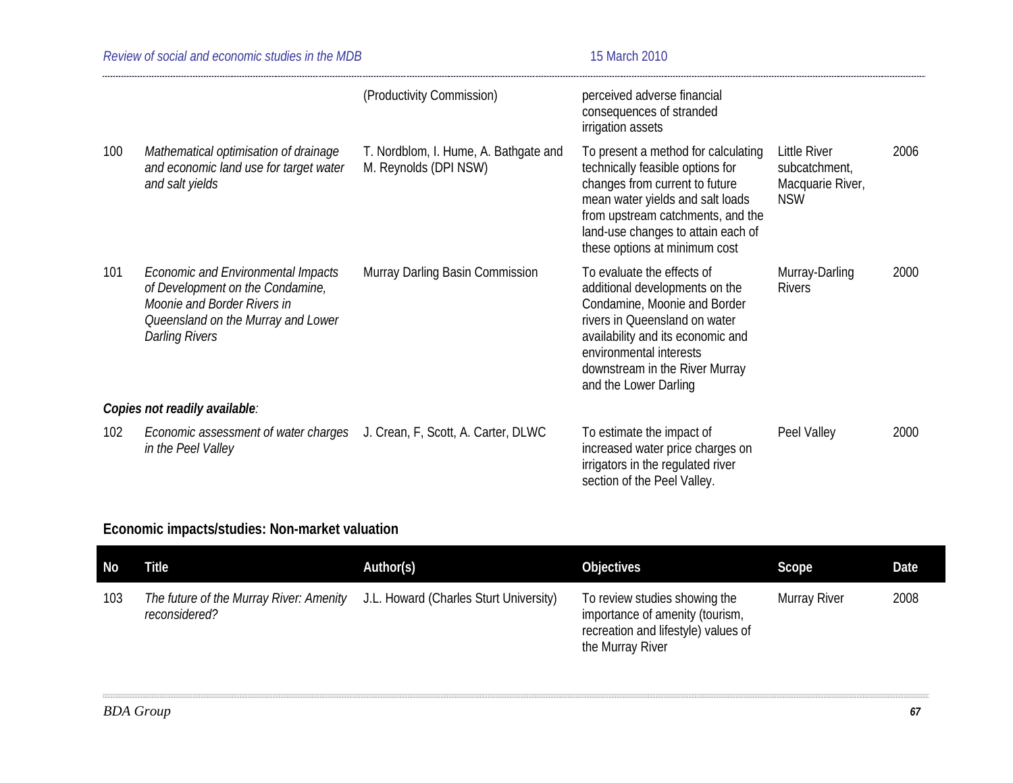| Review of social and economic studies in the MDB |                                                                                                                                                                             |                                                                | 15 March 2010                                                                                                                                                                                                                                             |                                                                 |
|--------------------------------------------------|-----------------------------------------------------------------------------------------------------------------------------------------------------------------------------|----------------------------------------------------------------|-----------------------------------------------------------------------------------------------------------------------------------------------------------------------------------------------------------------------------------------------------------|-----------------------------------------------------------------|
|                                                  |                                                                                                                                                                             | (Productivity Commission)                                      | perceived adverse financial<br>consequences of stranded<br>irrigation assets                                                                                                                                                                              |                                                                 |
| 100                                              | Mathematical optimisation of drainage<br>and economic land use for target water<br>and salt yields                                                                          | T. Nordblom, I. Hume, A. Bathgate and<br>M. Reynolds (DPI NSW) | To present a method for calculating<br>technically feasible options for<br>changes from current to future<br>mean water yields and salt loads<br>from upstream catchments, and the<br>land-use changes to attain each of<br>these options at minimum cost | Little River<br>subcatchment,<br>Macquarie River,<br><b>NSW</b> |
| 101                                              | <b>Economic and Environmental Impacts</b><br>of Development on the Condamine,<br>Moonie and Border Rivers in<br>Queensland on the Murray and Lower<br><b>Darling Rivers</b> | Murray Darling Basin Commission                                | To evaluate the effects of<br>additional developments on the<br>Condamine, Moonie and Border<br>rivers in Queensland on water<br>availability and its economic and<br>environmental interests<br>downstream in the River Murray<br>and the Lower Darling  | Murray-Darling<br><b>Rivers</b>                                 |
|                                                  | Copies not readily available:                                                                                                                                               |                                                                |                                                                                                                                                                                                                                                           |                                                                 |
| 102                                              | Economic assessment of water charges<br>in the Peel Valley                                                                                                                  | J. Crean, F, Scott, A. Carter, DLWC                            | To estimate the impact of<br>increased water price charges on<br>irrigators in the regulated river<br>section of the Peel Valley.                                                                                                                         | Peel Valley                                                     |

# **Economic impacts/studies: Non-market valuation**

| No  | Title                                                    | Author(s)                              | <b>Objectives</b>                                                                                                           | Scope        | Date |
|-----|----------------------------------------------------------|----------------------------------------|-----------------------------------------------------------------------------------------------------------------------------|--------------|------|
| 103 | The future of the Murray River: Amenity<br>reconsidered? | J.L. Howard (Charles Sturt University) | To review studies showing the<br>importance of amenity (tourism,<br>recreation and lifestyle) values of<br>the Murray River | Murray River | 2008 |

11111

2006

2000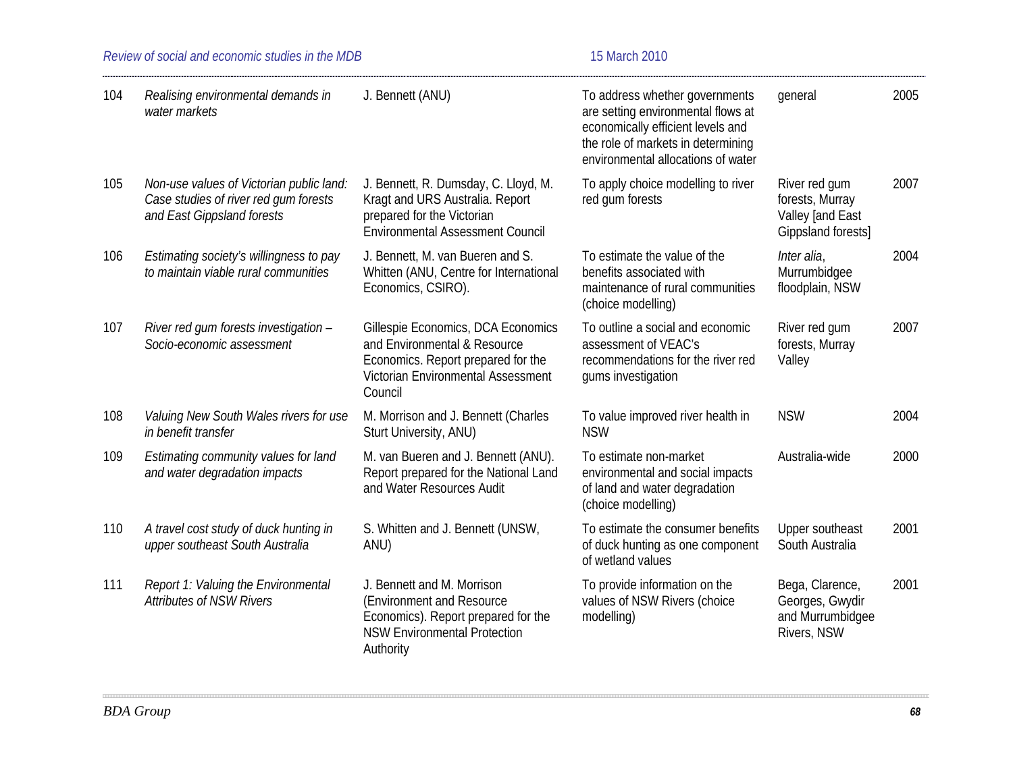*Review of social and economic studies in the MDB* 15 March 2010

| 104 | Realising environmental demands in<br>water markets                                                             | J. Bennett (ANU)                                                                                                                                          | To address whether governments<br>are setting environmental flows at<br>economically efficient levels and<br>the role of markets in determining<br>environmental allocations of water | qeneral                                                                    | 2005 |
|-----|-----------------------------------------------------------------------------------------------------------------|-----------------------------------------------------------------------------------------------------------------------------------------------------------|---------------------------------------------------------------------------------------------------------------------------------------------------------------------------------------|----------------------------------------------------------------------------|------|
| 105 | Non-use values of Victorian public land:<br>Case studies of river red gum forests<br>and East Gippsland forests | J. Bennett, R. Dumsday, C. Lloyd, M.<br>Kragt and URS Australia. Report<br>prepared for the Victorian<br><b>Environmental Assessment Council</b>          | To apply choice modelling to river<br>red gum forests                                                                                                                                 | River red gum<br>forests, Murray<br>Valley [and East<br>Gippsland forests] | 2007 |
| 106 | Estimating society's willingness to pay<br>to maintain viable rural communities                                 | J. Bennett, M. van Bueren and S.<br>Whitten (ANU, Centre for International<br>Economics, CSIRO).                                                          | To estimate the value of the<br>benefits associated with<br>maintenance of rural communities<br>(choice modelling)                                                                    | Inter alia,<br>Murrumbidgee<br>floodplain, NSW                             | 2004 |
| 107 | River red gum forests investigation -<br>Socio-economic assessment                                              | Gillespie Economics, DCA Economics<br>and Environmental & Resource<br>Economics. Report prepared for the<br>Victorian Environmental Assessment<br>Council | To outline a social and economic<br>assessment of VEAC's<br>recommendations for the river red<br>gums investigation                                                                   | River red gum<br>forests, Murray<br>Valley                                 | 2007 |
| 108 | Valuing New South Wales rivers for use<br>in benefit transfer                                                   | M. Morrison and J. Bennett (Charles<br>Sturt University, ANU)                                                                                             | To value improved river health in<br><b>NSW</b>                                                                                                                                       | <b>NSW</b>                                                                 | 2004 |
| 109 | Estimating community values for land<br>and water degradation impacts                                           | M. van Bueren and J. Bennett (ANU).<br>Report prepared for the National Land<br>and Water Resources Audit                                                 | To estimate non-market<br>environmental and social impacts<br>of land and water degradation<br>(choice modelling)                                                                     | Australia-wide                                                             | 2000 |
| 110 | A travel cost study of duck hunting in<br>upper southeast South Australia                                       | S. Whitten and J. Bennett (UNSW,<br>ANU)                                                                                                                  | To estimate the consumer benefits<br>of duck hunting as one component<br>of wetland values                                                                                            | Upper southeast<br>South Australia                                         | 2001 |
| 111 | Report 1: Valuing the Environmental<br><b>Attributes of NSW Rivers</b>                                          | J. Bennett and M. Morrison<br>(Environment and Resource<br>Economics). Report prepared for the<br><b>NSW Environmental Protection</b><br>Authority        | To provide information on the<br>values of NSW Rivers (choice<br>modelling)                                                                                                           | Bega, Clarence,<br>Georges, Gwydir<br>and Murrumbidgee<br>Rivers, NSW      | 2001 |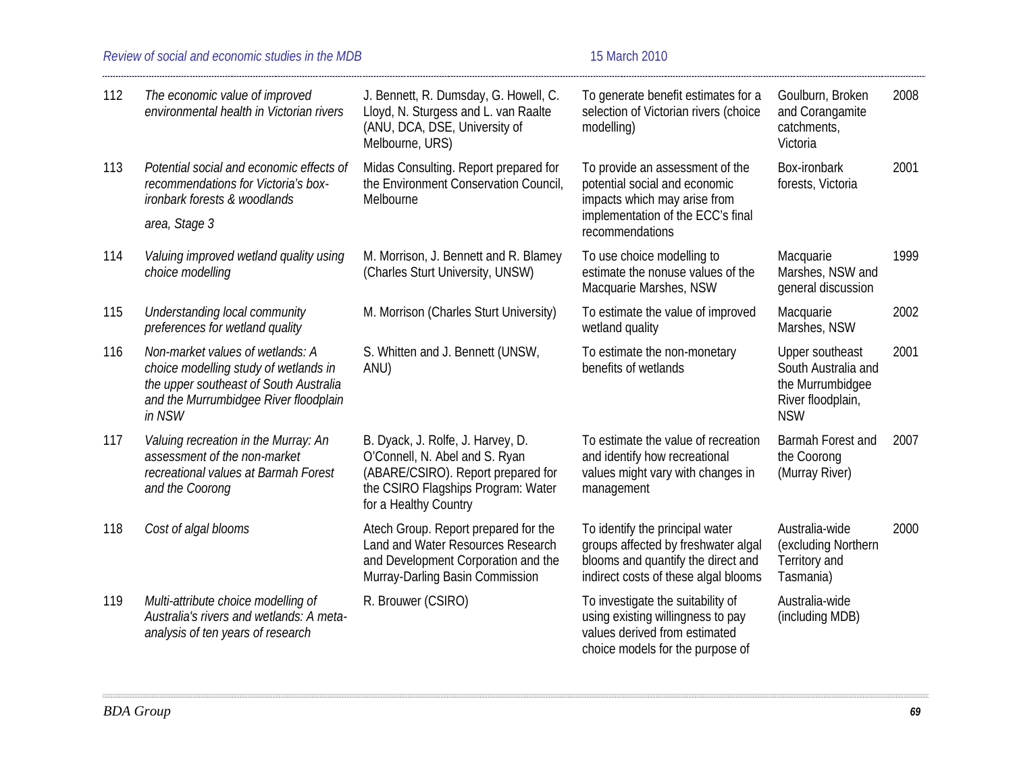### *Review of social and economic studies in the MDB* 15 March 2010

| 112 | The economic value of improved<br>environmental health in Victorian rivers                                                                                             | J. Bennett, R. Dumsday, G. Howell, C.<br>Lloyd, N. Sturgess and L. van Raalte<br>(ANU, DCA, DSE, University of<br>Melbourne, URS)                                        | To generate benefit estimates for a<br>selection of Victorian rivers (choice<br>modelling)                                                           | Goulburn, Broken<br>and Corangamite<br>catchments,<br>Victoria                                | 2008 |
|-----|------------------------------------------------------------------------------------------------------------------------------------------------------------------------|--------------------------------------------------------------------------------------------------------------------------------------------------------------------------|------------------------------------------------------------------------------------------------------------------------------------------------------|-----------------------------------------------------------------------------------------------|------|
| 113 | Potential social and economic effects of<br>recommendations for Victoria's box-<br>ironbark forests & woodlands                                                        | Midas Consulting. Report prepared for<br>the Environment Conservation Council,<br>Melbourne                                                                              | To provide an assessment of the<br>potential social and economic<br>impacts which may arise from<br>implementation of the ECC's final                | Box-ironbark<br>forests, Victoria                                                             | 2001 |
|     | area, Stage 3                                                                                                                                                          |                                                                                                                                                                          | recommendations                                                                                                                                      |                                                                                               |      |
| 114 | Valuing improved wetland quality using<br>choice modelling                                                                                                             | M. Morrison, J. Bennett and R. Blamey<br>(Charles Sturt University, UNSW)                                                                                                | To use choice modelling to<br>estimate the nonuse values of the<br>Macquarie Marshes, NSW                                                            | Macquarie<br>Marshes, NSW and<br>general discussion                                           | 1999 |
| 115 | Understanding local community<br>preferences for wetland quality                                                                                                       | M. Morrison (Charles Sturt University)                                                                                                                                   | To estimate the value of improved<br>wetland quality                                                                                                 | Macquarie<br>Marshes, NSW                                                                     | 2002 |
| 116 | Non-market values of wetlands: A<br>choice modelling study of wetlands in<br>the upper southeast of South Australia<br>and the Murrumbidgee River floodplain<br>in NSW | S. Whitten and J. Bennett (UNSW,<br>ANU)                                                                                                                                 | To estimate the non-monetary<br>benefits of wetlands                                                                                                 | Upper southeast<br>South Australia and<br>the Murrumbidgee<br>River floodplain,<br><b>NSW</b> | 2001 |
| 117 | Valuing recreation in the Murray: An<br>assessment of the non-market<br>recreational values at Barmah Forest<br>and the Coorong                                        | B. Dyack, J. Rolfe, J. Harvey, D.<br>O'Connell, N. Abel and S. Ryan<br>(ABARE/CSIRO). Report prepared for<br>the CSIRO Flagships Program: Water<br>for a Healthy Country | To estimate the value of recreation<br>and identify how recreational<br>values might vary with changes in<br>management                              | Barmah Forest and<br>the Coorong<br>(Murray River)                                            | 2007 |
| 118 | Cost of algal blooms                                                                                                                                                   | Atech Group. Report prepared for the<br>Land and Water Resources Research<br>and Development Corporation and the<br>Murray-Darling Basin Commission                      | To identify the principal water<br>groups affected by freshwater algal<br>blooms and quantify the direct and<br>indirect costs of these algal blooms | Australia-wide<br>(excluding Northern<br>Territory and<br>Tasmania)                           | 2000 |
| 119 | Multi-attribute choice modelling of<br>Australia's rivers and wetlands: A meta-<br>analysis of ten years of research                                                   | R. Brouwer (CSIRO)                                                                                                                                                       | To investigate the suitability of<br>using existing willingness to pay<br>values derived from estimated<br>choice models for the purpose of          | Australia-wide<br>(including MDB)                                                             |      |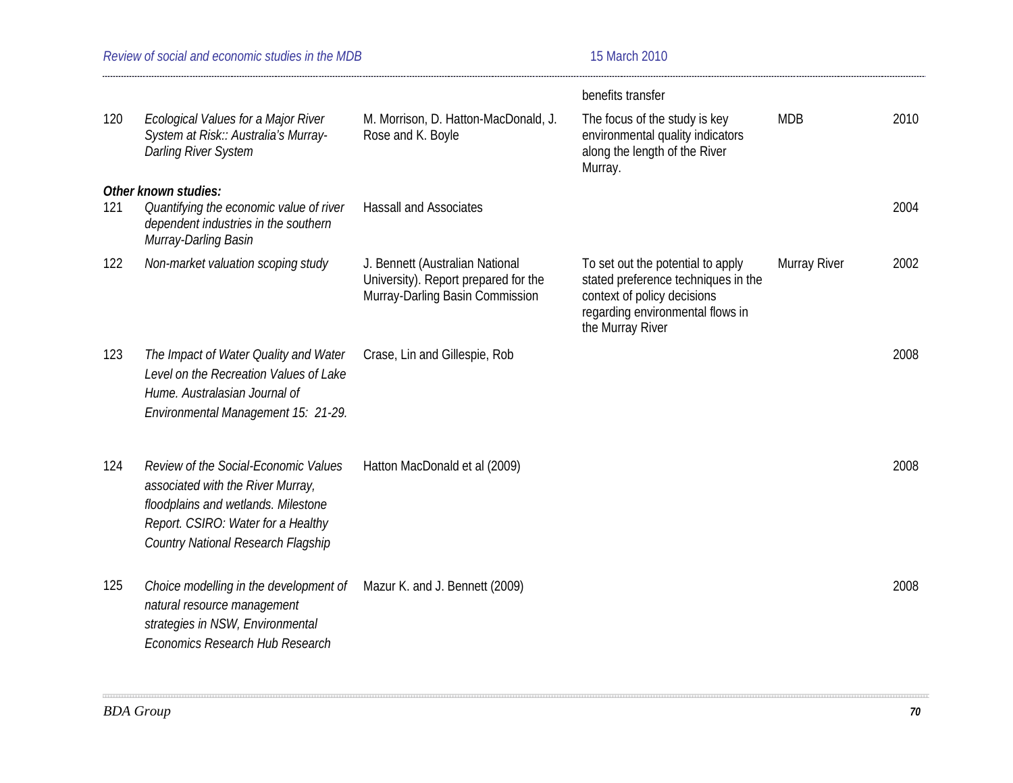| Review of social and economic studies in the MDB | 15 March 2010     |
|--------------------------------------------------|-------------------|
|                                                  | benefits transfer |

|     |                                                                                                                                                                                              |                                                                                                            | benefits transfer                                                                                                                                               |              |      |
|-----|----------------------------------------------------------------------------------------------------------------------------------------------------------------------------------------------|------------------------------------------------------------------------------------------------------------|-----------------------------------------------------------------------------------------------------------------------------------------------------------------|--------------|------|
| 120 | Ecological Values for a Major River<br>System at Risk:: Australia's Murray-<br><b>Darling River System</b>                                                                                   | M. Morrison, D. Hatton-MacDonald, J.<br>Rose and K. Boyle                                                  | The focus of the study is key<br>environmental quality indicators<br>along the length of the River<br>Murray.                                                   | <b>MDB</b>   | 2010 |
| 121 | Other known studies:<br>Quantifying the economic value of river<br>dependent industries in the southern<br>Murray-Darling Basin                                                              | <b>Hassall and Associates</b>                                                                              |                                                                                                                                                                 |              | 2004 |
| 122 | Non-market valuation scoping study                                                                                                                                                           | J. Bennett (Australian National<br>University). Report prepared for the<br>Murray-Darling Basin Commission | To set out the potential to apply<br>stated preference techniques in the<br>context of policy decisions<br>regarding environmental flows in<br>the Murray River | Murray River | 2002 |
| 123 | The Impact of Water Quality and Water<br>Level on the Recreation Values of Lake<br>Hume. Australasian Journal of<br>Environmental Management 15: 21-29.                                      | Crase, Lin and Gillespie, Rob                                                                              |                                                                                                                                                                 |              | 2008 |
| 124 | Review of the Social-Economic Values<br>associated with the River Murray,<br>floodplains and wetlands. Milestone<br>Report. CSIRO: Water for a Healthy<br>Country National Research Flagship | Hatton MacDonald et al (2009)                                                                              |                                                                                                                                                                 |              | 2008 |
| 125 | Choice modelling in the development of<br>natural resource management<br>strategies in NSW, Environmental<br>Economics Research Hub Research                                                 | Mazur K. and J. Bennett (2009)                                                                             |                                                                                                                                                                 |              | 2008 |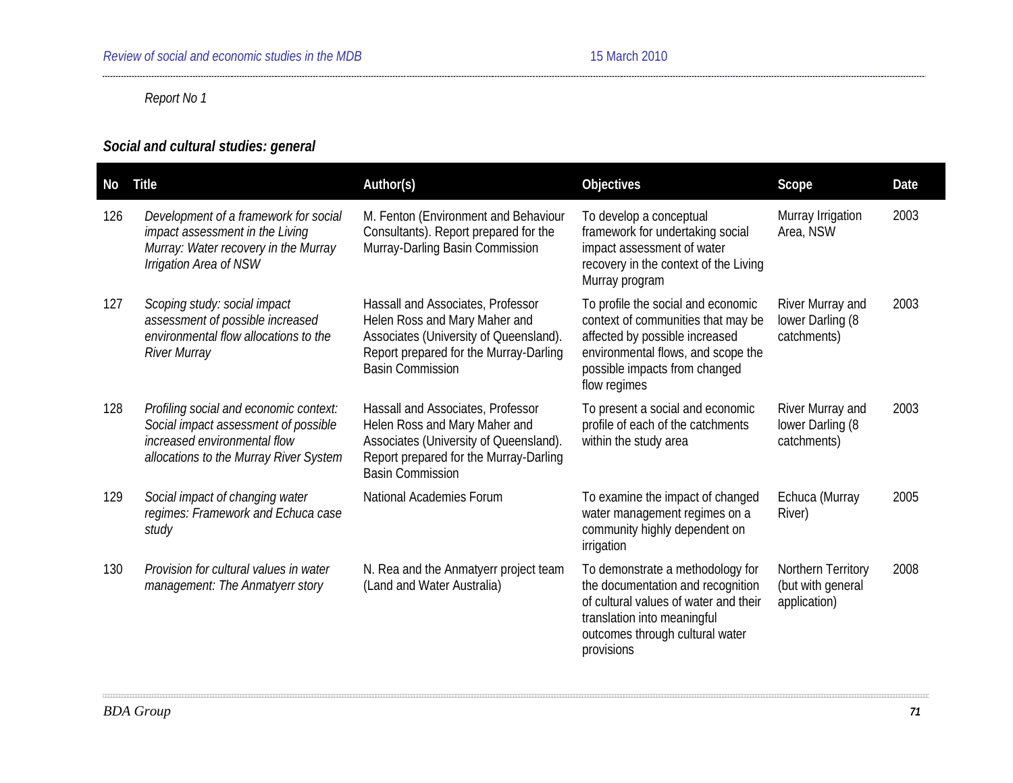# *Report No 1*

# *Social and cultural studies: general*

| No  | <b>Title</b>                                                                                                                                             | Author(s)                                                                                                                                                                         | Objectives                                                                                                                                                                                        | Scope                                                   | Date |
|-----|----------------------------------------------------------------------------------------------------------------------------------------------------------|-----------------------------------------------------------------------------------------------------------------------------------------------------------------------------------|---------------------------------------------------------------------------------------------------------------------------------------------------------------------------------------------------|---------------------------------------------------------|------|
| 126 | Development of a framework for social<br>impact assessment in the Living<br>Murray: Water recovery in the Murray<br>Irrigation Area of NSW               | M. Fenton (Environment and Behaviour<br>Consultants). Report prepared for the<br>Murray-Darling Basin Commission                                                                  | To develop a conceptual<br>framework for undertaking social<br>impact assessment of water<br>recovery in the context of the Living<br>Murray program                                              | Murray Irrigation<br>Area, NSW                          | 2003 |
| 127 | Scoping study: social impact<br>assessment of possible increased<br>environmental flow allocations to the<br><b>River Murray</b>                         | Hassall and Associates, Professor<br>Helen Ross and Mary Maher and<br>Associates (University of Queensland).<br>Report prepared for the Murray-Darling<br><b>Basin Commission</b> | To profile the social and economic<br>context of communities that may be<br>affected by possible increased<br>environmental flows, and scope the<br>possible impacts from changed<br>flow regimes | River Murray and<br>lower Darling (8<br>catchments)     | 2003 |
| 128 | Profiling social and economic context:<br>Social impact assessment of possible<br>increased environmental flow<br>allocations to the Murray River System | Hassall and Associates, Professor<br>Helen Ross and Mary Maher and<br>Associates (University of Queensland).<br>Report prepared for the Murray-Darling<br><b>Basin Commission</b> | To present a social and economic<br>profile of each of the catchments<br>within the study area                                                                                                    | River Murray and<br>lower Darling (8<br>catchments)     | 2003 |
| 129 | Social impact of changing water<br>regimes: Framework and Echuca case<br>study                                                                           | National Academies Forum                                                                                                                                                          | To examine the impact of changed<br>water management regimes on a<br>community highly dependent on<br>irrigation                                                                                  | Echuca (Murray<br>River)                                | 2005 |
| 130 | Provision for cultural values in water<br>management: The Anmatyerr story                                                                                | N. Rea and the Anmatyerr project team<br>(Land and Water Australia)                                                                                                               | To demonstrate a methodology for<br>the documentation and recognition<br>of cultural values of water and their<br>translation into meaningful<br>outcomes through cultural water<br>provisions    | Northern Territory<br>(but with general<br>application) | 2008 |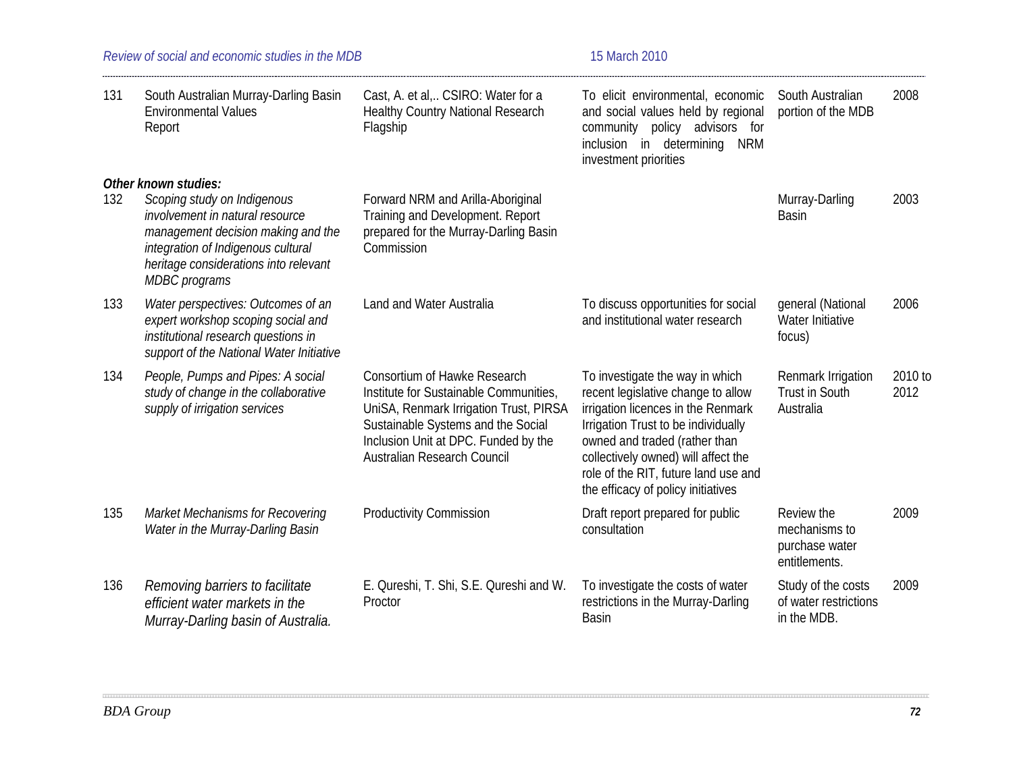| 131 | South Australian Murray-Darling Basin<br><b>Environmental Values</b><br>Report                                                                                                                       | Cast, A. et al, CSIRO: Water for a<br><b>Healthy Country National Research</b><br>Flagship                                                                                                                                    | To elicit environmental, economic<br>and social values held by regional<br>community policy advisors for<br>inclusion in determining<br><b>NRM</b><br>investment priorities                                                                                                                              | South Australian<br>portion of the MDB                         | 2008            |
|-----|------------------------------------------------------------------------------------------------------------------------------------------------------------------------------------------------------|-------------------------------------------------------------------------------------------------------------------------------------------------------------------------------------------------------------------------------|----------------------------------------------------------------------------------------------------------------------------------------------------------------------------------------------------------------------------------------------------------------------------------------------------------|----------------------------------------------------------------|-----------------|
|     | Other known studies:                                                                                                                                                                                 |                                                                                                                                                                                                                               |                                                                                                                                                                                                                                                                                                          |                                                                |                 |
| 132 | Scoping study on Indigenous<br>involvement in natural resource<br>management decision making and the<br>integration of Indigenous cultural<br>heritage considerations into relevant<br>MDBC programs | Forward NRM and Arilla-Aboriginal<br>Training and Development. Report<br>prepared for the Murray-Darling Basin<br>Commission                                                                                                  |                                                                                                                                                                                                                                                                                                          | Murray-Darling<br><b>Basin</b>                                 | 2003            |
| 133 | Water perspectives: Outcomes of an<br>expert workshop scoping social and<br>institutional research questions in<br>support of the National Water Initiative                                          | Land and Water Australia                                                                                                                                                                                                      | To discuss opportunities for social<br>and institutional water research                                                                                                                                                                                                                                  | general (National<br>Water Initiative<br>focus)                | 2006            |
| 134 | People, Pumps and Pipes: A social<br>study of change in the collaborative<br>supply of irrigation services                                                                                           | Consortium of Hawke Research<br>Institute for Sustainable Communities,<br>UniSA, Renmark Irrigation Trust, PIRSA<br>Sustainable Systems and the Social<br>Inclusion Unit at DPC. Funded by the<br>Australian Research Council | To investigate the way in which<br>recent legislative change to allow<br>irrigation licences in the Renmark<br>Irrigation Trust to be individually<br>owned and traded (rather than<br>collectively owned) will affect the<br>role of the RIT, future land use and<br>the efficacy of policy initiatives | Renmark Irrigation<br><b>Trust in South</b><br>Australia       | 2010 to<br>2012 |
| 135 | Market Mechanisms for Recovering<br>Water in the Murray-Darling Basin                                                                                                                                | <b>Productivity Commission</b>                                                                                                                                                                                                | Draft report prepared for public<br>consultation                                                                                                                                                                                                                                                         | Review the<br>mechanisms to<br>purchase water<br>entitlements. | 2009            |
| 136 | Removing barriers to facilitate<br>efficient water markets in the<br>Murray-Darling basin of Australia.                                                                                              | E. Qureshi, T. Shi, S.E. Qureshi and W.<br>Proctor                                                                                                                                                                            | To investigate the costs of water<br>restrictions in the Murray-Darling<br><b>Basin</b>                                                                                                                                                                                                                  | Study of the costs<br>of water restrictions<br>in the MDB.     | 2009            |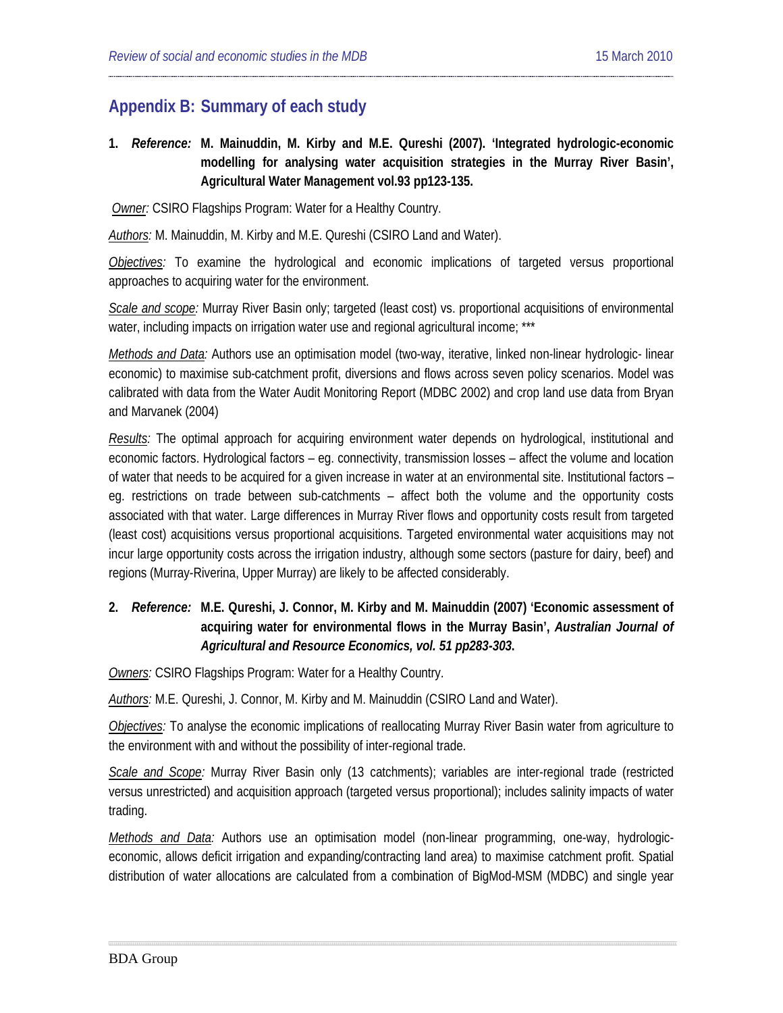# **Appendix B: Summary of each study**

**1.** *Reference:* **M. [Mainuddin,](#page-19-0) M. Kirby and M.E. Qureshi (2007). 'Integrated hydrologic-economic modelling for analysing water acquisition strategies in the Murray River Basin', Agricultural Water Management vol.93 pp123-135.**

*Owner:* CSIRO Flagships Program: Water for a Healthy Country.

*Authors:* M. Mainuddin, M. Kirby and M.E. Qureshi (CSIRO Land and Water).

*Objectives:* To examine the hydrological and economic implications of targeted versus proportional approaches to acquiring water for the environment.

*Scale and scope:* Murray River Basin only; targeted (least cost) vs. proportional acquisitions of environmental water, including impacts on irrigation water use and regional agricultural income; \*\*\*

*Methods and Data:* Authors use an optimisation model (two-way, iterative, linked non-linear hydrologic- linear economic) to maximise sub-catchment profit, diversions and flows across seven policy scenarios. Model was calibrated with data from the Water Audit Monitoring Report (MDBC 2002) and crop land use data from Bryan and Marvanek (2004)

*Results:* The optimal approach for acquiring environment water depends on hydrological, institutional and economic factors. Hydrological factors – eg. connectivity, transmission losses – affect the volume and location of water that needs to be acquired for a given increase in water at an environmental site. Institutional factors – eg. restrictions on trade between sub-catchments – affect both the volume and the opportunity costs associated with that water. Large differences in Murray River flows and opportunity costs result from targeted (least cost) acquisitions versus proportional acquisitions. Targeted environmental water acquisitions may not incur large opportunity costs across the irrigation industry, although some sectors (pasture for dairy, beef) and regions (Murray-Riverina, Upper Murray) are likely to be affected considerably.

### **2.** *Reference:* **M.E. [Qureshi,](#page-19-1) J. Connor, M. Kirby and M. Mainuddin (2007) 'Economic assessment of acquiring water for environmental flows in the Murray Basin',** *Australian Journal of Agricultural and Resource Economics, vol. 51 pp283-303***.**

*Owners:* CSIRO Flagships Program: Water for a Healthy Country.

*Authors:* M.E. Qureshi, J. Connor, M. Kirby and M. Mainuddin (CSIRO Land and Water).

*Objectives:* To analyse the economic implications of reallocating Murray River Basin water from agriculture to the environment with and without the possibility of inter-regional trade.

*Scale and Scope:* Murray River Basin only (13 catchments); variables are inter-regional trade (restricted versus unrestricted) and acquisition approach (targeted versus proportional); includes salinity impacts of water trading.

*Methods and Data:* Authors use an optimisation model (non-linear programming, one-way, hydrologiceconomic, allows deficit irrigation and expanding/contracting land area) to maximise catchment profit. Spatial distribution of water allocations are calculated from a combination of BigMod-MSM (MDBC) and single year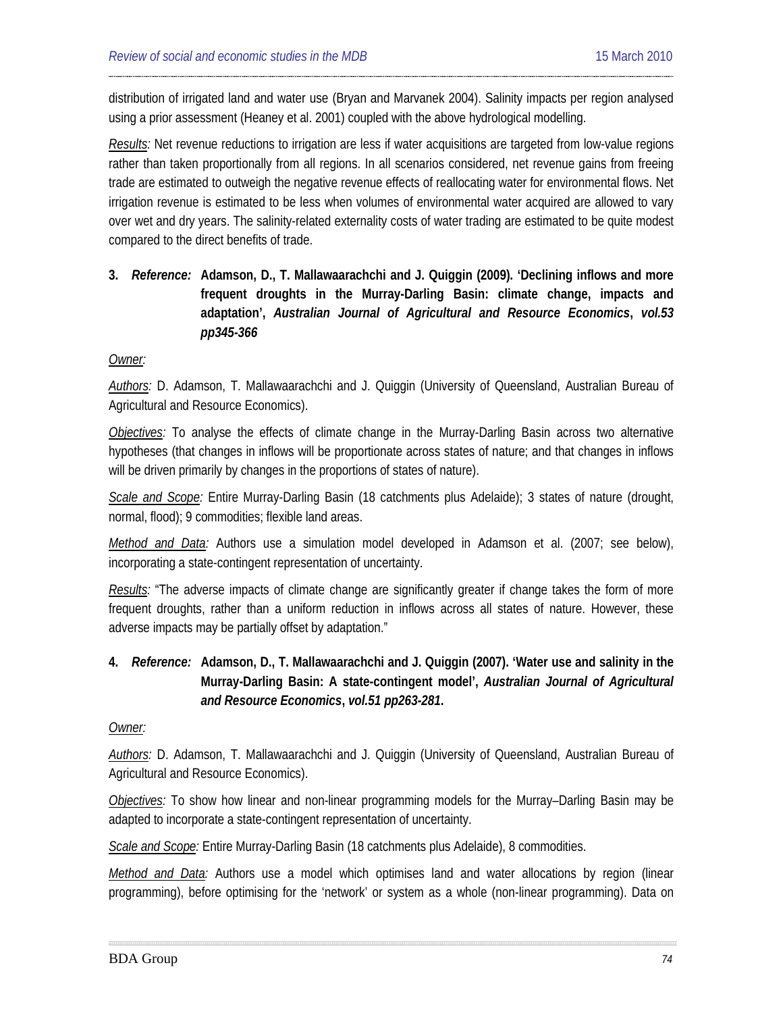distribution of irrigated land and water use (Bryan and Marvanek 2004). Salinity impacts per region analysed using a prior assessment (Heaney et al. 2001) coupled with the above hydrological modelling.

*Results:* Net revenue reductions to irrigation are less if water acquisitions are targeted from low-value regions rather than taken proportionally from all regions. In all scenarios considered, net revenue gains from freeing trade are estimated to outweigh the negative revenue effects of reallocating water for environmental flows. Net irrigation revenue is estimated to be less when volumes of environmental water acquired are allowed to vary over wet and dry years. The salinity-related externality costs of water trading are estimated to be quite modest compared to the direct benefits of trade.

**3.** *Reference:* **[Adamson,](#page-22-0) D., T. Mallawaarachchi and J. Quiggin (2009). 'Declining inflows and more frequent droughts in the Murray-Darling Basin: climate change, impacts and adaptation',** *Australian Journal of Agricultural and Resource Economics***,** *vol.53 pp345-366*

#### *Owner:*

*Authors:* D. Adamson, T. Mallawaarachchi and J. Quiggin (University of Queensland, Australian Bureau of Agricultural and Resource Economics).

*Objectives:* To analyse the effects of climate change in the Murray-Darling Basin across two alternative hypotheses (that changes in inflows will be proportionate across states of nature; and that changes in inflows will be driven primarily by changes in the proportions of states of nature).

*Scale and Scope:* Entire Murray-Darling Basin (18 catchments plus Adelaide); 3 states of nature (drought, normal, flood); 9 commodities; flexible land areas.

*Method and Data:* Authors use a simulation model developed in Adamson et al. (2007; see below), incorporating a state-contingent representation of uncertainty.

*Results:* "The adverse impacts of climate change are significantly greater if change takes the form of more frequent droughts, rather than a uniform reduction in inflows across all states of nature. However, these adverse impacts may be partially offset by adaptation."

**4.** *Reference:* **[Adamson,](#page-24-0) D., T. Mallawaarachchi and J. Quiggin (2007). 'Water use and salinity in the Murray-Darling Basin: A state-contingent model',** *Australian Journal of Agricultural and Resource Economics***,** *vol.51 pp263-281***.**

#### *Owner:*

*Authors:* D. Adamson, T. Mallawaarachchi and J. Quiggin (University of Queensland, Australian Bureau of Agricultural and Resource Economics).

*Objectives:* To show how linear and non-linear programming models for the Murray–Darling Basin may be adapted to incorporate a state-contingent representation of uncertainty.

*Scale and Scope:* Entire Murray-Darling Basin (18 catchments plus Adelaide), 8 commodities.

*Method and Data:* Authors use a model which optimises land and water allocations by region (linear programming), before optimising for the 'network' or system as a whole (non-linear programming). Data on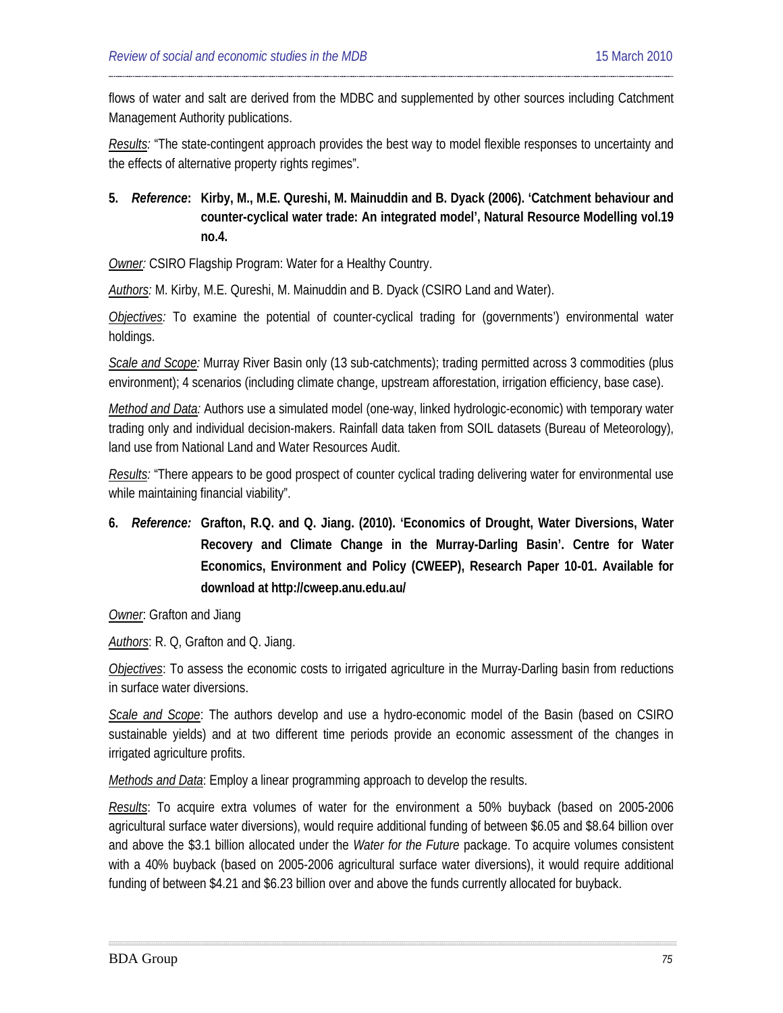flows of water and salt are derived from the MDBC and supplemented by other sources including Catchment Management Authority publications.

*Results:* "The state-contingent approach provides the best way to model flexible responses to uncertainty and the effects of alternative property rights regimes".

## **5.** *Reference***: Kirby, M., M.E. Qureshi, M. Mainuddin and B. Dyack (2006). 'Catchment behaviour and counter-cyclical water trade: An integrated model', Natural Resource Modelling vol.19 no.4.**

*Owner:* CSIRO Flagship Program: Water for a Healthy Country.

*Authors:* M. Kirby, M.E. Qureshi, M. Mainuddin and B. Dyack (CSIRO Land and Water).

*Objectives:* To examine the potential of counter-cyclical trading for (governments') environmental water holdings.

*Scale and Scope:* Murray River Basin only (13 sub-catchments); trading permitted across 3 commodities (plus environment); 4 scenarios (including climate change, upstream afforestation, irrigation efficiency, base case).

*Method and Data:* Authors use a simulated model (one-way, linked hydrologic-economic) with temporary water trading only and individual decision-makers. Rainfall data taken from SOIL datasets (Bureau of Meteorology), land use from National Land and Water Resources Audit.

*Results:* "There appears to be good prospect of counter cyclical trading delivering water for environmental use while maintaining financial viability".

**6.** *Reference:* **[Grafton,](#page-22-1) R.Q. and Q. [Jiang.](#page-25-0) (2010). 'Economics of Drought, Water Diversions, Water Recovery and Climate Change in the Murray-Darling Basin'. Centre for Water Economics, Environment and Policy (CWEEP), Research Paper 10-01. Available for download at<http://cweep.anu.edu.au/>**

*Owner*: Grafton and Jiang

*Authors*: R. Q, Grafton and Q. Jiang.

*Objectives*: To assess the economic costs to irrigated agriculture in the Murray-Darling basin from reductions in surface water diversions.

*Scale and Scope*: The authors develop and use a hydro-economic model of the Basin (based on CSIRO sustainable yields) and at two different time periods provide an economic assessment of the changes in irrigated agriculture profits.

*Methods and Data*: Employ a linear programming approach to develop the results.

*Results*: To acquire extra volumes of water for the environment a 50% buyback (based on 2005-2006 agricultural surface water diversions), would require additional funding of between \$6.05 and \$8.64 billion over and above the \$3.1 billion allocated under the *Water for the Future* package. To acquire volumes consistent with a 40% buyback (based on 2005-2006 agricultural surface water diversions), it would require additional funding of between \$4.21 and \$6.23 billion over and above the funds currently allocated for buyback.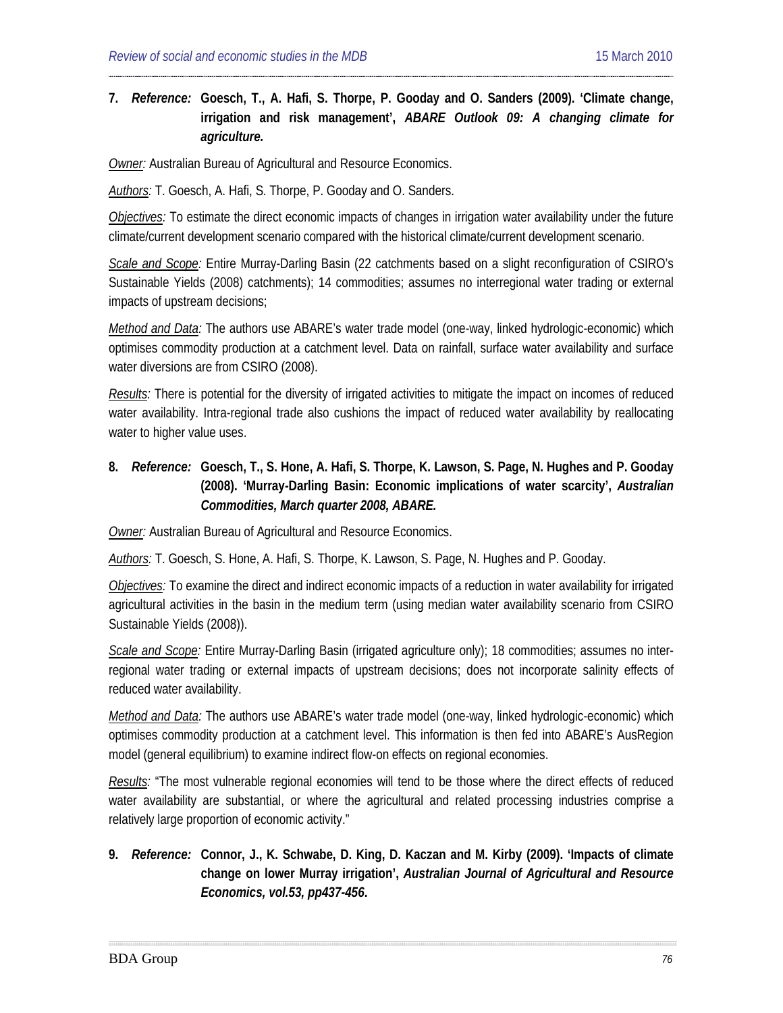### **7.** *Reference:* **[Goesch,](#page-19-2) T., A. Hafi, S. Thorpe, P. Gooday and O. Sanders (2009). 'Climate change, irrigation and risk management',** *ABARE Outlook 09: A changing climate for agriculture.*

*Owner:* Australian Bureau of Agricultural and Resource Economics.

*Authors:* T. Goesch, A. Hafi, S. Thorpe, P. Gooday and O. Sanders.

*Objectives:* To estimate the direct economic impacts of changes in irrigation water availability under the future climate/current development scenario compared with the historical climate/current development scenario.

*Scale and Scope:* Entire Murray-Darling Basin (22 catchments based on a slight reconfiguration of CSIRO's Sustainable Yields (2008) catchments); 14 commodities; assumes no interregional water trading or external impacts of upstream decisions;

*Method and Data:* The authors use ABARE's water trade model (one-way, linked hydrologic-economic) which optimises commodity production at a catchment level. Data on rainfall, surface water availability and surface water diversions are from CSIRO (2008).

*Results:* There is potential for the diversity of irrigated activities to mitigate the impact on incomes of reduced water availability. Intra-regional trade also cushions the impact of reduced water availability by reallocating water to higher value uses.

## **8.** *Reference:* **Goesch, T., S. Hone, A. Hafi, S. Thorpe, K. Lawson, S. Page, N. Hughes and P. Gooday (2008). 'Murray-Darling Basin: Economic implications of water scarcity',** *Australian Commodities, March quarter 2008, ABARE.*

*Owner:* Australian Bureau of Agricultural and Resource Economics.

*Authors:* T. Goesch, S. Hone, A. Hafi, S. Thorpe, K. Lawson, S. Page, N. Hughes and P. Gooday.

*Objectives:* To examine the direct and indirect economic impacts of a reduction in water availability for irrigated agricultural activities in the basin in the medium term (using median water availability scenario from CSIRO Sustainable Yields (2008)).

*Scale and Scope:* Entire Murray-Darling Basin (irrigated agriculture only); 18 commodities; assumes no interregional water trading or external impacts of upstream decisions; does not incorporate salinity effects of reduced water availability.

*Method and Data:* The authors use ABARE's water trade model (one-way, linked hydrologic-economic) which optimises commodity production at a catchment level. This information is then fed into ABARE's AusRegion model (general equilibrium) to examine indirect flow-on effects on regional economies.

*Results:* "The most vulnerable regional economies will tend to be those where the direct effects of reduced water availability are substantial, or where the agricultural and related processing industries comprise a relatively large proportion of economic activity."

## **9.** *Reference:* **[Connor,](#page-19-3) J., K. Schwabe, D. King, D. Kaczan and M. Kirby (2009). 'Impacts of climate change on lower Murray irrigation',** *Australian Journal of Agricultural and Resource Economics, vol.53, pp437-456***.**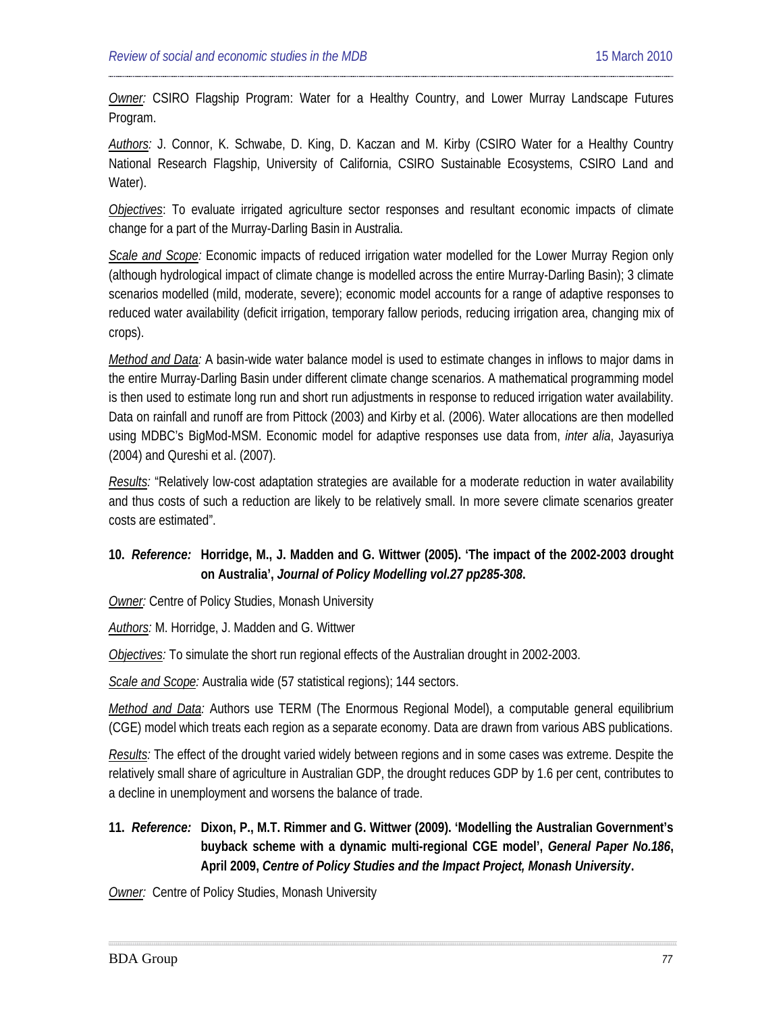*Owner:* CSIRO Flagship Program: Water for a Healthy Country, and Lower Murray Landscape Futures Program.

*Authors:* J. Connor, K. Schwabe, D. King, D. Kaczan and M. Kirby (CSIRO Water for a Healthy Country National Research Flagship, University of California, CSIRO Sustainable Ecosystems, CSIRO Land and Water).

*Objectives*: To evaluate irrigated agriculture sector responses and resultant economic impacts of climate change for a part of the Murray-Darling Basin in Australia.

*Scale and Scope:* Economic impacts of reduced irrigation water modelled for the Lower Murray Region only (although hydrological impact of climate change is modelled across the entire Murray-Darling Basin); 3 climate scenarios modelled (mild, moderate, severe); economic model accounts for a range of adaptive responses to reduced water availability (deficit irrigation, temporary fallow periods, reducing irrigation area, changing mix of crops).

*Method and Data:* A basin-wide water balance model is used to estimate changes in inflows to major dams in the entire Murray-Darling Basin under different climate change scenarios. A mathematical programming model is then used to estimate long run and short run adjustments in response to reduced irrigation water availability. Data on rainfall and runoff are from Pittock (2003) and Kirby et al. (2006). Water allocations are then modelled using MDBC's BigMod-MSM. Economic model for adaptive responses use data from, *inter alia*, Jayasuriya (2004) and Qureshi et al. (2007).

*Results:* "Relatively low-cost adaptation strategies are available for a moderate reduction in water availability and thus costs of such a reduction are likely to be relatively small. In more severe climate scenarios greater costs are estimated".

## **10.** *Reference:* **[Horridge,](#page-38-0) M., J. Madden and G. Wittwer (2005). 'The impact of the 2002-2003 drought on Australia',** *Journal of Policy Modelling vol.27 pp285-308***.**

*Owner:* Centre of Policy Studies, Monash University

*Authors:* M. Horridge, J. Madden and G. Wittwer

*Objectives:* To simulate the short run regional effects of the Australian drought in 2002-2003.

*Scale and Scope:* Australia wide (57 statistical regions); 144 sectors.

*Method and Data:* Authors use TERM (The Enormous Regional Model), a computable general equilibrium (CGE) model which treats each region as a separate economy. Data are drawn from various ABS publications.

*Results:* The effect of the drought varied widely between regions and in some cases was extreme. Despite the relatively small share of agriculture in Australian GDP, the drought reduces GDP by 1.6 per cent, contributes to a decline in unemployment and worsens the balance of trade.

**11.** *Reference:* **[Dixon,](#page-19-4) P., M.T. Rimmer and G. Wittwer (2009). 'Modelling the Australian Government's buyback scheme with a dynamic multi-regional CGE model',** *General Paper No.186***, April 2009,** *Centre of Policy Studies and the Impact Project, Monash University***.**

**Owner:** Centre of Policy Studies, Monash University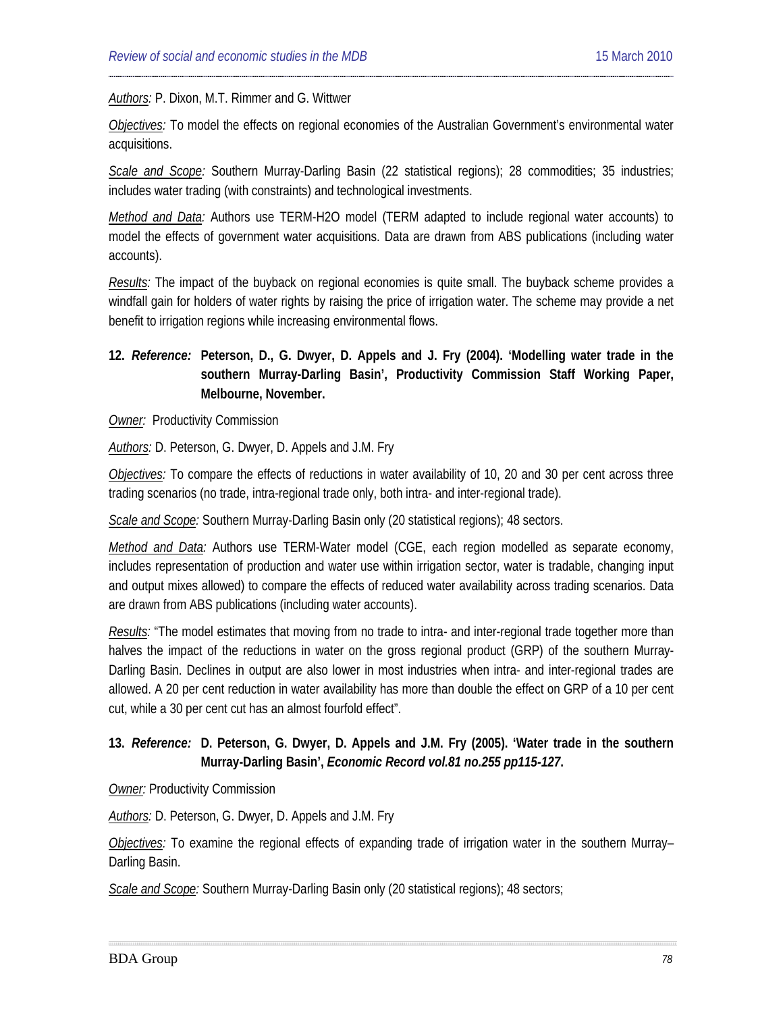#### *Authors:* P. Dixon, M.T. Rimmer and G. Wittwer

*Objectives:* To model the effects on regional economies of the Australian Government's environmental water acquisitions.

*Scale and Scope:* Southern Murray-Darling Basin (22 statistical regions); 28 commodities; 35 industries; includes water trading (with constraints) and technological investments.

*Method and Data:* Authors use TERM-H2O model (TERM adapted to include regional water accounts) to model the effects of government water acquisitions. Data are drawn from ABS publications (including water accounts).

*Results:* The impact of the buyback on regional economies is quite small. The buyback scheme provides a windfall gain for holders of water rights by raising the price of irrigation water. The scheme may provide a net benefit to irrigation regions while increasing environmental flows.

## **12.** *Reference:* **[Peterson,](#page-35-0) D., G. Dwyer, D. Appels and J. Fry (2004). 'Modelling water trade in the southern Murray-Darling Basin', Productivity Commission Staff Working Paper, Melbourne, November.**

**Owner:** Productivity Commission

*Authors:* D. Peterson, G. Dwyer, D. Appels and J.M. Fry

*Objectives:* To compare the effects of reductions in water availability of 10, 20 and 30 per cent across three trading scenarios (no trade, intra-regional trade only, both intra- and inter-regional trade).

*Scale and Scope:* Southern Murray-Darling Basin only (20 statistical regions); 48 sectors.

*Method and Data:* Authors use TERM-Water model (CGE, each region modelled as separate economy, includes representation of production and water use within irrigation sector, water is tradable, changing input and output mixes allowed) to compare the effects of reduced water availability across trading scenarios. Data are drawn from ABS publications (including water accounts).

*Results:* "The model estimates that moving from no trade to intra- and inter-regional trade together more than halves the impact of the reductions in water on the gross regional product (GRP) of the southern Murray-Darling Basin. Declines in output are also lower in most industries when intra- and inter-regional trades are allowed. A 20 per cent reduction in water availability has more than double the effect on GRP of a 10 per cent cut, while a 30 per cent cut has an almost fourfold effect".

### **13.** *Reference:* **D. [Peterson,](#page-19-5) G. Dwyer, D. Appels and J.M. Fry (2005). 'Water trade in the southern Murray-Darling Basin',** *Economic Record vol.81 no.255 pp115-127***.**

*Owner:* Productivity Commission

*Authors:* D. Peterson, G. Dwyer, D. Appels and J.M. Fry

*Objectives:* To examine the regional effects of expanding trade of irrigation water in the southern Murray– Darling Basin.

*Scale and Scope:* Southern Murray-Darling Basin only (20 statistical regions); 48 sectors;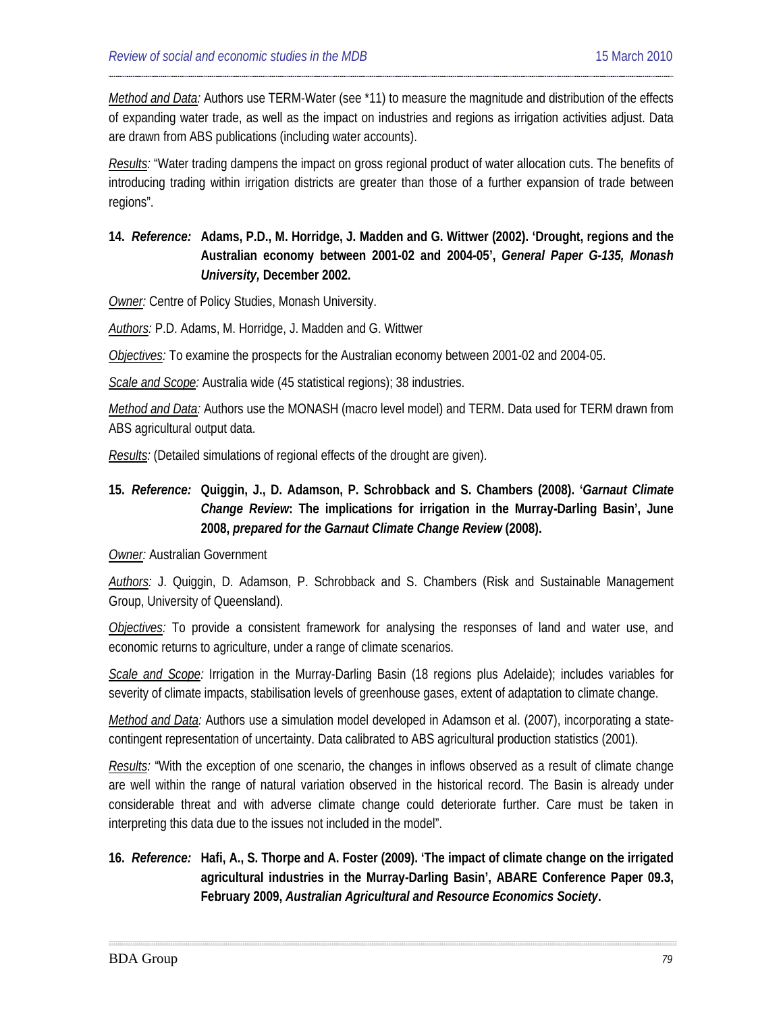*Method and Data:* Authors use TERM-Water (see \*11) to measure the magnitude and distribution of the effects of expanding water trade, as well as the impact on industries and regions as irrigation activities adjust. Data are drawn from ABS publications (including water accounts).

*Results:* "Water trading dampens the impact on gross regional product of water allocation cuts. The benefits of introducing trading within irrigation districts are greater than those of a further expansion of trade between regions".

## **14.** *Reference:* **Adams, P.D., M. Horridge, J. Madden and G. Wittwer (2002). 'Drought, regions and the Australian economy between 2001-02 and 2004-05',** *General Paper G-135, Monash University,* **December 2002.**

**Owner:** Centre of Policy Studies, Monash University.

*Authors:* P.D. Adams, M. Horridge, J. Madden and G. Wittwer

*Objectives:* To examine the prospects for the Australian economy between 2001-02 and 2004-05.

*Scale and Scope:* Australia wide (45 statistical regions); 38 industries.

*Method and Data:* Authors use the MONASH (macro level model) and TERM. Data used for TERM drawn from ABS agricultural output data.

*Results:* (Detailed simulations of regional effects of the drought are given).

**15.** *Reference:* **Quiggin, J., D. Adamson, P. Schrobback and S. Chambers (2008). '***Garnaut Climate Change Review***: The implications for irrigation in the Murray-Darling Basin', June 2008,** *prepared for the Garnaut Climate Change Review* **(2008).**

#### *Owner:* Australian Government

*Authors:* J. Quiggin, D. Adamson, P. Schrobback and S. Chambers (Risk and Sustainable Management Group, University of Queensland).

*Objectives:* To provide a consistent framework for analysing the responses of land and water use, and economic returns to agriculture, under a range of climate scenarios.

*Scale and Scope:* Irrigation in the Murray-Darling Basin (18 regions plus Adelaide); includes variables for severity of climate impacts, stabilisation levels of greenhouse gases, extent of adaptation to climate change.

*Method and Data:* Authors use a simulation model developed in Adamson et al. (2007), incorporating a statecontingent representation of uncertainty. Data calibrated to ABS agricultural production statistics (2001).

*Results:* "With the exception of one scenario, the changes in inflows observed as a result of climate change are well within the range of natural variation observed in the historical record. The Basin is already under considerable threat and with adverse climate change could deteriorate further. Care must be taken in interpreting this data due to the issues not included in the model".

**16.** *Reference:* **Hafi, A., S. Thorpe and A. Foster (2009). 'The impact of climate change on the irrigated agricultural industries in the Murray-Darling Basin', ABARE Conference Paper 09.3, February 2009,** *Australian Agricultural and Resource Economics Society***.**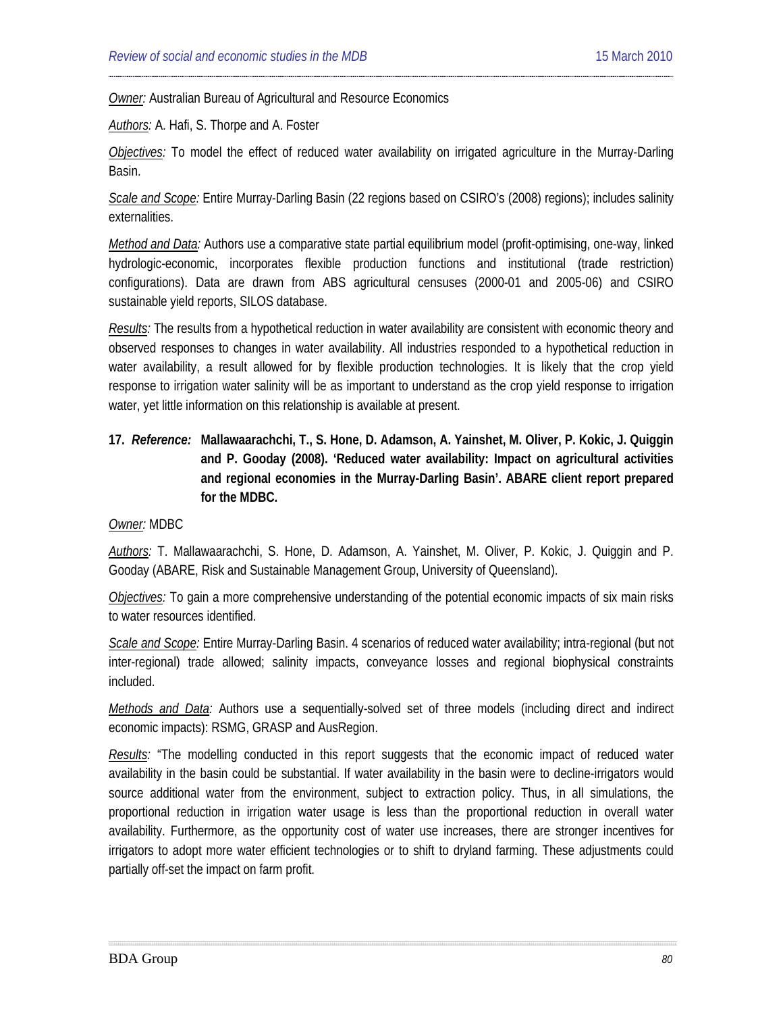**Owner:** Australian Bureau of Agricultural and Resource Economics

*Authors:* A. Hafi, S. Thorpe and A. Foster

*Objectives:* To model the effect of reduced water availability on irrigated agriculture in the Murray-Darling Basin.

*Scale and Scope:* Entire Murray-Darling Basin (22 regions based on CSIRO's (2008) regions); includes salinity externalities.

*Method and Data:* Authors use a comparative state partial equilibrium model (profit-optimising, one-way, linked hydrologic-economic, incorporates flexible production functions and institutional (trade restriction) configurations). Data are drawn from ABS agricultural censuses (2000-01 and 2005-06) and CSIRO sustainable yield reports, SILOS database.

*Results:* The results from a hypothetical reduction in water availability are consistent with economic theory and observed responses to changes in water availability. All industries responded to a hypothetical reduction in water availability, a result allowed for by flexible production technologies. It is likely that the crop yield response to irrigation water salinity will be as important to understand as the crop yield response to irrigation water, yet little information on this relationship is available at present.

**17.** *Reference:* **Mallawaarachchi, T., S. Hone, D. Adamson, A. Yainshet, M. Oliver, P. Kokic, J. Quiggin and P. Gooday (2008). 'Reduced water availability: Impact on agricultural activities and regional economies in the Murray-Darling Basin'. ABARE client report prepared for the MDBC.** 

#### *Owner:* MDBC

*Authors:* T. Mallawaarachchi, S. Hone, D. Adamson, A. Yainshet, M. Oliver, P. Kokic, J. Quiggin and P. Gooday (ABARE, Risk and Sustainable Management Group, University of Queensland).

*Objectives:* To gain a more comprehensive understanding of the potential economic impacts of six main risks to water resources identified.

*Scale and Scope:* Entire Murray-Darling Basin. 4 scenarios of reduced water availability; intra-regional (but not inter-regional) trade allowed; salinity impacts, conveyance losses and regional biophysical constraints included.

*Methods and Data:* Authors use a sequentially-solved set of three models (including direct and indirect economic impacts): RSMG, GRASP and AusRegion.

*Results:* "The modelling conducted in this report suggests that the economic impact of reduced water availability in the basin could be substantial. If water availability in the basin were to decline-irrigators would source additional water from the environment, subject to extraction policy. Thus, in all simulations, the proportional reduction in irrigation water usage is less than the proportional reduction in overall water availability. Furthermore, as the opportunity cost of water use increases, there are stronger incentives for irrigators to adopt more water efficient technologies or to shift to dryland farming. These adjustments could partially off-set the impact on farm profit.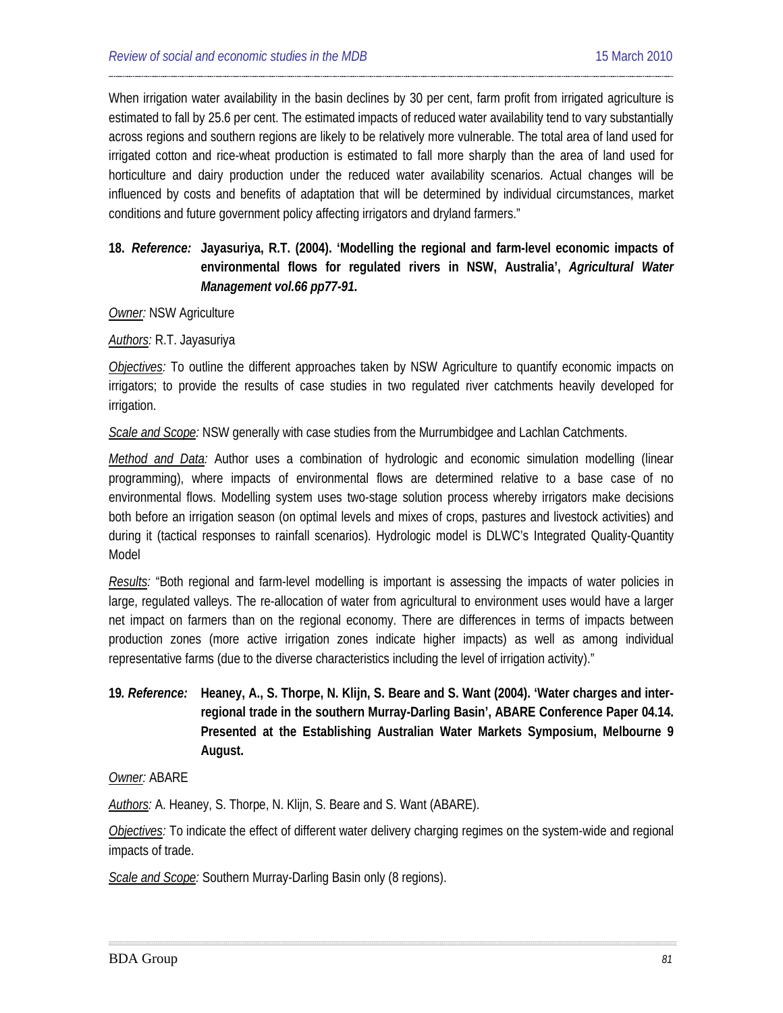When irrigation water availability in the basin declines by 30 per cent, farm profit from irrigated agriculture is estimated to fall by 25.6 per cent. The estimated impacts of reduced water availability tend to vary substantially across regions and southern regions are likely to be relatively more vulnerable. The total area of land used for irrigated cotton and rice-wheat production is estimated to fall more sharply than the area of land used for horticulture and dairy production under the reduced water availability scenarios. Actual changes will be influenced by costs and benefits of adaptation that will be determined by individual circumstances, market conditions and future government policy affecting irrigators and dryland farmers."

## **18.** *Reference:* **[Jayasuriya,](#page-36-0) R.T. (2004). 'Modelling the regional and farm-level economic impacts of environmental flows for regulated rivers in NSW, Australia',** *Agricultural Water Management vol.66 pp77-91***.**

#### *Owner:* NSW Agriculture

*Authors:* R.T. Jayasuriya

*Objectives:* To outline the different approaches taken by NSW Agriculture to quantify economic impacts on irrigators; to provide the results of case studies in two regulated river catchments heavily developed for irrigation.

*Scale and Scope:* NSW generally with case studies from the Murrumbidgee and Lachlan Catchments.

*Method and Data:* Author uses a combination of hydrologic and economic simulation modelling (linear programming), where impacts of environmental flows are determined relative to a base case of no environmental flows. Modelling system uses two-stage solution process whereby irrigators make decisions both before an irrigation season (on optimal levels and mixes of crops, pastures and livestock activities) and during it (tactical responses to rainfall scenarios). Hydrologic model is DLWC's Integrated Quality-Quantity Model

*Results:* "Both regional and farm-level modelling is important is assessing the impacts of water policies in large, regulated valleys. The re-allocation of water from agricultural to environment uses would have a larger net impact on farmers than on the regional economy. There are differences in terms of impacts between production zones (more active irrigation zones indicate higher impacts) as well as among individual representative farms (due to the diverse characteristics including the level of irrigation activity)."

**19***. Reference:* **Heaney, A., S. Thorpe, N. Klijn, S. Beare and S. Want (2004). 'Water charges and interregional trade in the southern Murray-Darling Basin', ABARE Conference Paper 04.14. Presented at the Establishing Australian Water Markets Symposium, Melbourne 9 August.**

*Owner:* ABARE

*Authors:* A. Heaney, S. Thorpe, N. Klijn, S. Beare and S. Want (ABARE).

*Objectives:* To indicate the effect of different water delivery charging regimes on the system-wide and regional impacts of trade.

*Scale and Scope:* Southern Murray-Darling Basin only (8 regions).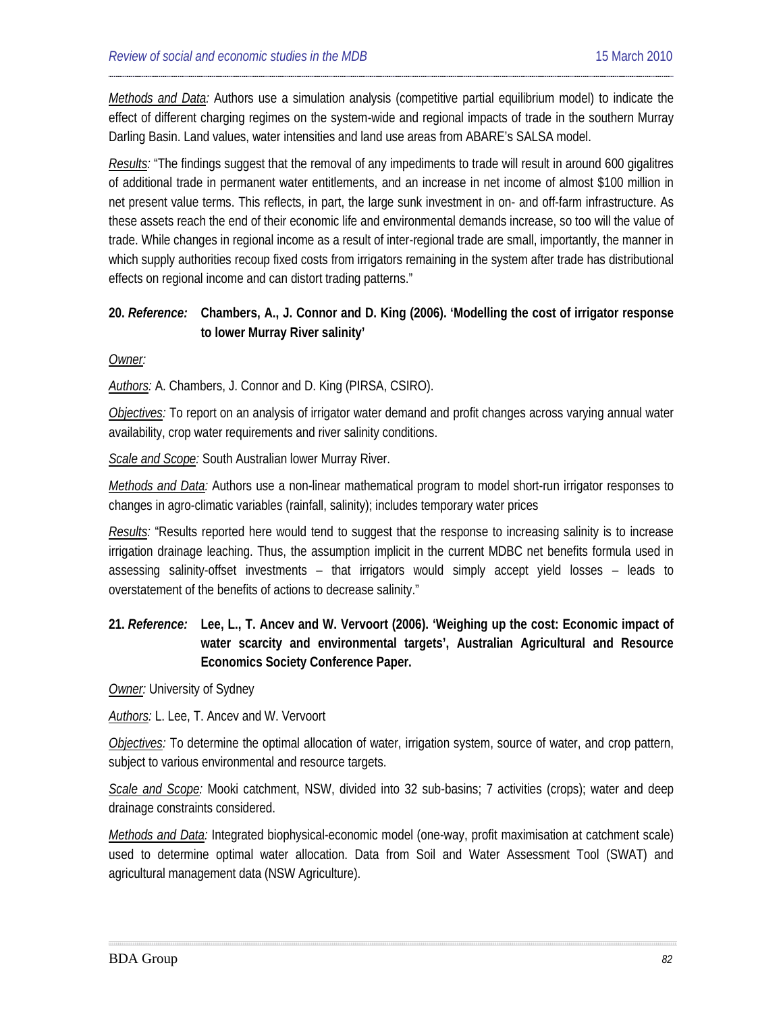*Methods and Data:* Authors use a simulation analysis (competitive partial equilibrium model) to indicate the effect of different charging regimes on the system-wide and regional impacts of trade in the southern Murray Darling Basin. Land values, water intensities and land use areas from ABARE's SALSA model.

*Results:* "The findings suggest that the removal of any impediments to trade will result in around 600 gigalitres of additional trade in permanent water entitlements, and an increase in net income of almost \$100 million in net present value terms. This reflects, in part, the large sunk investment in on- and off-farm infrastructure. As these assets reach the end of their economic life and environmental demands increase, so too will the value of trade. While changes in regional income as a result of inter-regional trade are small, importantly, the manner in which supply authorities recoup fixed costs from irrigators remaining in the system after trade has distributional effects on regional income and can distort trading patterns."

### **20.** *Reference:* **Chambers, A., J. Connor and D. King (2006). 'Modelling the cost of irrigator response to lower Murray River salinity'**

*Owner:*

*Authors:* A. Chambers, J. Connor and D. King (PIRSA, CSIRO).

*Objectives:* To report on an analysis of irrigator water demand and profit changes across varying annual water availability, crop water requirements and river salinity conditions.

*Scale and Scope:* South Australian lower Murray River.

*Methods and Data:* Authors use a non-linear mathematical program to model short-run irrigator responses to changes in agro-climatic variables (rainfall, salinity); includes temporary water prices

*Results:* "Results reported here would tend to suggest that the response to increasing salinity is to increase irrigation drainage leaching. Thus, the assumption implicit in the current MDBC net benefits formula used in assessing salinity-offset investments – that irrigators would simply accept yield losses – leads to overstatement of the benefits of actions to decrease salinity."

## **21.** *Reference:* **Lee, L., T. Ancev and W. Vervoort (2006). 'Weighing up the cost: Economic impact of water scarcity and environmental targets', Australian Agricultural and Resource Economics Society Conference Paper.**

*Owner:* University of Sydney

*Authors:* L. Lee, T. Ancev and W. Vervoort

*Objectives:* To determine the optimal allocation of water, irrigation system, source of water, and crop pattern, subject to various environmental and resource targets.

*Scale and Scope:* Mooki catchment, NSW, divided into 32 sub-basins; 7 activities (crops); water and deep drainage constraints considered.

*Methods and Data:* Integrated biophysical-economic model (one-way, profit maximisation at catchment scale) used to determine optimal water allocation. Data from Soil and Water Assessment Tool (SWAT) and agricultural management data (NSW Agriculture).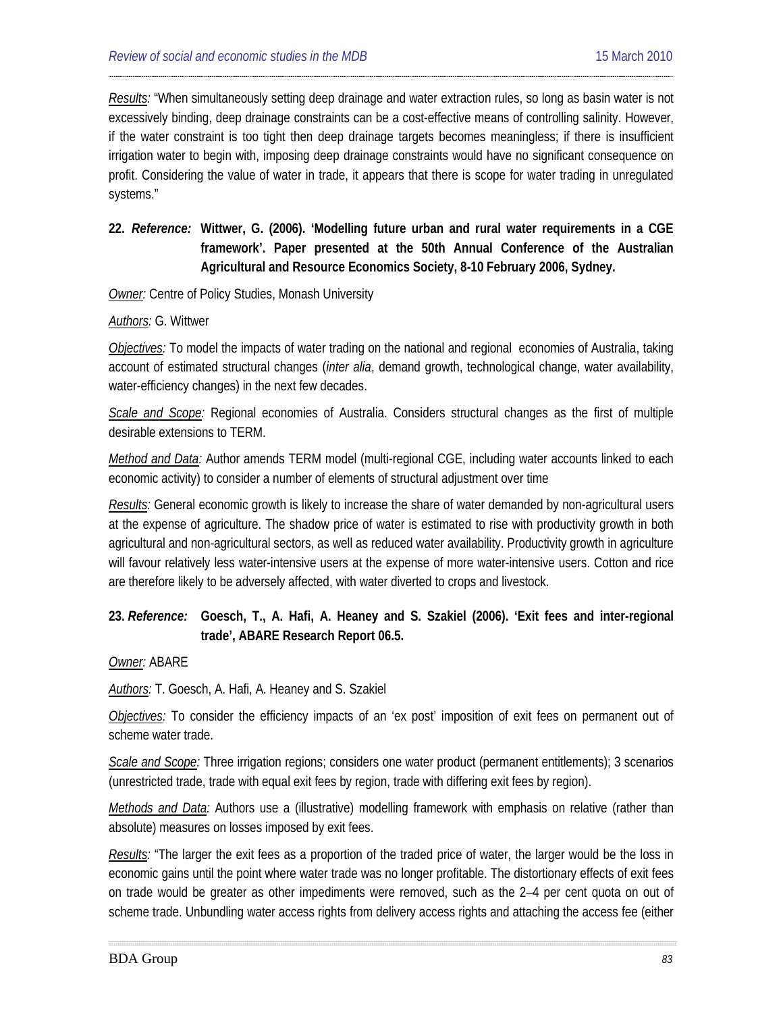*Results:* "When simultaneously setting deep drainage and water extraction rules, so long as basin water is not excessively binding, deep drainage constraints can be a cost-effective means of controlling salinity. However, if the water constraint is too tight then deep drainage targets becomes meaningless; if there is insufficient irrigation water to begin with, imposing deep drainage constraints would have no significant consequence on profit. Considering the value of water in trade, it appears that there is scope for water trading in unregulated systems."

## **22.** *Reference:* **Wittwer, G. (2006). 'Modelling future urban and rural water requirements in a CGE framework'. Paper presented at the 50th Annual Conference of the Australian Agricultural and Resource Economics Society, 8-10 February 2006, Sydney.**

#### **Owner:** Centre of Policy Studies, Monash University

#### *Authors:* G. Wittwer

*Objectives:* To model the impacts of water trading on the national and regional economies of Australia, taking account of estimated structural changes (*inter alia*, demand growth, technological change, water availability, water-efficiency changes) in the next few decades.

*Scale and Scope:* Regional economies of Australia. Considers structural changes as the first of multiple desirable extensions to TERM.

*Method and Data:* Author amends TERM model (multi-regional CGE, including water accounts linked to each economic activity) to consider a number of elements of structural adjustment over time

*Results:* General economic growth is likely to increase the share of water demanded by non-agricultural users at the expense of agriculture. The shadow price of water is estimated to rise with productivity growth in both agricultural and non-agricultural sectors, as well as reduced water availability. Productivity growth in agriculture will favour relatively less water-intensive users at the expense of more water-intensive users. Cotton and rice are therefore likely to be adversely affected, with water diverted to crops and livestock.

### **23.** *Reference:* **Goesch, T., A. Hafi, A. Heaney and S. Szakiel (2006). 'Exit fees and inter-regional trade', ABARE Research Report 06.5.**

*Owner:* ABARE

*Authors:* T. Goesch, A. Hafi, A. Heaney and S. Szakiel

*Objectives:* To consider the efficiency impacts of an 'ex post' imposition of exit fees on permanent out of scheme water trade.

*Scale and Scope:* Three irrigation regions; considers one water product (permanent entitlements); 3 scenarios (unrestricted trade, trade with equal exit fees by region, trade with differing exit fees by region).

*Methods and Data:* Authors use a (illustrative) modelling framework with emphasis on relative (rather than absolute) measures on losses imposed by exit fees.

*Results:* "The larger the exit fees as a proportion of the traded price of water, the larger would be the loss in economic gains until the point where water trade was no longer profitable. The distortionary effects of exit fees on trade would be greater as other impediments were removed, such as the 2–4 per cent quota on out of scheme trade. Unbundling water access rights from delivery access rights and attaching the access fee (either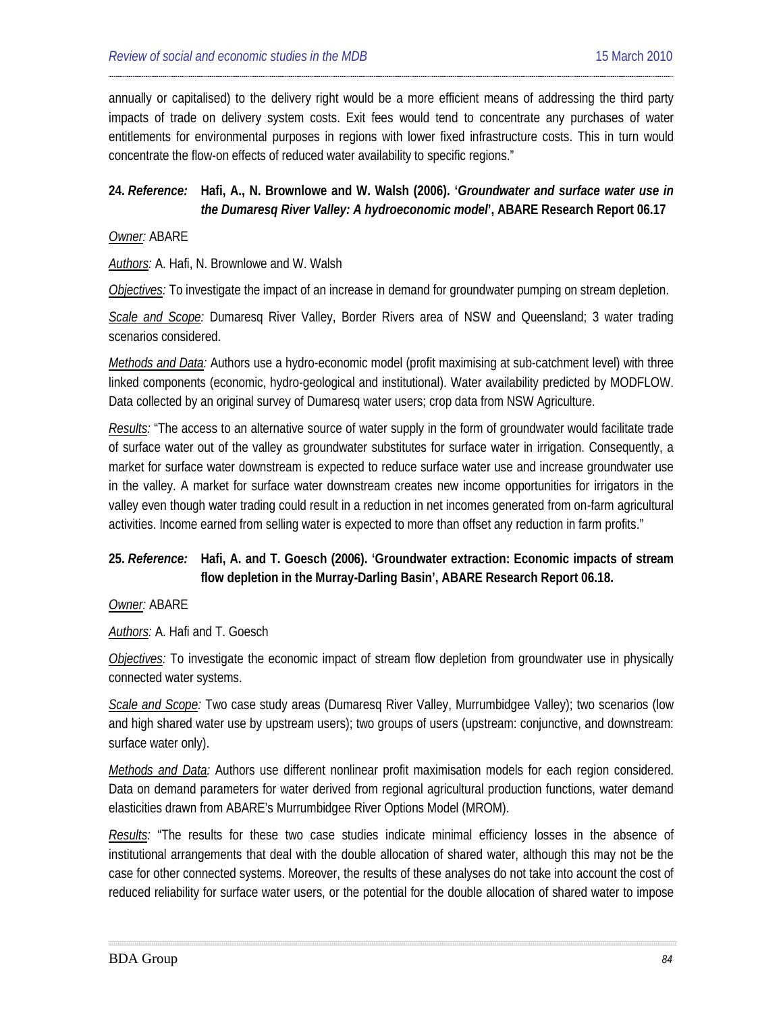annually or capitalised) to the delivery right would be a more efficient means of addressing the third party impacts of trade on delivery system costs. Exit fees would tend to concentrate any purchases of water entitlements for environmental purposes in regions with lower fixed infrastructure costs. This in turn would concentrate the flow-on effects of reduced water availability to specific regions."

### **24.** *Reference:* **[Hafi,](#page-21-0) A., N. Brownlowe and W. Walsh (2006). '***Groundwater and surface water use in the Dumaresq River Valley: A hydroeconomic model***', ABARE Research Report 06.17**

#### *Owner:* ABARE

*Authors:* A. Hafi, N. Brownlowe and W. Walsh

*Objectives:* To investigate the impact of an increase in demand for groundwater pumping on stream depletion.

*Scale and Scope:* Dumaresq River Valley, Border Rivers area of NSW and Queensland; 3 water trading scenarios considered.

*Methods and Data:* Authors use a hydro-economic model (profit maximising at sub-catchment level) with three linked components (economic, hydro-geological and institutional). Water availability predicted by MODFLOW. Data collected by an original survey of Dumaresq water users; crop data from NSW Agriculture.

*Results:* "The access to an alternative source of water supply in the form of groundwater would facilitate trade of surface water out of the valley as groundwater substitutes for surface water in irrigation. Consequently, a market for surface water downstream is expected to reduce surface water use and increase groundwater use in the valley. A market for surface water downstream creates new income opportunities for irrigators in the valley even though water trading could result in a reduction in net incomes generated from on-farm agricultural activities. Income earned from selling water is expected to more than offset any reduction in farm profits."

## **25.** *Reference:* **[Hafi,](#page-21-1) A. and T. Goesch (2006). 'Groundwater extraction: Economic impacts of stream flow depletion in the Murray-Darling Basin', ABARE Research Report 06.18.**

*Owner:* ABARE

*Authors:* A. Hafi and T. Goesch

*Objectives:* To investigate the economic impact of stream flow depletion from groundwater use in physically connected water systems.

*Scale and Scope:* Two case study areas (Dumaresq River Valley, Murrumbidgee Valley); two scenarios (low and high shared water use by upstream users); two groups of users (upstream: conjunctive, and downstream: surface water only).

*Methods and Data:* Authors use different nonlinear profit maximisation models for each region considered. Data on demand parameters for water derived from regional agricultural production functions, water demand elasticities drawn from ABARE's Murrumbidgee River Options Model (MROM).

*Results:* "The results for these two case studies indicate minimal efficiency losses in the absence of institutional arrangements that deal with the double allocation of shared water, although this may not be the case for other connected systems. Moreover, the results of these analyses do not take into account the cost of reduced reliability for surface water users, or the potential for the double allocation of shared water to impose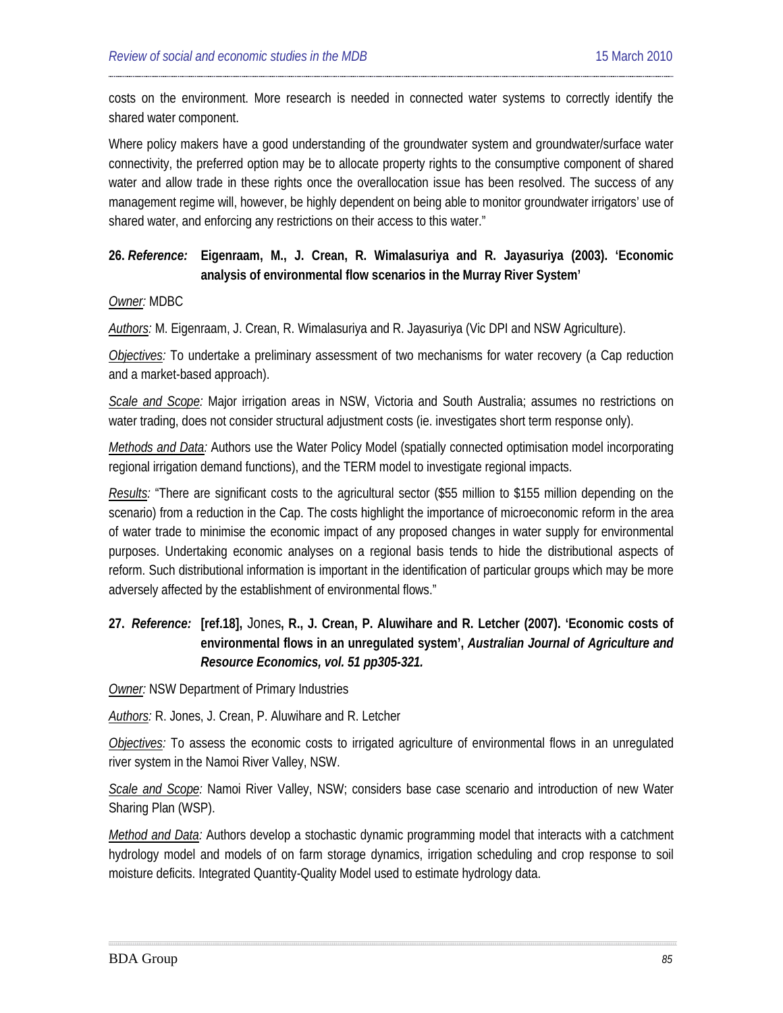costs on the environment. More research is needed in connected water systems to correctly identify the shared water component.

Where policy makers have a good understanding of the groundwater system and groundwater/surface water connectivity, the preferred option may be to allocate property rights to the consumptive component of shared water and allow trade in these rights once the overallocation issue has been resolved. The success of any management regime will, however, be highly dependent on being able to monitor groundwater irrigators' use of shared water, and enforcing any restrictions on their access to this water."

## **26.** *Reference:* **[Eigenraam,](#page-18-0) M., J. Crean, R. Wimalasuriya and R. Jayasuriya (2003). 'Economic analysis of environmental flow scenarios in the Murray River System'**

#### *Owner:* MDBC

*Authors:* M. Eigenraam, J. Crean, R. Wimalasuriya and R. Jayasuriya (Vic DPI and NSW Agriculture).

*Objectives:* To undertake a preliminary assessment of two mechanisms for water recovery (a Cap reduction and a market-based approach).

*Scale and Scope:* Major irrigation areas in NSW, Victoria and South Australia; assumes no restrictions on water trading, does not consider structural adjustment costs (ie. investigates short term response only).

*Methods and Data:* Authors use the Water Policy Model (spatially connected optimisation model incorporating regional irrigation demand functions), and the TERM model to investigate regional impacts.

*Results:* "There are significant costs to the agricultural sector (\$55 million to \$155 million depending on the scenario) from a reduction in the Cap. The costs highlight the importance of microeconomic reform in the area of water trade to minimise the economic impact of any proposed changes in water supply for environmental purposes. Undertaking economic analyses on a regional basis tends to hide the distributional aspects of reform. Such distributional information is important in the identification of particular groups which may be more adversely affected by the establishment of environmental flows."

## **27.** *Reference:* **[\[ref.18\],](#page-19-6)** Jones**, R., J. Crean, P. Aluwihare and R. Letcher (2007). 'Economic costs of environmental flows in an unregulated system',** *Australian Journal of Agriculture and Resource Economics, vol. 51 pp305-321.*

**Owner: NSW Department of Primary Industries** 

*Authors:* R. Jones, J. Crean, P. Aluwihare and R. Letcher

*Objectives:* To assess the economic costs to irrigated agriculture of environmental flows in an unregulated river system in the Namoi River Valley, NSW.

*Scale and Scope:* Namoi River Valley, NSW; considers base case scenario and introduction of new Water Sharing Plan (WSP).

*Method and Data:* Authors develop a stochastic dynamic programming model that interacts with a catchment hydrology model and models of on farm storage dynamics, irrigation scheduling and crop response to soil moisture deficits. Integrated Quantity-Quality Model used to estimate hydrology data.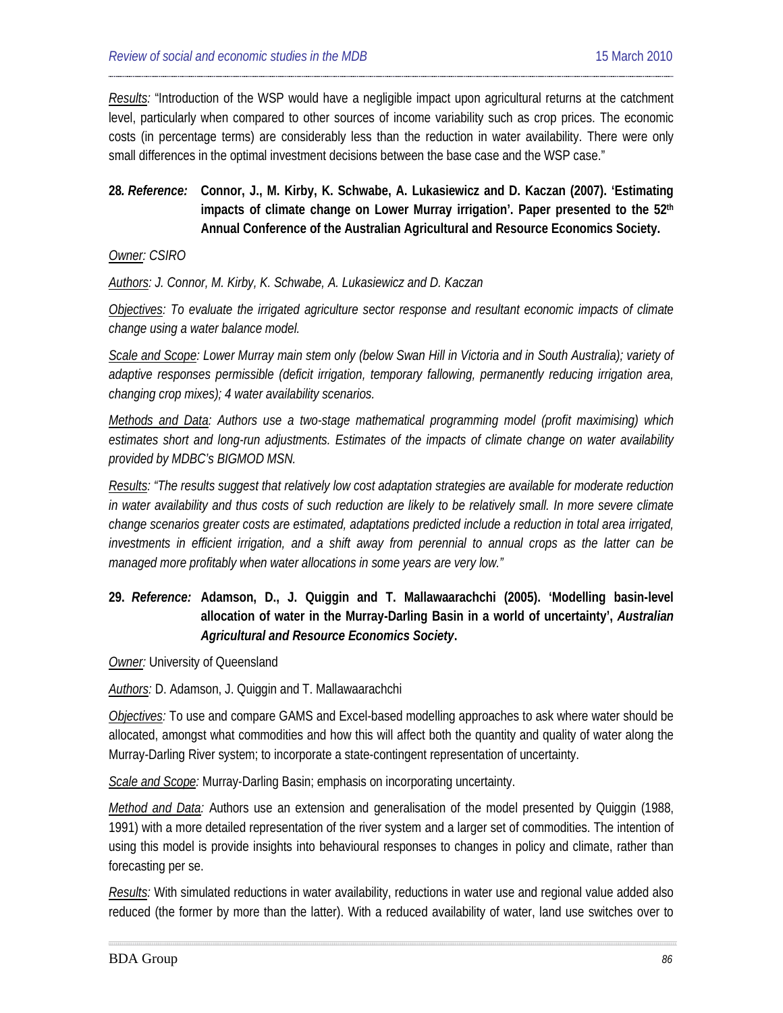*Results:* "Introduction of the WSP would have a negligible impact upon agricultural returns at the catchment level, particularly when compared to other sources of income variability such as crop prices. The economic costs (in percentage terms) are considerably less than the reduction in water availability. There were only small differences in the optimal investment decisions between the base case and the WSP case."

## **28***. Reference:* **Connor, J., M. Kirby, K. Schwabe, A. Lukasiewicz and D. Kaczan (2007). 'Estimating**  impacts of climate change on Lower Murray irrigation'. Paper presented to the 52<sup>th</sup> **Annual Conference of the Australian Agricultural and Resource Economics Society.**

*Owner: CSIRO*

*Authors: J. Connor, M. Kirby, K. Schwabe, A. Lukasiewicz and D. Kaczan*

*Objectives: To evaluate the irrigated agriculture sector response and resultant economic impacts of climate change using a water balance model.*

*Scale and Scope: Lower Murray main stem only (below Swan Hill in Victoria and in South Australia); variety of adaptive responses permissible (deficit irrigation, temporary fallowing, permanently reducing irrigation area, changing crop mixes); 4 water availability scenarios.*

*Methods and Data: Authors use a two-stage mathematical programming model (profit maximising) which estimates short and long-run adjustments. Estimates of the impacts of climate change on water availability provided by MDBC's BIGMOD MSN.*

*Results: "The results suggest that relatively low cost adaptation strategies are available for moderate reduction in water availability and thus costs of such reduction are likely to be relatively small. In more severe climate change scenarios greater costs are estimated, adaptations predicted include a reduction in total area irrigated, investments in efficient irrigation, and a shift away from perennial to annual crops as the latter can be managed more profitably when water allocations in some years are very low."*

## **29.** *Reference:* **Adamson, D., J. Quiggin and T. Mallawaarachchi (2005). 'Modelling basin-level allocation of water in the Murray-Darling Basin in a world of uncertainty',** *Australian Agricultural and Resource Economics Society***.**

*Owner:* University of Queensland

*Authors:* D. Adamson, J. Quiggin and T. Mallawaarachchi

*Objectives:* To use and compare GAMS and Excel-based modelling approaches to ask where water should be allocated, amongst what commodities and how this will affect both the quantity and quality of water along the Murray-Darling River system; to incorporate a state-contingent representation of uncertainty.

*Scale and Scope:* Murray-Darling Basin; emphasis on incorporating uncertainty.

*Method and Data:* Authors use an extension and generalisation of the model presented by Quiggin (1988, 1991) with a more detailed representation of the river system and a larger set of commodities. The intention of using this model is provide insights into behavioural responses to changes in policy and climate, rather than forecasting per se.

*Results:* With simulated reductions in water availability, reductions in water use and regional value added also reduced (the former by more than the latter). With a reduced availability of water, land use switches over to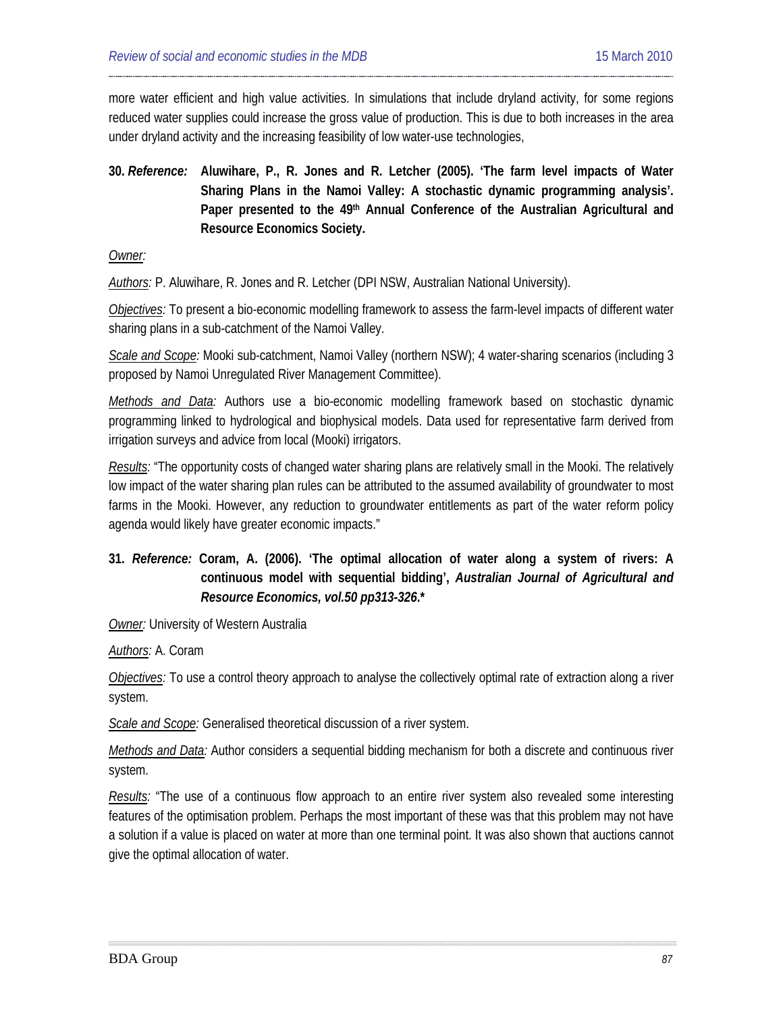more water efficient and high value activities. In simulations that include dryland activity, for some regions reduced water supplies could increase the gross value of production. This is due to both increases in the area under dryland activity and the increasing feasibility of low water-use technologies,

**30.** *Reference:* **[Aluwihare,](#page-19-7) P., R. Jones and R. Letcher (2005). 'The farm level impacts of Water Sharing Plans in the Namoi Valley: A stochastic dynamic programming analysis'. Paper presented to the 49th Annual Conference of the Australian Agricultural and Resource Economics Society.**

*Owner:*

*Authors:* P. Aluwihare, R. Jones and R. Letcher (DPI NSW, Australian National University).

*Objectives:* To present a bio-economic modelling framework to assess the farm-level impacts of different water sharing plans in a sub-catchment of the Namoi Valley.

*Scale and Scope:* Mooki sub-catchment, Namoi Valley (northern NSW); 4 water-sharing scenarios (including 3 proposed by Namoi Unregulated River Management Committee).

*Methods and Data:* Authors use a bio-economic modelling framework based on stochastic dynamic programming linked to hydrological and biophysical models. Data used for representative farm derived from irrigation surveys and advice from local (Mooki) irrigators.

*Results:* "The opportunity costs of changed water sharing plans are relatively small in the Mooki. The relatively low impact of the water sharing plan rules can be attributed to the assumed availability of groundwater to most farms in the Mooki. However, any reduction to groundwater entitlements as part of the water reform policy agenda would likely have greater economic impacts."

## **31.** *Reference:* **Coram, A. (2006). 'The optimal allocation of water along a system of rivers: A continuous model with sequential bidding',** *Australian Journal of Agricultural and Resource Economics, vol.50 pp313-326***.\***

*Owner:* University of Western Australia

*Authors:* A. Coram

*Objectives:* To use a control theory approach to analyse the collectively optimal rate of extraction along a river system.

*Scale and Scope:* Generalised theoretical discussion of a river system.

*Methods and Data:* Author considers a sequential bidding mechanism for both a discrete and continuous river system.

*Results:* "The use of a continuous flow approach to an entire river system also revealed some interesting features of the optimisation problem. Perhaps the most important of these was that this problem may not have a solution if a value is placed on water at more than one terminal point. It was also shown that auctions cannot give the optimal allocation of water.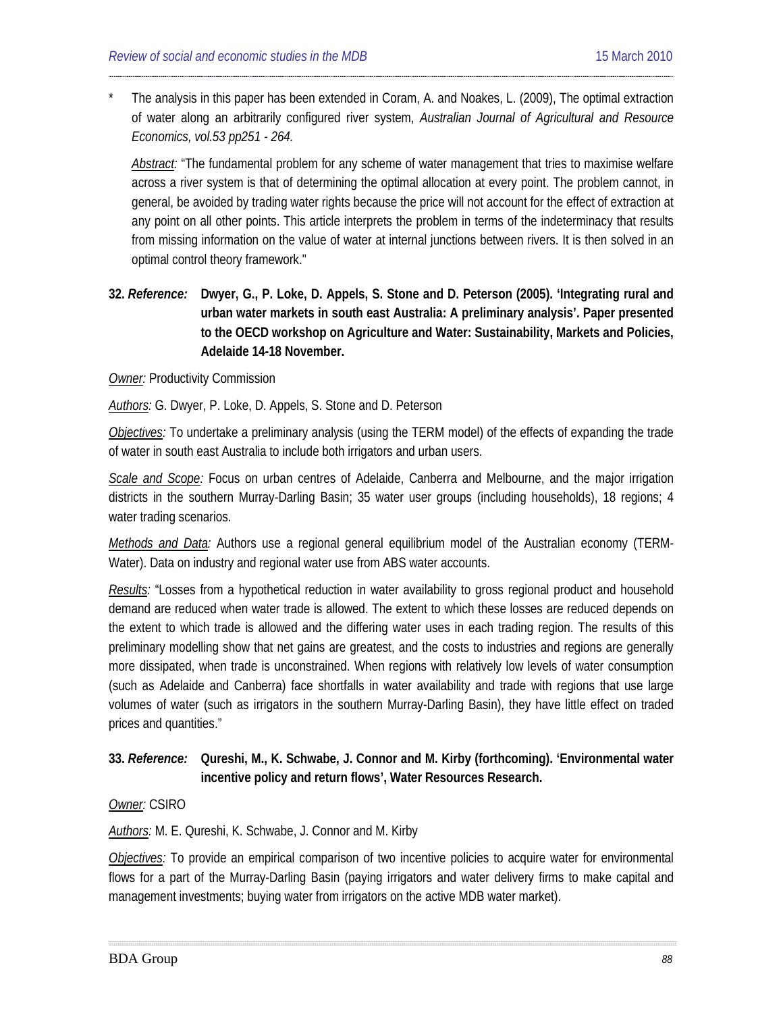The analysis in this paper has been extended in Coram, A. and Noakes, L. (2009), The optimal extraction of water along an arbitrarily configured river system, *Australian Journal of Agricultural and Resource Economics, vol.53 pp251 - 264.*

*Abstract:* "The fundamental problem for any scheme of water management that tries to maximise welfare across a river system is that of determining the optimal allocation at every point. The problem cannot, in general, be avoided by trading water rights because the price will not account for the effect of extraction at any point on all other points. This article interprets the problem in terms of the indeterminacy that results from missing information on the value of water at internal junctions between rivers. It is then solved in an optimal control theory framework."

**32.** *Reference:* **Dwyer, G., P. Loke, D. Appels, S. Stone and D. Peterson (2005). 'Integrating rural and urban water markets in south east Australia: A preliminary analysis'. Paper presented to the OECD workshop on Agriculture and Water: Sustainability, Markets and Policies, Adelaide 14-18 November.**

#### **Owner: Productivity Commission**

*Authors:* G. Dwyer, P. Loke, D. Appels, S. Stone and D. Peterson

*Objectives:* To undertake a preliminary analysis (using the TERM model) of the effects of expanding the trade of water in south east Australia to include both irrigators and urban users.

*Scale and Scope:* Focus on urban centres of Adelaide, Canberra and Melbourne, and the major irrigation districts in the southern Murray-Darling Basin; 35 water user groups (including households), 18 regions; 4 water trading scenarios.

*Methods and Data:* Authors use a regional general equilibrium model of the Australian economy (TERM-Water). Data on industry and regional water use from ABS water accounts.

*Results:* "Losses from a hypothetical reduction in water availability to gross regional product and household demand are reduced when water trade is allowed. The extent to which these losses are reduced depends on the extent to which trade is allowed and the differing water uses in each trading region. The results of this preliminary modelling show that net gains are greatest, and the costs to industries and regions are generally more dissipated, when trade is unconstrained. When regions with relatively low levels of water consumption (such as Adelaide and Canberra) face shortfalls in water availability and trade with regions that use large volumes of water (such as irrigators in the southern Murray-Darling Basin), they have little effect on traded prices and quantities."

### **33.** *Reference:* **Qureshi, M., K. Schwabe, J. Connor and M. Kirby (forthcoming). 'Environmental water incentive policy and return flows', Water Resources Research.**

*Owner:* CSIRO

*Authors:* M. E. Qureshi, K. Schwabe, J. Connor and M. Kirby

*Objectives:* To provide an empirical comparison of two incentive policies to acquire water for environmental flows for a part of the Murray-Darling Basin (paying irrigators and water delivery firms to make capital and management investments; buying water from irrigators on the active MDB water market).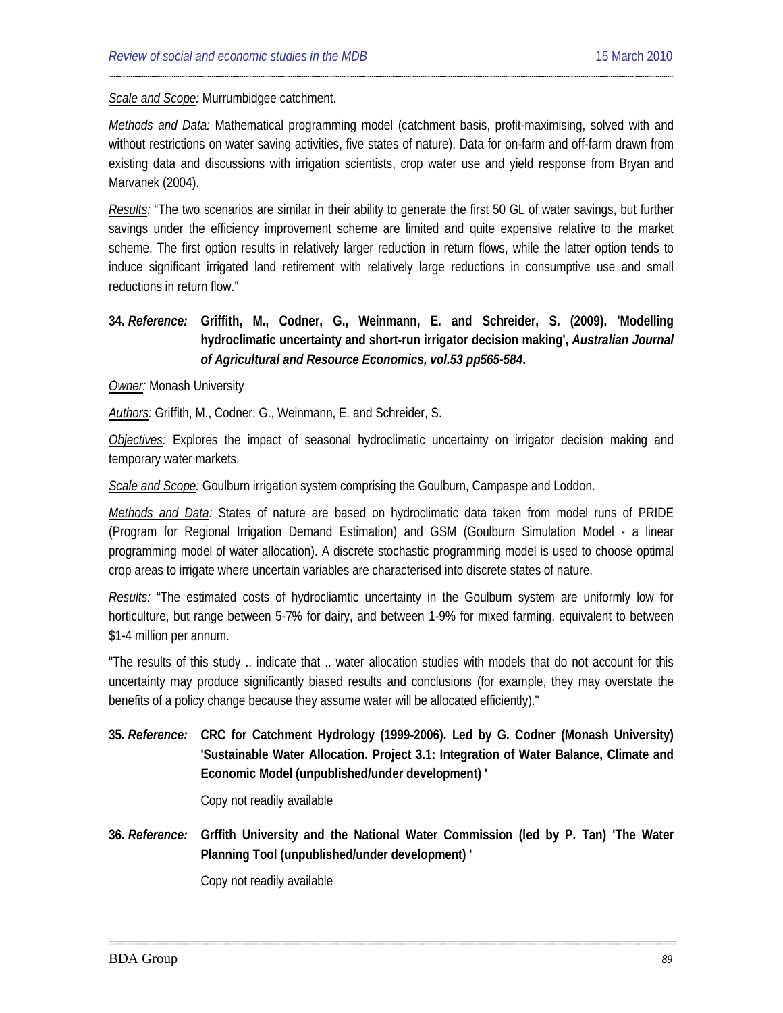*Scale and Scope:* Murrumbidgee catchment.

*Methods and Data:* Mathematical programming model (catchment basis, profit-maximising, solved with and without restrictions on water saving activities, five states of nature). Data for on-farm and off-farm drawn from existing data and discussions with irrigation scientists, crop water use and yield response from Bryan and Marvanek (2004).

*Results:* "The two scenarios are similar in their ability to generate the first 50 GL of water savings, but further savings under the efficiency improvement scheme are limited and quite expensive relative to the market scheme. The first option results in relatively larger reduction in return flows, while the latter option tends to induce significant irrigated land retirement with relatively large reductions in consumptive use and small reductions in return flow."

## **34.** *Reference:* **Griffith, M., Codner, G., Weinmann, E. and Schreider, S. (2009). 'Modelling hydroclimatic uncertainty and short-run irrigator decision making',** *Australian Journal of Agricultural and Resource Economics, vol.53 pp565-584***.**

*Owner:* Monash University

*Authors:* Griffith, M., Codner, G., Weinmann, E. and Schreider, S.

*Objectives:* Explores the impact of seasonal hydroclimatic uncertainty on irrigator decision making and temporary water markets.

*Scale and Scope:* Goulburn irrigation system comprising the Goulburn, Campaspe and Loddon.

*Methods and Data:* States of nature are based on hydroclimatic data taken from model runs of PRIDE (Program for Regional Irrigation Demand Estimation) and GSM (Goulburn Simulation Model - a linear programming model of water allocation). A discrete stochastic programming model is used to choose optimal crop areas to irrigate where uncertain variables are characterised into discrete states of nature.

*Results:* "The estimated costs of hydrocliamtic uncertainty in the Goulburn system are uniformly low for horticulture, but range between 5-7% for dairy, and between 1-9% for mixed farming, equivalent to between \$1-4 million per annum.

"The results of this study .. indicate that .. water allocation studies with models that do not account for this uncertainty may produce significantly biased results and conclusions (for example, they may overstate the benefits of a policy change because they assume water will be allocated efficiently)."

**35.** *Reference:* **CRC for Catchment Hydrology (1999-2006). Led by G. Codner (Monash University) 'Sustainable Water Allocation. Project 3.1: Integration of Water Balance, Climate and Economic Model (unpublished/under development) '**

Copy not readily available

**36.** *Reference:* **Grffith University and the National Water Commission (led by P. Tan) 'The Water Planning Tool (unpublished/under development) '**

Copy not readily available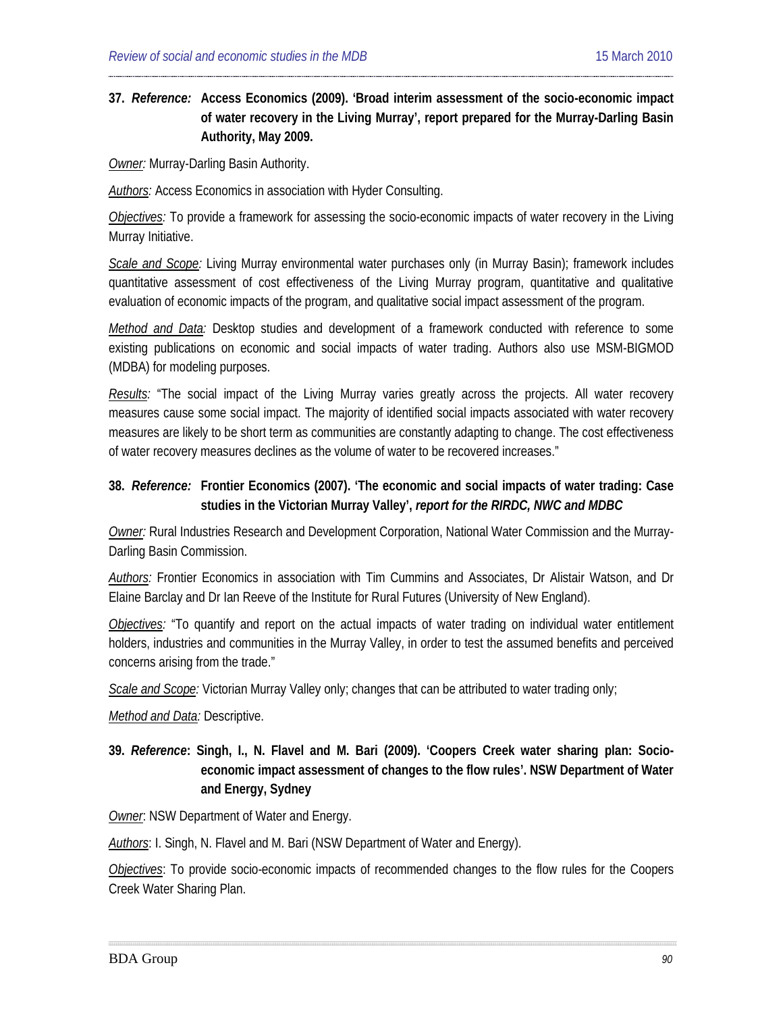## **37.** *Reference:* **Access Economics (2009). 'Broad interim assessment of the socio-economic impact of water recovery in the Living Murray', report prepared for the Murray-Darling Basin Authority, May 2009.**

*Owner:* Murray-Darling Basin Authority.

*Authors:* Access Economics in association with Hyder Consulting.

*Objectives:* To provide a framework for assessing the socio-economic impacts of water recovery in the Living Murray Initiative.

*Scale and Scope:* Living Murray environmental water purchases only (in Murray Basin); framework includes quantitative assessment of cost effectiveness of the Living Murray program, quantitative and qualitative evaluation of economic impacts of the program, and qualitative social impact assessment of the program.

*Method and Data:* Desktop studies and development of a framework conducted with reference to some existing publications on economic and social impacts of water trading. Authors also use MSM-BIGMOD (MDBA) for modeling purposes.

*Results:* "The social impact of the Living Murray varies greatly across the projects. All water recovery measures cause some social impact. The majority of identified social impacts associated with water recovery measures are likely to be short term as communities are constantly adapting to change. The cost effectiveness of water recovery measures declines as the volume of water to be recovered increases."

### **38.** *Reference:* **[Frontier](#page-20-0) Economics (2007). 'The economic and social impacts of water trading: Case studies in the Victorian Murray Valley',** *report for the RIRDC, NWC and MDBC*

*Owner:* Rural Industries Research and Development Corporation, National Water Commission and the Murray-Darling Basin Commission.

*Authors:* Frontier Economics in association with Tim Cummins and Associates, Dr Alistair Watson, and Dr Elaine Barclay and Dr Ian Reeve of the Institute for Rural Futures (University of New England).

*Objectives:* "To quantify and report on the actual impacts of water trading on individual water entitlement holders, industries and communities in the Murray Valley, in order to test the assumed benefits and perceived concerns arising from the trade."

*Scale and Scope:* Victorian Murray Valley only; changes that can be attributed to water trading only;

*Method and Data:* Descriptive.

## **39.** *Reference***: [Singh,](#page-19-8) I., N. Flavel and M. Bari (2009). 'Coopers Creek water sharing plan: Socioeconomic impact assessment of changes to the flow rules'. NSW Department of Water and Energy, Sydney**

**Owner: NSW Department of Water and Energy.** 

*Authors*: I. Singh, N. Flavel and M. Bari (NSW Department of Water and Energy).

*Objectives*: To provide socio-economic impacts of recommended changes to the flow rules for the Coopers Creek Water Sharing Plan.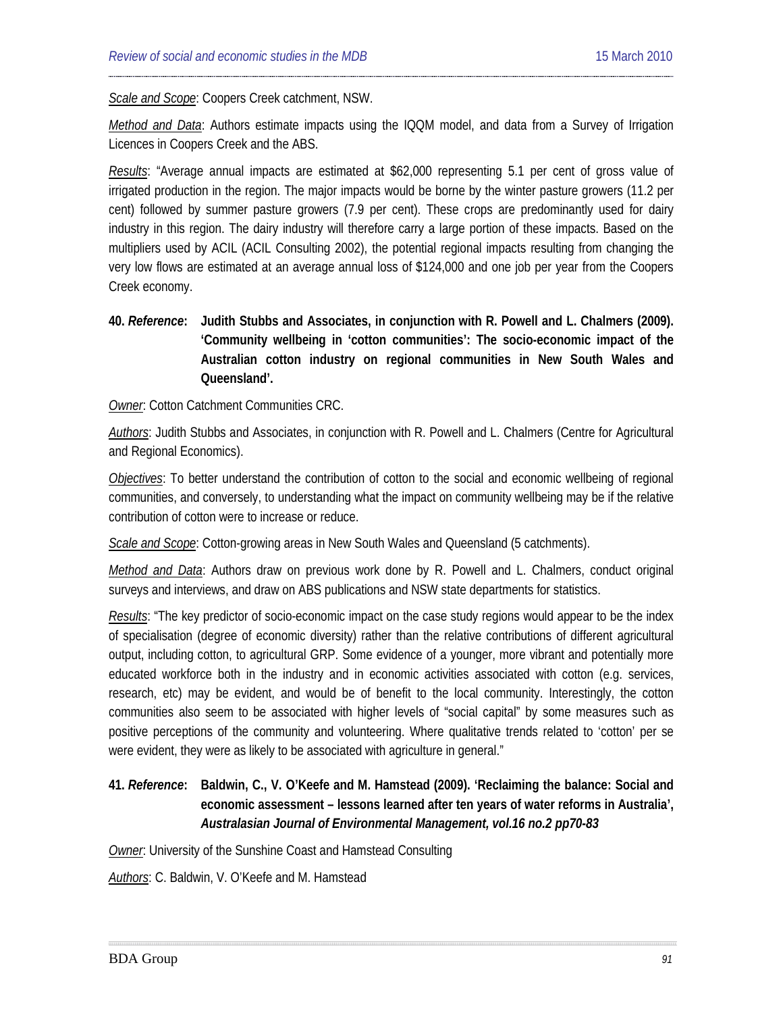*Scale and Scope*: Coopers Creek catchment, NSW.

*Method and Data*: Authors estimate impacts using the IQQM model, and data from a Survey of Irrigation Licences in Coopers Creek and the ABS.

*Results*: "Average annual impacts are estimated at \$62,000 representing 5.1 per cent of gross value of irrigated production in the region. The major impacts would be borne by the winter pasture growers (11.2 per cent) followed by summer pasture growers (7.9 per cent). These crops are predominantly used for dairy industry in this region. The dairy industry will therefore carry a large portion of these impacts. Based on the multipliers used by ACIL (ACIL Consulting 2002), the potential regional impacts resulting from changing the very low flows are estimated at an average annual loss of \$124,000 and one job per year from the Coopers Creek economy.

**40.** *Reference***: Judith Stubbs and Associates, in conjunction with R. [Powell](#page-19-9) and L. Chalmers (2009). 'Community wellbeing in 'cotton communities': The socio-economic impact of the Australian cotton industry on regional communities in New South Wales and Queensland'.** 

*Owner*: Cotton Catchment Communities CRC.

*Authors*: Judith Stubbs and Associates, in conjunction with R. Powell and L. Chalmers (Centre for Agricultural and Regional Economics).

*Objectives*: To better understand the contribution of cotton to the social and economic wellbeing of regional communities, and conversely, to understanding what the impact on community wellbeing may be if the relative contribution of cotton were to increase or reduce.

*Scale and Scope*: Cotton-growing areas in New South Wales and Queensland (5 catchments).

*Method and Data*: Authors draw on previous work done by R. Powell and L. Chalmers, conduct original surveys and interviews, and draw on ABS publications and NSW state departments for statistics.

*Results*: "The key predictor of socio-economic impact on the case study regions would appear to be the index of specialisation (degree of economic diversity) rather than the relative contributions of different agricultural output, including cotton, to agricultural GRP. Some evidence of a younger, more vibrant and potentially more educated workforce both in the industry and in economic activities associated with cotton (e.g. services, research, etc) may be evident, and would be of benefit to the local community. Interestingly, the cotton communities also seem to be associated with higher levels of "social capital" by some measures such as positive perceptions of the community and volunteering. Where qualitative trends related to 'cotton' per se were evident, they were as likely to be associated with agriculture in general."

## **41.** *Reference***: Baldwin, C., V. O'Keefe and M. Hamstead (2009). 'Reclaiming the balance: Social and economic assessment – lessons learned after ten years of water reforms in Australia',**  *Australasian Journal of Environmental Management, vol.16 no.2 pp70-83*

*Owner*: University of the Sunshine Coast and Hamstead Consulting

*Authors*: C. Baldwin, V. O'Keefe and M. Hamstead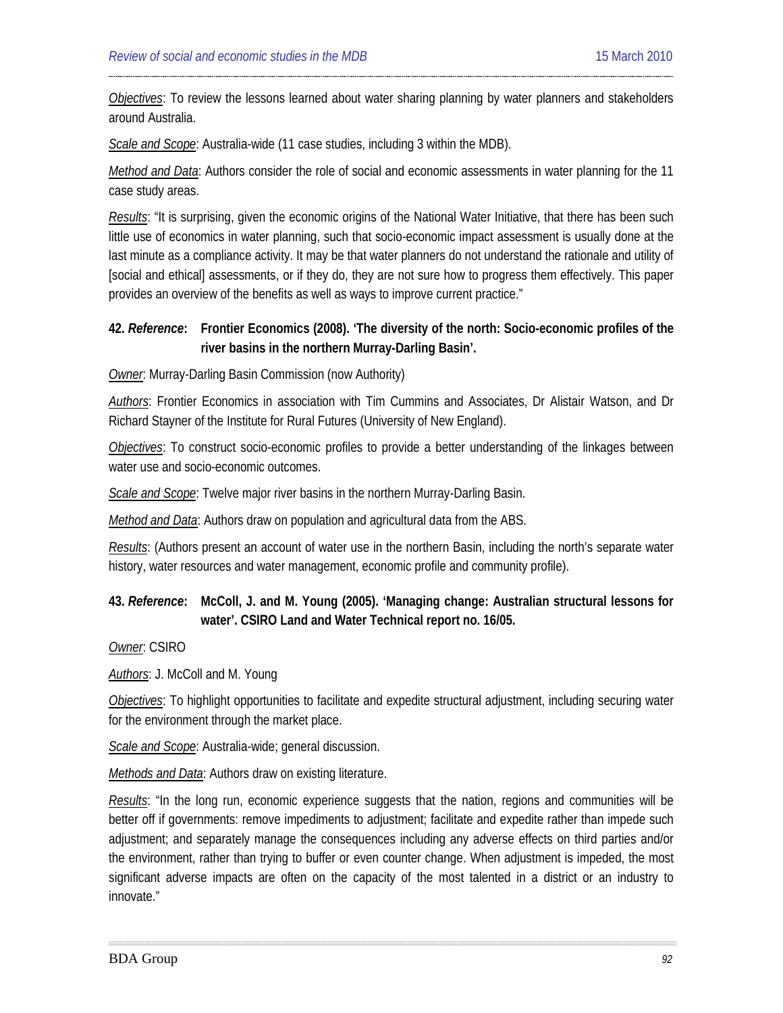*Objectives*: To review the lessons learned about water sharing planning by water planners and stakeholders around Australia.

*Scale and Scope*: Australia-wide (11 case studies, including 3 within the MDB).

*Method and Data*: Authors consider the role of social and economic assessments in water planning for the 11 case study areas.

*Results*: "It is surprising, given the economic origins of the National Water Initiative, that there has been such little use of economics in water planning, such that socio-economic impact assessment is usually done at the last minute as a compliance activity. It may be that water planners do not understand the rationale and utility of [social and ethical] assessments, or if they do, they are not sure how to progress them effectively. This paper provides an overview of the benefits as well as ways to improve current practice."

### **42.** *Reference***: Frontier Economics (2008). 'The diversity of the north: Socio-economic profiles of the river basins in the northern Murray-Darling Basin'.**

*Owner*: Murray-Darling Basin Commission (now Authority)

*Authors*: Frontier Economics in association with Tim Cummins and Associates, Dr Alistair Watson, and Dr Richard Stayner of the Institute for Rural Futures (University of New England).

*Objectives*: To construct socio-economic profiles to provide a better understanding of the linkages between water use and socio-economic outcomes.

*Scale and Scope*: Twelve major river basins in the northern Murray-Darling Basin.

*Method and Data*: Authors draw on population and agricultural data from the ABS.

*Results*: (Authors present an account of water use in the northern Basin, including the north's separate water history, water resources and water management, economic profile and community profile).

## **43.** *Reference***: McColl, J. and M. Young (2005). 'Managing change: Australian structural lessons for water'. CSIRO Land and Water Technical report no. 16/05.**

*Owner*: CSIRO

*Authors*: J. McColl and M. Young

*Objectives*: To highlight opportunities to facilitate and expedite structural adjustment, including securing water for the environment through the market place.

*Scale and Scope*: Australia-wide; general discussion.

*Methods and Data*: Authors draw on existing literature.

*Results*: "In the long run, economic experience suggests that the nation, regions and communities will be better off if governments: remove impediments to adjustment; facilitate and expedite rather than impede such adjustment; and separately manage the consequences including any adverse effects on third parties and/or the environment, rather than trying to buffer or even counter change. When adjustment is impeded, the most significant adverse impacts are often on the capacity of the most talented in a district or an industry to innovate."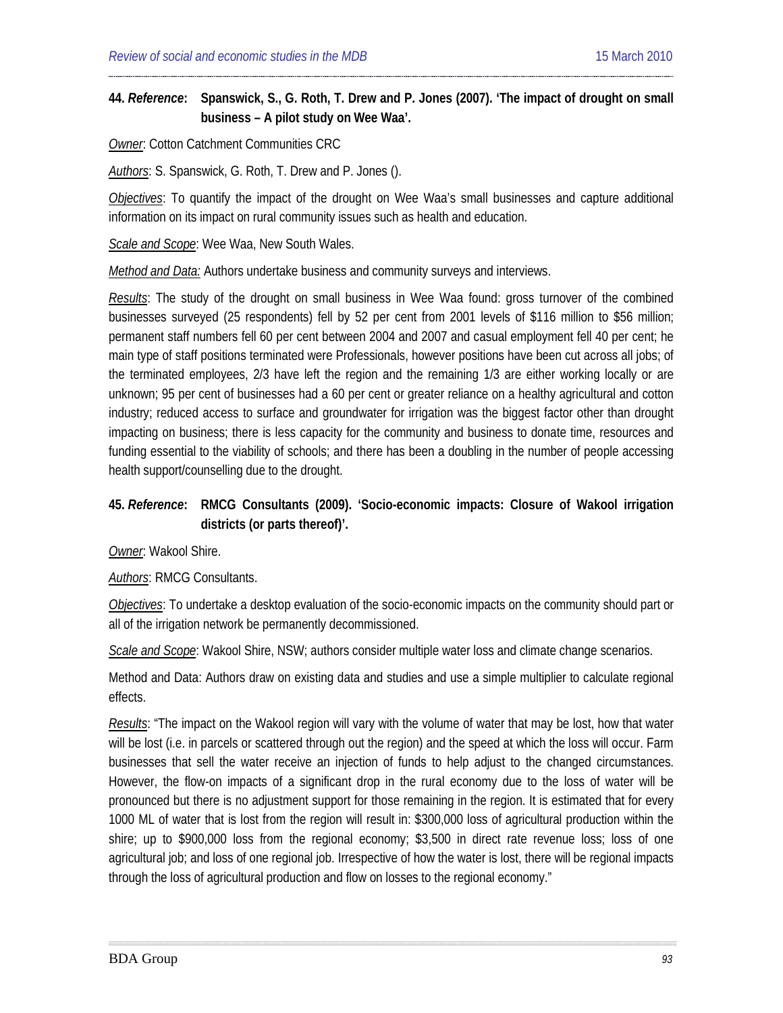## **44.** *Reference***: [Spanswick,](#page-19-10) S., G. Roth, T. Drew and P. Jones (2007). 'The impact of drought on small business – A pilot study on Wee Waa'.**

*Owner*: Cotton Catchment Communities CRC

*Authors*: S. Spanswick, G. Roth, T. Drew and P. Jones ().

*Objectives*: To quantify the impact of the drought on Wee Waa's small businesses and capture additional information on its impact on rural community issues such as health and education.

*Scale and Scope*: Wee Waa, New South Wales.

*Method and Data:* Authors undertake business and community surveys and interviews.

*Results*: The study of the drought on small business in Wee Waa found: gross turnover of the combined businesses surveyed (25 respondents) fell by 52 per cent from 2001 levels of \$116 million to \$56 million; permanent staff numbers fell 60 per cent between 2004 and 2007 and casual employment fell 40 per cent; he main type of staff positions terminated were Professionals, however positions have been cut across all jobs; of the terminated employees, 2/3 have left the region and the remaining 1/3 are either working locally or are unknown; 95 per cent of businesses had a 60 per cent or greater reliance on a healthy agricultural and cotton industry; reduced access to surface and groundwater for irrigation was the biggest factor other than drought impacting on business; there is less capacity for the community and business to donate time, resources and funding essential to the viability of schools; and there has been a doubling in the number of people accessing health support/counselling due to the drought.

## **45.** *Reference***: [RMCG](#page-19-11) Consultants (2009). 'Socio-economic impacts: Closure of Wakool irrigation districts (or parts thereof)'.**

*Owner*: Wakool Shire.

*Authors*: RMCG Consultants.

*Objectives*: To undertake a desktop evaluation of the socio-economic impacts on the community should part or all of the irrigation network be permanently decommissioned.

*Scale and Scope*: Wakool Shire, NSW; authors consider multiple water loss and climate change scenarios.

Method and Data: Authors draw on existing data and studies and use a simple multiplier to calculate regional effects.

*Results*: "The impact on the Wakool region will vary with the volume of water that may be lost, how that water will be lost (i.e. in parcels or scattered through out the region) and the speed at which the loss will occur. Farm businesses that sell the water receive an injection of funds to help adjust to the changed circumstances. However, the flow-on impacts of a significant drop in the rural economy due to the loss of water will be pronounced but there is no adjustment support for those remaining in the region. It is estimated that for every 1000 ML of water that is lost from the region will result in: \$300,000 loss of agricultural production within the shire; up to \$900,000 loss from the regional economy; \$3,500 in direct rate revenue loss; loss of one agricultural job; and loss of one regional job. Irrespective of how the water is lost, there will be regional impacts through the loss of agricultural production and flow on losses to the regional economy."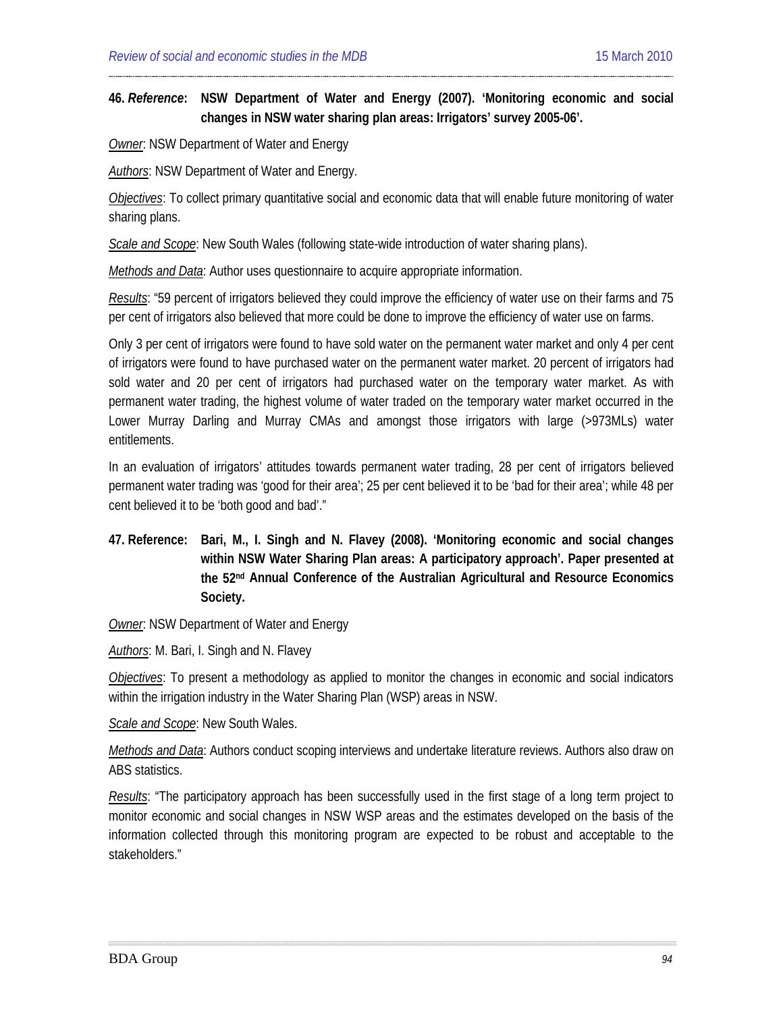### **46.** *Reference***: NSW Department of Water and Energy (2007). 'Monitoring economic and social changes in NSW water sharing plan areas: Irrigators' survey 2005-06'.**

*Owner*: NSW Department of Water and Energy

*Authors*: NSW Department of Water and Energy.

*Objectives*: To collect primary quantitative social and economic data that will enable future monitoring of water sharing plans.

*Scale and Scope*: New South Wales (following state-wide introduction of water sharing plans).

*Methods and Data*: Author uses questionnaire to acquire appropriate information.

*Results*: "59 percent of irrigators believed they could improve the efficiency of water use on their farms and 75 per cent of irrigators also believed that more could be done to improve the efficiency of water use on farms.

Only 3 per cent of irrigators were found to have sold water on the permanent water market and only 4 per cent of irrigators were found to have purchased water on the permanent water market. 20 percent of irrigators had sold water and 20 per cent of irrigators had purchased water on the temporary water market. As with permanent water trading, the highest volume of water traded on the temporary water market occurred in the Lower Murray Darling and Murray CMAs and amongst those irrigators with large (>973MLs) water entitlements.

In an evaluation of irrigators' attitudes towards permanent water trading, 28 per cent of irrigators believed permanent water trading was 'good for their area'; 25 per cent believed it to be 'bad for their area'; while 48 per cent believed it to be 'both good and bad'."

## **47. Reference: Bari, M., I. Singh and N. Flavey (2008). 'Monitoring economic and social changes within NSW Water Sharing Plan areas: A participatory approach'. Paper presented at the 52nd Annual Conference of the Australian Agricultural and Resource Economics Society.**

*Owner*: NSW Department of Water and Energy

*Authors*: M. Bari, I. Singh and N. Flavey

*Objectives*: To present a methodology as applied to monitor the changes in economic and social indicators within the irrigation industry in the Water Sharing Plan (WSP) areas in NSW.

*Scale and Scope*: New South Wales.

*Methods and Data*: Authors conduct scoping interviews and undertake literature reviews. Authors also draw on ABS statistics.

*Results*: "The participatory approach has been successfully used in the first stage of a long term project to monitor economic and social changes in NSW WSP areas and the estimates developed on the basis of the information collected through this monitoring program are expected to be robust and acceptable to the stakeholders."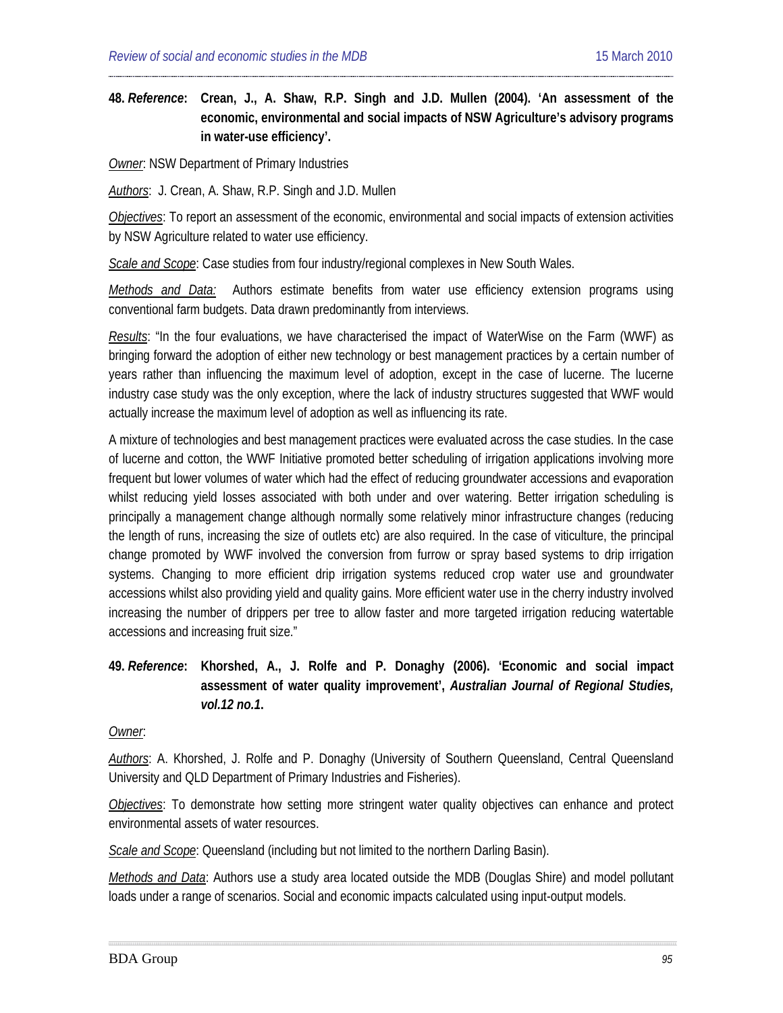**48.** *Reference***: Crean, J., A. Shaw, R.P. Singh and J.D. Mullen (2004). 'An assessment of the economic, environmental and social impacts of NSW Agriculture's advisory programs in water-use efficiency'.** 

*Owner*: NSW Department of Primary Industries

*Authors*: J. Crean, A. Shaw, R.P. Singh and J.D. Mullen

*Objectives*: To report an assessment of the economic, environmental and social impacts of extension activities by NSW Agriculture related to water use efficiency.

*Scale and Scope*: Case studies from four industry/regional complexes in New South Wales.

*Methods and Data:* Authors estimate benefits from water use efficiency extension programs using conventional farm budgets. Data drawn predominantly from interviews.

*Results*: "In the four evaluations, we have characterised the impact of WaterWise on the Farm (WWF) as bringing forward the adoption of either new technology or best management practices by a certain number of years rather than influencing the maximum level of adoption, except in the case of lucerne. The lucerne industry case study was the only exception, where the lack of industry structures suggested that WWF would actually increase the maximum level of adoption as well as influencing its rate.

A mixture of technologies and best management practices were evaluated across the case studies. In the case of lucerne and cotton, the WWF Initiative promoted better scheduling of irrigation applications involving more frequent but lower volumes of water which had the effect of reducing groundwater accessions and evaporation whilst reducing yield losses associated with both under and over watering. Better irrigation scheduling is principally a management change although normally some relatively minor infrastructure changes (reducing the length of runs, increasing the size of outlets etc) are also required. In the case of viticulture, the principal change promoted by WWF involved the conversion from furrow or spray based systems to drip irrigation systems. Changing to more efficient drip irrigation systems reduced crop water use and groundwater accessions whilst also providing yield and quality gains. More efficient water use in the cherry industry involved increasing the number of drippers per tree to allow faster and more targeted irrigation reducing watertable accessions and increasing fruit size."

### **49.** *Reference***: Khorshed, A., J. Rolfe and P. Donaghy (2006). 'Economic and social impact assessment of water quality improvement',** *Australian Journal of Regional Studies, vol.12 no.1***.**

#### *Owner*:

Authors: A. Khorshed, J. Rolfe and P. Donaghy (University of Southern Queensland, Central Queensland University and QLD Department of Primary Industries and Fisheries).

*Objectives*: To demonstrate how setting more stringent water quality objectives can enhance and protect environmental assets of water resources.

*Scale and Scope*: Queensland (including but not limited to the northern Darling Basin).

*Methods and Data*: Authors use a study area located outside the MDB (Douglas Shire) and model pollutant loads under a range of scenarios. Social and economic impacts calculated using input-output models.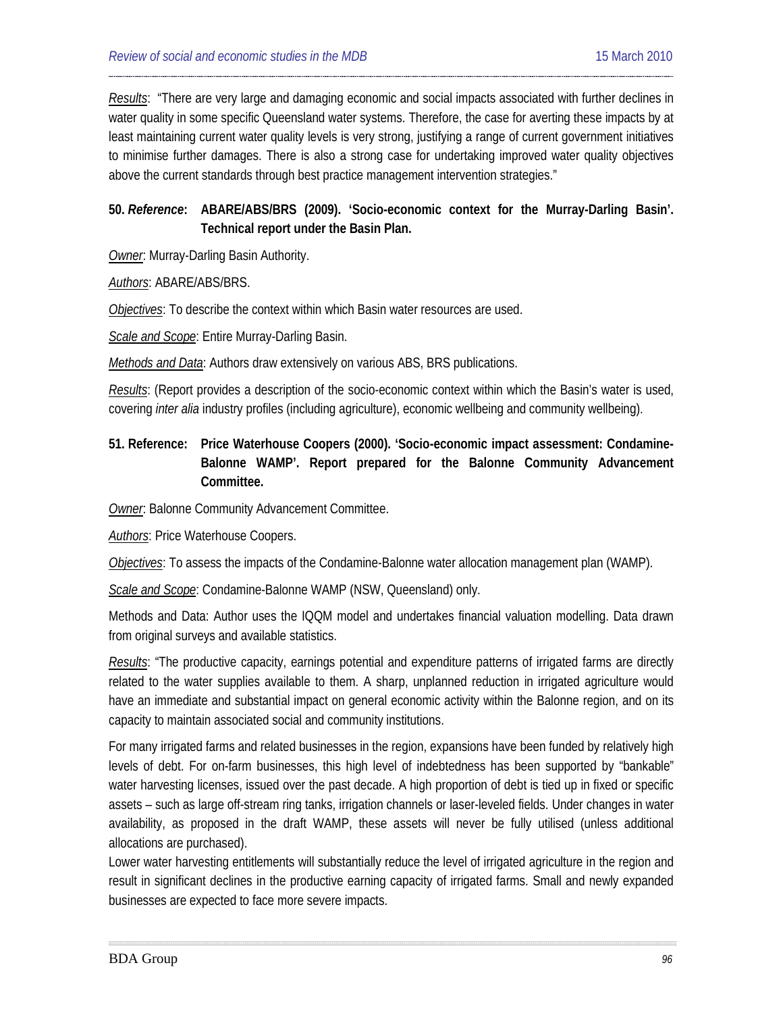*Results*: "There are very large and damaging economic and social impacts associated with further declines in water quality in some specific Queensland water systems. Therefore, the case for averting these impacts by at least maintaining current water quality levels is very strong, justifying a range of current government initiatives to minimise further damages. There is also a strong case for undertaking improved water quality objectives above the current standards through best practice management intervention strategies."

## **50.** *Reference***: [ABARE/](#page-29-0)ABS/BRS (2009). 'Socio-economic context for the Murray-Darling Basin'. Technical report under the Basin Plan.**

*Owner*: Murray-Darling Basin Authority.

#### *Authors*: ABARE/ABS/BRS.

*Objectives*: To describe the context within which Basin water resources are used.

*Scale and Scope*: Entire Murray-Darling Basin.

*Methods and Data*: Authors draw extensively on various ABS, BRS publications.

*Results*: (Report provides a description of the socio-economic context within which the Basin's water is used, covering *inter alia* industry profiles (including agriculture), economic wellbeing and community wellbeing).

## **51. Reference: Price Waterhouse Coopers (2000). 'Socio-economic impact assessment: Condamine-Balonne WAMP'. Report prepared for the Balonne Community Advancement Committee.**

*Owner*: Balonne Community Advancement Committee.

*Authors*: Price Waterhouse Coopers.

*Objectives*: To assess the impacts of the Condamine-Balonne water allocation management plan (WAMP).

*Scale and Scope*: Condamine-Balonne WAMP (NSW, Queensland) only.

Methods and Data: Author uses the IQQM model and undertakes financial valuation modelling. Data drawn from original surveys and available statistics.

*Results*: "The productive capacity, earnings potential and expenditure patterns of irrigated farms are directly related to the water supplies available to them. A sharp, unplanned reduction in irrigated agriculture would have an immediate and substantial impact on general economic activity within the Balonne region, and on its capacity to maintain associated social and community institutions.

For many irrigated farms and related businesses in the region, expansions have been funded by relatively high levels of debt. For on-farm businesses, this high level of indebtedness has been supported by "bankable" water harvesting licenses, issued over the past decade. A high proportion of debt is tied up in fixed or specific assets – such as large off-stream ring tanks, irrigation channels or laser-leveled fields. Under changes in water availability, as proposed in the draft WAMP, these assets will never be fully utilised (unless additional allocations are purchased).

Lower water harvesting entitlements will substantially reduce the level of irrigated agriculture in the region and result in significant declines in the productive earning capacity of irrigated farms. Small and newly expanded businesses are expected to face more severe impacts.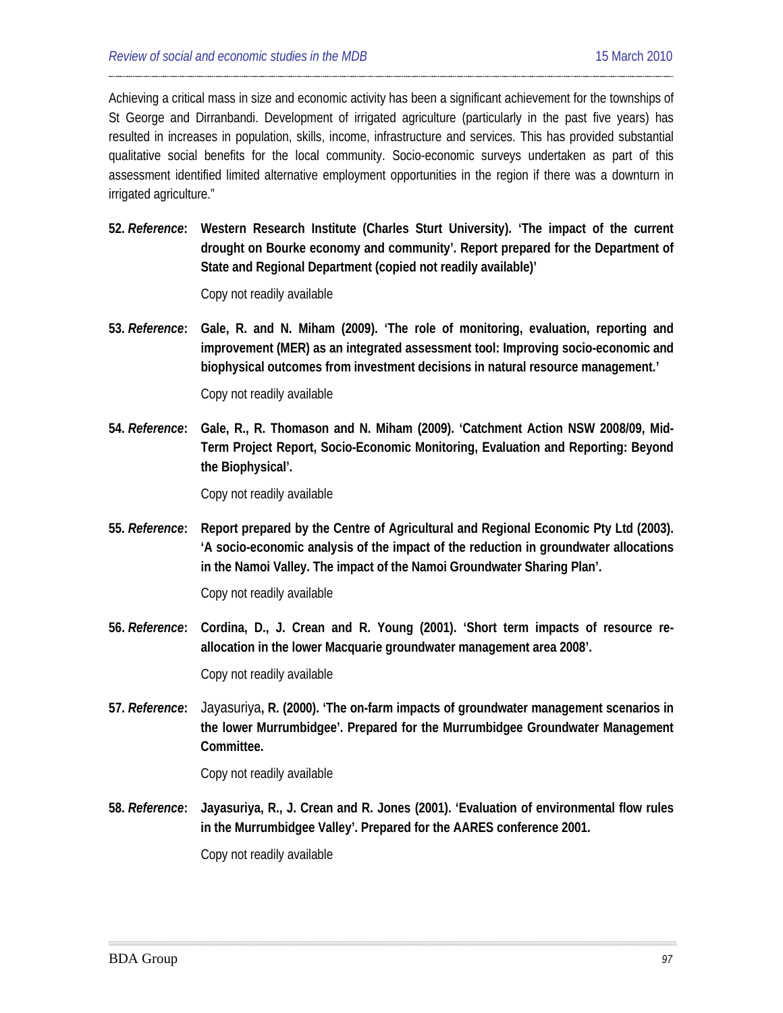Achieving a critical mass in size and economic activity has been a significant achievement for the townships of St George and Dirranbandi. Development of irrigated agriculture (particularly in the past five years) has resulted in increases in population, skills, income, infrastructure and services. This has provided substantial qualitative social benefits for the local community. Socio-economic surveys undertaken as part of this assessment identified limited alternative employment opportunities in the region if there was a downturn in irrigated agriculture."

**52.** *Reference***: Western Research Institute (Charles Sturt University). 'The impact of the current drought on Bourke economy and community'. Report prepared for the Department of State and Regional Department (copied not readily available)'**

Copy not readily available

**53.** *Reference***: Gale, R. and N. Miham (2009). 'The role of monitoring, evaluation, reporting and improvement (MER) as an integrated assessment tool: Improving socio-economic and biophysical outcomes from investment decisions in natural resource management.'**

Copy not readily available

**54.** *Reference***: Gale, R., R. Thomason and N. Miham (2009). 'Catchment Action NSW 2008/09, Mid-Term Project Report, Socio-Economic Monitoring, Evaluation and Reporting: Beyond the Biophysical'.**

Copy not readily available

**55.** *Reference***: Report prepared by the Centre of Agricultural and Regional Economic Pty Ltd (2003). 'A socio-economic analysis of the impact of the reduction in groundwater allocations in the Namoi Valley. The impact of the Namoi Groundwater Sharing Plan'.**

Copy not readily available

**56.** *Reference***: [Cordina,](#page-21-2) D., J. Crean and R. Young (2001). 'Short term impacts of resource reallocation in the lower Macquarie groundwater management area 2008'.**

Copy not readily available

**57.** *Reference***:** [Jayasuriya](#page-21-3)**, R. (2000). 'The on-farm impacts of groundwater management scenarios in the lower Murrumbidgee'. Prepared for the Murrumbidgee Groundwater Management Committee.** 

Copy not readily available

**58.** *Reference***: Jayasuriya, R., J. Crean and R. Jones (2001). 'Evaluation of environmental flow rules in the Murrumbidgee Valley'. Prepared for the AARES conference 2001.**  Copy not readily available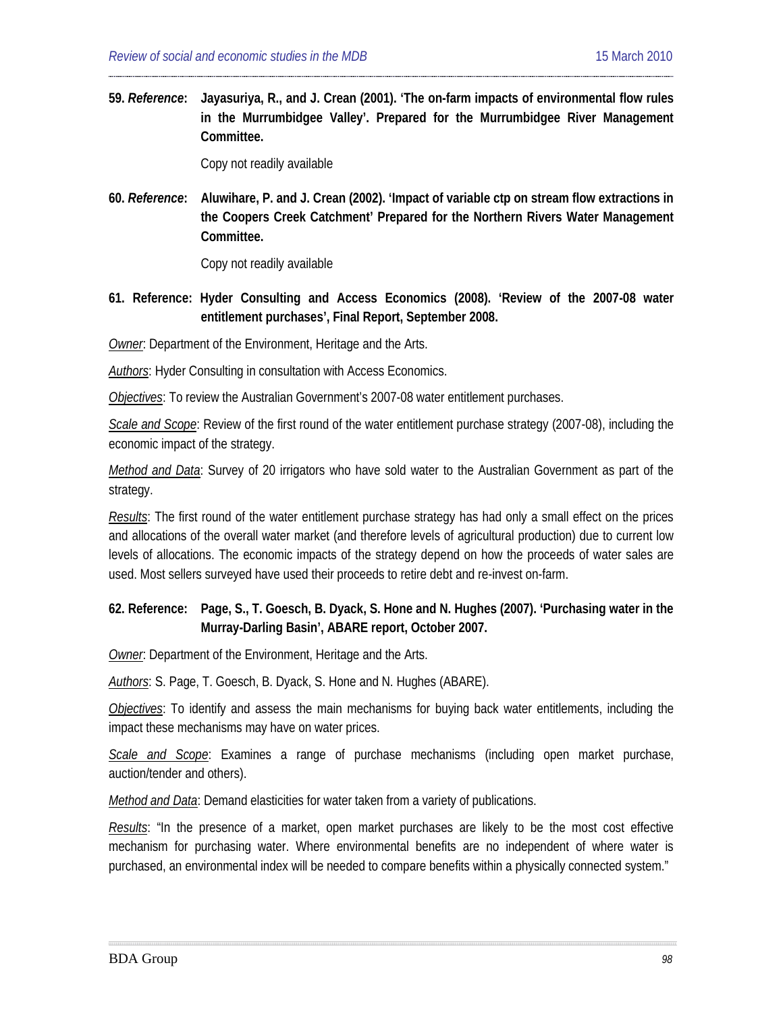**59.** *Reference***: Jayasuriya, R., and J. Crean (2001). 'The on-farm impacts of environmental flow rules in the Murrumbidgee Valley'. Prepared for the Murrumbidgee River Management Committee.** 

Copy not readily available

**60.** *Reference***: Aluwihare, P. and J. Crean (2002). 'Impact of variable ctp on stream flow extractions in the Coopers Creek Catchment' Prepared for the Northern Rivers Water Management Committee.** 

Copy not readily available

**61. Reference: Hyder Consulting and Access Economics (2008). 'Review of the 2007-08 water entitlement purchases', Final Report, September 2008.**

*Owner*: Department of the Environment, Heritage and the Arts.

*Authors*: Hyder Consulting in consultation with Access Economics.

*Objectives*: To review the Australian Government's 2007-08 water entitlement purchases.

*Scale and Scope*: Review of the first round of the water entitlement purchase strategy (2007-08), including the economic impact of the strategy.

*Method and Data*: Survey of 20 irrigators who have sold water to the Australian Government as part of the strategy.

*Results*: The first round of the water entitlement purchase strategy has had only a small effect on the prices and allocations of the overall water market (and therefore levels of agricultural production) due to current low levels of allocations. The economic impacts of the strategy depend on how the proceeds of water sales are used. Most sellers surveyed have used their proceeds to retire debt and re-invest on-farm.

### **62. Reference: Page, S., T. Goesch, B. Dyack, S. Hone and N. Hughes (2007). 'Purchasing water in the Murray-Darling Basin', ABARE report, October 2007.**

*Owner*: Department of the Environment, Heritage and the Arts.

*Authors*: S. Page, T. Goesch, B. Dyack, S. Hone and N. Hughes (ABARE).

*Objectives*: To identify and assess the main mechanisms for buying back water entitlements, including the impact these mechanisms may have on water prices.

*Scale and Scope*: Examines a range of purchase mechanisms (including open market purchase, auction/tender and others).

*Method and Data*: Demand elasticities for water taken from a variety of publications.

*Results*: "In the presence of a market, open market purchases are likely to be the most cost effective mechanism for purchasing water. Where environmental benefits are no independent of where water is purchased, an environmental index will be needed to compare benefits within a physically connected system."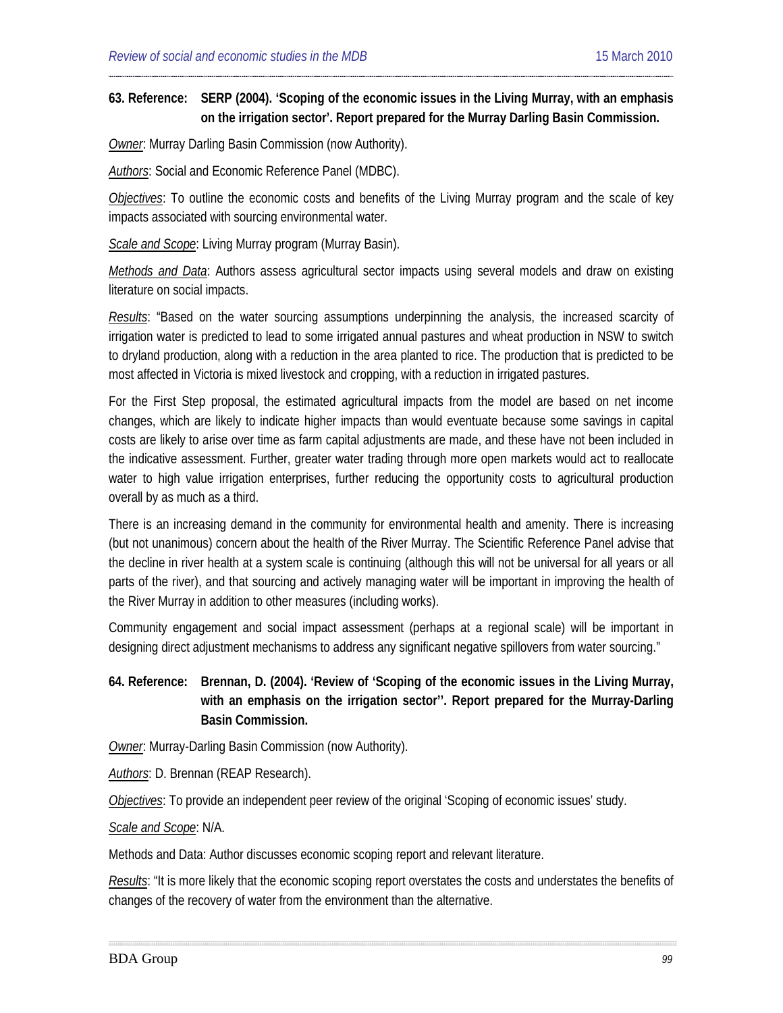#### **63. Reference: SERP (2004). 'Scoping of the economic issues in the Living Murray, with an emphasis on the irrigation sector'. Report prepared for the Murray Darling Basin Commission.**

*Owner*: Murray Darling Basin Commission (now Authority).

*Authors*: Social and Economic Reference Panel (MDBC).

*Objectives*: To outline the economic costs and benefits of the Living Murray program and the scale of key impacts associated with sourcing environmental water.

*Scale and Scope*: Living Murray program (Murray Basin).

*Methods and Data*: Authors assess agricultural sector impacts using several models and draw on existing literature on social impacts.

*Results*: "Based on the water sourcing assumptions underpinning the analysis, the increased scarcity of irrigation water is predicted to lead to some irrigated annual pastures and wheat production in NSW to switch to dryland production, along with a reduction in the area planted to rice. The production that is predicted to be most affected in Victoria is mixed livestock and cropping, with a reduction in irrigated pastures.

For the First Step proposal, the estimated agricultural impacts from the model are based on net income changes, which are likely to indicate higher impacts than would eventuate because some savings in capital costs are likely to arise over time as farm capital adjustments are made, and these have not been included in the indicative assessment. Further, greater water trading through more open markets would act to reallocate water to high value irrigation enterprises, further reducing the opportunity costs to agricultural production overall by as much as a third.

There is an increasing demand in the community for environmental health and amenity. There is increasing (but not unanimous) concern about the health of the River Murray. The Scientific Reference Panel advise that the decline in river health at a system scale is continuing (although this will not be universal for all years or all parts of the river), and that sourcing and actively managing water will be important in improving the health of the River Murray in addition to other measures (including works).

Community engagement and social impact assessment (perhaps at a regional scale) will be important in designing direct adjustment mechanisms to address any significant negative spillovers from water sourcing."

**64. Reference: Brennan, D. (2004). 'Review of 'Scoping of the economic issues in the Living Murray, with an emphasis on the irrigation sector''. Report prepared for the Murray-Darling Basin Commission.**

*Owner*: Murray-Darling Basin Commission (now Authority).

*Authors*: D. Brennan (REAP Research).

*Objectives*: To provide an independent peer review of the original 'Scoping of economic issues' study.

*Scale and Scope*: N/A.

Methods and Data: Author discusses economic scoping report and relevant literature.

*Results*: "It is more likely that the economic scoping report overstates the costs and understates the benefits of changes of the recovery of water from the environment than the alternative.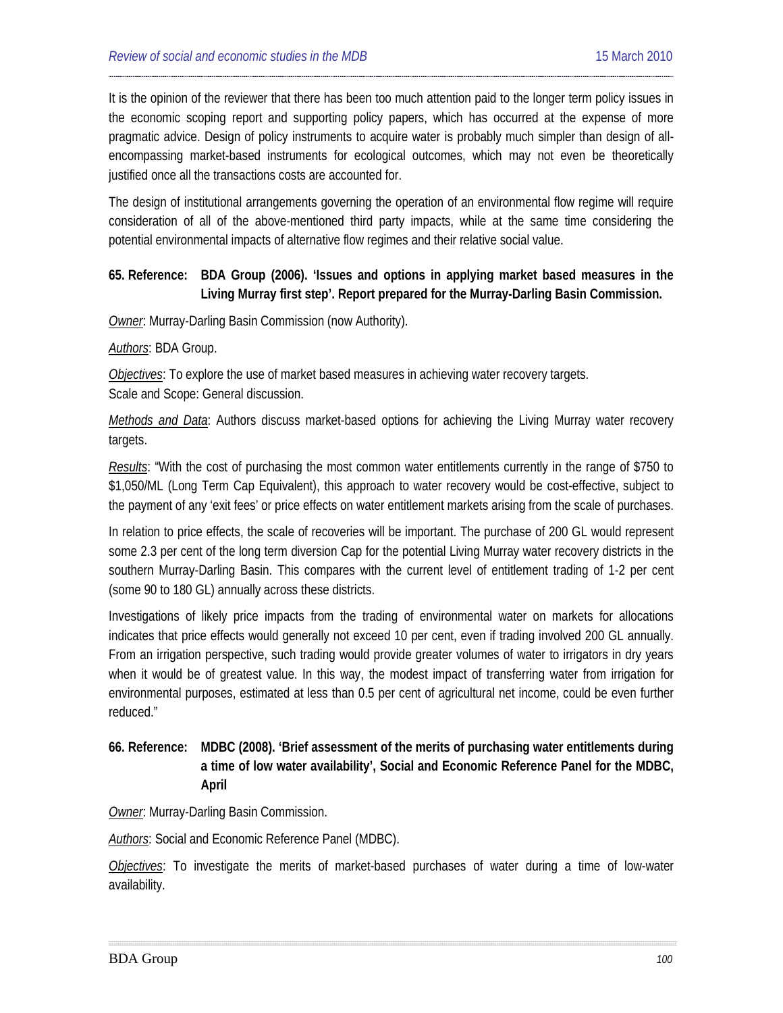It is the opinion of the reviewer that there has been too much attention paid to the longer term policy issues in the economic scoping report and supporting policy papers, which has occurred at the expense of more pragmatic advice. Design of policy instruments to acquire water is probably much simpler than design of allencompassing market-based instruments for ecological outcomes, which may not even be theoretically justified once all the transactions costs are accounted for.

The design of institutional arrangements governing the operation of an environmental flow regime will require consideration of all of the above-mentioned third party impacts, while at the same time considering the potential environmental impacts of alternative flow regimes and their relative social value.

### **65. Reference: [BDA](#page-37-0) Group (2006). 'Issues and options in applying market based measures in the Living Murray first step'. Report prepared for the Murray-Darling Basin Commission.**

*Owner*: Murray-Darling Basin Commission (now Authority).

*Authors*: BDA Group.

*Objectives*: To explore the use of market based measures in achieving water recovery targets. Scale and Scope: General discussion.

*Methods and Data*: Authors discuss market-based options for achieving the Living Murray water recovery targets.

*Results*: "With the cost of purchasing the most common water entitlements currently in the range of \$750 to \$1,050/ML (Long Term Cap Equivalent), this approach to water recovery would be cost-effective, subject to the payment of any 'exit fees' or price effects on water entitlement markets arising from the scale of purchases.

In relation to price effects, the scale of recoveries will be important. The purchase of 200 GL would represent some 2.3 per cent of the long term diversion Cap for the potential Living Murray water recovery districts in the southern Murray-Darling Basin. This compares with the current level of entitlement trading of 1-2 per cent (some 90 to 180 GL) annually across these districts.

Investigations of likely price impacts from the trading of environmental water on markets for allocations indicates that price effects would generally not exceed 10 per cent, even if trading involved 200 GL annually. From an irrigation perspective, such trading would provide greater volumes of water to irrigators in dry years when it would be of greatest value. In this way, the modest impact of transferring water from irrigation for environmental purposes, estimated at less than 0.5 per cent of agricultural net income, could be even further reduced."

## **66. Reference: MDBC (2008). 'Brief assessment of the merits of purchasing water entitlements during a time of low water availability', Social and Economic Reference Panel for the MDBC, April**

*Owner*: Murray-Darling Basin Commission.

*Authors*: Social and Economic Reference Panel (MDBC).

*Objectives*: To investigate the merits of market-based purchases of water during a time of low-water availability.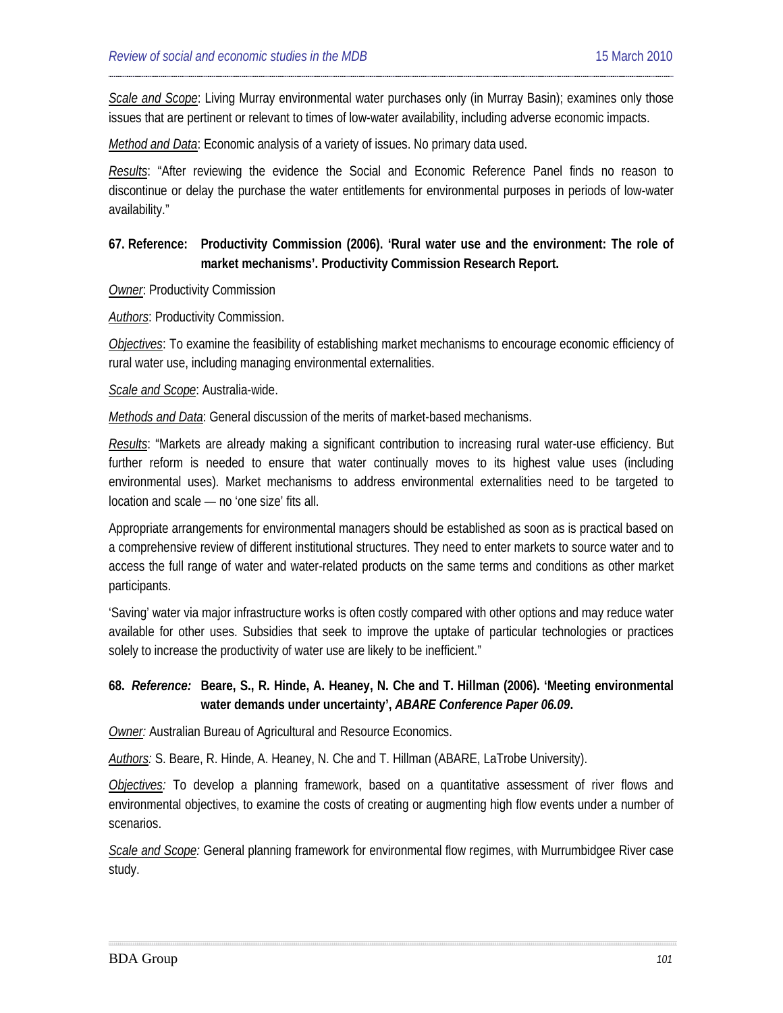*Scale and Scope*: Living Murray environmental water purchases only (in Murray Basin); examines only those issues that are pertinent or relevant to times of low-water availability, including adverse economic impacts.

*Method and Data*: Economic analysis of a variety of issues. No primary data used.

*Results*: "After reviewing the evidence the Social and Economic Reference Panel finds no reason to discontinue or delay the purchase the water entitlements for environmental purposes in periods of low-water availability."

## **67. Reference: Productivity Commission (2006). 'Rural water use and the environment: The role of market mechanisms'. Productivity Commission Research Report.**

*Owner*: Productivity Commission

*Authors*: Productivity Commission.

*Objectives*: To examine the feasibility of establishing market mechanisms to encourage economic efficiency of rural water use, including managing environmental externalities.

*Scale and Scope*: Australia-wide.

*Methods and Data*: General discussion of the merits of market-based mechanisms.

*Results*: "Markets are already making a significant contribution to increasing rural water-use efficiency. But further reform is needed to ensure that water continually moves to its highest value uses (including environmental uses). Market mechanisms to address environmental externalities need to be targeted to location and scale — no 'one size' fits all.

Appropriate arrangements for environmental managers should be established as soon as is practical based on a comprehensive review of different institutional structures. They need to enter markets to source water and to access the full range of water and water-related products on the same terms and conditions as other market participants.

'Saving' water via major infrastructure works is often costly compared with other options and may reduce water available for other uses. Subsidies that seek to improve the uptake of particular technologies or practices solely to increase the productivity of water use are likely to be inefficient."

### **68.** *Reference:* **Beare, S., R. Hinde, A. Heaney, N. Che and T. Hillman (2006). 'Meeting environmental water demands under uncertainty',** *ABARE Conference Paper 06.09***.**

*Owner:* Australian Bureau of Agricultural and Resource Economics.

*Authors:* S. Beare, R. Hinde, A. Heaney, N. Che and T. Hillman (ABARE, LaTrobe University).

*Objectives:* To develop a planning framework, based on a quantitative assessment of river flows and environmental objectives, to examine the costs of creating or augmenting high flow events under a number of scenarios.

*Scale and Scope:* General planning framework for environmental flow regimes, with Murrumbidgee River case study.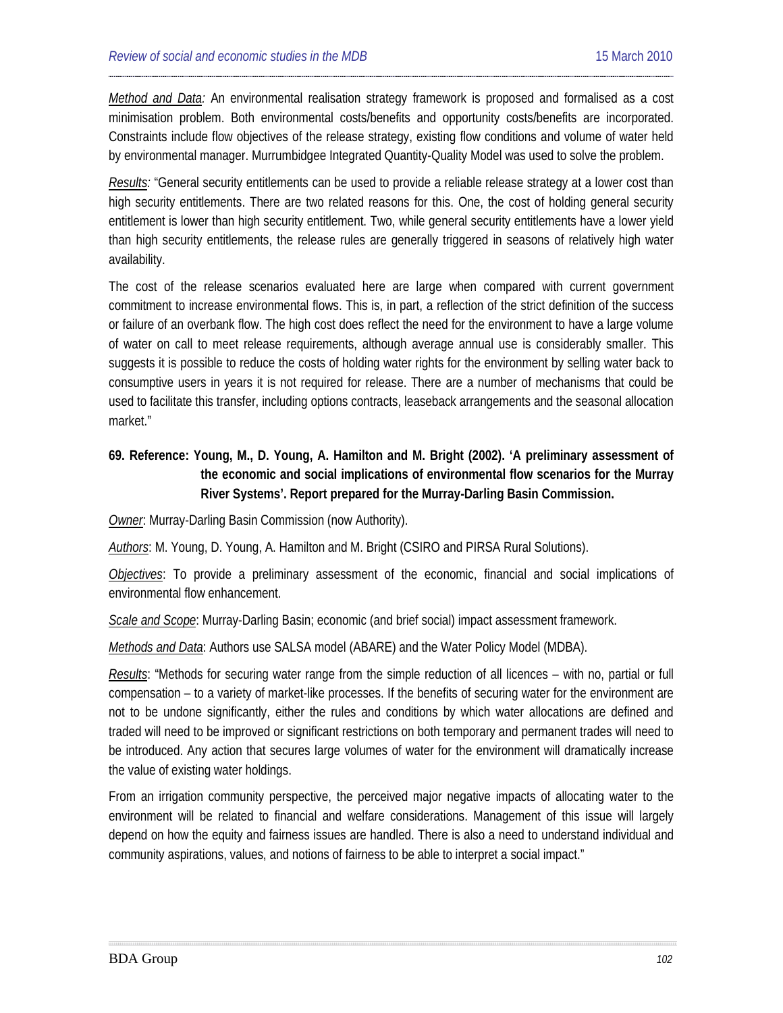*Method and Data:* An environmental realisation strategy framework is proposed and formalised as a cost minimisation problem. Both environmental costs/benefits and opportunity costs/benefits are incorporated. Constraints include flow objectives of the release strategy, existing flow conditions and volume of water held by environmental manager. Murrumbidgee Integrated Quantity-Quality Model was used to solve the problem.

*Results:* "General security entitlements can be used to provide a reliable release strategy at a lower cost than high security entitlements. There are two related reasons for this. One, the cost of holding general security entitlement is lower than high security entitlement. Two, while general security entitlements have a lower yield than high security entitlements, the release rules are generally triggered in seasons of relatively high water availability.

The cost of the release scenarios evaluated here are large when compared with current government commitment to increase environmental flows. This is, in part, a reflection of the strict definition of the success or failure of an overbank flow. The high cost does reflect the need for the environment to have a large volume of water on call to meet release requirements, although average annual use is considerably smaller. This suggests it is possible to reduce the costs of holding water rights for the environment by selling water back to consumptive users in years it is not required for release. There are a number of mechanisms that could be used to facilitate this transfer, including options contracts, leaseback arrangements and the seasonal allocation market."

## **69. Reference: Young, M., D. Young, A. Hamilton and M. Bright (2002). 'A preliminary assessment of the economic and social implications of environmental flow scenarios for the Murray River Systems'. Report prepared for the Murray-Darling Basin Commission.**

*Owner*: Murray-Darling Basin Commission (now Authority).

*Authors*: M. Young, D. Young, A. Hamilton and M. Bright (CSIRO and PIRSA Rural Solutions).

*Objectives*: To provide a preliminary assessment of the economic, financial and social implications of environmental flow enhancement.

*Scale and Scope*: Murray-Darling Basin; economic (and brief social) impact assessment framework.

*Methods and Data*: Authors use SALSA model (ABARE) and the Water Policy Model (MDBA).

*Results*: "Methods for securing water range from the simple reduction of all licences – with no, partial or full compensation – to a variety of market-like processes. If the benefits of securing water for the environment are not to be undone significantly, either the rules and conditions by which water allocations are defined and traded will need to be improved or significant restrictions on both temporary and permanent trades will need to be introduced. Any action that secures large volumes of water for the environment will dramatically increase the value of existing water holdings.

From an irrigation community perspective, the perceived major negative impacts of allocating water to the environment will be related to financial and welfare considerations. Management of this issue will largely depend on how the equity and fairness issues are handled. There is also a need to understand individual and community aspirations, values, and notions of fairness to be able to interpret a social impact."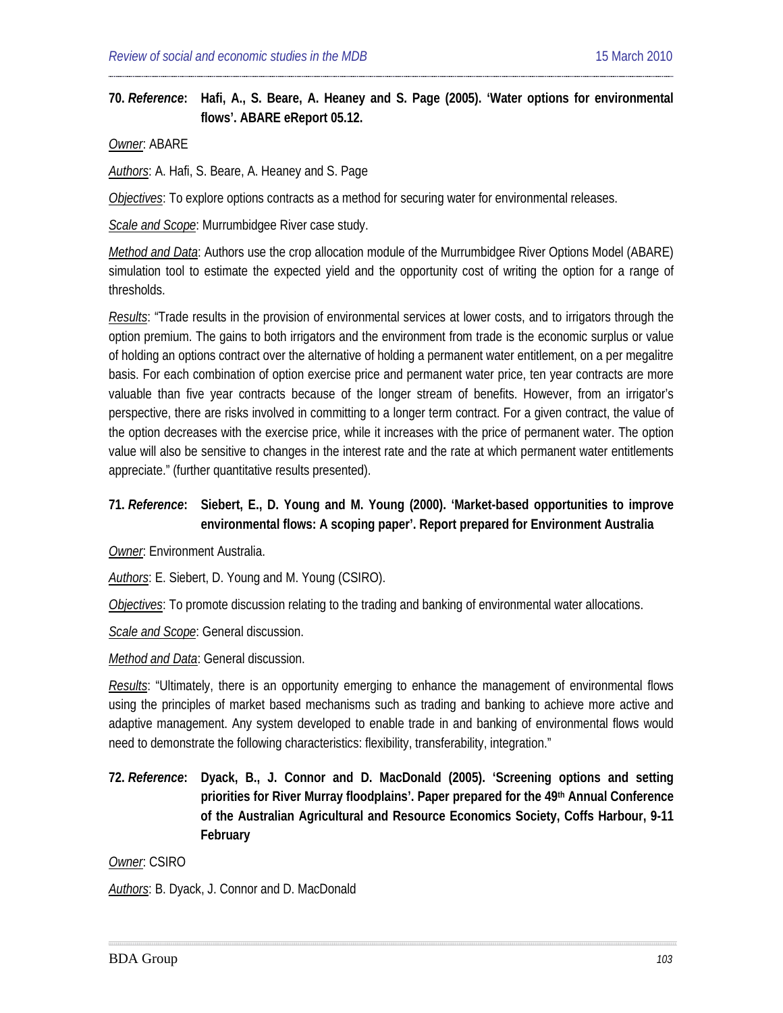#### **70.** *Reference***: Hafi, A., S. Beare, A. Heaney and S. Page (2005). 'Water options for environmental flows'. ABARE eReport 05.12.**

*Owner*: ABARE

*Authors*: A. Hafi, S. Beare, A. Heaney and S. Page

*Objectives*: To explore options contracts as a method for securing water for environmental releases.

*Scale and Scope*: Murrumbidgee River case study.

*Method and Data*: Authors use the crop allocation module of the Murrumbidgee River Options Model (ABARE) simulation tool to estimate the expected yield and the opportunity cost of writing the option for a range of thresholds.

*Results*: "Trade results in the provision of environmental services at lower costs, and to irrigators through the option premium. The gains to both irrigators and the environment from trade is the economic surplus or value of holding an options contract over the alternative of holding a permanent water entitlement, on a per megalitre basis. For each combination of option exercise price and permanent water price, ten year contracts are more valuable than five year contracts because of the longer stream of benefits. However, from an irrigator's perspective, there are risks involved in committing to a longer term contract. For a given contract, the value of the option decreases with the exercise price, while it increases with the price of permanent water. The option value will also be sensitive to changes in the interest rate and the rate at which permanent water entitlements appreciate." (further quantitative results presented).

#### **71.** *Reference***: Siebert, E., D. Young and M. Young (2000). 'Market-based opportunities to improve environmental flows: A scoping paper'. Report prepared for Environment Australia**

*Owner*: Environment Australia.

*Authors*: E. Siebert, D. Young and M. Young (CSIRO).

*Objectives*: To promote discussion relating to the trading and banking of environmental water allocations.

*Scale and Scope*: General discussion.

*Method and Data*: General discussion.

*Results*: "Ultimately, there is an opportunity emerging to enhance the management of environmental flows using the principles of market based mechanisms such as trading and banking to achieve more active and adaptive management. Any system developed to enable trade in and banking of environmental flows would need to demonstrate the following characteristics: flexibility, transferability, integration."

**72.** *Reference***: Dyack, B., J. Connor and D. MacDonald (2005). 'Screening options and setting priorities for River Murray floodplains'. Paper prepared for the 49th Annual Conference of the Australian Agricultural and Resource Economics Society, Coffs Harbour, 9-11 February**

*Owner*: CSIRO

*Authors*: B. Dyack, J. Connor and D. MacDonald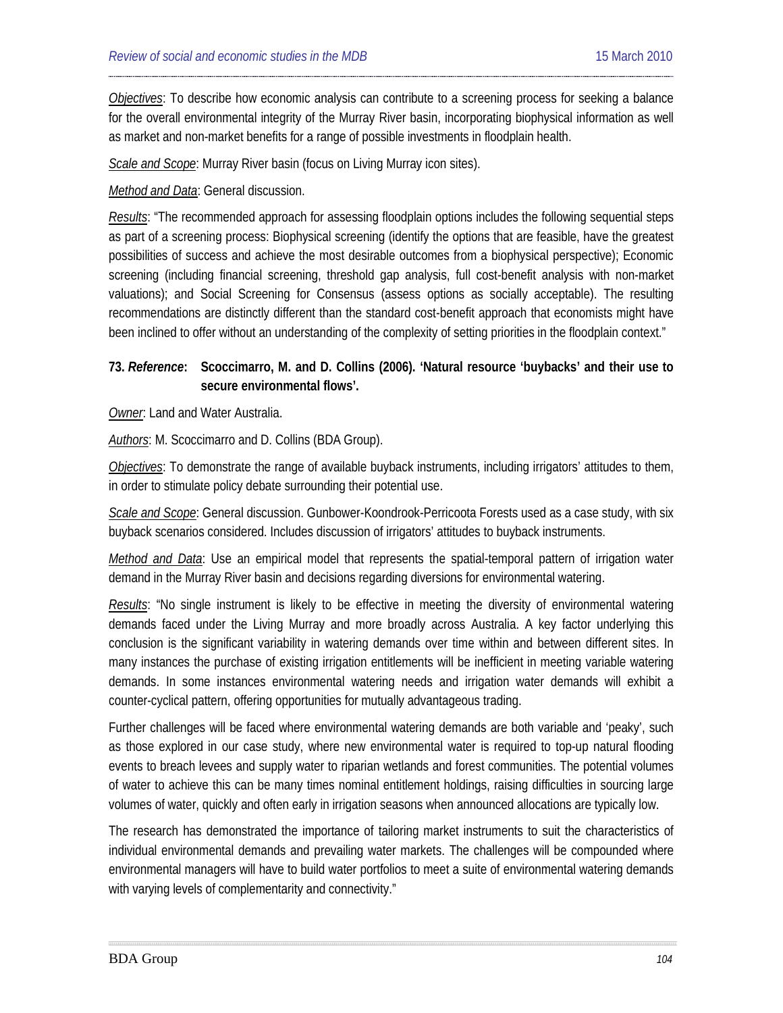*Objectives*: To describe how economic analysis can contribute to a screening process for seeking a balance for the overall environmental integrity of the Murray River basin, incorporating biophysical information as well as market and non-market benefits for a range of possible investments in floodplain health.

*Scale and Scope*: Murray River basin (focus on Living Murray icon sites).

*Method and Data*: General discussion.

*Results*: "The recommended approach for assessing floodplain options includes the following sequential steps as part of a screening process: Biophysical screening (identify the options that are feasible, have the greatest possibilities of success and achieve the most desirable outcomes from a biophysical perspective); Economic screening (including financial screening, threshold gap analysis, full cost-benefit analysis with non-market valuations); and Social Screening for Consensus (assess options as socially acceptable). The resulting recommendations are distinctly different than the standard cost-benefit approach that economists might have been inclined to offer without an understanding of the complexity of setting priorities in the floodplain context."

## **73.** *Reference***: Scoccimarro, M. and D. Collins (2006). 'Natural resource 'buybacks' and their use to secure environmental flows'.**

*Owner*: Land and Water Australia.

*Authors*: M. Scoccimarro and D. Collins (BDA Group).

*Objectives*: To demonstrate the range of available buyback instruments, including irrigators' attitudes to them, in order to stimulate policy debate surrounding their potential use.

*Scale and Scope*: General discussion. Gunbower-Koondrook-Perricoota Forests used as a case study, with six buyback scenarios considered. Includes discussion of irrigators' attitudes to buyback instruments.

*Method and Data*: Use an empirical model that represents the spatial-temporal pattern of irrigation water demand in the Murray River basin and decisions regarding diversions for environmental watering.

*Results*: "No single instrument is likely to be effective in meeting the diversity of environmental watering demands faced under the Living Murray and more broadly across Australia. A key factor underlying this conclusion is the significant variability in watering demands over time within and between different sites. In many instances the purchase of existing irrigation entitlements will be inefficient in meeting variable watering demands. In some instances environmental watering needs and irrigation water demands will exhibit a counter-cyclical pattern, offering opportunities for mutually advantageous trading.

Further challenges will be faced where environmental watering demands are both variable and 'peaky', such as those explored in our case study, where new environmental water is required to top-up natural flooding events to breach levees and supply water to riparian wetlands and forest communities. The potential volumes of water to achieve this can be many times nominal entitlement holdings, raising difficulties in sourcing large volumes of water, quickly and often early in irrigation seasons when announced allocations are typically low.

The research has demonstrated the importance of tailoring market instruments to suit the characteristics of individual environmental demands and prevailing water markets. The challenges will be compounded where environmental managers will have to build water portfolios to meet a suite of environmental watering demands with varying levels of complementarity and connectivity."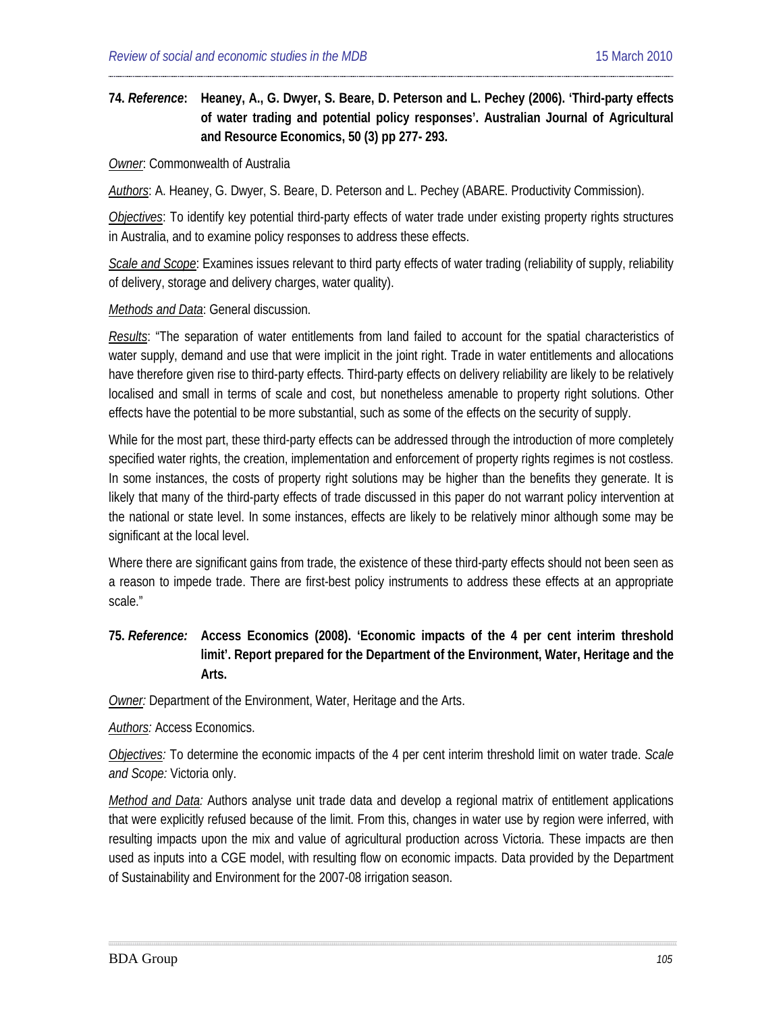## **74.** *Reference***: [Heaney,](#page-19-12) A., G. Dwyer, S. Beare, D. Peterson and L. Pechey (2006). 'Third-party effects of water trading and potential policy responses'. Australian Journal of Agricultural and Resource Economics, 50 (3) pp 277- 293.**

#### *Owner*: Commonwealth of Australia

*Authors*: A. Heaney, G. Dwyer, S. Beare, D. Peterson and L. Pechey (ABARE. Productivity Commission).

*Objectives*: To identify key potential third-party effects of water trade under existing property rights structures in Australia, and to examine policy responses to address these effects.

*Scale and Scope*: Examines issues relevant to third party effects of water trading (reliability of supply, reliability of delivery, storage and delivery charges, water quality).

#### *Methods and Data*: General discussion.

*Results*: "The separation of water entitlements from land failed to account for the spatial characteristics of water supply, demand and use that were implicit in the joint right. Trade in water entitlements and allocations have therefore given rise to third-party effects. Third-party effects on delivery reliability are likely to be relatively localised and small in terms of scale and cost, but nonetheless amenable to property right solutions. Other effects have the potential to be more substantial, such as some of the effects on the security of supply.

While for the most part, these third-party effects can be addressed through the introduction of more completely specified water rights, the creation, implementation and enforcement of property rights regimes is not costless. In some instances, the costs of property right solutions may be higher than the benefits they generate. It is likely that many of the third-party effects of trade discussed in this paper do not warrant policy intervention at the national or state level. In some instances, effects are likely to be relatively minor although some may be significant at the local level.

Where there are significant gains from trade, the existence of these third-party effects should not been seen as a reason to impede trade. There are first-best policy instruments to address these effects at an appropriate scale."

## **75.** *Reference:* **[Access](#page-19-13) Economics (2008). 'Economic impacts of the 4 per cent interim threshold limit'. Report prepared for the Department of the Environment, Water, Heritage and the Arts.**

*Owner:* Department of the Environment, Water, Heritage and the Arts.

*Authors:* Access Economics.

*Objectives:* To determine the economic impacts of the 4 per cent interim threshold limit on water trade. *Scale and Scope:* Victoria only.

*Method and Data:* Authors analyse unit trade data and develop a regional matrix of entitlement applications that were explicitly refused because of the limit. From this, changes in water use by region were inferred, with resulting impacts upon the mix and value of agricultural production across Victoria. These impacts are then used as inputs into a CGE model, with resulting flow on economic impacts. Data provided by the Department of Sustainability and Environment for the 2007-08 irrigation season.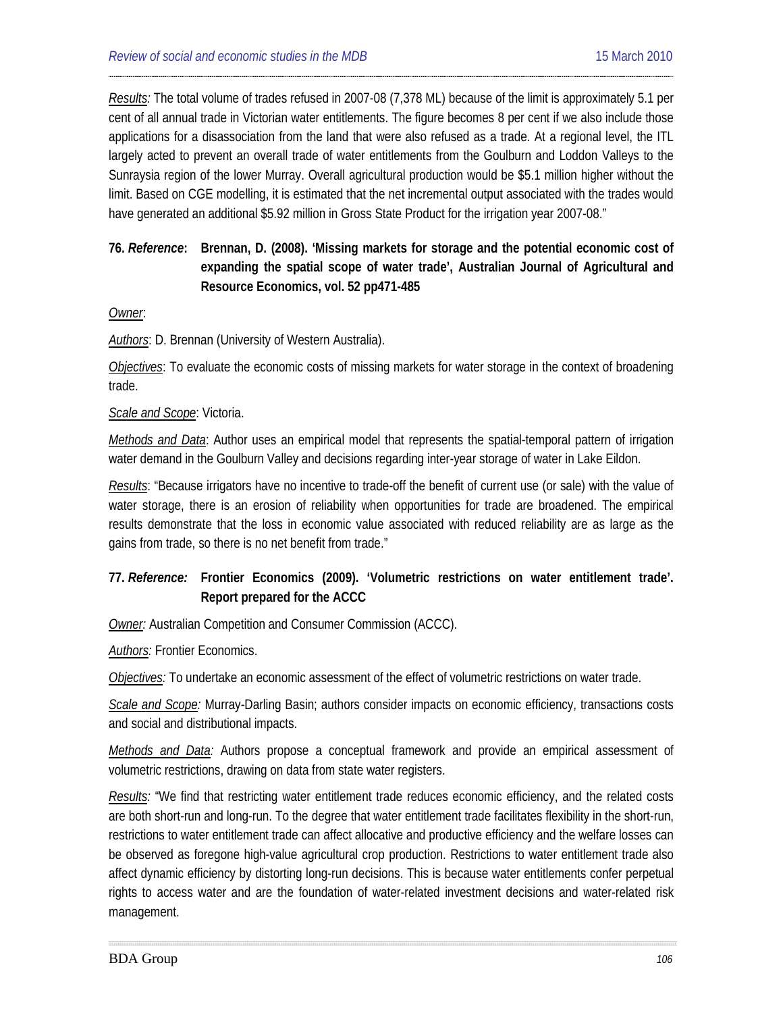*Results:* The total volume of trades refused in 2007-08 (7,378 ML) because of the limit is approximately 5.1 per cent of all annual trade in Victorian water entitlements. The figure becomes 8 per cent if we also include those applications for a disassociation from the land that were also refused as a trade. At a regional level, the ITL largely acted to prevent an overall trade of water entitlements from the Goulburn and Loddon Valleys to the Sunraysia region of the lower Murray. Overall agricultural production would be \$5.1 million higher without the limit. Based on CGE modelling, it is estimated that the net incremental output associated with the trades would have generated an additional \$5.92 million in Gross State Product for the irrigation year 2007-08."

## **76.** *Reference***: Brennan, D. (2008). 'Missing markets for storage and the potential economic cost of expanding the spatial scope of water trade', Australian Journal of Agricultural and Resource Economics, vol. 52 pp471-485**

#### *Owner*:

*Authors*: D. Brennan (University of Western Australia).

*Objectives*: To evaluate the economic costs of missing markets for water storage in the context of broadening trade.

#### *Scale and Scope*: Victoria.

*Methods and Data*: Author uses an empirical model that represents the spatial-temporal pattern of irrigation water demand in the Goulburn Valley and decisions regarding inter-year storage of water in Lake Eildon.

*Results*: "Because irrigators have no incentive to trade-off the benefit of current use (or sale) with the value of water storage, there is an erosion of reliability when opportunities for trade are broadened. The empirical results demonstrate that the loss in economic value associated with reduced reliability are as large as the gains from trade, so there is no net benefit from trade."

## **77.** *Reference:* **[Frontier](#page-19-14) Economics (2009). 'Volumetric restrictions on water entitlement trade'. Report prepared for the ACCC**

*Owner:* Australian Competition and Consumer Commission (ACCC).

*Authors:* Frontier Economics.

*Objectives:* To undertake an economic assessment of the effect of volumetric restrictions on water trade.

*Scale and Scope:* Murray-Darling Basin; authors consider impacts on economic efficiency, transactions costs and social and distributional impacts.

*Methods and Data:* Authors propose a conceptual framework and provide an empirical assessment of volumetric restrictions, drawing on data from state water registers.

*Results:* "We find that restricting water entitlement trade reduces economic efficiency, and the related costs are both short-run and long-run. To the degree that water entitlement trade facilitates flexibility in the short-run, restrictions to water entitlement trade can affect allocative and productive efficiency and the welfare losses can be observed as foregone high-value agricultural crop production. Restrictions to water entitlement trade also affect dynamic efficiency by distorting long-run decisions. This is because water entitlements confer perpetual rights to access water and are the foundation of water-related investment decisions and water-related risk management.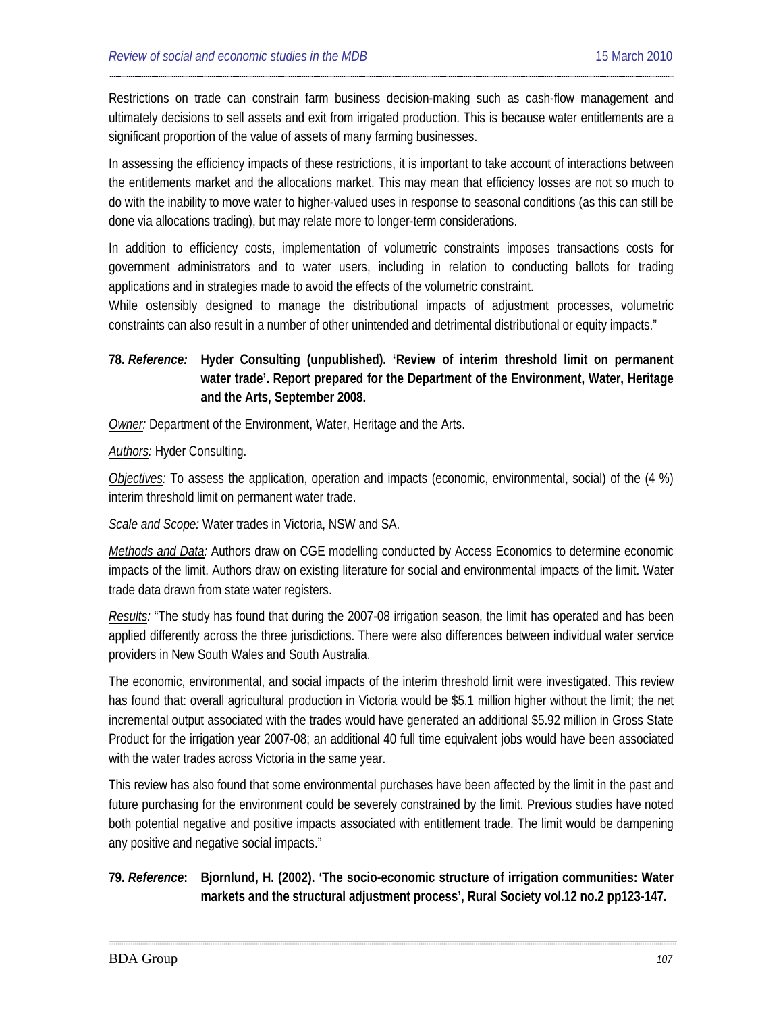Restrictions on trade can constrain farm business decision-making such as cash-flow management and ultimately decisions to sell assets and exit from irrigated production. This is because water entitlements are a significant proportion of the value of assets of many farming businesses.

In assessing the efficiency impacts of these restrictions, it is important to take account of interactions between the entitlements market and the allocations market. This may mean that efficiency losses are not so much to do with the inability to move water to higher-valued uses in response to seasonal conditions (as this can still be done via allocations trading), but may relate more to longer-term considerations.

In addition to efficiency costs, implementation of volumetric constraints imposes transactions costs for government administrators and to water users, including in relation to conducting ballots for trading applications and in strategies made to avoid the effects of the volumetric constraint.

While ostensibly designed to manage the distributional impacts of adjustment processes, volumetric constraints can also result in a number of other unintended and detrimental distributional or equity impacts."

## **78.** *Reference:* **[Hyder](#page-19-15) Consulting (unpublished). 'Review of interim threshold limit on permanent water trade'. Report prepared for the Department of the Environment, Water, Heritage and the Arts, September 2008.**

*Owner:* Department of the Environment, Water, Heritage and the Arts.

*Authors:* Hyder Consulting.

*Objectives:* To assess the application, operation and impacts (economic, environmental, social) of the (4 %) interim threshold limit on permanent water trade.

*Scale and Scope:* Water trades in Victoria, NSW and SA.

*Methods and Data:* Authors draw on CGE modelling conducted by Access Economics to determine economic impacts of the limit. Authors draw on existing literature for social and environmental impacts of the limit. Water trade data drawn from state water registers.

*Results:* "The study has found that during the 2007-08 irrigation season, the limit has operated and has been applied differently across the three jurisdictions. There were also differences between individual water service providers in New South Wales and South Australia.

The economic, environmental, and social impacts of the interim threshold limit were investigated. This review has found that: overall agricultural production in Victoria would be \$5.1 million higher without the limit; the net incremental output associated with the trades would have generated an additional \$5.92 million in Gross State Product for the irrigation year 2007-08; an additional 40 full time equivalent jobs would have been associated with the water trades across Victoria in the same year.

This review has also found that some environmental purchases have been affected by the limit in the past and future purchasing for the environment could be severely constrained by the limit. Previous studies have noted both potential negative and positive impacts associated with entitlement trade. The limit would be dampening any positive and negative social impacts."

## **79.** *Reference***: [Bjornlund,](#page-19-16) H. (2002). 'The socio-economic structure of irrigation communities: Water markets and the structural adjustment process', Rural Society vol.12 no.2 pp123-147.**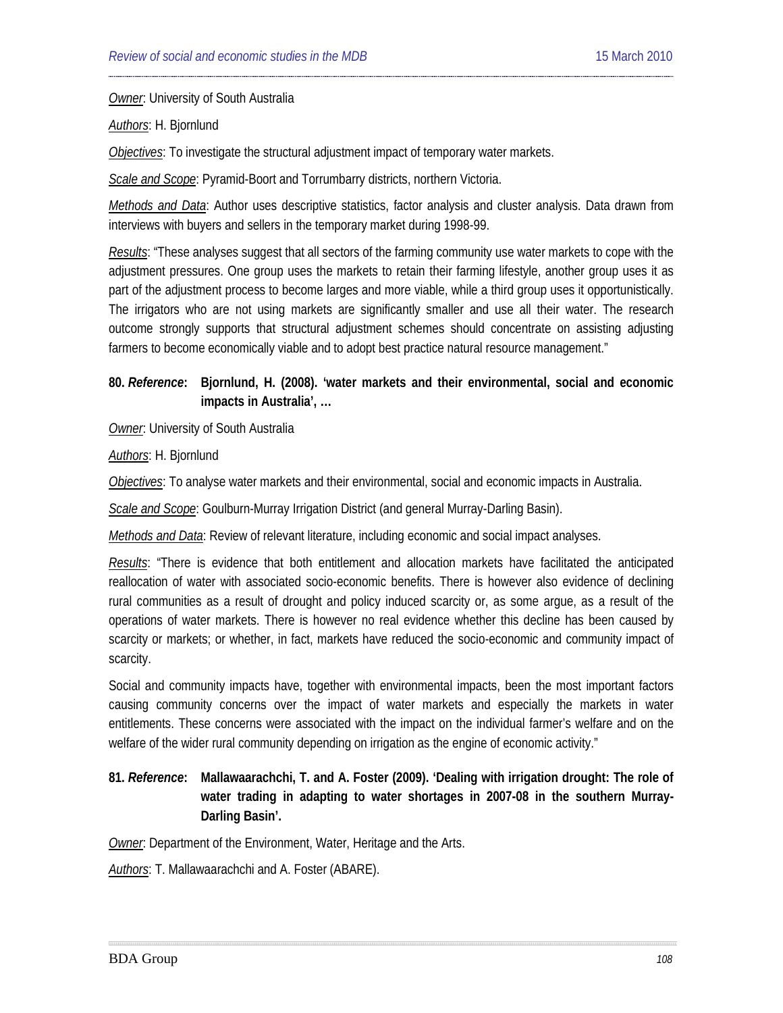*Owner*: University of South Australia

*Authors*: H. Bjornlund

*Objectives*: To investigate the structural adjustment impact of temporary water markets.

*Scale and Scope*: Pyramid-Boort and Torrumbarry districts, northern Victoria.

*Methods and Data*: Author uses descriptive statistics, factor analysis and cluster analysis. Data drawn from interviews with buyers and sellers in the temporary market during 1998-99.

*Results*: "These analyses suggest that all sectors of the farming community use water markets to cope with the adjustment pressures. One group uses the markets to retain their farming lifestyle, another group uses it as part of the adjustment process to become larges and more viable, while a third group uses it opportunistically. The irrigators who are not using markets are significantly smaller and use all their water. The research outcome strongly supports that structural adjustment schemes should concentrate on assisting adjusting farmers to become economically viable and to adopt best practice natural resource management."

**80.** *Reference***: [Bjornlund,](#page-19-16) H. (2008). 'water markets and their environmental, social and economic impacts in Australia', …**

*Owner*: University of South Australia

*Authors*: H. Bjornlund

*Objectives*: To analyse water markets and their environmental, social and economic impacts in Australia.

*Scale and Scope*: Goulburn-Murray Irrigation District (and general Murray-Darling Basin).

*Methods and Data*: Review of relevant literature, including economic and social impact analyses.

*Results*: "There is evidence that both entitlement and allocation markets have facilitated the anticipated reallocation of water with associated socio-economic benefits. There is however also evidence of declining rural communities as a result of drought and policy induced scarcity or, as some argue, as a result of the operations of water markets. There is however no real evidence whether this decline has been caused by scarcity or markets; or whether, in fact, markets have reduced the socio-economic and community impact of scarcity.

Social and community impacts have, together with environmental impacts, been the most important factors causing community concerns over the impact of water markets and especially the markets in water entitlements. These concerns were associated with the impact on the individual farmer's welfare and on the welfare of the wider rural community depending on irrigation as the engine of economic activity."

### **81.** *Reference***: Mallawaarachchi, T. and A. Foster (2009). 'Dealing with irrigation drought: The role of water trading in adapting to water shortages in 2007-08 in the southern Murray-Darling Basin'.**

*Owner*: Department of the Environment, Water, Heritage and the Arts.

*Authors*: T. Mallawaarachchi and A. Foster (ABARE).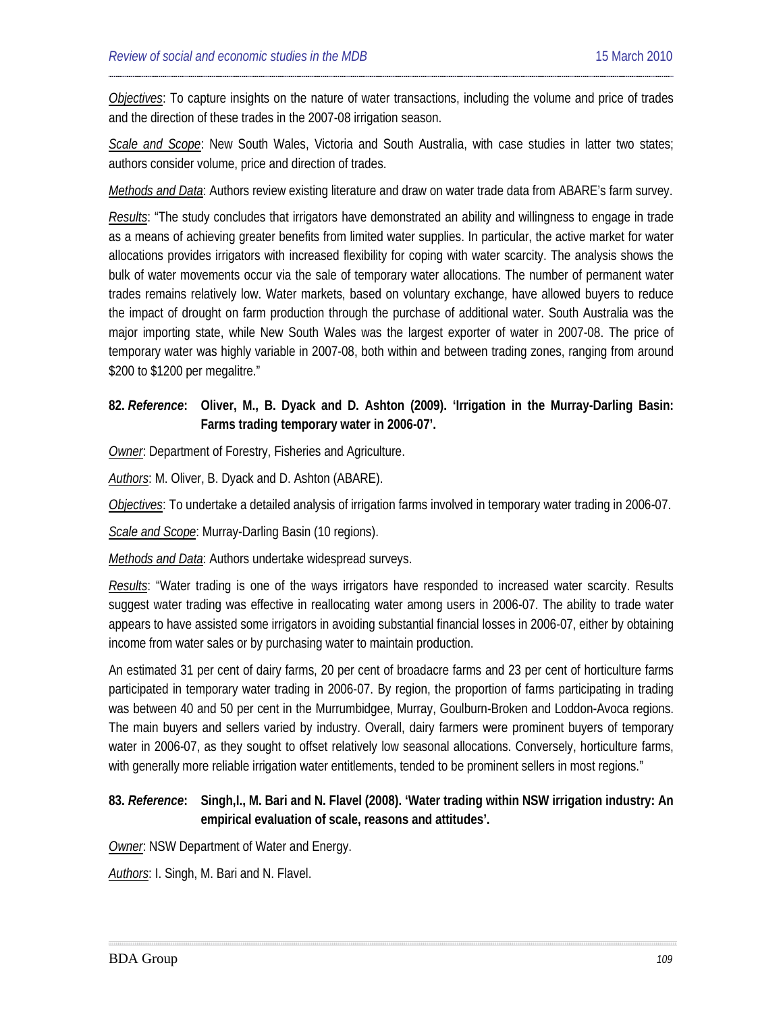*Objectives*: To capture insights on the nature of water transactions, including the volume and price of trades and the direction of these trades in the 2007-08 irrigation season.

*Scale and Scope*: New South Wales, Victoria and South Australia, with case studies in latter two states; authors consider volume, price and direction of trades.

*Methods and Data*: Authors review existing literature and draw on water trade data from ABARE's farm survey.

*Results*: "The study concludes that irrigators have demonstrated an ability and willingness to engage in trade as a means of achieving greater benefits from limited water supplies. In particular, the active market for water allocations provides irrigators with increased flexibility for coping with water scarcity. The analysis shows the bulk of water movements occur via the sale of temporary water allocations. The number of permanent water trades remains relatively low. Water markets, based on voluntary exchange, have allowed buyers to reduce the impact of drought on farm production through the purchase of additional water. South Australia was the major importing state, while New South Wales was the largest exporter of water in 2007-08. The price of temporary water was highly variable in 2007-08, both within and between trading zones, ranging from around \$200 to \$1200 per megalitre."

# **82.** *Reference***: Oliver, M., B. Dyack and D. Ashton (2009). 'Irrigation in the Murray-Darling Basin: Farms trading temporary water in 2006-07'.**

*Owner*: Department of Forestry, Fisheries and Agriculture.

*Authors*: M. Oliver, B. Dyack and D. Ashton (ABARE).

*Objectives*: To undertake a detailed analysis of irrigation farms involved in temporary water trading in 2006-07.

*Scale and Scope*: Murray-Darling Basin (10 regions).

*Methods and Data*: Authors undertake widespread surveys.

*Results*: "Water trading is one of the ways irrigators have responded to increased water scarcity. Results suggest water trading was effective in reallocating water among users in 2006-07. The ability to trade water appears to have assisted some irrigators in avoiding substantial financial losses in 2006-07, either by obtaining income from water sales or by purchasing water to maintain production.

An estimated 31 per cent of dairy farms, 20 per cent of broadacre farms and 23 per cent of horticulture farms participated in temporary water trading in 2006-07. By region, the proportion of farms participating in trading was between 40 and 50 per cent in the Murrumbidgee, Murray, Goulburn-Broken and Loddon-Avoca regions. The main buyers and sellers varied by industry. Overall, dairy farmers were prominent buyers of temporary water in 2006-07, as they sought to offset relatively low seasonal allocations. Conversely, horticulture farms, with generally more reliable irrigation water entitlements, tended to be prominent sellers in most regions."

### **83.** *Reference***: [Singh,](#page-19-0)I., M. Bari and N. Flavel (2008). 'Water trading within NSW irrigation industry: An empirical evaluation of scale, reasons and attitudes'.**

*Owner*: NSW Department of Water and Energy.

*Authors*: I. Singh, M. Bari and N. Flavel.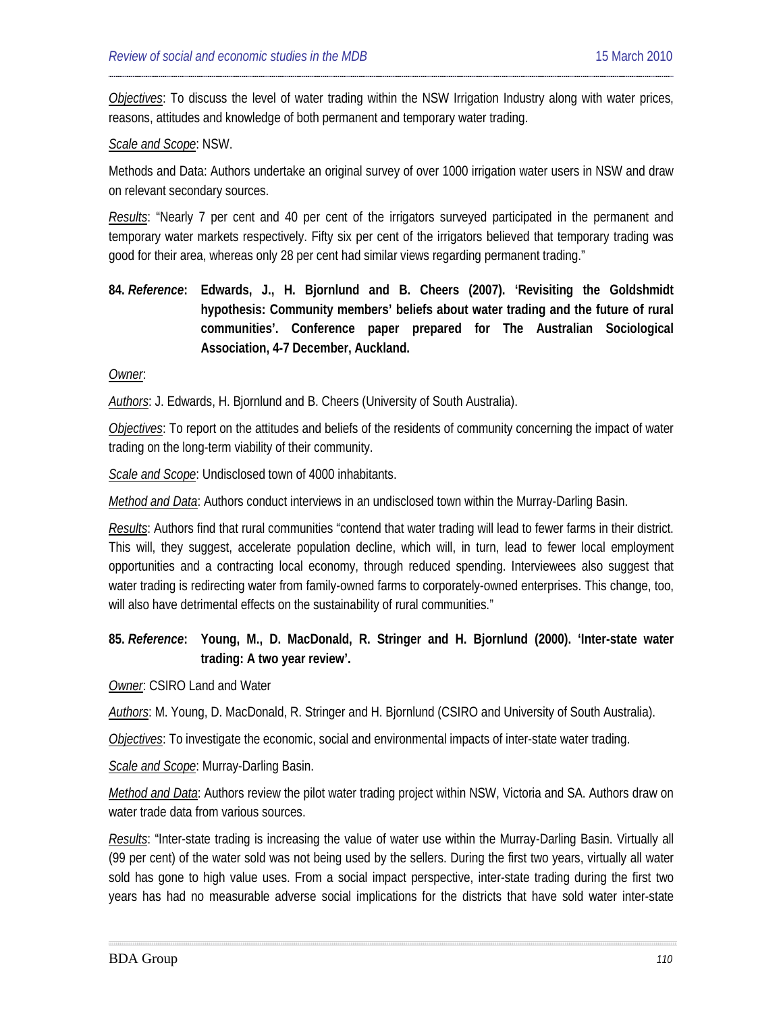*Objectives*: To discuss the level of water trading within the NSW Irrigation Industry along with water prices, reasons, attitudes and knowledge of both permanent and temporary water trading.

#### *Scale and Scope*: NSW.

Methods and Data: Authors undertake an original survey of over 1000 irrigation water users in NSW and draw on relevant secondary sources.

*Results*: "Nearly 7 per cent and 40 per cent of the irrigators surveyed participated in the permanent and temporary water markets respectively. Fifty six per cent of the irrigators believed that temporary trading was good for their area, whereas only 28 per cent had similar views regarding permanent trading."

**84.** *Reference***: Edwards, J., H. Bjornlund and B. Cheers (2007). 'Revisiting the Goldshmidt hypothesis: Community members' beliefs about water trading and the future of rural communities'. Conference paper prepared for The Australian Sociological Association, 4-7 December, Auckland.**

*Owner*:

*Authors*: J. Edwards, H. Bjornlund and B. Cheers (University of South Australia).

*Objectives*: To report on the attitudes and beliefs of the residents of community concerning the impact of water trading on the long-term viability of their community.

*Scale and Scope*: Undisclosed town of 4000 inhabitants.

*Method and Data*: Authors conduct interviews in an undisclosed town within the Murray-Darling Basin.

*Results*: Authors find that rural communities "contend that water trading will lead to fewer farms in their district. This will, they suggest, accelerate population decline, which will, in turn, lead to fewer local employment opportunities and a contracting local economy, through reduced spending. Interviewees also suggest that water trading is redirecting water from family-owned farms to corporately-owned enterprises. This change, too, will also have detrimental effects on the sustainability of rural communities."

#### **85.** *Reference***: Young, M., D. MacDonald, R. Stringer and H. Bjornlund (2000). 'Inter-state water trading: A two year review'.**

*Owner*: CSIRO Land and Water

*Authors*: M. Young, D. MacDonald, R. Stringer and H. Bjornlund (CSIRO and University of South Australia).

*Objectives*: To investigate the economic, social and environmental impacts of inter-state water trading.

*Scale and Scope*: Murray-Darling Basin.

*Method and Data*: Authors review the pilot water trading project within NSW, Victoria and SA. Authors draw on water trade data from various sources.

*Results*: "Inter-state trading is increasing the value of water use within the Murray-Darling Basin. Virtually all (99 per cent) of the water sold was not being used by the sellers. During the first two years, virtually all water sold has gone to high value uses. From a social impact perspective, inter-state trading during the first two years has had no measurable adverse social implications for the districts that have sold water inter-state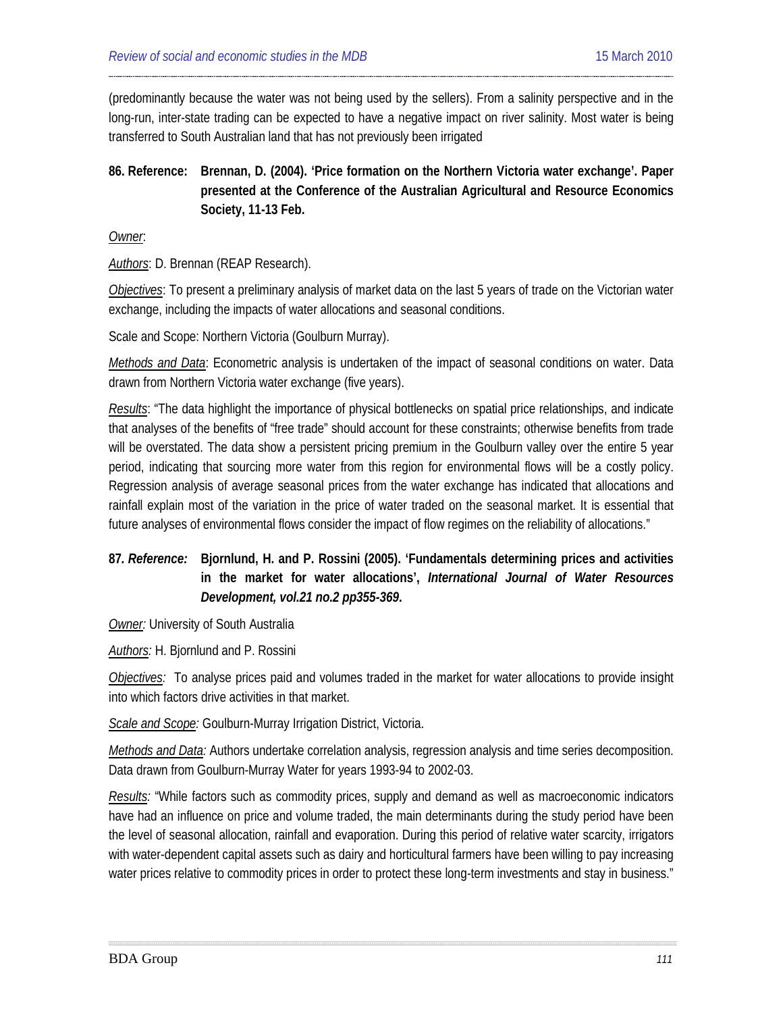(predominantly because the water was not being used by the sellers). From a salinity perspective and in the long-run, inter-state trading can be expected to have a negative impact on river salinity. Most water is being transferred to South Australian land that has not previously been irrigated

**86. Reference: Brennan, D. (2004). 'Price formation on the Northern Victoria water exchange'. Paper presented at the Conference of the Australian Agricultural and Resource Economics Society, 11-13 Feb.**

*Owner*:

*Authors*: D. Brennan (REAP Research).

*Objectives*: To present a preliminary analysis of market data on the last 5 years of trade on the Victorian water exchange, including the impacts of water allocations and seasonal conditions.

Scale and Scope: Northern Victoria (Goulburn Murray).

*Methods and Data*: Econometric analysis is undertaken of the impact of seasonal conditions on water. Data drawn from Northern Victoria water exchange (five years).

*Results*: "The data highlight the importance of physical bottlenecks on spatial price relationships, and indicate that analyses of the benefits of "free trade" should account for these constraints; otherwise benefits from trade will be overstated. The data show a persistent pricing premium in the Goulburn valley over the entire 5 year period, indicating that sourcing more water from this region for environmental flows will be a costly policy. Regression analysis of average seasonal prices from the water exchange has indicated that allocations and rainfall explain most of the variation in the price of water traded on the seasonal market. It is essential that future analyses of environmental flows consider the impact of flow regimes on the reliability of allocations."

# **87***. Reference:* **Bjornlund, H. and P. Rossini (2005). 'Fundamentals determining prices and activities in the market for water allocations',** *International Journal of Water Resources Development, vol.21 no.2 pp355-369***.**

**Owner:** University of South Australia

*Authors:* H. Bjornlund and P. Rossini

*Objectives:* To analyse prices paid and volumes traded in the market for water allocations to provide insight into which factors drive activities in that market.

*Scale and Scope:* Goulburn-Murray Irrigation District, Victoria.

*Methods and Data:* Authors undertake correlation analysis, regression analysis and time series decomposition. Data drawn from Goulburn-Murray Water for years 1993-94 to 2002-03.

*Results:* "While factors such as commodity prices, supply and demand as well as macroeconomic indicators have had an influence on price and volume traded, the main determinants during the study period have been the level of seasonal allocation, rainfall and evaporation. During this period of relative water scarcity, irrigators with water-dependent capital assets such as dairy and horticultural farmers have been willing to pay increasing water prices relative to commodity prices in order to protect these long-term investments and stay in business."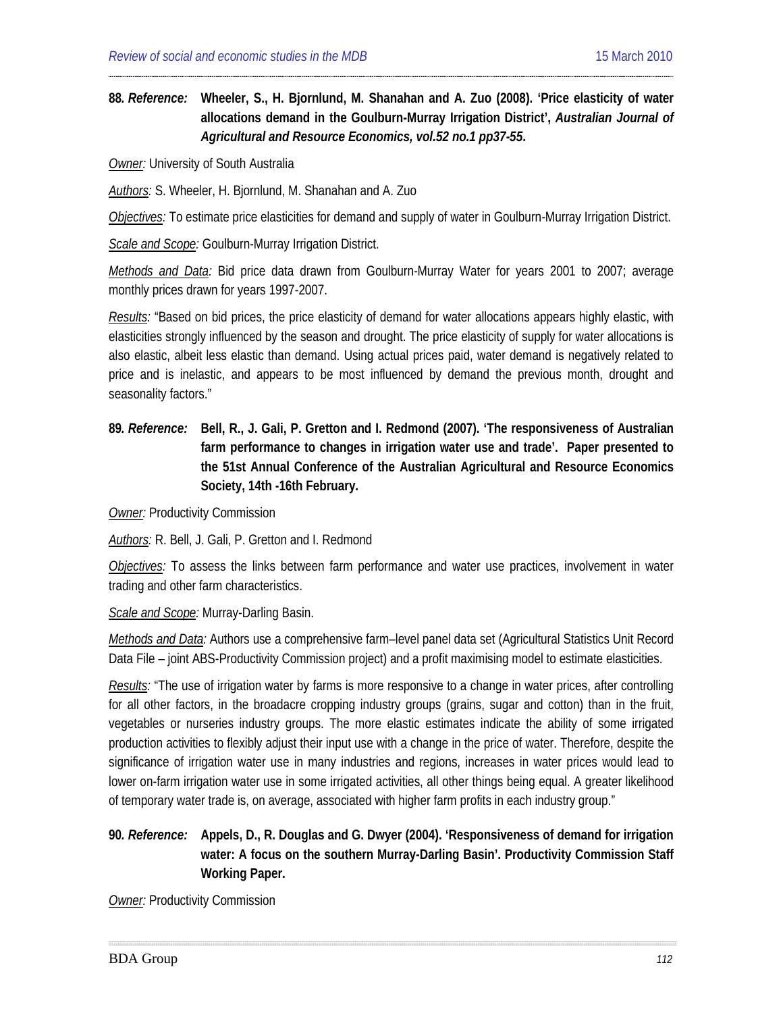## **88***. Reference:* **[Wheeler,](#page-33-0) S., H. Bjornlund, M. Shanahan and A. Zuo (2008). 'Price elasticity of water allocations demand in the Goulburn-Murray Irrigation District',** *Australian Journal of Agricultural and Resource Economics, vol.52 no.1 pp37-55***.**

*Owner:* University of South Australia

*Authors:* S. Wheeler, H. Bjornlund, M. Shanahan and A. Zuo

*Objectives:* To estimate price elasticities for demand and supply of water in Goulburn-Murray Irrigation District.

*Scale and Scope:* Goulburn-Murray Irrigation District.

*Methods and Data:* Bid price data drawn from Goulburn-Murray Water for years 2001 to 2007; average monthly prices drawn for years 1997-2007.

*Results:* "Based on bid prices, the price elasticity of demand for water allocations appears highly elastic, with elasticities strongly influenced by the season and drought. The price elasticity of supply for water allocations is also elastic, albeit less elastic than demand. Using actual prices paid, water demand is negatively related to price and is inelastic, and appears to be most influenced by demand the previous month, drought and seasonality factors."

**89***. Reference:* **Bell, R., J. Gali, P. Gretton and I. Redmond (2007). 'The responsiveness of Australian farm performance to changes in irrigation water use and trade'. Paper presented to the 51st Annual Conference of the Australian Agricultural and Resource Economics Society, 14th -16th February.**

**Owner: Productivity Commission** 

*Authors:* R. Bell, J. Gali, P. Gretton and I. Redmond

*Objectives:* To assess the links between farm performance and water use practices, involvement in water trading and other farm characteristics.

*Scale and Scope:* Murray-Darling Basin.

*Methods and Data:* Authors use a comprehensive farm–level panel data set (Agricultural Statistics Unit Record Data File – joint ABS-Productivity Commission project) and a profit maximising model to estimate elasticities.

*Results:* "The use of irrigation water by farms is more responsive to a change in water prices, after controlling for all other factors, in the broadacre cropping industry groups (grains, sugar and cotton) than in the fruit, vegetables or nurseries industry groups. The more elastic estimates indicate the ability of some irrigated production activities to flexibly adjust their input use with a change in the price of water. Therefore, despite the significance of irrigation water use in many industries and regions, increases in water prices would lead to lower on-farm irrigation water use in some irrigated activities, all other things being equal. A greater likelihood of temporary water trade is, on average, associated with higher farm profits in each industry group."

### **90***. Reference:* **Appels, D., R. Douglas and G. Dwyer (2004). 'Responsiveness of demand for irrigation water: A focus on the southern Murray-Darling Basin'. Productivity Commission Staff Working Paper.**

**Owner: Productivity Commission**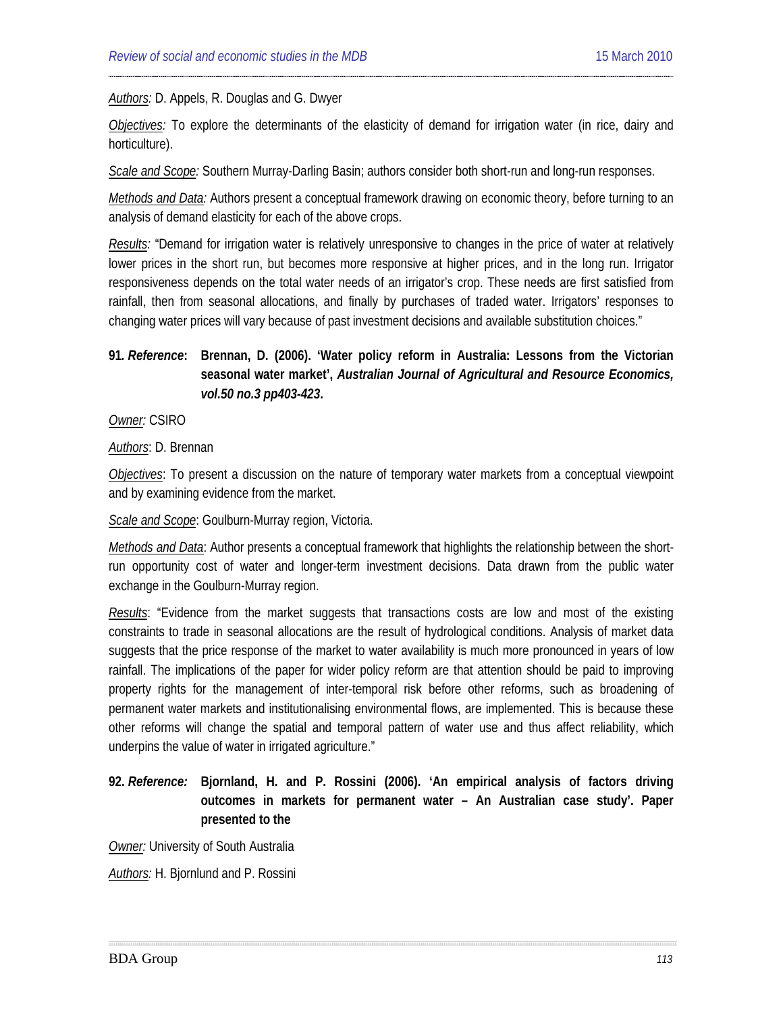#### *Authors:* D. Appels, R. Douglas and G. Dwyer

*Objectives:* To explore the determinants of the elasticity of demand for irrigation water (in rice, dairy and horticulture).

*Scale and Scope:* Southern Murray-Darling Basin; authors consider both short-run and long-run responses.

*Methods and Data:* Authors present a conceptual framework drawing on economic theory, before turning to an analysis of demand elasticity for each of the above crops.

*Results:* "Demand for irrigation water is relatively unresponsive to changes in the price of water at relatively lower prices in the short run, but becomes more responsive at higher prices, and in the long run. Irrigator responsiveness depends on the total water needs of an irrigator's crop. These needs are first satisfied from rainfall, then from seasonal allocations, and finally by purchases of traded water. Irrigators' responses to changing water prices will vary because of past investment decisions and available substitution choices."

## **91***. Reference***: [Brennan,](#page-33-1) D. (2006). 'Water policy reform in Australia: Lessons from the Victorian seasonal water market',** *Australian Journal of Agricultural and Resource Economics, vol.50 no.3 pp403-423***.**

*Owner:* CSIRO

*Authors*: D. Brennan

*Objectives*: To present a discussion on the nature of temporary water markets from a conceptual viewpoint and by examining evidence from the market.

#### *Scale and Scope*: Goulburn-Murray region, Victoria.

*Methods and Data*: Author presents a conceptual framework that highlights the relationship between the shortrun opportunity cost of water and longer-term investment decisions. Data drawn from the public water exchange in the Goulburn-Murray region.

*Results*: "Evidence from the market suggests that transactions costs are low and most of the existing constraints to trade in seasonal allocations are the result of hydrological conditions. Analysis of market data suggests that the price response of the market to water availability is much more pronounced in years of low rainfall. The implications of the paper for wider policy reform are that attention should be paid to improving property rights for the management of inter-temporal risk before other reforms, such as broadening of permanent water markets and institutionalising environmental flows, are implemented. This is because these other reforms will change the spatial and temporal pattern of water use and thus affect reliability, which underpins the value of water in irrigated agriculture."

# **92.** *Reference:* **[Bjornland,](#page-33-2) H. and P. Rossini (2006). 'An empirical analysis of factors driving outcomes in markets for permanent water – An Australian case study'. Paper presented to the**

*Owner:* University of South Australia

*Authors:* H. Bjornlund and P. Rossini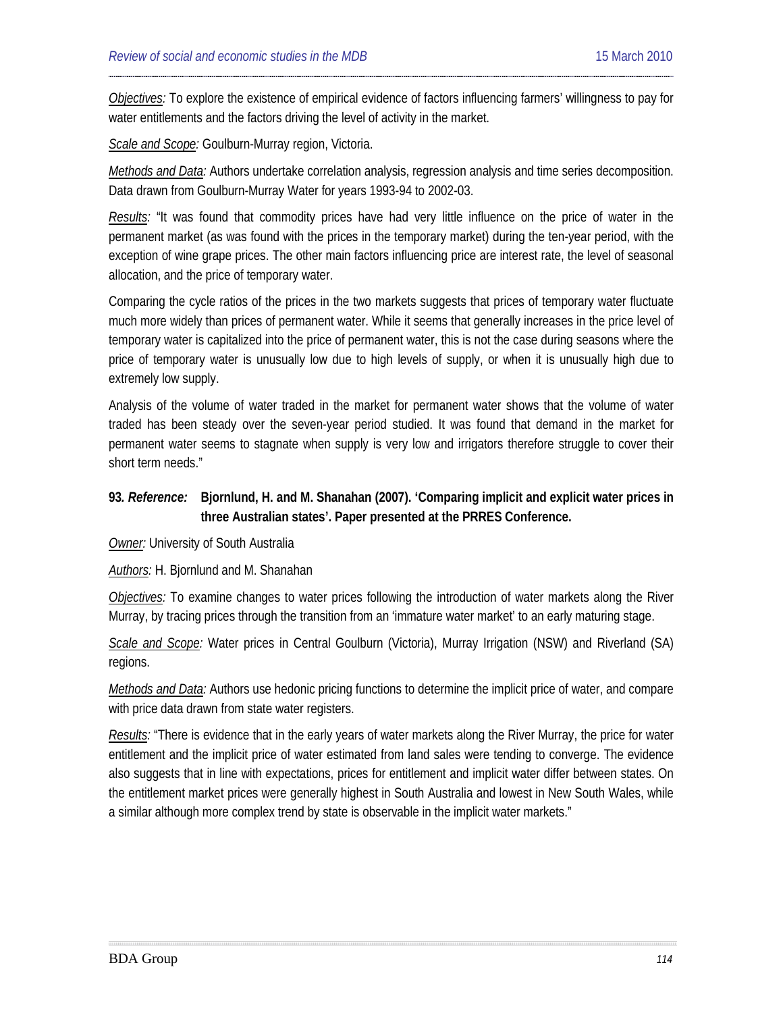*Objectives:* To explore the existence of empirical evidence of factors influencing farmers' willingness to pay for water entitlements and the factors driving the level of activity in the market.

*Scale and Scope:* Goulburn-Murray region, Victoria.

*Methods and Data:* Authors undertake correlation analysis, regression analysis and time series decomposition. Data drawn from Goulburn-Murray Water for years 1993-94 to 2002-03.

*Results:* "It was found that commodity prices have had very little influence on the price of water in the permanent market (as was found with the prices in the temporary market) during the ten-year period, with the exception of wine grape prices. The other main factors influencing price are interest rate, the level of seasonal allocation, and the price of temporary water.

Comparing the cycle ratios of the prices in the two markets suggests that prices of temporary water fluctuate much more widely than prices of permanent water. While it seems that generally increases in the price level of temporary water is capitalized into the price of permanent water, this is not the case during seasons where the price of temporary water is unusually low due to high levels of supply, or when it is unusually high due to extremely low supply.

Analysis of the volume of water traded in the market for permanent water shows that the volume of water traded has been steady over the seven-year period studied. It was found that demand in the market for permanent water seems to stagnate when supply is very low and irrigators therefore struggle to cover their short term needs."

## **93***. Reference:* **Bjornlund, H. and M. Shanahan (2007). 'Comparing implicit and explicit water prices in three Australian states'. Paper presented at the PRRES Conference.**

*Owner:* University of South Australia

*Authors:* H. Bjornlund and M. Shanahan

*Objectives:* To examine changes to water prices following the introduction of water markets along the River Murray, by tracing prices through the transition from an 'immature water market' to an early maturing stage.

*Scale and Scope:* Water prices in Central Goulburn (Victoria), Murray Irrigation (NSW) and Riverland (SA) regions.

*Methods and Data:* Authors use hedonic pricing functions to determine the implicit price of water, and compare with price data drawn from state water registers.

*Results:* "There is evidence that in the early years of water markets along the River Murray, the price for water entitlement and the implicit price of water estimated from land sales were tending to converge. The evidence also suggests that in line with expectations, prices for entitlement and implicit water differ between states. On the entitlement market prices were generally highest in South Australia and lowest in New South Wales, while a similar although more complex trend by state is observable in the implicit water markets."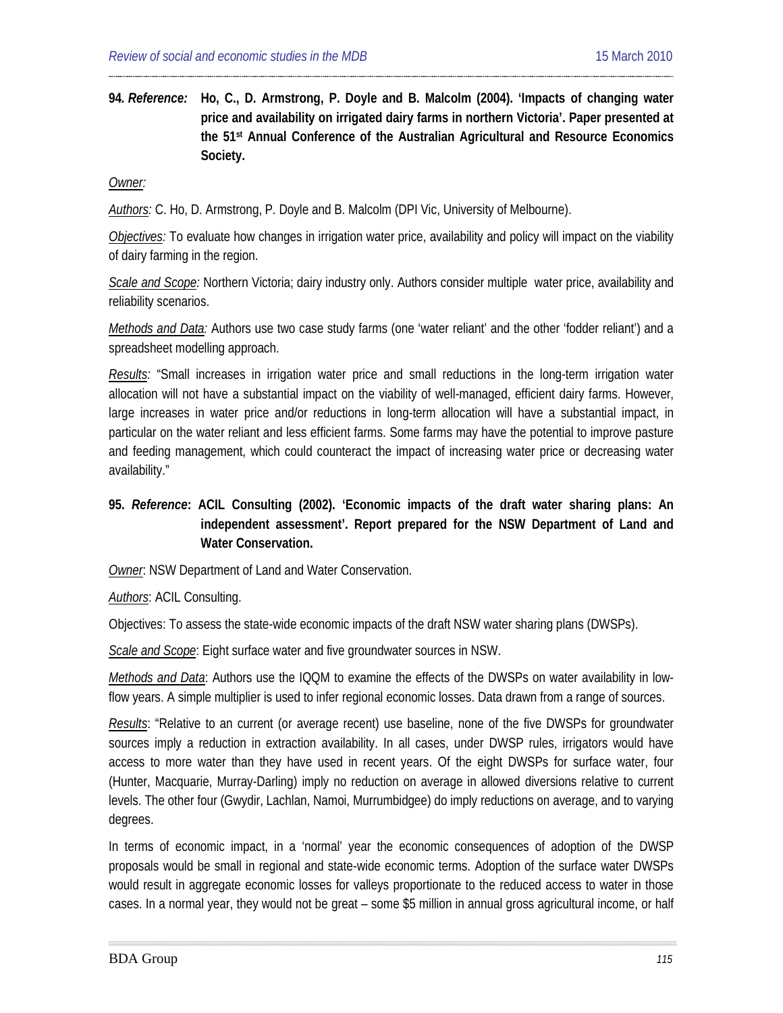**94***. Reference:* **Ho, C., D. Armstrong, P. Doyle and B. Malcolm (2004). 'Impacts of changing water price and availability on irrigated dairy farms in northern Victoria'. Paper presented at the 51st Annual Conference of the Australian Agricultural and Resource Economics Society.**

*Owner:* 

*Authors:* C. Ho, D. Armstrong, P. Doyle and B. Malcolm (DPI Vic, University of Melbourne).

*Objectives:* To evaluate how changes in irrigation water price, availability and policy will impact on the viability of dairy farming in the region.

*Scale and Scope:* Northern Victoria; dairy industry only. Authors consider multiple water price, availability and reliability scenarios.

*Methods and Data:* Authors use two case study farms (one 'water reliant' and the other 'fodder reliant') and a spreadsheet modelling approach.

*Results:* "Small increases in irrigation water price and small reductions in the long-term irrigation water allocation will not have a substantial impact on the viability of well-managed, efficient dairy farms. However, large increases in water price and/or reductions in long-term allocation will have a substantial impact, in particular on the water reliant and less efficient farms. Some farms may have the potential to improve pasture and feeding management, which could counteract the impact of increasing water price or decreasing water availability."

## **95.** *Reference***: ACIL Consulting (2002). 'Economic impacts of the draft water sharing plans: An independent assessment'. Report prepared for the NSW Department of Land and Water Conservation.**

*Owner*: NSW Department of Land and Water Conservation.

#### *Authors*: ACIL Consulting.

Objectives: To assess the state-wide economic impacts of the draft NSW water sharing plans (DWSPs).

*Scale and Scope*: Eight surface water and five groundwater sources in NSW.

*Methods and Data*: Authors use the IQQM to examine the effects of the DWSPs on water availability in lowflow years. A simple multiplier is used to infer regional economic losses. Data drawn from a range of sources.

*Results*: "Relative to an current (or average recent) use baseline, none of the five DWSPs for groundwater sources imply a reduction in extraction availability. In all cases, under DWSP rules, irrigators would have access to more water than they have used in recent years. Of the eight DWSPs for surface water, four (Hunter, Macquarie, Murray-Darling) imply no reduction on average in allowed diversions relative to current levels. The other four (Gwydir, Lachlan, Namoi, Murrumbidgee) do imply reductions on average, and to varying degrees.

In terms of economic impact, in a 'normal' year the economic consequences of adoption of the DWSP proposals would be small in regional and state-wide economic terms. Adoption of the surface water DWSPs would result in aggregate economic losses for valleys proportionate to the reduced access to water in those cases. In a normal year, they would not be great – some \$5 million in annual gross agricultural income, or half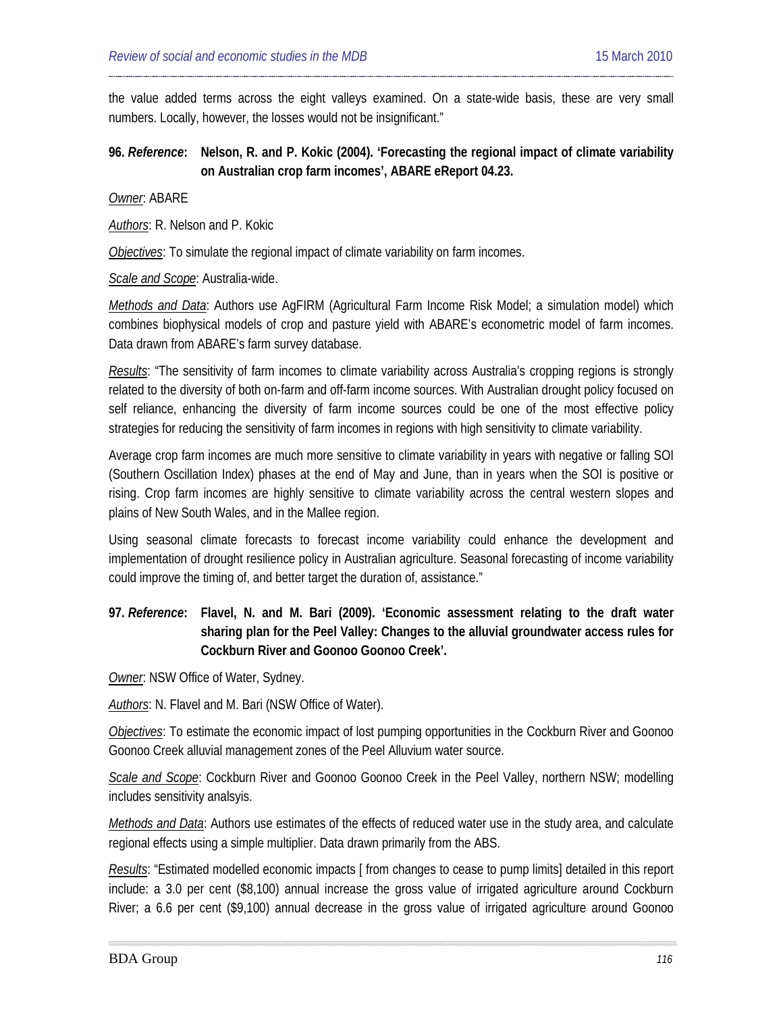the value added terms across the eight valleys examined. On a state-wide basis, these are very small numbers. Locally, however, the losses would not be insignificant."

### **96.** *Reference***: Nelson, R. and P. Kokic (2004). 'Forecasting the regional impact of climate variability on Australian crop farm incomes', ABARE eReport 04.23.**

*Owner*: ABARE

*Authors*: R. Nelson and P. Kokic

*Objectives*: To simulate the regional impact of climate variability on farm incomes.

*Scale and Scope*: Australia-wide.

*Methods and Data*: Authors use AgFIRM (Agricultural Farm Income Risk Model; a simulation model) which combines biophysical models of crop and pasture yield with ABARE's econometric model of farm incomes. Data drawn from ABARE's farm survey database.

*Results*: "The sensitivity of farm incomes to climate variability across Australia's cropping regions is strongly related to the diversity of both on-farm and off-farm income sources. With Australian drought policy focused on self reliance, enhancing the diversity of farm income sources could be one of the most effective policy strategies for reducing the sensitivity of farm incomes in regions with high sensitivity to climate variability.

Average crop farm incomes are much more sensitive to climate variability in years with negative or falling SOI (Southern Oscillation Index) phases at the end of May and June, than in years when the SOI is positive or rising. Crop farm incomes are highly sensitive to climate variability across the central western slopes and plains of New South Wales, and in the Mallee region.

Using seasonal climate forecasts to forecast income variability could enhance the development and implementation of drought resilience policy in Australian agriculture. Seasonal forecasting of income variability could improve the timing of, and better target the duration of, assistance."

# **97.** *Reference***: [Flavel,](#page-21-0) N. and M. Bari (2009). 'Economic assessment relating to the draft water sharing plan for the Peel Valley: Changes to the alluvial groundwater access rules for Cockburn River and Goonoo Goonoo Creek'.**

*Owner*: NSW Office of Water, Sydney.

*Authors*: N. Flavel and M. Bari (NSW Office of Water).

*Objectives*: To estimate the economic impact of lost pumping opportunities in the Cockburn River and Goonoo Goonoo Creek alluvial management zones of the Peel Alluvium water source.

*Scale and Scope*: Cockburn River and Goonoo Goonoo Creek in the Peel Valley, northern NSW; modelling includes sensitivity analsyis.

*Methods and Data*: Authors use estimates of the effects of reduced water use in the study area, and calculate regional effects using a simple multiplier. Data drawn primarily from the ABS.

*Results*: "Estimated modelled economic impacts [ from changes to cease to pump limits] detailed in this report include: a 3.0 per cent (\$8,100) annual increase the gross value of irrigated agriculture around Cockburn River; a 6.6 per cent (\$9,100) annual decrease in the gross value of irrigated agriculture around Goonoo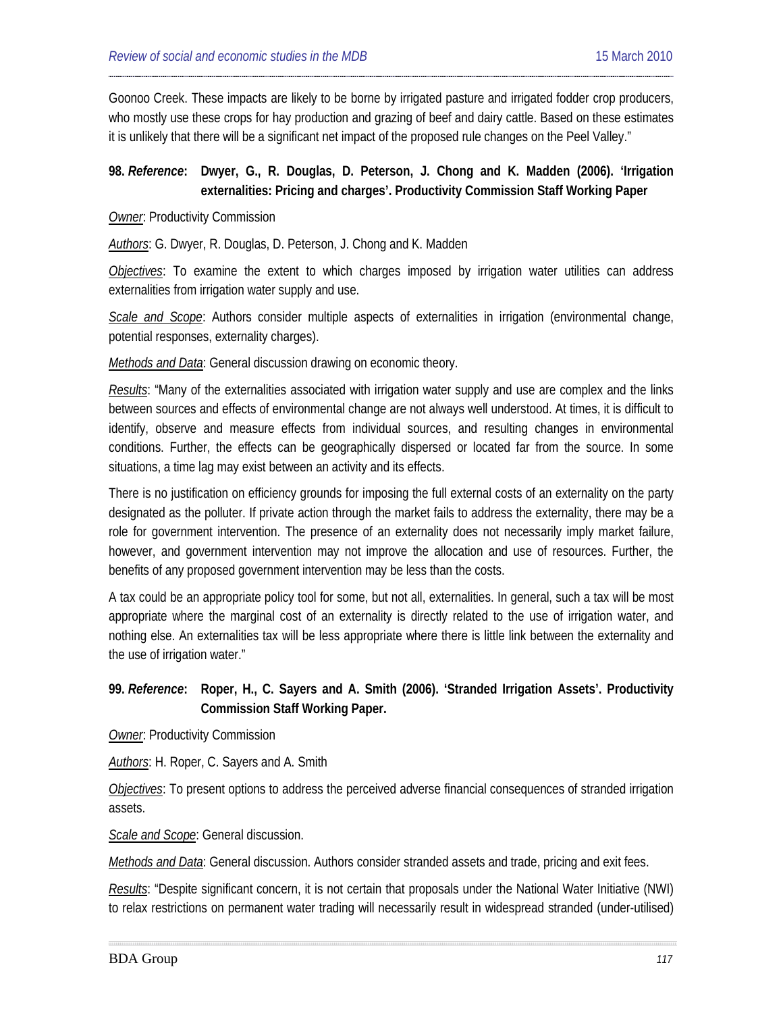Goonoo Creek. These impacts are likely to be borne by irrigated pasture and irrigated fodder crop producers, who mostly use these crops for hay production and grazing of beef and dairy cattle. Based on these estimates it is unlikely that there will be a significant net impact of the proposed rule changes on the Peel Valley."

### **98.** *Reference***: Dwyer, G., R. Douglas, D. Peterson, J. Chong and K. Madden (2006). 'Irrigation externalities: Pricing and charges'. Productivity Commission Staff Working Paper**

#### **Owner: Productivity Commission**

*Authors*: G. Dwyer, R. Douglas, D. Peterson, J. Chong and K. Madden

*Objectives*: To examine the extent to which charges imposed by irrigation water utilities can address externalities from irrigation water supply and use.

*Scale and Scope*: Authors consider multiple aspects of externalities in irrigation (environmental change, potential responses, externality charges).

*Methods and Data*: General discussion drawing on economic theory.

*Results*: "Many of the externalities associated with irrigation water supply and use are complex and the links between sources and effects of environmental change are not always well understood. At times, it is difficult to identify, observe and measure effects from individual sources, and resulting changes in environmental conditions. Further, the effects can be geographically dispersed or located far from the source. In some situations, a time lag may exist between an activity and its effects.

There is no justification on efficiency grounds for imposing the full external costs of an externality on the party designated as the polluter. If private action through the market fails to address the externality, there may be a role for government intervention. The presence of an externality does not necessarily imply market failure, however, and government intervention may not improve the allocation and use of resources. Further, the benefits of any proposed government intervention may be less than the costs.

A tax could be an appropriate policy tool for some, but not all, externalities. In general, such a tax will be most appropriate where the marginal cost of an externality is directly related to the use of irrigation water, and nothing else. An externalities tax will be less appropriate where there is little link between the externality and the use of irrigation water."

# **99.** *Reference***: Roper, H., C. Sayers and A. Smith (2006). 'Stranded Irrigation Assets'. Productivity Commission Staff Working Paper.**

**Owner:** Productivity Commission

*Authors*: H. Roper, C. Sayers and A. Smith

*Objectives*: To present options to address the perceived adverse financial consequences of stranded irrigation assets.

*Scale and Scope*: General discussion.

*Methods and Data*: General discussion. Authors consider stranded assets and trade, pricing and exit fees.

*Results*: "Despite significant concern, it is not certain that proposals under the National Water Initiative (NWI) to relax restrictions on permanent water trading will necessarily result in widespread stranded (under-utilised)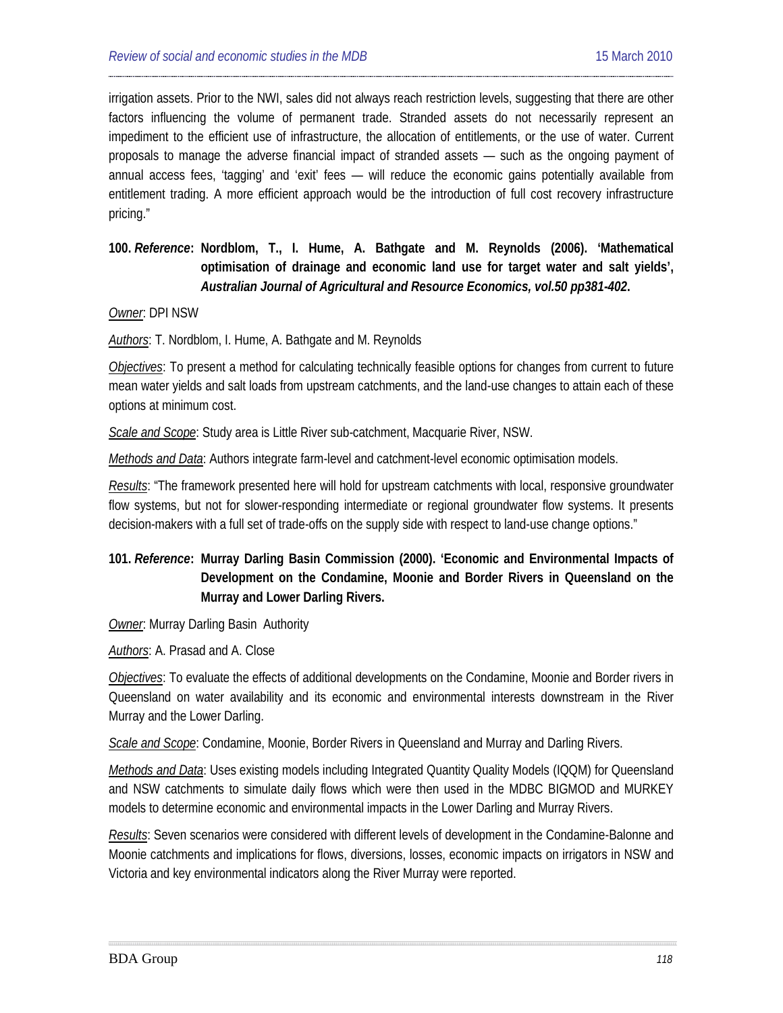irrigation assets. Prior to the NWI, sales did not always reach restriction levels, suggesting that there are other factors influencing the volume of permanent trade. Stranded assets do not necessarily represent an impediment to the efficient use of infrastructure, the allocation of entitlements, or the use of water. Current proposals to manage the adverse financial impact of stranded assets — such as the ongoing payment of annual access fees, 'tagging' and 'exit' fees — will reduce the economic gains potentially available from entitlement trading. A more efficient approach would be the introduction of full cost recovery infrastructure pricing."

# **100.** *Reference***: Nordblom, T., I. Hume, A. Bathgate and M. Reynolds (2006). 'Mathematical optimisation of drainage and economic land use for target water and salt yields',**  *Australian Journal of Agricultural and Resource Economics, vol.50 pp381-402***.**

#### *Owner*: DPI NSW

*Authors*: T. Nordblom, I. Hume, A. Bathgate and M. Reynolds

*Objectives*: To present a method for calculating technically feasible options for changes from current to future mean water yields and salt loads from upstream catchments, and the land-use changes to attain each of these options at minimum cost.

*Scale and Scope*: Study area is Little River sub-catchment, Macquarie River, NSW.

*Methods and Data*: Authors integrate farm-level and catchment-level economic optimisation models.

*Results*: "The framework presented here will hold for upstream catchments with local, responsive groundwater flow systems, but not for slower-responding intermediate or regional groundwater flow systems. It presents decision-makers with a full set of trade-offs on the supply side with respect to land-use change options."

## **101.** *Reference***: Murray Darling Basin Commission (2000). 'Economic and Environmental Impacts of Development on the Condamine, Moonie and Border Rivers in Queensland on the Murray and Lower Darling Rivers.**

*Owner*: Murray Darling Basin Authority

*Authors*: A. Prasad and A. Close

*Objectives*: To evaluate the effects of additional developments on the Condamine, Moonie and Border rivers in Queensland on water availability and its economic and environmental interests downstream in the River Murray and the Lower Darling.

*Scale and Scope*: Condamine, Moonie, Border Rivers in Queensland and Murray and Darling Rivers.

*Methods and Data*: Uses existing models including Integrated Quantity Quality Models (IQQM) for Queensland and NSW catchments to simulate daily flows which were then used in the MDBC BIGMOD and MURKEY models to determine economic and environmental impacts in the Lower Darling and Murray Rivers.

*Results*: Seven scenarios were considered with different levels of development in the Condamine-Balonne and Moonie catchments and implications for flows, diversions, losses, economic impacts on irrigators in NSW and Victoria and key environmental indicators along the River Murray were reported.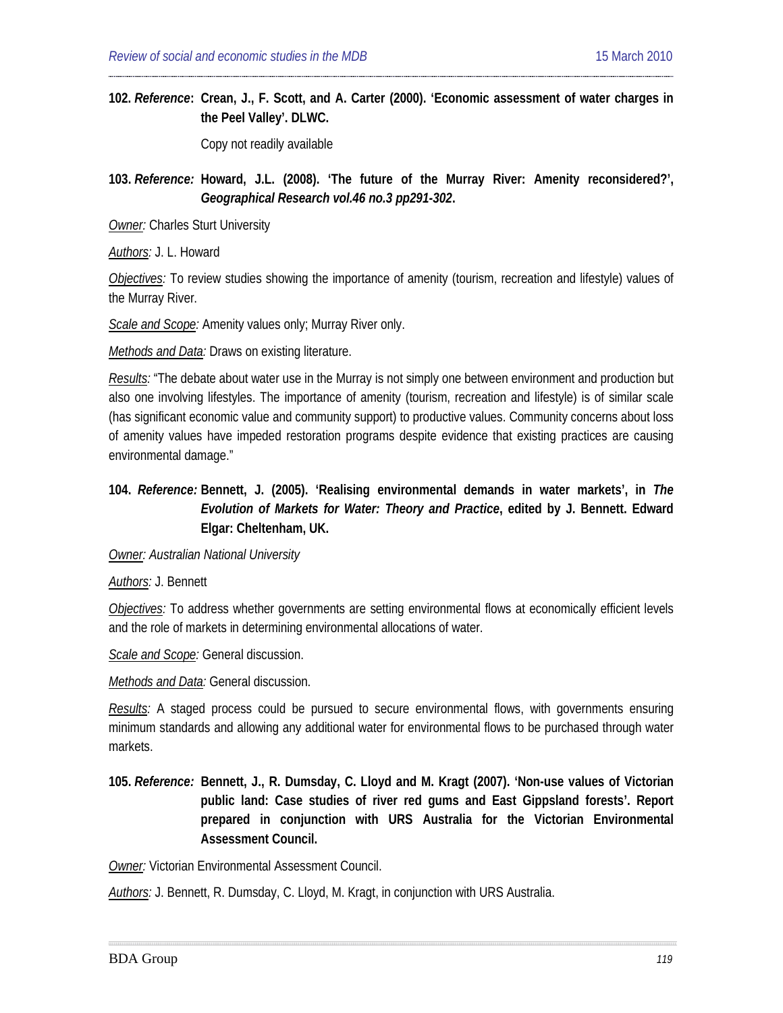**102.** *Reference***: Crean, J., F. Scott, and A. Carter (2000). 'Economic assessment of water charges in the Peel Valley'. DLWC.** 

Copy not readily available

**103.** *Reference:* **Howard, J.L. (2008). 'The future of the Murray River: Amenity reconsidered?',**  *Geographical Research vol.46 no.3 pp291-302***.**

*Owner:* Charles Sturt University

*Authors:* J. L. Howard

*Objectives:* To review studies showing the importance of amenity (tourism, recreation and lifestyle) values of the Murray River.

*Scale and Scope:* Amenity values only; Murray River only.

*Methods and Data:* Draws on existing literature.

*Results:* "The debate about water use in the Murray is not simply one between environment and production but also one involving lifestyles. The importance of amenity (tourism, recreation and lifestyle) is of similar scale (has significant economic value and community support) to productive values. Community concerns about loss of amenity values have impeded restoration programs despite evidence that existing practices are causing environmental damage."

### **104.** *Reference:* **Bennett, J. (2005). 'Realising environmental demands in water markets', in** *The Evolution of Markets for Water: Theory and Practice***, edited by J. Bennett. Edward Elgar: Cheltenham, UK.**

#### *Owner: Australian National University*

*Authors:* J. Bennett

*Objectives:* To address whether governments are setting environmental flows at economically efficient levels and the role of markets in determining environmental allocations of water.

*Scale and Scope:* General discussion.

*Methods and Data:* General discussion.

*Results:* A staged process could be pursued to secure environmental flows, with governments ensuring minimum standards and allowing any additional water for environmental flows to be purchased through water markets.

**105.** *Reference:* **[Bennett,](#page-20-0) J., R. Dumsday, C. Lloyd and M. Kragt (2007). 'Non-use values of Victorian public land: Case studies of river red gums and East Gippsland forests'. Report prepared in conjunction with URS Australia for the Victorian Environmental Assessment Council.**

*Owner:* Victorian Environmental Assessment Council.

*Authors:* J. Bennett, R. Dumsday, C. Lloyd, M. Kragt, in conjunction with URS Australia.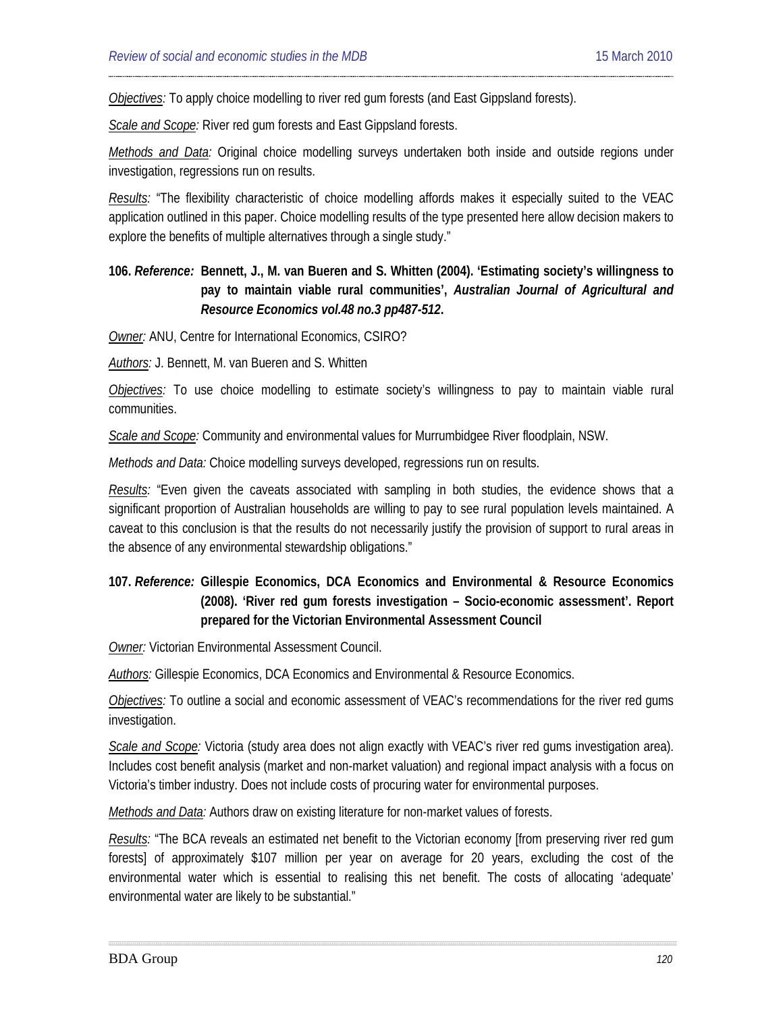*Objectives:* To apply choice modelling to river red gum forests (and East Gippsland forests).

*Scale and Scope:* River red gum forests and East Gippsland forests.

*Methods and Data:* Original choice modelling surveys undertaken both inside and outside regions under investigation, regressions run on results.

*Results:* "The flexibility characteristic of choice modelling affords makes it especially suited to the VEAC application outlined in this paper. Choice modelling results of the type presented here allow decision makers to explore the benefits of multiple alternatives through a single study."

# **106.** *Reference:* **[Bennett,](#page-44-0) J., M. van Bueren and S. Whitten (2004). 'Estimating society's willingness to pay to maintain viable rural communities',** *Australian Journal of Agricultural and Resource Economics vol.48 no.3 pp487-512***.**

*Owner:* ANU, Centre for International Economics, CSIRO?

*Authors:* J. Bennett, M. van Bueren and S. Whitten

*Objectives:* To use choice modelling to estimate society's willingness to pay to maintain viable rural communities.

*Scale and Scope:* Community and environmental values for Murrumbidgee River floodplain, NSW.

*Methods and Data:* Choice modelling surveys developed, regressions run on results.

*Results:* "Even given the caveats associated with sampling in both studies, the evidence shows that a significant proportion of Australian households are willing to pay to see rural population levels maintained. A caveat to this conclusion is that the results do not necessarily justify the provision of support to rural areas in the absence of any environmental stewardship obligations."

# **107.** *Reference:* **[Gillespie](#page-33-3) Economics, DCA Economics and Environmental & Resource Economics (2008). 'River red gum forests investigation – Socio-economic assessment'. Report prepared for the Victorian Environmental Assessment Council**

*Owner:* Victorian Environmental Assessment Council.

*Authors:* Gillespie Economics, DCA Economics and Environmental & Resource Economics.

*Objectives:* To outline a social and economic assessment of VEAC's recommendations for the river red gums investigation.

*Scale and Scope:* Victoria (study area does not align exactly with VEAC's river red gums investigation area). Includes cost benefit analysis (market and non-market valuation) and regional impact analysis with a focus on Victoria's timber industry. Does not include costs of procuring water for environmental purposes.

*Methods and Data:* Authors draw on existing literature for non-market values of forests.

*Results:* "The BCA reveals an estimated net benefit to the Victorian economy [from preserving river red gum forests] of approximately \$107 million per year on average for 20 years, excluding the cost of the environmental water which is essential to realising this net benefit. The costs of allocating 'adequate' environmental water are likely to be substantial."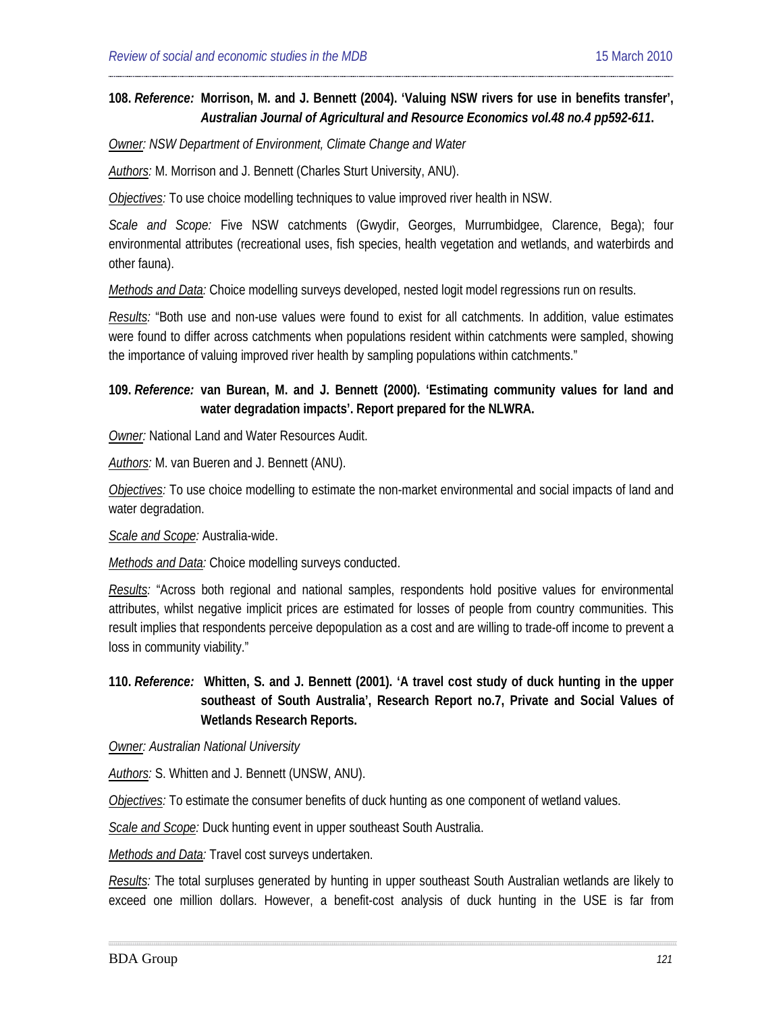### **108.** *Reference:* **[Morrison,](#page-20-1) M. and J. Bennett (2004). 'Valuing NSW rivers for use in benefits transfer',**  *Australian Journal of Agricultural and Resource Economics vol.48 no.4 pp592-611***.**

*Owner: NSW Department of Environment, Climate Change and Water*

*Authors:* M. Morrison and J. Bennett (Charles Sturt University, ANU).

*Objectives:* To use choice modelling techniques to value improved river health in NSW.

*Scale and Scope:* Five NSW catchments (Gwydir, Georges, Murrumbidgee, Clarence, Bega); four environmental attributes (recreational uses, fish species, health vegetation and wetlands, and waterbirds and other fauna).

*Methods and Data:* Choice modelling surveys developed, nested logit model regressions run on results.

*Results:* "Both use and non-use values were found to exist for all catchments. In addition, value estimates were found to differ across catchments when populations resident within catchments were sampled, showing the importance of valuing improved river health by sampling populations within catchments."

### **109.** *Reference:* **[van Burean,](#page-20-2) M. and J. Bennett (2000). 'Estimating community values for land and water degradation impacts'. Report prepared for the NLWRA.**

*Owner:* National Land and Water Resources Audit.

*Authors:* M. van Bueren and J. Bennett (ANU).

*Objectives:* To use choice modelling to estimate the non-market environmental and social impacts of land and water degradation.

*Scale and Scope:* Australia-wide.

*Methods and Data:* Choice modelling surveys conducted.

*Results:* "Across both regional and national samples, respondents hold positive values for environmental attributes, whilst negative implicit prices are estimated for losses of people from country communities. This result implies that respondents perceive depopulation as a cost and are willing to trade-off income to prevent a loss in community viability."

**110.** *Reference:* **Whitten, S. and J. Bennett (2001). 'A travel cost study of duck hunting in the upper southeast of South Australia', Research Report no.7, Private and Social Values of Wetlands Research Reports.**

#### *Owner: Australian National University*

*Authors:* S. Whitten and J. Bennett (UNSW, ANU).

*Objectives:* To estimate the consumer benefits of duck hunting as one component of wetland values.

*Scale and Scope:* Duck hunting event in upper southeast South Australia.

*Methods and Data:* Travel cost surveys undertaken.

*Results:* The total surpluses generated by hunting in upper southeast South Australian wetlands are likely to exceed one million dollars. However, a benefit-cost analysis of duck hunting in the USE is far from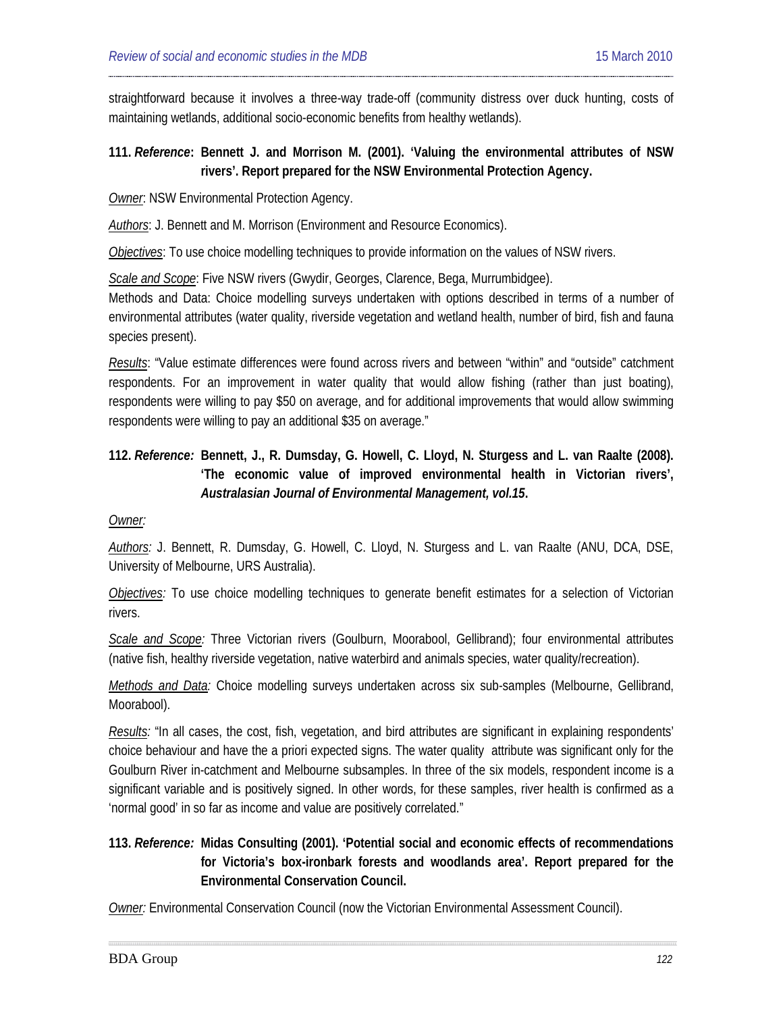straightforward because it involves a three-way trade-off (community distress over duck hunting, costs of maintaining wetlands, additional socio-economic benefits from healthy wetlands).

### **111.** *Reference***: Bennett J. and Morrison M. (2001). 'Valuing the environmental attributes of NSW rivers'. Report prepared for the NSW Environmental Protection Agency.**

*Owner*: NSW Environmental Protection Agency.

*Authors*: J. Bennett and M. Morrison (Environment and Resource Economics).

*Objectives*: To use choice modelling techniques to provide information on the values of NSW rivers.

*Scale and Scope*: Five NSW rivers (Gwydir, Georges, Clarence, Bega, Murrumbidgee).

Methods and Data: Choice modelling surveys undertaken with options described in terms of a number of environmental attributes (water quality, riverside vegetation and wetland health, number of bird, fish and fauna species present).

*Results*: "Value estimate differences were found across rivers and between "within" and "outside" catchment respondents. For an improvement in water quality that would allow fishing (rather than just boating), respondents were willing to pay \$50 on average, and for additional improvements that would allow swimming respondents were willing to pay an additional \$35 on average."

# **112.** *Reference:* **[Bennett,](#page-20-0) J., R. Dumsday, G. Howell, C. Lloyd, N. Sturgess and L. van Raalte (2008). 'The economic value of improved environmental health in Victorian rivers',**  *Australasian Journal of Environmental Management, vol.15***.**

#### *Owner:*

*Authors:* J. Bennett, R. Dumsday, G. Howell, C. Lloyd, N. Sturgess and L. van Raalte (ANU, DCA, DSE, University of Melbourne, URS Australia).

*Objectives:* To use choice modelling techniques to generate benefit estimates for a selection of Victorian rivers.

*Scale and Scope:* Three Victorian rivers (Goulburn, Moorabool, Gellibrand); four environmental attributes (native fish, healthy riverside vegetation, native waterbird and animals species, water quality/recreation).

*Methods and Data:* Choice modelling surveys undertaken across six sub-samples (Melbourne, Gellibrand, Moorabool).

*Results:* "In all cases, the cost, fish, vegetation, and bird attributes are significant in explaining respondents' choice behaviour and have the a priori expected signs. The water quality attribute was significant only for the Goulburn River in-catchment and Melbourne subsamples. In three of the six models, respondent income is a significant variable and is positively signed. In other words, for these samples, river health is confirmed as a 'normal good' in so far as income and value are positively correlated."

# **113.** *Reference:* **Midas Consulting (2001). 'Potential social and economic effects of recommendations for Victoria's box-ironbark forests and woodlands area'. Report prepared for the Environmental Conservation Council.**

*Owner:* Environmental Conservation Council (now the Victorian Environmental Assessment Council).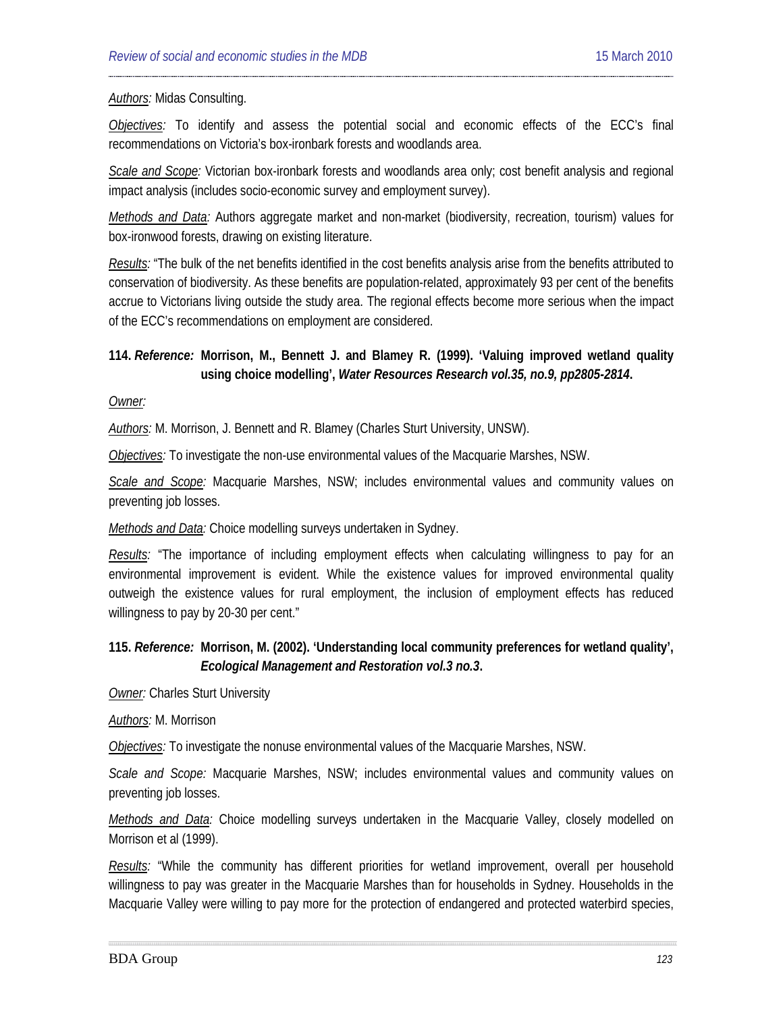#### *Authors:* Midas Consulting.

*Objectives:* To identify and assess the potential social and economic effects of the ECC's final recommendations on Victoria's box-ironbark forests and woodlands area.

*Scale and Scope:* Victorian box-ironbark forests and woodlands area only; cost benefit analysis and regional impact analysis (includes socio-economic survey and employment survey).

*Methods and Data:* Authors aggregate market and non-market (biodiversity, recreation, tourism) values for box-ironwood forests, drawing on existing literature.

*Results:* "The bulk of the net benefits identified in the cost benefits analysis arise from the benefits attributed to conservation of biodiversity. As these benefits are population-related, approximately 93 per cent of the benefits accrue to Victorians living outside the study area. The regional effects become more serious when the impact of the ECC's recommendations on employment are considered.

#### **114.** *Reference:* **Morrison, M., Bennett J. and Blamey R. (1999). 'Valuing improved wetland quality using choice modelling',** *Water Resources Research vol.35, no.9, pp2805-2814***.**

#### *Owner:*

*Authors:* M. Morrison, J. Bennett and R. Blamey (Charles Sturt University, UNSW).

*Objectives:* To investigate the non-use environmental values of the Macquarie Marshes, NSW.

*Scale and Scope:* Macquarie Marshes, NSW; includes environmental values and community values on preventing job losses.

*Methods and Data:* Choice modelling surveys undertaken in Sydney.

*Results:* "The importance of including employment effects when calculating willingness to pay for an environmental improvement is evident. While the existence values for improved environmental quality outweigh the existence values for rural employment, the inclusion of employment effects has reduced willingness to pay by 20-30 per cent."

### **115.** *Reference:* **Morrison, M. (2002). 'Understanding local community preferences for wetland quality',**  *Ecological Management and Restoration vol.3 no.3***.**

**Owner:** Charles Sturt University

*Authors:* M. Morrison

*Objectives:* To investigate the nonuse environmental values of the Macquarie Marshes, NSW.

*Scale and Scope:* Macquarie Marshes, NSW; includes environmental values and community values on preventing job losses.

*Methods and Data:* Choice modelling surveys undertaken in the Macquarie Valley, closely modelled on Morrison et al (1999).

*Results:* "While the community has different priorities for wetland improvement, overall per household willingness to pay was greater in the Macquarie Marshes than for households in Sydney. Households in the Macquarie Valley were willing to pay more for the protection of endangered and protected waterbird species,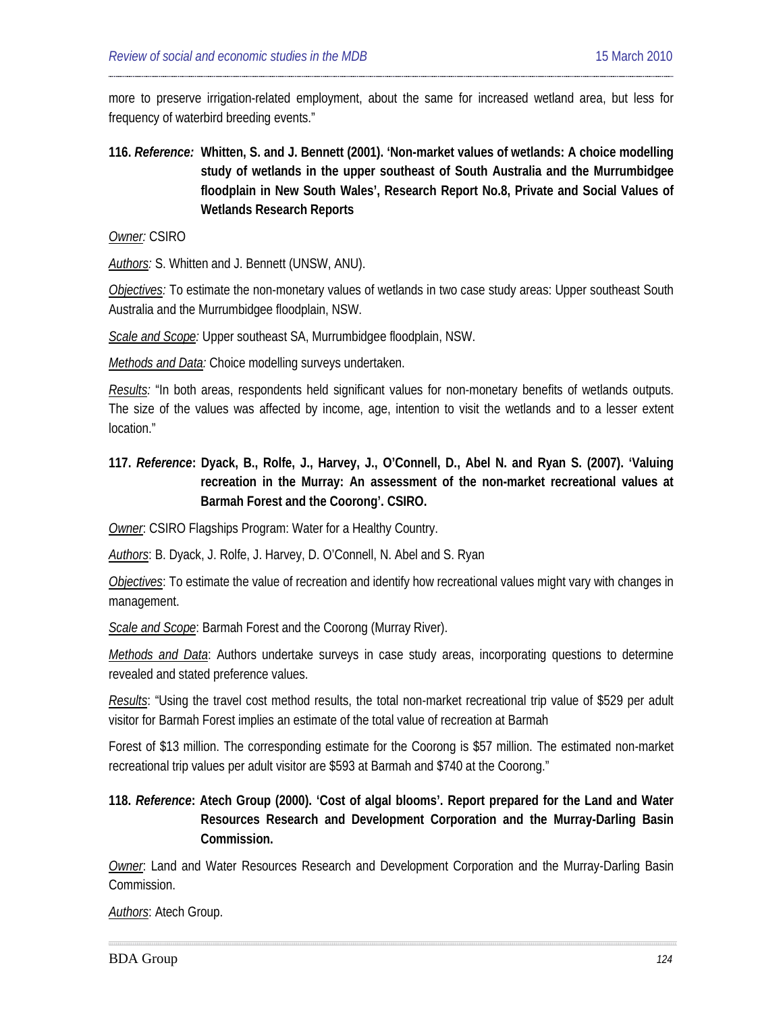more to preserve irrigation-related employment, about the same for increased wetland area, but less for frequency of waterbird breeding events."

# **116.** *Reference:* **[Whitten,](#page-20-3) S. and J. Bennett (2001). 'Non-market values of wetlands: A choice modelling study of wetlands in the upper southeast of South Australia and the Murrumbidgee floodplain in New South Wales', Research Report No.8, Private and Social Values of Wetlands Research Reports**

*Owner:* CSIRO

*Authors:* S. Whitten and J. Bennett (UNSW, ANU).

*Objectives:* To estimate the non-monetary values of wetlands in two case study areas: Upper southeast South Australia and the Murrumbidgee floodplain, NSW.

*Scale and Scope:* Upper southeast SA, Murrumbidgee floodplain, NSW.

*Methods and Data:* Choice modelling surveys undertaken.

*Results:* "In both areas, respondents held significant values for non-monetary benefits of wetlands outputs. The size of the values was affected by income, age, intention to visit the wetlands and to a lesser extent location."

# **117.** *Reference***: [Dyack,](#page-20-4) B., Rolfe, J., Harvey, J., O'Connell, D., Abel N. and Ryan S. (2007). 'Valuing recreation in the Murray: An assessment of the non-market recreational values at Barmah Forest and the Coorong'. CSIRO.**

*Owner*: CSIRO Flagships Program: Water for a Healthy Country.

*Authors*: B. Dyack, J. Rolfe, J. Harvey, D. O'Connell, N. Abel and S. Ryan

*Objectives*: To estimate the value of recreation and identify how recreational values might vary with changes in management.

*Scale and Scope*: Barmah Forest and the Coorong (Murray River).

*Methods and Data*: Authors undertake surveys in case study areas, incorporating questions to determine revealed and stated preference values.

*Results*: "Using the travel cost method results, the total non-market recreational trip value of \$529 per adult visitor for Barmah Forest implies an estimate of the total value of recreation at Barmah

Forest of \$13 million. The corresponding estimate for the Coorong is \$57 million. The estimated non-market recreational trip values per adult visitor are \$593 at Barmah and \$740 at the Coorong."

# **118.** *Reference***: Atech Group (2000). 'Cost of algal blooms'. Report prepared for the Land and Water Resources Research and Development Corporation and the Murray-Darling Basin Commission.**

*Owner*: Land and Water Resources Research and Development Corporation and the Murray-Darling Basin Commission.

*Authors*: Atech Group.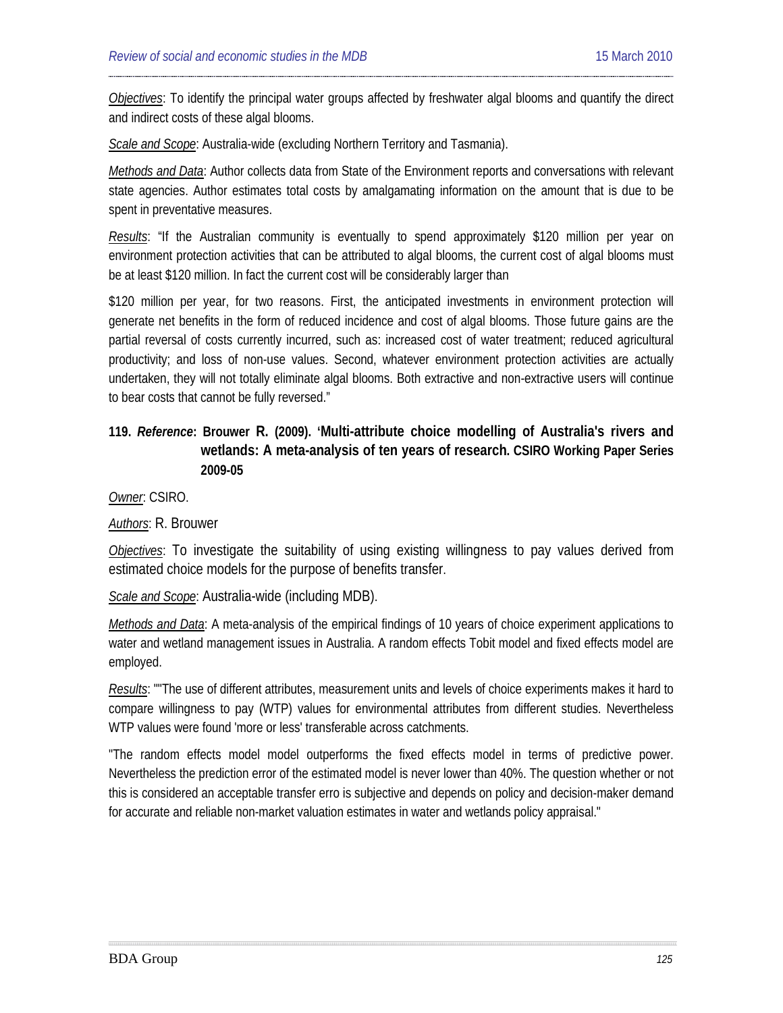*Objectives*: To identify the principal water groups affected by freshwater algal blooms and quantify the direct and indirect costs of these algal blooms.

*Scale and Scope*: Australia-wide (excluding Northern Territory and Tasmania).

*Methods and Data*: Author collects data from State of the Environment reports and conversations with relevant state agencies. Author estimates total costs by amalgamating information on the amount that is due to be spent in preventative measures.

*Results*: "If the Australian community is eventually to spend approximately \$120 million per year on environment protection activities that can be attributed to algal blooms, the current cost of algal blooms must be at least \$120 million. In fact the current cost will be considerably larger than

\$120 million per year, for two reasons. First, the anticipated investments in environment protection will generate net benefits in the form of reduced incidence and cost of algal blooms. Those future gains are the partial reversal of costs currently incurred, such as: increased cost of water treatment; reduced agricultural productivity; and loss of non-use values. Second, whatever environment protection activities are actually undertaken, they will not totally eliminate algal blooms. Both extractive and non-extractive users will continue to bear costs that cannot be fully reversed."

# **119.** *Reference***: [Brouwer](#page-43-0) R. (2009). 'Multi-attribute choice modelling of Australia's rivers and wetlands: A meta-analysis of ten years of research. CSIRO Working Paper Series 2009-05**

*Owner*: CSIRO.

*Authors*: R. Brouwer

*Objectives*: To investigate the suitability of using existing willingness to pay values derived from estimated choice models for the purpose of benefits transfer.

*Scale and Scope*: Australia-wide (including MDB).

*Methods and Data*: A meta-analysis of the empirical findings of 10 years of choice experiment applications to water and wetland management issues in Australia. A random effects Tobit model and fixed effects model are employed.

*Results*: ""The use of different attributes, measurement units and levels of choice experiments makes it hard to compare willingness to pay (WTP) values for environmental attributes from different studies. Nevertheless WTP values were found 'more or less' transferable across catchments.

"The random effects model model outperforms the fixed effects model in terms of predictive power. Nevertheless the prediction error of the estimated model is never lower than 40%. The question whether or not this is considered an acceptable transfer erro is subjective and depends on policy and decision-maker demand for accurate and reliable non-market valuation estimates in water and wetlands policy appraisal."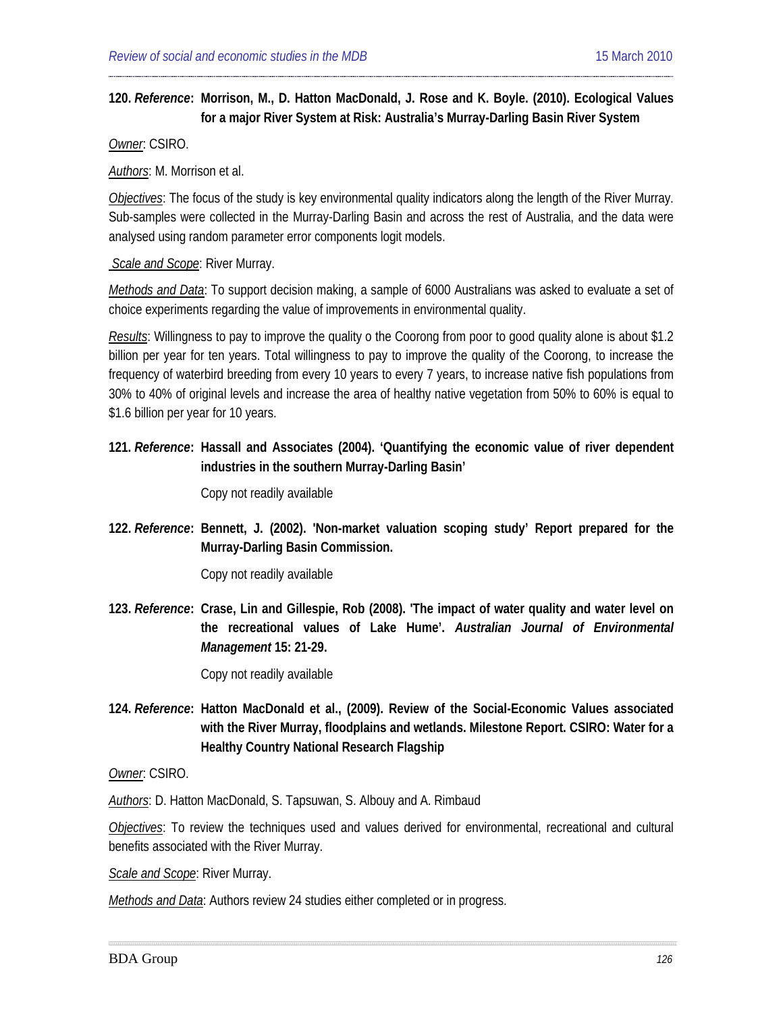#### **120.** *Reference***: [Morrison,](#page-32-0) M., D. Hatton MacDonald, J. Rose and K. Boyle. (2010). Ecological Values for a major River System at Risk: Australia's Murray-Darling Basin River System**

*Owner*: CSIRO.

*Authors*: M. Morrison et al.

*Objectives*: The focus of the study is key environmental quality indicators along the length of the River Murray. Sub-samples were collected in the Murray-Darling Basin and across the rest of Australia, and the data were analysed using random parameter error components logit models.

*Scale and Scope*: River Murray.

*Methods and Data*: To support decision making, a sample of 6000 Australians was asked to evaluate a set of choice experiments regarding the value of improvements in environmental quality.

*Results*: Willingness to pay to improve the quality o the Coorong from poor to good quality alone is about \$1.2 billion per year for ten years. Total willingness to pay to improve the quality of the Coorong, to increase the frequency of waterbird breeding from every 10 years to every 7 years, to increase native fish populations from 30% to 40% of original levels and increase the area of healthy native vegetation from 50% to 60% is equal to \$1.6 billion per year for 10 years.

### **121.** *Reference***: Hassall and Associates (2004). 'Quantifying the economic value of river dependent industries in the southern Murray-Darling Basin'**

Copy not readily available

**122.** *Reference***: Bennett, J. (2002). 'Non-market valuation scoping study' Report prepared for the Murray-Darling Basin Commission.**

Copy not readily available

**123.** *Reference***: Crase, Lin and Gillespie, Rob (2008). 'The impact of water quality and water level on the recreational values of Lake Hume'.** *Australian Journal of Environmental Management* **15: 21-29.** 

Copy not readily available

**124.** *Reference***: [Hatton](#page-43-1) MacDonald et al., (2009). Review of the Social-Economic Values associated with the River Murray, floodplains and wetlands. Milestone Report. CSIRO: Water for a Healthy Country National Research Flagship**

*Owner*: CSIRO.

*Authors*: D. Hatton MacDonald, S. Tapsuwan, S. Albouy and A. Rimbaud

*Objectives*: To review the techniques used and values derived for environmental, recreational and cultural benefits associated with the River Murray.

*Scale and Scope*: River Murray.

*Methods and Data*: Authors review 24 studies either completed or in progress.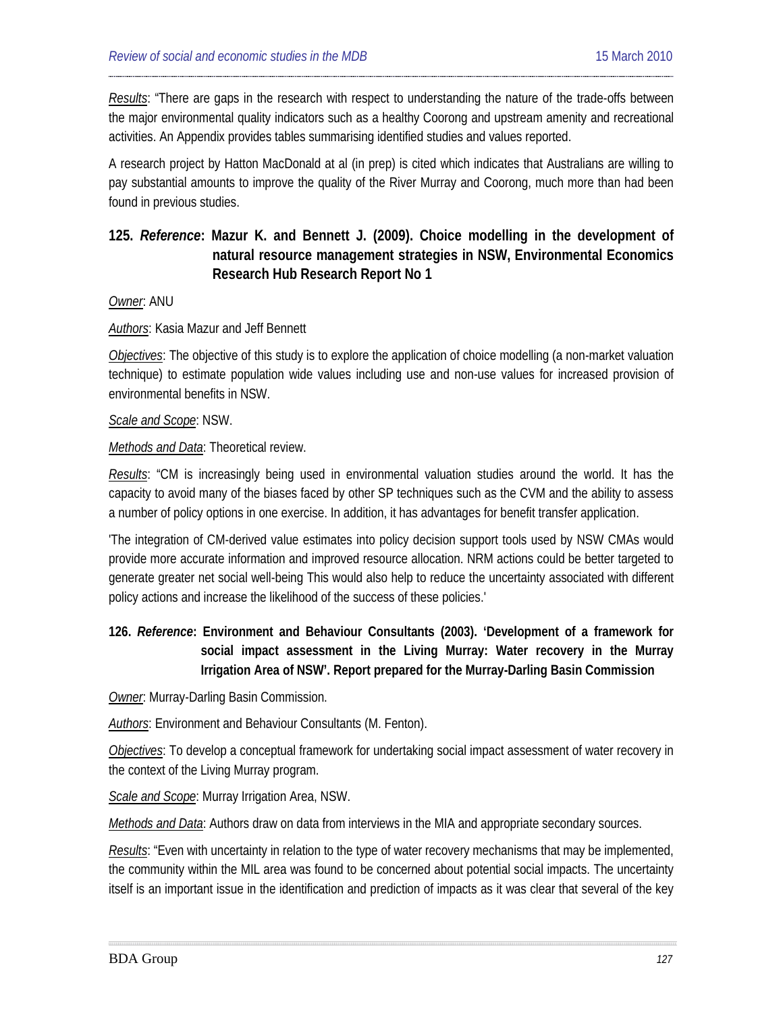*Results*: "There are gaps in the research with respect to understanding the nature of the trade-offs between the major environmental quality indicators such as a healthy Coorong and upstream amenity and recreational activities. An Appendix provides tables summarising identified studies and values reported.

A research project by Hatton MacDonald at al (in prep) is cited which indicates that Australians are willing to pay substantial amounts to improve the quality of the River Murray and Coorong, much more than had been found in previous studies.

# **125.** *Reference***: [Mazur](#page-44-1) K. and Bennett J. (2009). Choice modelling in the development of natural resource management strategies in NSW, Environmental Economics Research Hub Research Report No 1**

*Owner*: ANU

#### *Authors*: Kasia Mazur and Jeff Bennett

*Objectives*: The objective of this study is to explore the application of choice modelling (a non-market valuation technique) to estimate population wide values including use and non-use values for increased provision of environmental benefits in NSW.

#### *Scale and Scope*: NSW.

*Methods and Data*: Theoretical review.

*Results*: "CM is increasingly being used in environmental valuation studies around the world. It has the capacity to avoid many of the biases faced by other SP techniques such as the CVM and the ability to assess a number of policy options in one exercise. In addition, it has advantages for benefit transfer application.

'The integration of CM-derived value estimates into policy decision support tools used by NSW CMAs would provide more accurate information and improved resource allocation. NRM actions could be better targeted to generate greater net social well-being This would also help to reduce the uncertainty associated with different policy actions and increase the likelihood of the success of these policies.'

## **126.** *Reference***: Environment and Behaviour Consultants (2003). 'Development of a framework for social impact assessment in the Living Murray: Water recovery in the Murray Irrigation Area of NSW'. Report prepared for the Murray-Darling Basin Commission**

*Owner*: Murray-Darling Basin Commission.

*Authors*: Environment and Behaviour Consultants (M. Fenton).

*Objectives*: To develop a conceptual framework for undertaking social impact assessment of water recovery in the context of the Living Murray program.

*Scale and Scope*: Murray Irrigation Area, NSW.

*Methods and Data*: Authors draw on data from interviews in the MIA and appropriate secondary sources.

*Results*: "Even with uncertainty in relation to the type of water recovery mechanisms that may be implemented, the community within the MIL area was found to be concerned about potential social impacts. The uncertainty itself is an important issue in the identification and prediction of impacts as it was clear that several of the key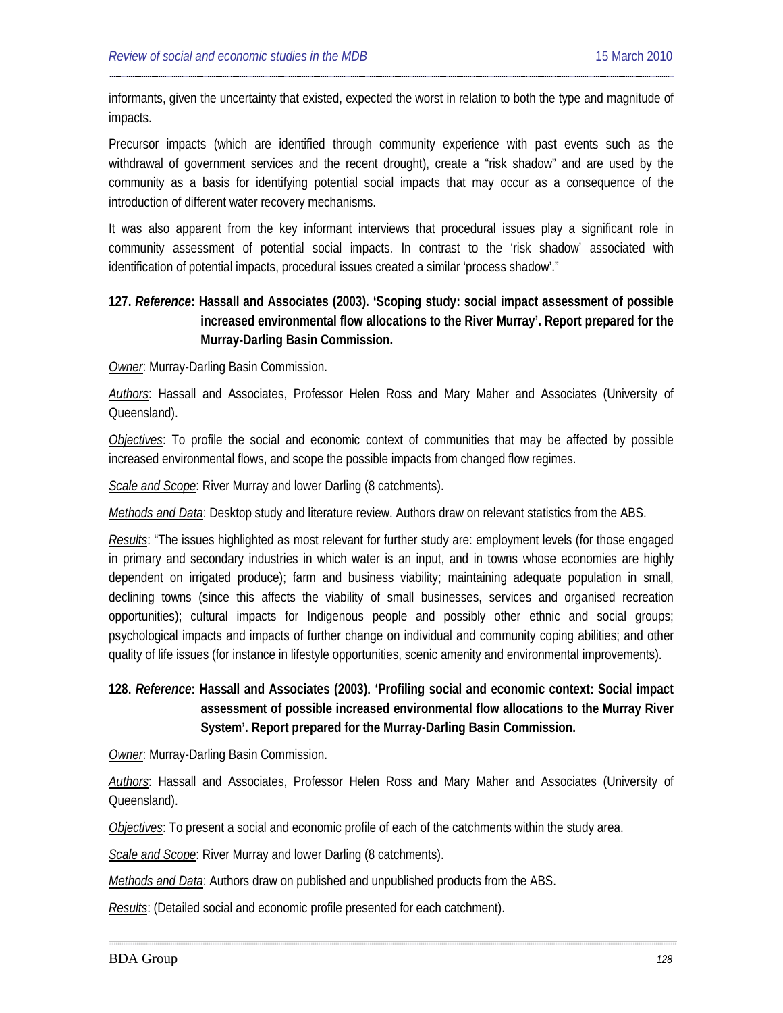informants, given the uncertainty that existed, expected the worst in relation to both the type and magnitude of impacts.

Precursor impacts (which are identified through community experience with past events such as the withdrawal of government services and the recent drought), create a "risk shadow" and are used by the community as a basis for identifying potential social impacts that may occur as a consequence of the introduction of different water recovery mechanisms.

It was also apparent from the key informant interviews that procedural issues play a significant role in community assessment of potential social impacts. In contrast to the 'risk shadow' associated with identification of potential impacts, procedural issues created a similar 'process shadow'."

## **127.** *Reference***: Hassall and Associates (2003). 'Scoping study: social impact assessment of possible increased environmental flow allocations to the River Murray'. Report prepared for the Murray-Darling Basin Commission.**

*Owner*: Murray-Darling Basin Commission.

*Authors*: Hassall and Associates, Professor Helen Ross and Mary Maher and Associates (University of Queensland).

*Objectives*: To profile the social and economic context of communities that may be affected by possible increased environmental flows, and scope the possible impacts from changed flow regimes.

*Scale and Scope*: River Murray and lower Darling (8 catchments).

*Methods and Data*: Desktop study and literature review. Authors draw on relevant statistics from the ABS.

*Results*: "The issues highlighted as most relevant for further study are: employment levels (for those engaged in primary and secondary industries in which water is an input, and in towns whose economies are highly dependent on irrigated produce); farm and business viability; maintaining adequate population in small, declining towns (since this affects the viability of small businesses, services and organised recreation opportunities); cultural impacts for Indigenous people and possibly other ethnic and social groups; psychological impacts and impacts of further change on individual and community coping abilities; and other quality of life issues (for instance in lifestyle opportunities, scenic amenity and environmental improvements).

### **128.** *Reference***: [Hassall](#page-19-1) and Associates (2003). 'Profiling social and economic context: Social impact assessment of possible increased environmental flow allocations to the Murray River System'. Report prepared for the Murray-Darling Basin Commission.**

*Owner*: Murray-Darling Basin Commission.

*Authors*: Hassall and Associates, Professor Helen Ross and Mary Maher and Associates (University of Queensland).

*Objectives*: To present a social and economic profile of each of the catchments within the study area.

*Scale and Scope*: River Murray and lower Darling (8 catchments).

*Methods and Data*: Authors draw on published and unpublished products from the ABS.

*Results*: (Detailed social and economic profile presented for each catchment).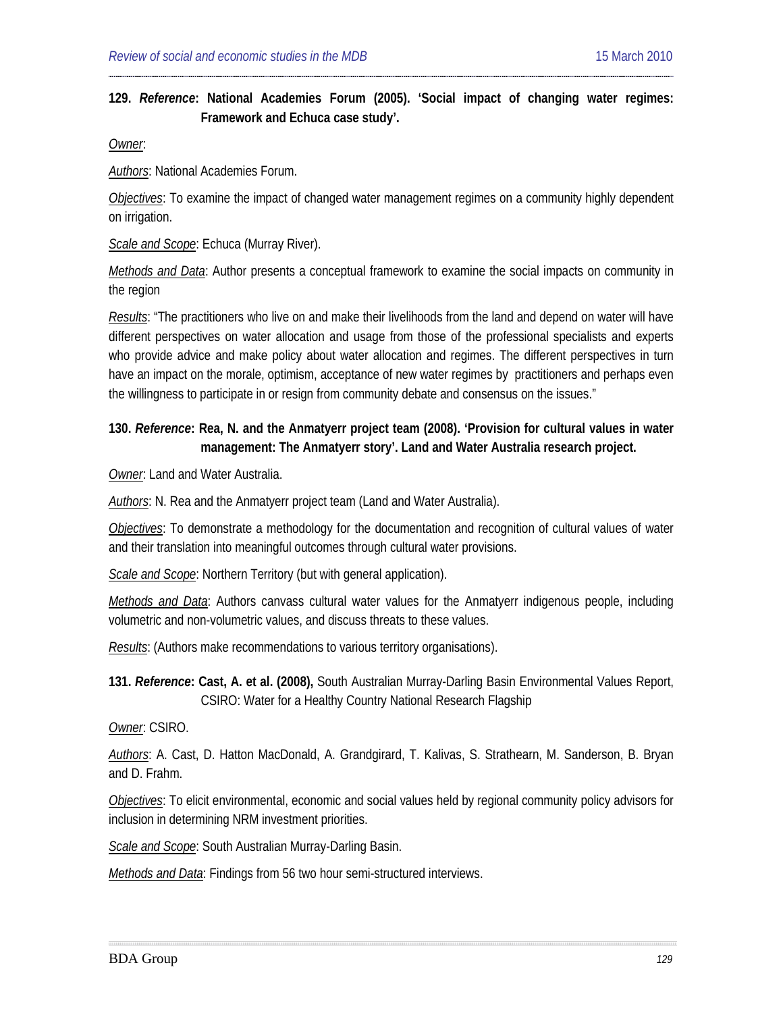### **129.** *Reference***: National Academies Forum (2005). 'Social impact of changing water regimes: Framework and Echuca case study'.**

*Owner*:

*Authors*: National Academies Forum.

*Objectives*: To examine the impact of changed water management regimes on a community highly dependent on irrigation.

*Scale and Scope*: Echuca (Murray River).

*Methods and Data*: Author presents a conceptual framework to examine the social impacts on community in the region

*Results*: "The practitioners who live on and make their livelihoods from the land and depend on water will have different perspectives on water allocation and usage from those of the professional specialists and experts who provide advice and make policy about water allocation and regimes. The different perspectives in turn have an impact on the morale, optimism, acceptance of new water regimes by practitioners and perhaps even the willingness to participate in or resign from community debate and consensus on the issues."

## **130.** *Reference***: Rea, N. and the Anmatyerr project team (2008). 'Provision for cultural values in water management: The Anmatyerr story'. Land and Water Australia research project.**

*Owner*: Land and Water Australia.

*Authors*: N. Rea and the Anmatyerr project team (Land and Water Australia).

*Objectives*: To demonstrate a methodology for the documentation and recognition of cultural values of water and their translation into meaningful outcomes through cultural water provisions.

*Scale and Scope*: Northern Territory (but with general application).

*Methods and Data*: Authors canvass cultural water values for the Anmatyerr indigenous people, including volumetric and non-volumetric values, and discuss threats to these values.

*Results*: (Authors make recommendations to various territory organisations).

**131.** *Reference***: Cast, A. et al. (2008),** South Australian Murray-Darling Basin Environmental Values Report, CSIRO: Water for a Healthy Country National Research Flagship

*Owner*: CSIRO.

*Authors*: A. Cast, D. Hatton MacDonald, A. Grandgirard, T. Kalivas, S. Strathearn, M. Sanderson, B. Bryan and D. Frahm.

*Objectives*: To elicit environmental, economic and social values held by regional community policy advisors for inclusion in determining NRM investment priorities.

*Scale and Scope*: South Australian Murray-Darling Basin.

*Methods and Data*: Findings from 56 two hour semi-structured interviews.